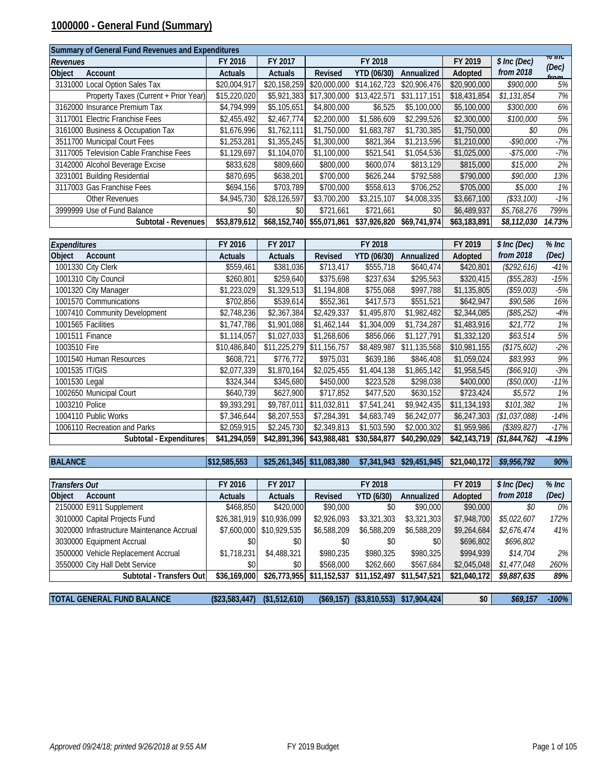#### **1000000 - General Fund (Summary)**

| Summary of General Fund Revenues and Expenditures |                |                |              |              |              |              |              |                   |
|---------------------------------------------------|----------------|----------------|--------------|--------------|--------------|--------------|--------------|-------------------|
| <b>Revenues</b>                                   | FY 2016        | FY 2017        |              | FY 2018      |              | FY 2019      | \$ Inc (Dec) | $70$ HIG<br>(Dec) |
| <b>Object</b><br>Account                          | <b>Actuals</b> | <b>Actuals</b> | Revised      | YTD (06/30)  | Annualized   | Adopted      | from 2018    | from              |
| 3131000 Local Option Sales Tax                    | \$20,004,917   | \$20,158,259   | \$20,000,000 | \$14,162,723 | \$20,906,476 | \$20,900,000 | \$900,000    | 5%                |
| Property Taxes (Current + Prior Year)             | \$15,220,020   | \$5,921,383    | \$17,300,000 | \$13,422,571 | \$31,117,151 | \$18,431,854 | \$1,131,854  | 7%                |
| 3162000 Insurance Premium Tax                     | \$4,794,999    | \$5,105,651    | \$4,800,000  | \$6,525      | \$5,100,000  | \$5,100,000  | \$300,000    | 6%                |
| 3117001 Electric Franchise Fees                   | \$2,455,492    | \$2,467,774    | \$2,200,000  | \$1,586,609  | \$2,299,526  | \$2,300,000  | \$100,000    | 5%                |
| 3161000 Business & Occupation Tax                 | \$1,676,996    | \$1,762,111    | \$1,750,000  | \$1,683,787  | \$1,730,385  | \$1,750,000  | \$0          | 0%                |
| 3511700 Municipal Court Fees                      | \$1,253,281    | \$1,355,245    | \$1,300,000  | \$821,364    | \$1,213,596  | \$1,210,000  | -\$90,000    | -7%               |
| 3117005 Television Cable Franchise Fees           | \$1,129,697    | \$1,104,070    | \$1,100,000  | \$521,541    | \$1,054,536  | \$1,025,000  | $-$75,000$   | -7%               |
| 3142000 Alcohol Beverage Excise                   | \$833,628      | \$809,660      | \$800,000    | \$600,074    | \$813,129    | \$815,000    | \$15,000     | 2%                |
| 3231001 Building Residential                      | \$870,695      | \$638,201      | \$700,000    | \$626,244    | \$792,588    | \$790,000    | \$90,000     | 13%               |
| 3117003 Gas Franchise Fees                        | \$694,156      | \$703,789      | \$700,000    | \$558,613    | \$706,252    | \$705,000    | \$5,000      | 1%                |
| Other Revenues                                    | \$4,945,730    | \$28,126,597   | \$3,700,200  | \$3,215,107  | \$4,008,335  | \$3,667,100  | (\$33,100)   | $-1%$             |
| 3999999 Use of Fund Balance                       | \$0            | \$0            | \$721,661    | \$721.661    | \$0          | \$6,489,937  | \$5,768,276  | 799%              |
| Subtotal - Revenues                               | \$53,879,612   | \$68,152,740   | \$55,071,861 | \$37,926,820 | \$69,741,974 | \$63,183,891 | \$8,112,030  | 14.73%            |

| <b>Expenditures</b>           | FY 2016        | FY 2017        |              | FY 2018      |              | FY 2019      | \$ Inc (Dec)  | $%$ Inc  |
|-------------------------------|----------------|----------------|--------------|--------------|--------------|--------------|---------------|----------|
| Object<br>Account             | <b>Actuals</b> | <b>Actuals</b> | Revised      | YTD (06/30)  | Annualized   | Adopted      | from 2018     | (Dec)    |
| 1001330 City Clerk            | \$559,461      | \$381,036      | \$713,417    | \$555,718    | \$640,474    | \$420,801    | (\$292,616)   | $-41%$   |
| 1001310 City Council          | \$260,801      | \$259,640      | \$375,698    | \$237,634    | \$295,563    | \$320,415    | (\$55,283)    | $-15%$   |
| 1001320 City Manager          | \$1,223,029    | \$1,329,513    | \$1,194,808  | \$755,068    | \$997,788    | \$1,135,805  | (\$59,003)    | $-5\%$   |
| 1001570 Communications        | \$702,856      | \$539,614      | \$552,361    | \$417,573    | \$551,521    | \$642,947    | \$90,586      | 16%      |
| 1007410 Community Development | \$2,748,236    | \$2,367,384    | \$2,429,337  | \$1,495,870  | \$1,982,482  | \$2,344,085  | (\$85,252)    | $-4%$    |
| 1001565 Facilities            | \$1,747,786    | \$1,901,088    | \$1,462,144  | \$1,304,009  | \$1,734,287  | \$1,483,916  | \$21,772      | 1%       |
| 1001511 Finance               | \$1,114,057    | \$1,027,033    | \$1,268,606  | \$856,066    | \$1,127,791  | \$1,332,120  | \$63,514      | 5%       |
| 1003510 Fire                  | \$10,486,840   | \$11,225,279   | \$11,156,757 | \$8,489,987  | \$11,135,568 | \$10,981,155 | (\$175,602)   | $-2%$    |
| 1001540 Human Resources       | \$608,721      | \$776,772      | \$975,031    | \$639,186    | \$846,408    | \$1,059,024  | \$83,993      | 9%       |
| 1001535 IT/GIS                | \$2,077,339    | \$1,870,164    | \$2,025,455  | \$1,404,138  | \$1,865,142  | \$1,958,545  | (\$66,910)    | $-3%$    |
| 1001530 Legal                 | \$324,344      | \$345,680      | \$450,000    | \$223,528    | \$298,038    | \$400,000    | (\$50,000)    | $-11%$   |
| 1002650 Municipal Court       | \$640,739      | \$627,900      | \$717,852    | \$477,520    | \$630,152    | \$723,424    | \$5,572       | 1%       |
| 1003210 Police                | \$9,393,291    | \$9,787,011    | \$11,032,811 | \$7,541,241  | \$9,942,435  | \$11,134,193 | \$101,382     | $1\%$    |
| 1004110 Public Works          | \$7,346,644    | \$8,207,553    | \$7,284,391  | \$4,683,749  | \$6,242,077  | \$6,247,303  | (\$1,037,088) | $-14%$   |
| 1006110 Recreation and Parks  | \$2,059,915    | \$2,245,730    | \$2,349,813  | \$1,503,590  | \$2,000,302  | \$1,959,986  | (\$389, 827)  | $-17%$   |
| Subtotal - Expenditures       | \$41,294,059   | \$42,891,396   | \$43,988,481 | \$30,584,877 | \$40,290,029 | \$42,143,719 | (\$1,844,762) | $-4.19%$ |

**BALANCE \$12,585,553 \$25,261,345 \$11,083,380 \$7,341,943 \$29,451,945 \$21,040,172** *\$9,956,792 90%*

| <b>Transfers Out</b>                       |                           | FY 2016        | FY 2017                  | FY 2018      |                   |              | FY 2019      | \$ Inc (Dec) | $%$ Inc |
|--------------------------------------------|---------------------------|----------------|--------------------------|--------------|-------------------|--------------|--------------|--------------|---------|
| <b>Object</b><br>Account                   |                           | <b>Actuals</b> | <b>Actuals</b>           | Revised      | <b>YTD (6/30)</b> | Annualized   | Adopted      | from 2018    | (Dec)   |
| 2150000 E911 Supplement                    |                           | \$468,850      | \$420,000                | \$90,000     | \$0               | \$90,000     | \$90,000     | \$0          | 0%      |
| 3010000 Capital Projects Fund              |                           | \$26,381,919   | \$10,936,099             | \$2,926,093  | \$3,321,303       | \$3,321,303  | \$7,948,700  | \$5,022,607  | 172%    |
| 3020000 Infrastructure Maintenance Accrual |                           |                | \$7,600,000 \$10,929,535 | \$6,588,209  | \$6,588,209       | \$6,588,209  | \$9,264,684  | \$2,676,474  | 41%     |
| 3030000 Equipment Accrual                  |                           | \$0            | \$0                      | \$0          | \$0               | \$0          | \$696,802    | \$696,802    |         |
| 3500000 Vehicle Replacement Accrual        |                           | \$1,718,231    | \$4,488,321              | \$980.235    | \$980,325         | \$980,325    | \$994,939    | \$14,704     | 2%      |
| 3550000 City Hall Debt Service             |                           | \$0            | \$0                      | \$568,000    | \$262,660         | \$567,684    | \$2,045,048  | \$1,477,048  | 260%    |
|                                            | Subtotal - Transfers Outl | \$36,169,000   | \$26,773,955             | \$11,152,537 | \$11,152,497      | \$11,547,521 | \$21,040,172 | \$9,887,635  | 89%     |
|                                            |                           |                |                          |              |                   |              |              |              |         |
| <b>TOTAL GENERAL FUND BALANCE</b>          |                           | (\$23,583,447) | (\$1,512,610)            | (\$69,157)   | (\$3,810,553)     | \$17,904,424 | \$0          | \$69.157     | $-100%$ |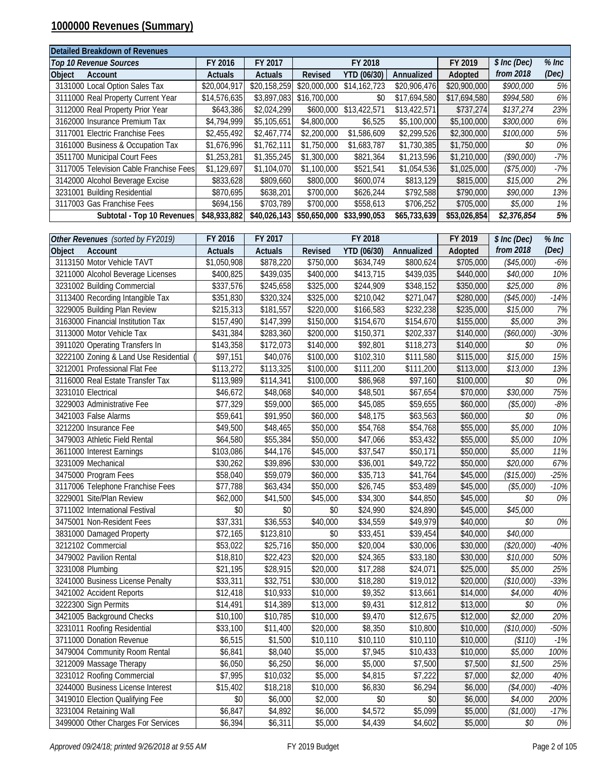### **1000000 Revenues (Summary)**

| Detailed Breakdown of Revenues          |                |                |              |              |              |              |              |         |
|-----------------------------------------|----------------|----------------|--------------|--------------|--------------|--------------|--------------|---------|
| <b>Top 10 Revenue Sources</b>           | FY 2016        | FY 2017        |              | FY 2018      |              | FY 2019      | \$ Inc (Dec) | $%$ Inc |
| Object<br>Account                       | <b>Actuals</b> | <b>Actuals</b> | Revised      | YTD (06/30)  | Annualized   | Adopted      | from 2018    | (Dec)   |
| 3131000 Local Option Sales Tax          | \$20,004,917   | \$20,158,259   | \$20,000,000 | \$14,162,723 | \$20,906,476 | \$20,900,000 | \$900,000    | 5%      |
| 3111000 Real Property Current Year      | \$14,576,635   | \$3,897,083    | \$16,700,000 | \$0          | \$17,694.580 | \$17,694,580 | \$994,580    | 6%      |
| 3112000 Real Property Prior Year        | \$643,386      | \$2,024,299    | \$600,000    | \$13,422,571 | \$13,422,571 | \$737.274    | \$137,274    | 23%     |
| 3162000 Insurance Premium Tax           | \$4,794,999    | \$5,105,651    | \$4,800,000  | \$6,525      | \$5,100,000  | \$5,100,000  | \$300,000    | 6%      |
| 3117001 Electric Franchise Fees         | \$2,455,492    | \$2,467,774    | \$2,200,000  | \$1,586,609  | \$2,299,526  | \$2,300,000  | \$100,000    | 5%      |
| 3161000 Business & Occupation Tax       | \$1,676,996    | \$1,762,111    | \$1,750,000  | \$1,683,787  | \$1,730,385  | \$1,750,000  | \$0          | 0%      |
| 3511700 Municipal Court Fees            | \$1,253,281    | \$1,355,245    | \$1,300,000  | \$821,364    | \$1,213,596  | \$1,210,000  | (\$90,000)   | $-7%$   |
| 3117005 Television Cable Franchise Fees | \$1,129,697    | \$1,104,070    | \$1,100,000  | \$521.541    | \$1,054,536  | \$1,025,000  | (\$75,000)   | $-7%$   |
| 3142000 Alcohol Beverage Excise         | \$833,628      | \$809,660      | \$800,000    | \$600,074    | \$813,129    | \$815,000    | \$15,000     | 2%      |
| 3231001 Building Residential            | \$870,695      | \$638,201      | \$700,000    | \$626,244    | \$792,588    | \$790,000    | \$90,000     | 13%     |
| 3117003 Gas Franchise Fees              | \$694.156      | \$703.789      | \$700,000    | \$558,613    | \$706,252    | \$705,000    | \$5,000      | 1%      |
| Subtotal - Top 10 Revenues              | \$48,933,882   | \$40,026,143   | \$50,650,000 | \$33,990.053 | \$65,733,639 | \$53,026,854 | \$2,376,854  | 5%      |

| Other Revenues (sorted by FY2019)     | FY 2016        | FY 2017              |           | FY 2018     |            | FY 2019   | \$ Inc (Dec) | $%$ Inc |
|---------------------------------------|----------------|----------------------|-----------|-------------|------------|-----------|--------------|---------|
| Account<br>Object                     | <b>Actuals</b> | <b>Actuals</b>       | Revised   | YTD (06/30) | Annualized | Adopted   | from 2018    | (Dec)   |
| 3113150 Motor Vehicle TAVT            | \$1,050,908    | \$878,220            | \$750,000 | \$634,749   | \$800,624  | \$705,000 | (\$45,000)   | $-6%$   |
| 3211000 Alcohol Beverage Licenses     | \$400,825      | \$439,035            | \$400,000 | \$413,715   | \$439,035  | \$440,000 | \$40,000     | 10%     |
| 3231002 Building Commercial           | \$337,576      | \$245,658            | \$325,000 | \$244,909   | \$348,152  | \$350,000 | \$25,000     | 8%      |
| 3113400 Recording Intangible Tax      | \$351,830      | \$320,324            | \$325,000 | \$210,042   | \$271,047  | \$280,000 | (\$45,000)   | $-14%$  |
| 3229005 Building Plan Review          | \$215,313      | \$181,557            | \$220,000 | \$166,583   | \$232,238  | \$235,000 | \$15,000     | 7%      |
| 3163000 Financial Institution Tax     | \$157,490      | \$147,399            | \$150,000 | \$154,670   | \$154,670  | \$155,000 | \$5,000      | 3%      |
| 3113000 Motor Vehicle Tax             | \$431,384      | \$283,360            | \$200,000 | \$150,371   | \$202,337  | \$140,000 | (\$60,000)   | $-30%$  |
| 3911020 Operating Transfers In        | \$143,358      | \$172,073            | \$140,000 | \$92,801    | \$118,273  | \$140,000 | \$0          | $0\%$   |
| 3222100 Zoning & Land Use Residential | \$97,151       | \$40,076             | \$100,000 | \$102,310   | \$111,580  | \$115,000 | \$15,000     | 15%     |
| 3212001 Professional Flat Fee         | \$113,272      | \$113,325            | \$100,000 | \$111,200   | \$111,200  | \$113,000 | \$13,000     | 13%     |
| 3116000 Real Estate Transfer Tax      | \$113,989      | \$114,341            | \$100,000 | \$86,968    | \$97,160   | \$100,000 | \$0          | $0\%$   |
| 3231010 Electrical                    | \$46,672       | \$48,068             | \$40,000  | \$48,501    | \$67,654   | \$70,000  | \$30,000     | 75%     |
| 3229003 Administrative Fee            | \$77,329       | \$59,000             | \$65,000  | \$45,085    | \$59,655   | \$60,000  | (\$5,000)    | $-8\%$  |
| 3421003 False Alarms                  | \$59,641       | \$91,950             | \$60,000  | \$48,175    | \$63,563   | \$60,000  | \$0          | 0%      |
| 3212200 Insurance Fee                 | \$49,500       | \$48,465             | \$50,000  | \$54,768    | \$54,768   | \$55,000  | \$5,000      | 10%     |
| 3479003 Athletic Field Rental         | \$64,580       | \$55,384             | \$50,000  | \$47,066    | \$53,432   | \$55,000  | \$5,000      | 10%     |
| 3611000 Interest Earnings             | \$103,086      | \$44,176             | \$45,000  | \$37,547    | \$50,171   | \$50,000  | \$5,000      | 11%     |
| 3231009 Mechanical                    | \$30,262       | \$39,896             | \$30,000  | \$36,001    | \$49,722   | \$50,000  | \$20,000     | 67%     |
| 3475000 Program Fees                  | \$58,040       | \$59,079             | \$60,000  | \$35,713    | \$41,764   | \$45,000  | (\$15,000)   | $-25%$  |
| 3117006 Telephone Franchise Fees      | \$77,788       | \$63,434             | \$50,000  | \$26,745    | \$53,489   | \$45,000  | (\$5,000)    | $-10%$  |
| 3229001 Site/Plan Review              | \$62,000       | \$41,500             | \$45,000  | \$34,300    | \$44,850   | \$45,000  | \$0          | 0%      |
| 3711002 International Festival        | \$0            | \$0                  | \$0       | \$24,990    | \$24,890   | \$45,000  | \$45,000     |         |
| 3475001 Non-Resident Fees             | \$37,331       | \$36,553             | \$40,000  | \$34,559    | \$49,979   | \$40,000  | \$0          | $0\%$   |
| 3831000 Damaged Property              | \$72,165       | \$123,810            | \$0       | \$33,451    | \$39,454   | \$40,000  | \$40,000     |         |
| 3212102 Commercial                    | \$53,022       | $\overline{$}25,716$ | \$50,000  | \$20,004    | \$30,006   | \$30,000  | (\$20,000)   | $-40%$  |
| 3479002 Pavilion Rental               | \$18,810       | \$22,423             | \$20,000  | \$24,365    | \$33,180   | \$30,000  | \$10,000     | 50%     |
| 3231008 Plumbing                      | \$21,195       | \$28,915             | \$20,000  | \$17,288    | \$24,071   | \$25,000  | \$5,000      | 25%     |
| 3241000 Business License Penalty      | \$33,311       | \$32,751             | \$30,000  | \$18,280    | \$19,012   | \$20,000  | (\$10,000)   | $-33%$  |
| 3421002 Accident Reports              | \$12,418       | \$10,933             | \$10,000  | \$9,352     | \$13,661   | \$14,000  | \$4,000      | 40%     |
| 3222300 Sign Permits                  | \$14,491       | \$14,389             | \$13,000  | \$9,431     | \$12,812   | \$13,000  | \$0          | 0%      |
| 3421005 Background Checks             | \$10,100       | \$10,785             | \$10,000  | \$9,470     | \$12,675   | \$12,000  | \$2,000      | 20%     |
| 3231011 Roofing Residential           | \$33,100       | \$11,400             | \$20,000  | \$8,350     | \$10,800   | \$10,000  | (\$10,000)   | $-50%$  |
| 3711000 Donation Revenue              | \$6,515        | \$1,500              | \$10,110  | \$10,110    | \$10,110   | \$10,000  | (\$110)      | $-1%$   |
| 3479004 Community Room Rental         | \$6,841        | \$8,040              | \$5,000   | \$7,945     | \$10,433   | \$10,000  | \$5,000      | 100%    |
| 3212009 Massage Therapy               | \$6,050        | \$6,250              | \$6,000   | \$5,000     | \$7,500    | \$7,500   | \$1,500      | 25%     |
| 3231012 Roofing Commercial            | \$7,995        | \$10,032             | \$5,000   | \$4,815     | \$7,222    | \$7,000   | \$2,000      | 40%     |
| 3244000 Business License Interest     | \$15,402       | \$18,218             | \$10,000  | \$6,830     | \$6,294    | \$6,000   | (\$4,000)    | $-40%$  |
| 3419010 Election Qualifying Fee       | \$0            | \$6,000              | \$2,000   | \$0         | \$0        | \$6,000   | \$4,000      | 200%    |
| 3231004 Retaining Wall                | \$6,847        | \$4,892              | \$6,000   | \$4,572     | \$5,099    | \$5,000   | (\$1,000)    | $-17%$  |
| 3499000 Other Charges For Services    | \$6,394        | \$6,311              | \$5,000   | \$4,439     | \$4,602    | \$5,000   | \$0          | $0\%$   |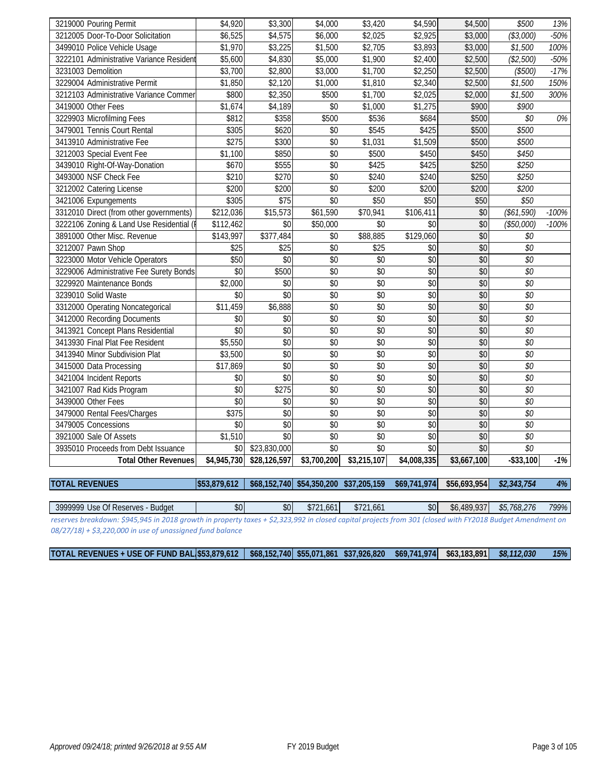| 3219000 Pouring Permit                   | \$4,920     | \$3,300          | \$4,000     | \$3,420     | \$4,590             | \$4,500     | \$500           | 13%     |
|------------------------------------------|-------------|------------------|-------------|-------------|---------------------|-------------|-----------------|---------|
| 3212005 Door-To-Door Solicitation        | \$6,525     | \$4,575          | \$6,000     | \$2,025     | \$2,925             | \$3,000     | (\$3,000)       | $-50%$  |
| 3499010 Police Vehicle Usage             | \$1,970     | \$3,225          | \$1,500     | \$2,705     | \$3,893             | \$3,000     | \$1,500         | 100%    |
| 3222101 Administrative Variance Resident | \$5,600     | \$4,830          | \$5,000     | \$1,900     | \$2,400             | \$2,500     | (\$2,500)       | $-50%$  |
| 3231003 Demolition                       | \$3,700     | \$2,800          | \$3,000     | \$1,700     | $\overline{$2,250}$ | \$2,500     | (\$500)         | $-17%$  |
| 3229004 Administrative Permit            | \$1,850     | \$2,120          | \$1,000     | \$1,810     | \$2,340             | \$2,500     | \$1,500         | 150%    |
| 3212103 Administrative Variance Commer   | \$800       | \$2,350          | \$500       | \$1,700     | \$2,025             | \$2,000     | \$1,500         | 300%    |
| 3419000 Other Fees                       | \$1,674     | \$4,189          | \$0         | \$1,000     | \$1,275             | \$900       | \$900           |         |
| 3229903 Microfilming Fees                | \$812       | \$358            | \$500       | \$536       | \$684               | \$500       | \$0             | 0%      |
| 3479001 Tennis Court Rental              | \$305       | \$620            | \$0         | \$545       | \$425               | \$500       | \$500           |         |
| 3413910 Administrative Fee               | \$275       | \$300            | \$0         | \$1,031     | \$1,509             | \$500       | \$500           |         |
| 3212003 Special Event Fee                | \$1,100     | \$850            | \$0         | \$500       | \$450               | \$450       | \$450           |         |
| 3439010 Right-Of-Way-Donation            | \$670       | \$555            | \$0         | \$425       | \$425               | \$250       | \$250           |         |
| 3493000 NSF Check Fee                    | \$210       | \$270            | \$0         | \$240       | \$240               | \$250       | \$250           |         |
| 3212002 Catering License                 | \$200       | \$200            | $\sqrt{6}$  | \$200       | \$200               | \$200       | \$200           |         |
| 3421006 Expungements                     | \$305       | $\overline{$75}$ | $\sqrt{6}$  | \$50        | \$50                | \$50        | \$50            |         |
| 3312010 Direct (from other governments)  | \$212,036   | \$15,573         | \$61,590    | \$70,941    | \$106,411           | \$0         | (\$61,590)      | $-100%$ |
| 3222106 Zoning & Land Use Residential (I | \$112,462   | \$0              | \$50,000    | \$0         | \$0                 | \$0         | (\$50,000)      | $-100%$ |
| 3891000 Other Misc. Revenue              | \$143,997   | \$377,484        | \$0         | \$88,885    | \$129,060           | \$0         | \$0             |         |
| 3212007 Pawn Shop                        | \$25        | \$25             | \$0         | \$25        | \$0                 | \$0         | \$0             |         |
| 3223000 Motor Vehicle Operators          | \$50        | \$0              | \$0         | \$0         | \$0                 | \$0         | \$0             |         |
| 3229006 Administrative Fee Surety Bonds  | \$0         | \$500            | \$0         | \$0         | \$0                 | \$0         | \$0             |         |
| 3229920 Maintenance Bonds                | \$2,000     | \$0              | \$0         | \$0         | $\sqrt{6}$          | $\sqrt{6}$  | \$0             |         |
| 3239010 Solid Waste                      | \$0         | $\sqrt{6}$       | \$0         | $\sqrt{6}$  | $\sqrt{6}$          | $\sqrt{6}$  | $\overline{50}$ |         |
| 3312000 Operating Noncategorical         | \$11,459    | \$6,888          | $\sqrt{6}$  | \$0         | $\sqrt{6}$          | $\sqrt{6}$  | $\overline{50}$ |         |
| 3412000 Recording Documents              | \$0         | \$0              | $\sqrt{6}$  | $\sqrt{6}$  | $\sqrt{6}$          | $\sqrt{6}$  | $\overline{50}$ |         |
| 3413921 Concept Plans Residential        | $\sqrt{6}$  | \$0              | $\sqrt{6}$  | \$0         | $\sqrt{6}$          | \$0         | $\overline{50}$ |         |
| 3413930 Final Plat Fee Resident          | \$5,550     | \$0              | \$0         | \$0         | \$0                 | \$0         | \$0             |         |
| 3413940 Minor Subdivision Plat           | \$3,500     | \$0              | \$0         | \$0         | \$0                 | \$0         | \$0             |         |
| 3415000 Data Processing                  | \$17,869    | \$0              | $$0$$       | \$0         | \$0                 | \$0         | \$0             |         |
| 3421004 Incident Reports                 | \$0         | $\sqrt{6}$       | $\sqrt{6}$  | \$0         | $\sqrt{6}$          | \$0         | $\overline{50}$ |         |
| 3421007 Rad Kids Program                 | \$0         | \$275            | \$0         | \$0         | $\sqrt{6}$          | \$0         | \$0             |         |
| 3439000 Other Fees                       | $\sqrt{6}$  | \$0              | \$0         | \$0         | $\sqrt{6}$          | $\sqrt{6}$  | \$0             |         |
| 3479000 Rental Fees/Charges              | \$375       | $\sqrt{6}$       | \$0         | \$0         | $\overline{50}$     | $\sqrt{6}$  | \$0             |         |
| 3479005 Concessions                      | \$0         | $\sqrt{6}$       | \$0         | \$0         | $\sqrt{6}$          | $\sqrt{6}$  | \$0             |         |
| 3921000 Sale Of Assets                   | \$1,510     | $\sqrt{6}$       | \$0         | \$0         | $\overline{50}$     | $\sqrt{6}$  | \$0             |         |
| 3935010 Proceeds from Debt Issuance      | \$0         | \$23,830,000     | $\sqrt{6}$  | \$0         | $\sqrt{6}$          | \$0         | $\overline{50}$ |         |
| <b>Total Other Revenues</b>              | \$4,945,730 | \$28,126,597     | \$3,700,200 | \$3,215,107 | \$4,008,335         | \$3,667,100 | $-$ \$33,100    | $-1%$   |
|                                          |             |                  |             |             |                     |             |                 |         |
|                                          |             |                  |             |             |                     |             |                 |         |

**TOTAL REVENUES \$53,879,612 \$68,152,740 \$54,350,200 \$37,205,159 \$69,741,974 \$56,693,954** *\$2,343,754 4%*

3999999 Use Of Reserves - Budget  $\begin{vmatrix} 1 & 0 & 0 \\ 0 & 0 & 0 \\ 0 & 0 & 0 \end{vmatrix}$  \$721,661 \$721,661 \$0 \$6,489,937 \$5,768,276 799% *reserves breakdown: \$945,945 in 2018 growth in property taxes + \$2,323,992 in closed capital projects from 301 (closed with FY2018 Budget Amendment on 08/27/18) + \$3,220,000 in use of unassigned fund balance*

**TOTAL REVENUES + USE OF FUND BALA\$53,879,612 \$68,152,740 \$55,071,861 \$37,926,820 \$69,741,974 \$63,183,891** *\$8,112,030 15%*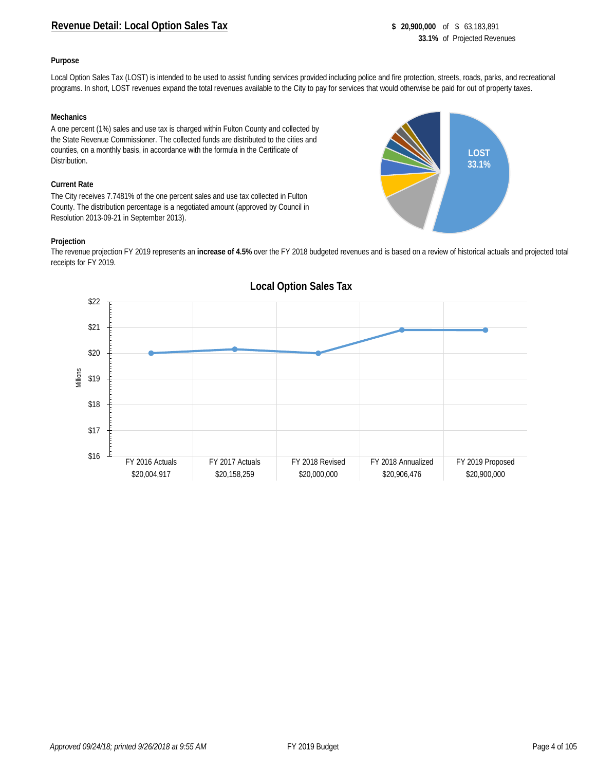#### **Revenue Detail: Local Option Sales Tax \$ 20,900,000** of \$ 63,183,891

**LOST 33.1%**

#### **Purpose**

Local Option Sales Tax (LOST) is intended to be used to assist funding services provided including police and fire protection, streets, roads, parks, and recreational programs. In short, LOST revenues expand the total revenues available to the City to pay for services that would otherwise be paid for out of property taxes.

#### **Mechanics**

A one percent (1%) sales and use tax is charged within Fulton County and collected by the State Revenue Commissioner. The collected funds are distributed to the cities and counties, on a monthly basis, in accordance with the formula in the Certificate of Distribution.

#### **Current Rate**

The City receives 7.7481% of the one percent sales and use tax collected in Fulton County. The distribution percentage is a negotiated amount (approved by Council in Resolution 2013-09-21 in September 2013).

#### **Projection**

The revenue projection FY 2019 represents an **increase of 4.5%** over the FY 2018 budgeted revenues and is based on a review of historical actuals and projected total receipts for FY 2019.



#### **Local Option Sales Tax**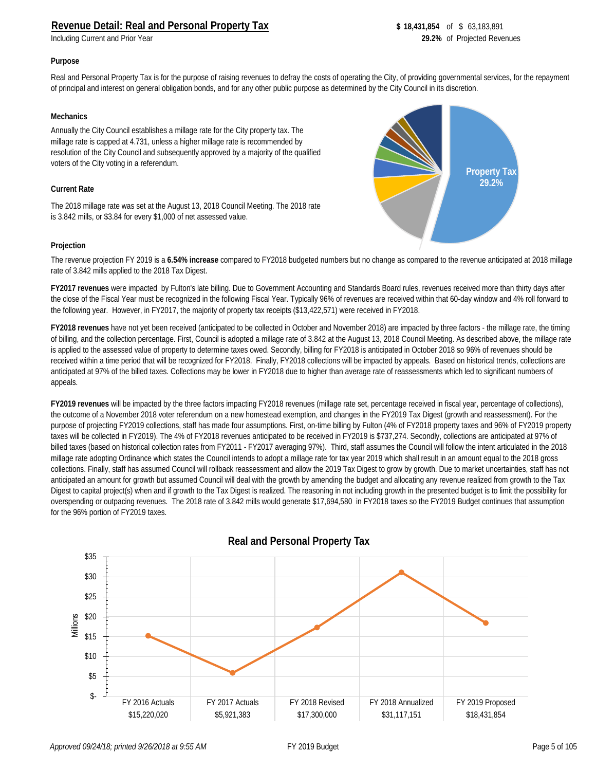**Including Current and Prior Year** 

**Property Tax 29.2%**

#### **Purpose**

Real and Personal Property Tax is for the purpose of raising revenues to defray the costs of operating the City, of providing governmental services, for the repayment of principal and interest on general obligation bonds, and for any other public purpose as determined by the City Council in its discretion.

#### **Mechanics**

Annually the City Council establishes a millage rate for the City property tax. The millage rate is capped at 4.731, unless a higher millage rate is recommended by resolution of the City Council and subsequently approved by a majority of the qualified voters of the City voting in a referendum.

#### **Current Rate**

The 2018 millage rate was set at the August 13, 2018 Council Meeting. The 2018 rate is 3.842 mills, or \$3.84 for every \$1,000 of net assessed value.

#### **Projection**

The revenue projection FY 2019 is a **6.54% increase** compared to FY2018 budgeted numbers but no change as compared to the revenue anticipated at 2018 millage rate of 3.842 mills applied to the 2018 Tax Digest.

**FY2017 revenues** were impacted by Fulton's late billing. Due to Government Accounting and Standards Board rules, revenues received more than thirty days after the close of the Fiscal Year must be recognized in the following Fiscal Year. Typically 96% of revenues are received within that 60-day window and 4% roll forward to the following year. However, in FY2017, the majority of property tax receipts (\$13,422,571) were received in FY2018.

**FY2018 revenues** have not yet been received (anticipated to be collected in October and November 2018) are impacted by three factors - the millage rate, the timing of billing, and the collection percentage. First, Council is adopted a millage rate of 3.842 at the August 13, 2018 Council Meeting. As described above, the millage rate is applied to the assessed value of property to determine taxes owed. Secondly, billing for FY2018 is anticipated in October 2018 so 96% of revenues should be received within a time period that will be recognized for FY2018. Finally, FY2018 collections will be impacted by appeals. Based on historical trends, collections are anticipated at 97% of the billed taxes. Collections may be lower in FY2018 due to higher than average rate of reassessments which led to significant numbers of appeals.

**FY2019 revenues** will be impacted by the three factors impacting FY2018 revenues (millage rate set, percentage received in fiscal year, percentage of collections), the outcome of a November 2018 voter referendum on a new homestead exemption, and changes in the FY2019 Tax Digest (growth and reassessment). For the purpose of projecting FY2019 collections, staff has made four assumptions. First, on-time billing by Fulton (4% of FY2018 property taxes and 96% of FY2019 property taxes will be collected in FY2019). The 4% of FY2018 revenues anticipated to be received in FY2019 is \$737,274. Secondly, collections are anticipated at 97% of billed taxes (based on historical collection rates from FY2011 - FY2017 averaging 97%). Third, staff assumes the Council will follow the intent articulated in the 2018 millage rate adopting Ordinance which states the Council intends to adopt a millage rate for tax year 2019 which shall result in an amount equal to the 2018 gross collections. Finally, staff has assumed Council will rollback reassessment and allow the 2019 Tax Digest to grow by growth. Due to market uncertainties, staff has not anticipated an amount for growth but assumed Council will deal with the growth by amending the budget and allocating any revenue realized from growth to the Tax Digest to capital project(s) when and if growth to the Tax Digest is realized. The reasoning in not including growth in the presented budget is to limit the possibility for overspending or outpacing revenues. The 2018 rate of 3.842 mills would generate \$17,694,580 in FY2018 taxes so the FY2019 Budget continues that assumption for the 96% portion of FY2019 taxes.



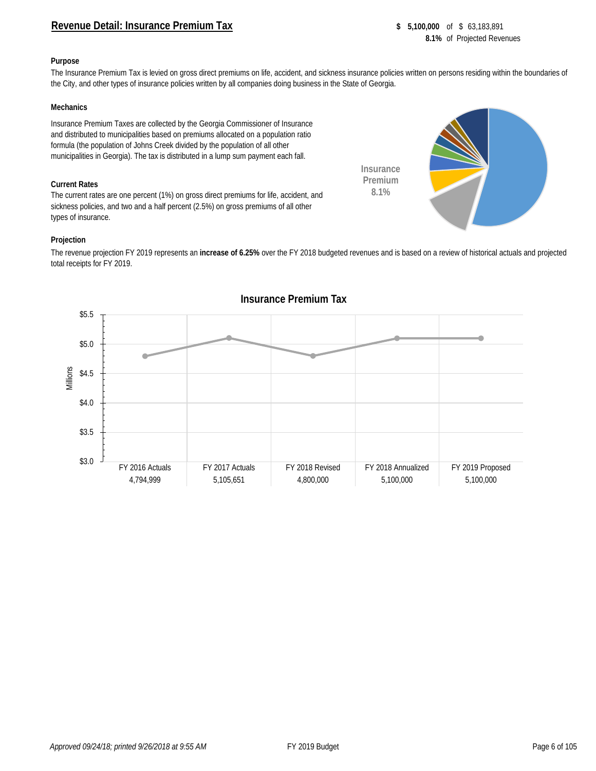#### **Revenue Detail: Insurance Premium Tax 8 65,100,000** of \$63,183,891

#### **Purpose**

The Insurance Premium Tax is levied on gross direct premiums on life, accident, and sickness insurance policies written on persons residing within the boundaries of the City, and other types of insurance policies written by all companies doing business in the State of Georgia.

#### **Mechanics**

Insurance Premium Taxes are collected by the Georgia Commissioner of Insurance and distributed to municipalities based on premiums allocated on a population ratio formula (the population of Johns Creek divided by the population of all other municipalities in Georgia). The tax is distributed in a lump sum payment each fall.

#### **Current Rates**

The current rates are one percent (1%) on gross direct premiums for life, accident, and sickness policies, and two and a half percent (2.5%) on gross premiums of all other types of insurance.

#### **Projection**

The revenue projection FY 2019 represents an **increase of 6.25%** over the FY 2018 budgeted revenues and is based on a review of historical actuals and projected total receipts for FY 2019.

**Insurance Premium 8.1%**



#### **Insurance Premium Tax**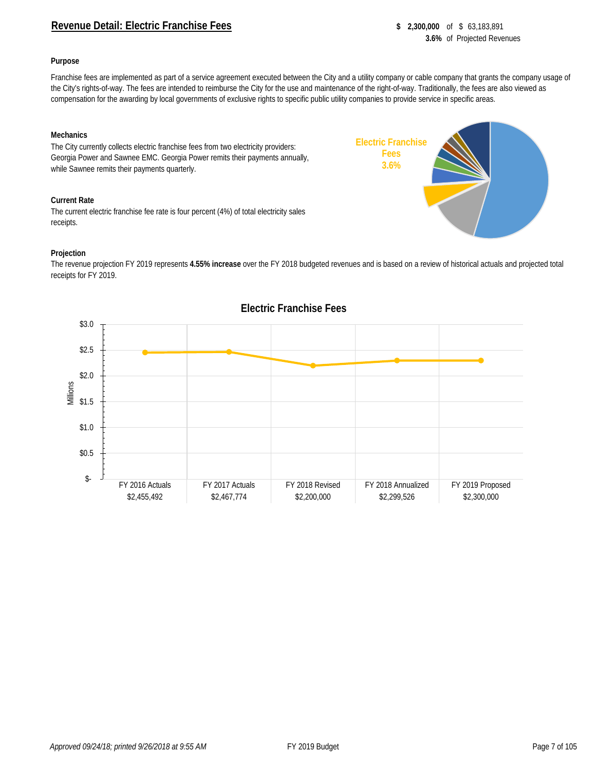#### **Revenue Detail: Electric Franchise Fees 8 2,300,000** of \$ 63,183,891

**Electric Franchise Fees 3.6%**

#### **Purpose**

Franchise fees are implemented as part of a service agreement executed between the City and a utility company or cable company that grants the company usage of the City's rights-of-way. The fees are intended to reimburse the City for the use and maintenance of the right-of-way. Traditionally, the fees are also viewed as compensation for the awarding by local governments of exclusive rights to specific public utility companies to provide service in specific areas.

#### **Mechanics**

The City currently collects electric franchise fees from two electricity providers: Georgia Power and Sawnee EMC. Georgia Power remits their payments annually, while Sawnee remits their payments quarterly.

#### **Current Rate**

The current electric franchise fee rate is four percent (4%) of total electricity sales receipts.

#### **Projection**

The revenue projection FY 2019 represents **4.55% increase** over the FY 2018 budgeted revenues and is based on a review of historical actuals and projected total receipts for FY 2019.



### **Electric Franchise Fees**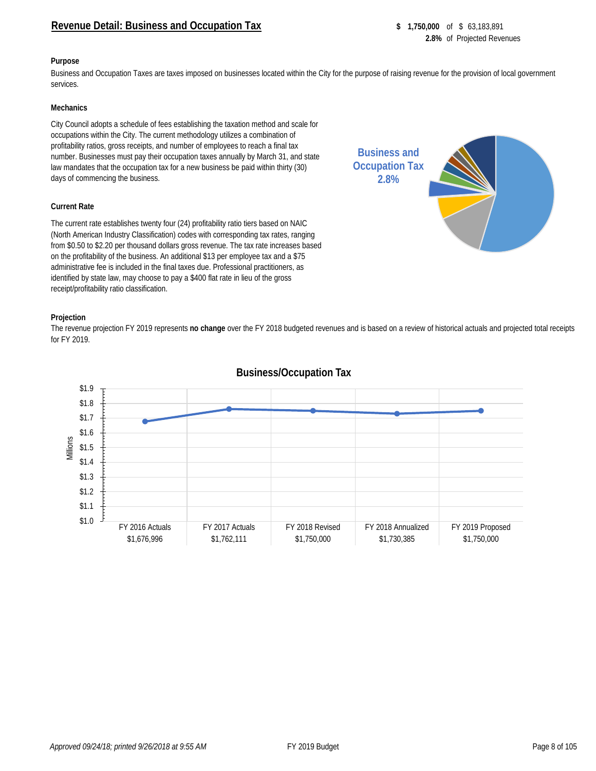#### **Revenue Detail: Business and Occupation Tax \$ 1,750,000** of \$ 63,183,891

#### **Purpose**

Business and Occupation Taxes are taxes imposed on businesses located within the City for the purpose of raising revenue for the provision of local government services.

#### **Mechanics**

City Council adopts a schedule of fees establishing the taxation method and scale for occupations within the City. The current methodology utilizes a combination of profitability ratios, gross receipts, and number of employees to reach a final tax number. Businesses must pay their occupation taxes annually by March 31, and state law mandates that the occupation tax for a new business be paid within thirty (30) days of commencing the business.

#### **Current Rate**

The current rate establishes twenty four (24) profitability ratio tiers based on NAIC (North American Industry Classification) codes with corresponding tax rates, ranging from \$0.50 to \$2.20 per thousand dollars gross revenue. The tax rate increases based on the profitability of the business. An additional \$13 per employee tax and a \$75 administrative fee is included in the final taxes due. Professional practitioners, as identified by state law, may choose to pay a \$400 flat rate in lieu of the gross receipt/profitability ratio classification.



The revenue projection FY 2019 represents **no change** over the FY 2018 budgeted revenues and is based on a review of historical actuals and projected total receipts for FY 2019.



#### **Business/Occupation Tax**

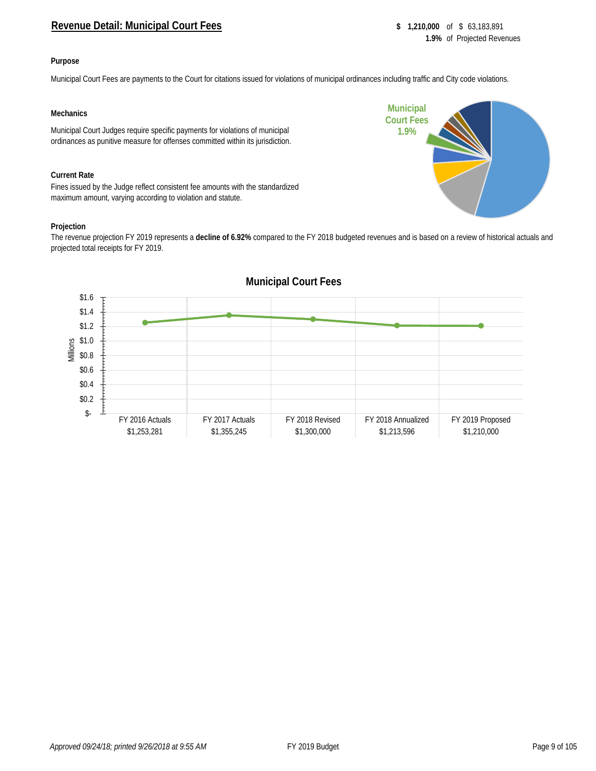#### **Revenue Detail: Municipal Court Fees 8 1,210,000** of \$ 63,183,891

#### **Purpose**

Municipal Court Fees are payments to the Court for citations issued for violations of municipal ordinances including traffic and City code violations.

#### **Mechanics**

Municipal Court Judges require specific payments for violations of municipal ordinances as punitive measure for offenses committed within its jurisdiction.

#### **Current Rate**

Fines issued by the Judge reflect consistent fee amounts with the standardized maximum amount, varying according to violation and statute.

#### **Projection**

The revenue projection FY 2019 represents a **decline of 6.92%** compared to the FY 2018 budgeted revenues and is based on a review of historical actuals and projected total receipts for FY 2019.



# **Municipal Court Fees 1.9%**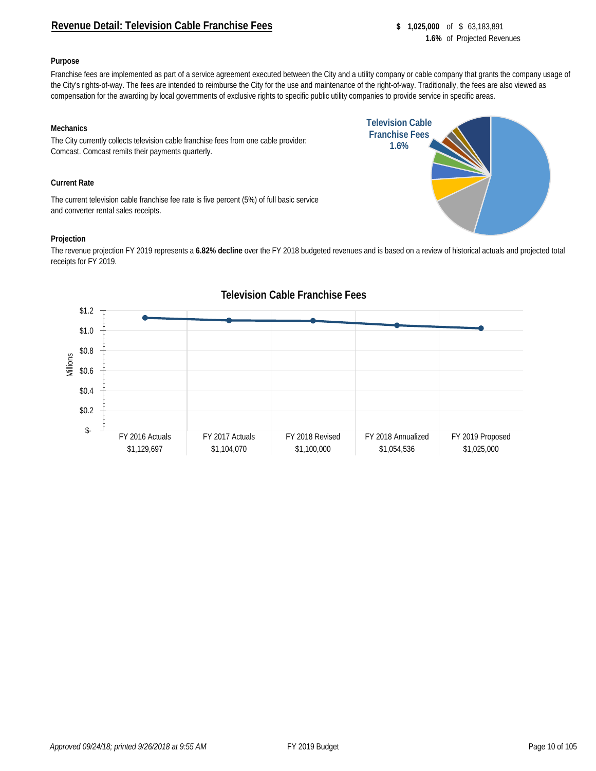#### **Revenue Detail: Television Cable Franchise Fees \$ 1,025,000** of \$ 63,183,891

**Television Cable Franchise Fees 1.6%**

#### **Purpose**

Franchise fees are implemented as part of a service agreement executed between the City and a utility company or cable company that grants the company usage of the City's rights-of-way. The fees are intended to reimburse the City for the use and maintenance of the right-of-way. Traditionally, the fees are also viewed as compensation for the awarding by local governments of exclusive rights to specific public utility companies to provide service in specific areas.

#### **Mechanics**

The City currently collects television cable franchise fees from one cable provider: Comcast. Comcast remits their payments quarterly.

#### **Current Rate**

The current television cable franchise fee rate is five percent (5%) of full basic service and converter rental sales receipts.

#### **Projection**

The revenue projection FY 2019 represents a **6.82% decline** over the FY 2018 budgeted revenues and is based on a review of historical actuals and projected total receipts for FY 2019.



#### **Television Cable Franchise Fees**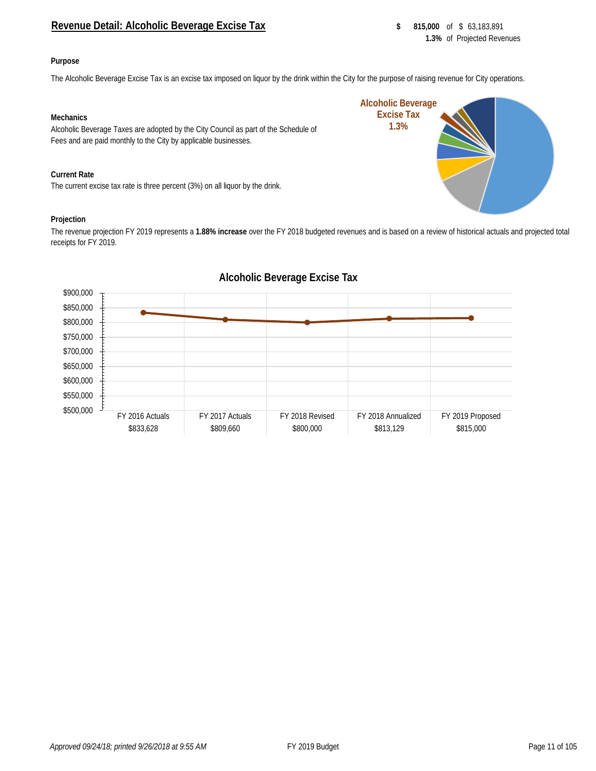#### **Revenue Detail: Alcoholic Beverage Excise Tax 815,000 \$ 815,000** of \$ 63,183,891

**Alcoholic Beverage Excise Tax 1.3%**

#### **Purpose**

The Alcoholic Beverage Excise Tax is an excise tax imposed on liquor by the drink within the City for the purpose of raising revenue for City operations.

#### **Mechanics**

Alcoholic Beverage Taxes are adopted by the City Council as part of the Schedule of Fees and are paid monthly to the City by applicable businesses.

#### **Current Rate**

The current excise tax rate is three percent (3%) on all liquor by the drink.

#### **Projection**

The revenue projection FY 2019 represents a **1.88% increase** over the FY 2018 budgeted revenues and is based on a review of historical actuals and projected total receipts for FY 2019.



#### **Alcoholic Beverage Excise Tax**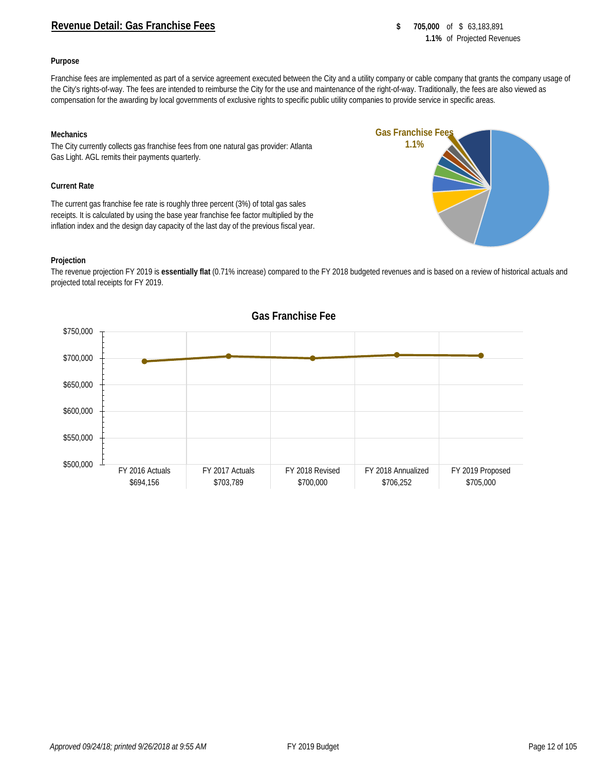#### **Revenue Detail: Gas Franchise Fees 8 705,000** of \$ 63,183,891

#### **Purpose**

Franchise fees are implemented as part of a service agreement executed between the City and a utility company or cable company that grants the company usage of the City's rights-of-way. The fees are intended to reimburse the City for the use and maintenance of the right-of-way. Traditionally, the fees are also viewed as compensation for the awarding by local governments of exclusive rights to specific public utility companies to provide service in specific areas.

#### **Mechanics**

The City currently collects gas franchise fees from one natural gas provider: Atlanta Gas Light. AGL remits their payments quarterly.

#### **Current Rate**

The current gas franchise fee rate is roughly three percent (3%) of total gas sales receipts. It is calculated by using the base year franchise fee factor multiplied by the inflation index and the design day capacity of the last day of the previous fiscal year.

#### **Projection**

The revenue projection FY 2019 is **essentially flat** (0.71% increase) compared to the FY 2018 budgeted revenues and is based on a review of historical actuals and projected total receipts for FY 2019.



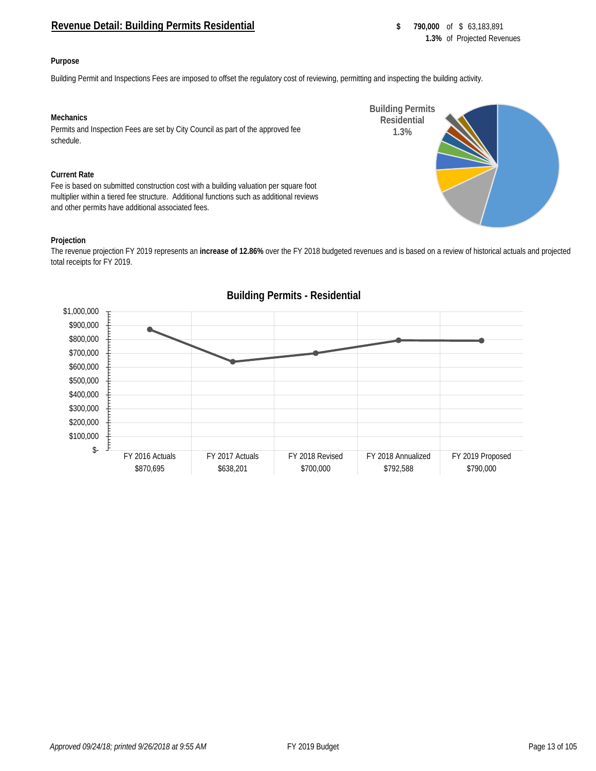#### **Revenue Detail: Building Permits Residential <b>building Serverse Struck** \$ 790,000 of \$ 63,183,891

**Building Permits Residential 1.3%**

#### **Purpose**

Building Permit and Inspections Fees are imposed to offset the regulatory cost of reviewing, permitting and inspecting the building activity.

#### **Mechanics**

Permits and Inspection Fees are set by City Council as part of the approved fee schedule.

#### **Current Rate**

Fee is based on submitted construction cost with a building valuation per square foot multiplier within a tiered fee structure. Additional functions such as additional reviews and other permits have additional associated fees.

#### **Projection**

The revenue projection FY 2019 represents an **increase of 12.86%** over the FY 2018 budgeted revenues and is based on a review of historical actuals and projected total receipts for FY 2019.



### **Building Permits - Residential**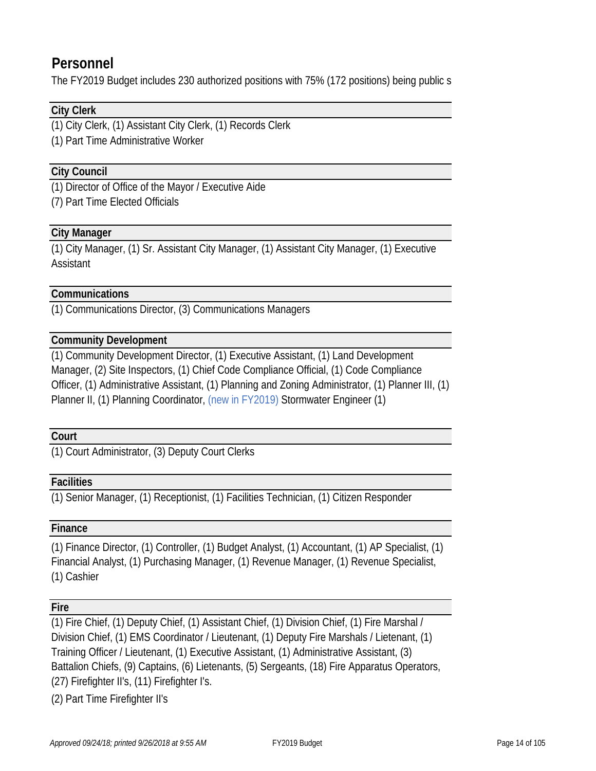### **Personnel**

The FY2019 Budget includes 230 authorized positions with 75% (172 positions) being public s

#### **City Clerk**

(1) City Clerk, (1) Assistant City Clerk, (1) Records Clerk

(1) Part Time Administrative Worker

#### **City Council**

(1) Director of Office of the Mayor / Executive Aide

(7) Part Time Elected Officials

#### **City Manager**

(1) City Manager, (1) Sr. Assistant City Manager, (1) Assistant City Manager, (1) Executive Assistant

#### **Communications**

(1) Communications Director, (3) Communications Managers

#### **Community Development**

(1) Community Development Director, (1) Executive Assistant, (1) Land Development Manager, (2) Site Inspectors, (1) Chief Code Compliance Official, (1) Code Compliance Officer, (1) Administrative Assistant, (1) Planning and Zoning Administrator, (1) Planner III, (1) Planner II, (1) Planning Coordinator, (new in FY2019) Stormwater Engineer (1)

#### **Court**

(1) Court Administrator, (3) Deputy Court Clerks

#### **Facilities**

(1) Senior Manager, (1) Receptionist, (1) Facilities Technician, (1) Citizen Responder

#### **Finance**

(1) Finance Director, (1) Controller, (1) Budget Analyst, (1) Accountant, (1) AP Specialist, (1) Financial Analyst, (1) Purchasing Manager, (1) Revenue Manager, (1) Revenue Specialist, (1) Cashier

#### **Fire**

(1) Fire Chief, (1) Deputy Chief, (1) Assistant Chief, (1) Division Chief, (1) Fire Marshal / Division Chief, (1) EMS Coordinator / Lieutenant, (1) Deputy Fire Marshals / Lietenant, (1) Training Officer / Lieutenant, (1) Executive Assistant, (1) Administrative Assistant, (3) Battalion Chiefs, (9) Captains, (6) Lietenants, (5) Sergeants, (18) Fire Apparatus Operators, (27) Firefighter II's, (11) Firefighter I's.

(2) Part Time Firefighter II's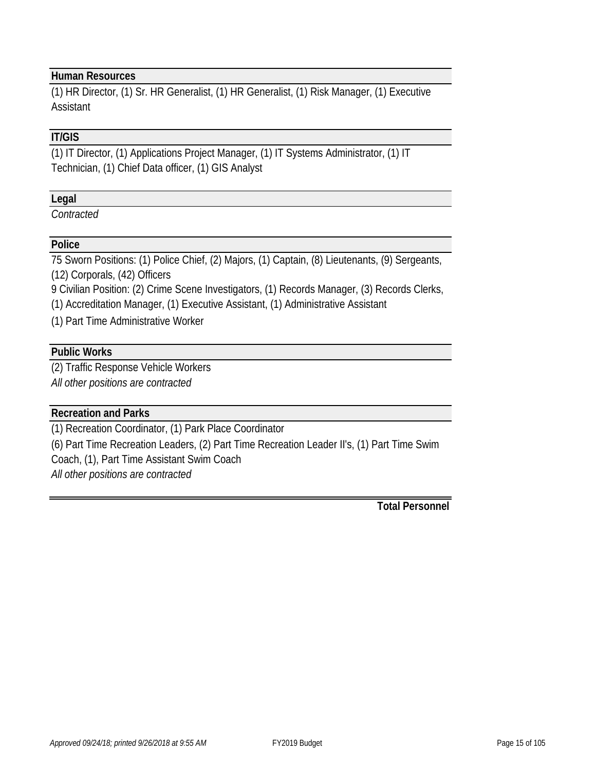#### **Human Resources**

(1) HR Director, (1) Sr. HR Generalist, (1) HR Generalist, (1) Risk Manager, (1) Executive Assistant

#### **IT/GIS**

(1) IT Director, (1) Applications Project Manager, (1) IT Systems Administrator, (1) IT Technician, (1) Chief Data officer, (1) GIS Analyst

#### **Legal**

*Contracted*

#### **Police**

75 Sworn Positions: (1) Police Chief, (2) Majors, (1) Captain, (8) Lieutenants, (9) Sergeants, (12) Corporals, (42) Officers

9 Civilian Position: (2) Crime Scene Investigators, (1) Records Manager, (3) Records Clerks,

(1) Accreditation Manager, (1) Executive Assistant, (1) Administrative Assistant

(1) Part Time Administrative Worker

#### **Public Works**

(2) Traffic Response Vehicle Workers

*All other positions are contracted*

#### **Recreation and Parks**

(1) Recreation Coordinator, (1) Park Place Coordinator

(6) Part Time Recreation Leaders, (2) Part Time Recreation Leader II's, (1) Part Time Swim Coach, (1), Part Time Assistant Swim Coach

*All other positions are contracted*

**Total Personnel**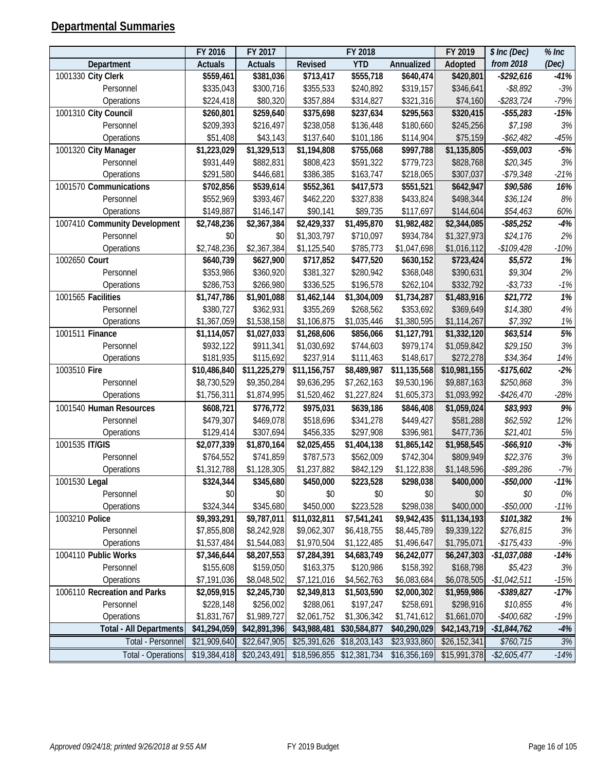### **Departmental Summaries**

|                                | FY 2016        | FY 2017        |              | FY 2018      |              | FY 2019                  | \$ Inc (Dec)  | $%$ Inc          |
|--------------------------------|----------------|----------------|--------------|--------------|--------------|--------------------------|---------------|------------------|
| Department                     | <b>Actuals</b> | <b>Actuals</b> | Revised      | <b>YTD</b>   | Annualized   | Adopted                  | from 2018     | (Dec)            |
| 1001330 City Clerk             | \$559,461      | \$381,036      | \$713,417    | \$555,718    | \$640,474    | \$420,801                | $-$292,616$   | $-41%$           |
| Personnel                      | \$335,043      | \$300,716      | \$355,533    | \$240,892    | \$319,157    | \$346,641                | $-$ \$8,892   | $-3%$            |
| Operations                     | \$224,418      | \$80,320       | \$357,884    | \$314,827    | \$321,316    | \$74,160                 | $-$283,724$   | $-79%$           |
| 1001310 City Council           | \$260,801      | \$259,640      | \$375,698    | \$237,634    | \$295,563    | \$320,415                | $- $55,283$   | $-15%$           |
| Personnel                      | \$209,393      | \$216,497      | \$238,058    | \$136,448    | \$180,660    | \$245,256                | \$7,198       | $3\%$            |
| Operations                     | \$51,408       | \$43,143       | \$137,640    | \$101,186    | \$114,904    | \$75,159                 | $- $62,482$   | $-45%$           |
| 1001320 City Manager           | \$1,223,029    | \$1,329,513    | \$1,194,808  | \$755,068    | \$997,788    | \$1,135,805              | $- $59,003$   | $-5\%$           |
| Personnel                      | \$931,449      | \$882,831      | \$808,423    | \$591,322    | \$779,723    | \$828,768                | \$20,345      | $3\%$            |
| Operations                     | \$291,580      | \$446,681      | \$386,385    | \$163,747    | \$218,065    | \$307,037                | $- $79,348$   | $-21%$           |
| 1001570 Communications         | \$702,856      | \$539,614      | \$552,361    | \$417,573    | \$551,521    | \$642,947                | \$90,586      | 16%              |
| Personnel                      | \$552,969      | \$393,467      | \$462,220    | \$327,838    | \$433,824    | \$498,344                | \$36,124      | $8\%$            |
| Operations                     | \$149,887      | \$146,147      | \$90,141     | \$89,735     | \$117,697    | \$144,604                | \$54,463      | 60%              |
| 1007410 Community Development  | \$2,748,236    | \$2,367,384    | \$2,429,337  | \$1,495,870  | \$1,982,482  | \$2,344,085              | $-$ \$85,252  | $-4%$            |
| Personnel                      | \$0            | \$0            | \$1,303,797  | \$710,097    | \$934,784    | \$1,327,973              | \$24,176      | 2%               |
| Operations                     | \$2,748,236    | \$2,367,384    | \$1,125,540  | \$785,773    | \$1,047,698  | \$1,016,112              | $-$109,428$   | $-10%$           |
| 1002650 Court                  | \$640,739      | \$627,900      | \$717,852    | \$477,520    | \$630,152    | \$723,424                | \$5,572       | 1%               |
| Personnel                      | \$353,986      | \$360,920      | \$381,327    | \$280,942    | \$368,048    | \$390,631                | \$9,304       | $2\%$            |
| Operations                     | \$286,753      | \$266,980      | \$336,525    | \$196,578    | \$262,104    | \$332,792                | $- $3,733$    | $-1%$            |
| 1001565 Facilities             | \$1,747,786    | \$1,901,088    | \$1,462,144  | \$1,304,009  | \$1,734,287  | \$1,483,916              | \$21,772      | $\overline{1\%}$ |
| Personnel                      | \$380,727      | \$362,931      | \$355,269    | \$268,562    | \$353,692    | \$369,649                | \$14,380      | $4\%$            |
| Operations                     | \$1,367,059    | \$1,538,158    | \$1,106,875  | \$1,035,446  | \$1,380,595  | \$1,114,267              | \$7,392       | $1\%$            |
| 1001511 Finance                | \$1,114,057    | \$1,027,033    | \$1,268,606  | \$856,066    | \$1,127,791  | \$1,332,120              | \$63,514      | 5%               |
| Personnel                      | \$932,122      | \$911,341      | \$1,030,692  | \$744,603    | \$979,174    | \$1,059,842              | \$29,150      | $3\%$            |
| Operations                     | \$181,935      | \$115,692      | \$237,914    | \$111,463    | \$148,617    | \$272,278                | \$34,364      | 14%              |
| 1003510 Fire                   | \$10,486,840   | \$11,225,279   | \$11,156,757 | \$8,489,987  | \$11,135,568 | \$10,981,155             | $-$175,602$   | $-2%$            |
| Personnel                      | \$8,730,529    | \$9,350,284    | \$9,636,295  | \$7,262,163  | \$9,530,196  | \$9,887,163              | \$250,868     | $3\%$            |
| Operations                     | \$1,756,311    | \$1,874,995    | \$1,520,462  | \$1,227,824  | \$1,605,373  | \$1,093,992              | $-$426,470$   | $-28%$           |
| 1001540 Human Resources        | \$608,721      | \$776,772      | \$975,031    | \$639,186    | \$846,408    | \$1,059,024              | \$83,993      | 9%               |
| Personnel                      | \$479,307      | \$469,078      | \$518,696    | \$341,278    | \$449,427    | \$581,288                | \$62,592      | 12%              |
| Operations                     | \$129,414      | \$307,694      | \$456,335    | \$297,908    | \$396,981    | \$477,736                | \$21,401      | $5\%$            |
| 1001535 IT/GIS                 | \$2,077,339    | \$1,870,164    | \$2,025,455  | \$1,404,138  | \$1,865,142  | \$1,958,545              | $- $66,910$   | $-3%$            |
| Personnel                      | \$764,552      | \$741,859      | \$787,573    | \$562,009    | \$742,304    | \$809,949                | \$22,376      | $3\%$            |
| Operations                     | \$1,312,788    | \$1,128,305    | \$1,237,882  | \$842,129    | \$1,122,838  | \$1,148,596              | $-$ \$89,286  | $-7%$            |
| 1001530 Legal                  | \$324,344      | \$345,680      | \$450,000    | \$223,528    | \$298,038    | \$400,000                | $-$50,000$    | $-11%$           |
| Personnel                      | \$0            | \$0            | \$0          | \$0          | \$0          | \$0                      | \$0           | 0%               |
| Operations                     | \$324,344      | \$345,680      | \$450,000    | \$223,528    | \$298,038    | \$400,000                | $- $50,000$   | $-11%$           |
| 1003210 Police                 | \$9,393,291    | \$9,787,011    | \$11,032,811 | \$7,541,241  | \$9,942,435  | \$11,134,193             | \$101,382     | 1%               |
| Personnel                      | \$7,855,808    | \$8,242,928    | \$9,062,307  | \$6,418,755  | \$8,445,789  | \$9,339,122              | \$276,815     | $3\%$            |
| Operations                     | \$1,537,484    | \$1,544,083    | \$1,970,504  | \$1,122,485  | \$1,496,647  | \$1,795,071              | $-$175,433$   | $-9%$            |
| 1004110 Public Works           | \$7,346,644    | \$8,207,553    | \$7,284,391  | \$4,683,749  | \$6,242,077  | \$6,247,303              | $-$1,037,088$ | $-14%$           |
| Personnel                      | \$155,608      | \$159,050      | \$163,375    | \$120,986    | \$158,392    | \$168,798                | \$5,423       | $3\%$            |
| Operations                     | \$7,191,036    | \$8,048,502    | \$7,121,016  | \$4,562,763  | \$6,083,684  | \$6,078,505              | $-$1,042,511$ | $-15%$           |
| 1006110 Recreation and Parks   | \$2,059,915    | \$2,245,730    | \$2,349,813  | \$1,503,590  | \$2,000,302  | \$1,959,986              | $-$ \$389,827 | $-17%$           |
| Personnel                      | \$228,148      | \$256,002      | \$288,061    | \$197,247    | \$258,691    | \$298,916                | \$10,855      | 4%               |
| Operations                     | \$1,831,767    | \$1,989,727    | \$2,061,752  | \$1,306,342  | \$1,741,612  | \$1,661,070              | $-$400,682$   | $-19%$           |
| <b>Total - All Departments</b> | \$41,294,059   | \$42,891,396   | \$43,988,481 | \$30,584,877 | \$40,290,029 | \$42,143,719             | $-$1,844,762$ | $-4%$            |
| Total - Personnel              | \$21,909,640   | \$22,647,905   | \$25,391,626 | \$18,203,143 | \$23,933,860 | $\overline{$26,152,341}$ | \$760,715     | 3%               |
| <b>Total - Operations</b>      | \$19,384,418   | \$20,243,491   | \$18,596,855 | \$12,381,734 | \$16,356,169 | \$15,991,378             | $-$2,605,477$ | $-14%$           |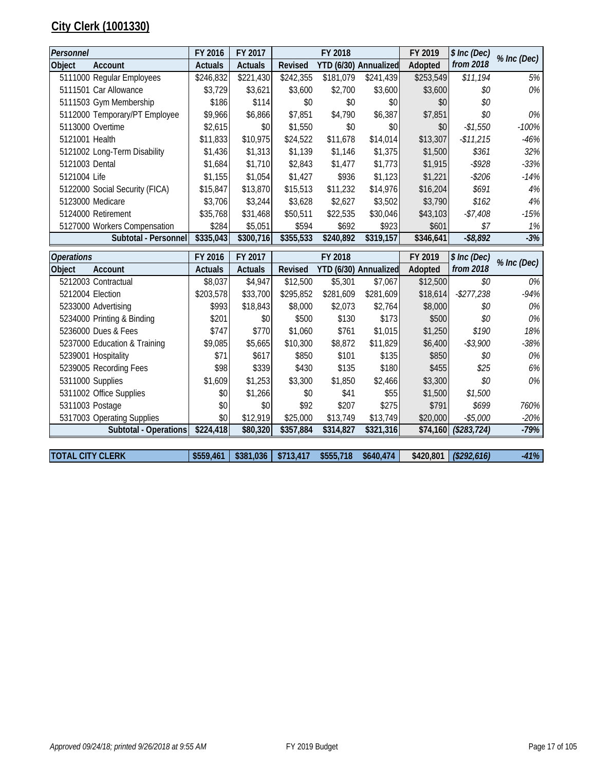### **City Clerk (1001330)**

| Personnel               |                                | FY 2016        | FY 2017        |           | FY 2018               |                       | FY 2019   | \$ Inc (Dec)         |             |
|-------------------------|--------------------------------|----------------|----------------|-----------|-----------------------|-----------------------|-----------|----------------------|-------------|
| Object                  | Account                        | <b>Actuals</b> | <b>Actuals</b> | Revised   | YTD (6/30) Annualized |                       | Adopted   | from 2018            | % Inc (Dec) |
|                         | 5111000 Regular Employees      | \$246,832      | \$221,430      | \$242,355 | \$181,079             | \$241,439             | \$253,549 | \$11,194             | 5%          |
|                         | 5111501 Car Allowance          | \$3,729        | \$3,621        | \$3,600   | \$2,700               | \$3,600               | \$3,600   | \$0                  | 0%          |
|                         | 5111503 Gym Membership         | \$186          | \$114          | \$0       | \$0                   | \$0                   | \$0       | \$0                  |             |
|                         | 5112000 Temporary/PT Employee  | \$9,966        | \$6,866        | \$7,851   | \$4,790               | \$6,387               | \$7,851   | \$0                  | 0%          |
|                         | 5113000 Overtime               | \$2,615        | \$0            | \$1,550   | \$0                   | \$0                   | \$0       | $-$1,550$            | $-100%$     |
| 5121001 Health          |                                | \$11,833       | \$10,975       | \$24,522  | \$11,678              | \$14,014              | \$13,307  | $-$11,215$           | $-46%$      |
|                         | 5121002 Long-Term Disability   | \$1,436        | \$1,313        | \$1,139   | \$1,146               | \$1,375               | \$1,500   | \$361                | 32%         |
| 5121003 Dental          |                                | \$1,684        | \$1,710        | \$2,843   | \$1,477               | \$1,773               | \$1,915   | $-$ \$928            | $-33%$      |
| 5121004 Life            |                                | \$1,155        | \$1,054        | \$1,427   | \$936                 | \$1,123               | \$1,221   | $-$206$              | $-14%$      |
|                         | 5122000 Social Security (FICA) | \$15,847       | \$13,870       | \$15,513  | \$11,232              | \$14,976              | \$16,204  | \$691                | 4%          |
|                         | 5123000 Medicare               | \$3,706        | \$3,244        | \$3,628   | \$2,627               | \$3,502               | \$3,790   | \$162                | 4%          |
|                         | 5124000 Retirement             | \$35,768       | \$31,468       | \$50,511  | \$22,535              | \$30,046              | \$43,103  | $-$7,408$            | $-15%$      |
|                         | 5127000 Workers Compensation   | \$284          | \$5,051        | \$594     | \$692                 | \$923                 | \$601     | \$7                  | 1%          |
|                         | Subtotal - Personnel           | \$335,043      | \$300,716      | \$355,533 | \$240,892             | \$319,157             | \$346,641 | $-$ \$8,892          | $-3%$       |
|                         |                                |                |                |           |                       |                       |           |                      |             |
| <b>Operations</b>       |                                | FY 2016        | FY 2017        |           | FY 2018               |                       | FY 2019   | \$ Inc (Dec)         |             |
| Object                  | Account                        | <b>Actuals</b> | <b>Actuals</b> | Revised   |                       | YTD (6/30) Annualized | Adopted   | from 2018            | % Inc (Dec) |
|                         | 5212003 Contractual            | \$8,037        | \$4,947        | \$12,500  | \$5,301               | \$7,067               | \$12,500  | \$0                  | 0%          |
|                         | 5212004 Election               | \$203,578      | \$33,700       | \$295,852 | \$281,609             | \$281,609             | \$18,614  | $-$277,238$          | $-94%$      |
|                         | 5233000 Advertising            | \$993          | \$18,843       | \$8,000   | \$2,073               | \$2,764               | \$8,000   | \$0                  | 0%          |
|                         | 5234000 Printing & Binding     | \$201          | \$0            | \$500     | \$130                 | \$173                 | \$500     | \$0                  | 0%          |
|                         | 5236000 Dues & Fees            | \$747          | \$770          | \$1,060   | \$761                 | \$1,015               | \$1,250   | \$190                | 18%         |
|                         | 5237000 Education & Training   | \$9,085        | \$5,665        | \$10,300  | \$8,872               | \$11,829              | \$6,400   | $- $3,900$           | $-38%$      |
|                         | 5239001 Hospitality            | \$71           | \$617          | \$850     | \$101                 | \$135                 | \$850     | \$0                  | 0%          |
|                         | 5239005 Recording Fees         | \$98           | \$339          | \$430     | \$135                 | \$180                 | \$455     | \$25                 | 6%          |
|                         | 5311000 Supplies               | \$1,609        | \$1,253        | \$3,300   | \$1,850               | \$2,466               | \$3,300   | \$0                  | 0%          |
|                         | 5311002 Office Supplies        | \$0            | \$1,266        | \$0       | \$41                  | \$55                  | \$1,500   | \$1,500              |             |
|                         | 5311003 Postage                | \$0            | \$0            | \$92      | \$207                 | \$275                 | \$791     | \$699                | 760%        |
|                         | 5317003 Operating Supplies     | \$0            | \$12,919       | \$25,000  | \$13,749              | \$13,749              | \$20,000  | $-$5,000$            | $-20%$      |
|                         | Subtotal - Operations          | \$224,418      | \$80,320       | \$357,884 | \$314,827             | \$321,316             |           | \$74,160 (\$283,724) | $-79%$      |
| <b>TOTAL CITY CLERK</b> |                                | \$559,461      |                |           |                       | \$640,474             |           |                      |             |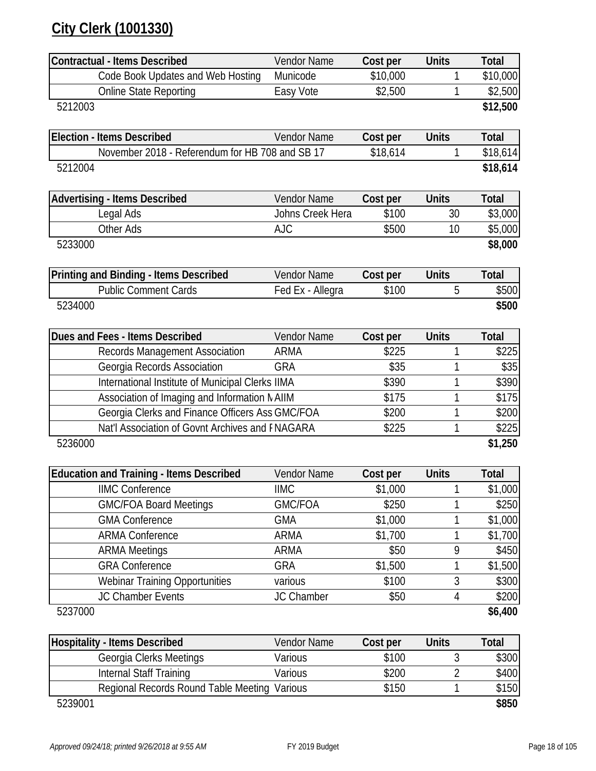### **City Clerk (1001330)**

| <b>Vendor Name</b>                              | Cost per                                                                                                                                                                                                                                                                                                                                      | <b>Units</b>                                                                                                     | <b>Total</b>                                                                           |
|-------------------------------------------------|-----------------------------------------------------------------------------------------------------------------------------------------------------------------------------------------------------------------------------------------------------------------------------------------------------------------------------------------------|------------------------------------------------------------------------------------------------------------------|----------------------------------------------------------------------------------------|
| Municode                                        | \$10,000                                                                                                                                                                                                                                                                                                                                      | 1                                                                                                                | \$10,000                                                                               |
| Easy Vote                                       | \$2,500                                                                                                                                                                                                                                                                                                                                       | 1                                                                                                                | \$2,500                                                                                |
|                                                 |                                                                                                                                                                                                                                                                                                                                               |                                                                                                                  | \$12,500                                                                               |
|                                                 |                                                                                                                                                                                                                                                                                                                                               |                                                                                                                  |                                                                                        |
| <b>Vendor Name</b>                              | Cost per                                                                                                                                                                                                                                                                                                                                      | <b>Units</b>                                                                                                     | Total                                                                                  |
| November 2018 - Referendum for HB 708 and SB 17 | \$18,614                                                                                                                                                                                                                                                                                                                                      | 1                                                                                                                | \$18,614                                                                               |
|                                                 |                                                                                                                                                                                                                                                                                                                                               |                                                                                                                  | \$18,614                                                                               |
|                                                 |                                                                                                                                                                                                                                                                                                                                               |                                                                                                                  |                                                                                        |
|                                                 |                                                                                                                                                                                                                                                                                                                                               |                                                                                                                  | <b>Total</b>                                                                           |
|                                                 |                                                                                                                                                                                                                                                                                                                                               |                                                                                                                  | \$3,000                                                                                |
|                                                 |                                                                                                                                                                                                                                                                                                                                               |                                                                                                                  | \$5,000                                                                                |
|                                                 |                                                                                                                                                                                                                                                                                                                                               |                                                                                                                  | \$8,000                                                                                |
|                                                 |                                                                                                                                                                                                                                                                                                                                               |                                                                                                                  |                                                                                        |
|                                                 |                                                                                                                                                                                                                                                                                                                                               |                                                                                                                  | <b>Total</b>                                                                           |
|                                                 |                                                                                                                                                                                                                                                                                                                                               |                                                                                                                  | \$500                                                                                  |
|                                                 |                                                                                                                                                                                                                                                                                                                                               |                                                                                                                  | \$500                                                                                  |
|                                                 |                                                                                                                                                                                                                                                                                                                                               |                                                                                                                  | <b>Total</b>                                                                           |
|                                                 |                                                                                                                                                                                                                                                                                                                                               |                                                                                                                  | \$225                                                                                  |
|                                                 |                                                                                                                                                                                                                                                                                                                                               |                                                                                                                  | \$35                                                                                   |
|                                                 |                                                                                                                                                                                                                                                                                                                                               |                                                                                                                  | \$390                                                                                  |
|                                                 |                                                                                                                                                                                                                                                                                                                                               |                                                                                                                  | \$175                                                                                  |
|                                                 |                                                                                                                                                                                                                                                                                                                                               |                                                                                                                  | \$200                                                                                  |
|                                                 |                                                                                                                                                                                                                                                                                                                                               | 1                                                                                                                | \$225                                                                                  |
|                                                 |                                                                                                                                                                                                                                                                                                                                               |                                                                                                                  | \$1,250                                                                                |
|                                                 |                                                                                                                                                                                                                                                                                                                                               |                                                                                                                  |                                                                                        |
| <b>Vendor Name</b>                              | Cost per                                                                                                                                                                                                                                                                                                                                      | <b>Units</b>                                                                                                     | <b>Total</b>                                                                           |
| <b>IIMC</b>                                     | \$1,000                                                                                                                                                                                                                                                                                                                                       |                                                                                                                  | \$1,000                                                                                |
| <b>GMC/FOA</b>                                  | \$250                                                                                                                                                                                                                                                                                                                                         | 1                                                                                                                | \$250                                                                                  |
| <b>GMA</b>                                      | \$1,000                                                                                                                                                                                                                                                                                                                                       | 1                                                                                                                | \$1,000                                                                                |
| <b>ARMA</b>                                     | \$1,700                                                                                                                                                                                                                                                                                                                                       | 1                                                                                                                | \$1,700                                                                                |
| <b>ARMA</b>                                     | \$50                                                                                                                                                                                                                                                                                                                                          | 9                                                                                                                | \$450                                                                                  |
| <b>GRA</b>                                      | \$1,500                                                                                                                                                                                                                                                                                                                                       | 1                                                                                                                | \$1,500                                                                                |
| various                                         | \$100                                                                                                                                                                                                                                                                                                                                         | 3                                                                                                                | \$300                                                                                  |
| JC Chamber                                      | \$50                                                                                                                                                                                                                                                                                                                                          | 4                                                                                                                | \$200                                                                                  |
|                                                 |                                                                                                                                                                                                                                                                                                                                               |                                                                                                                  | \$6,400                                                                                |
|                                                 |                                                                                                                                                                                                                                                                                                                                               |                                                                                                                  |                                                                                        |
|                                                 |                                                                                                                                                                                                                                                                                                                                               |                                                                                                                  |                                                                                        |
| Vendor Name                                     | Cost per                                                                                                                                                                                                                                                                                                                                      | <b>Units</b>                                                                                                     | <b>Total</b>                                                                           |
| Various                                         | \$100                                                                                                                                                                                                                                                                                                                                         | 3                                                                                                                | \$300                                                                                  |
| Various                                         | \$200                                                                                                                                                                                                                                                                                                                                         | $\overline{2}$                                                                                                   | \$400                                                                                  |
| Regional Records Round Table Meeting<br>Various | \$150                                                                                                                                                                                                                                                                                                                                         | 1                                                                                                                | \$150<br>\$850                                                                         |
|                                                 | Vendor Name<br>Johns Creek Hera<br><b>AJC</b><br><b>Vendor Name</b><br>Fed Ex - Allegra<br>Vendor Name<br><b>ARMA</b><br><b>GRA</b><br>International Institute of Municipal Clerks IIMA<br>Association of Imaging and Information MAIIM<br>Georgia Clerks and Finance Officers Ass GMC/FOA<br>Nat'l Association of Govnt Archives and FNAGARA | Cost per<br>\$100<br>\$500<br>Cost per<br>\$100<br>Cost per<br>\$225<br>\$35<br>\$390<br>\$175<br>\$200<br>\$225 | <b>Units</b><br>30<br>10<br><b>Units</b><br>5<br><b>Units</b><br>1<br>1<br>1<br>1<br>1 |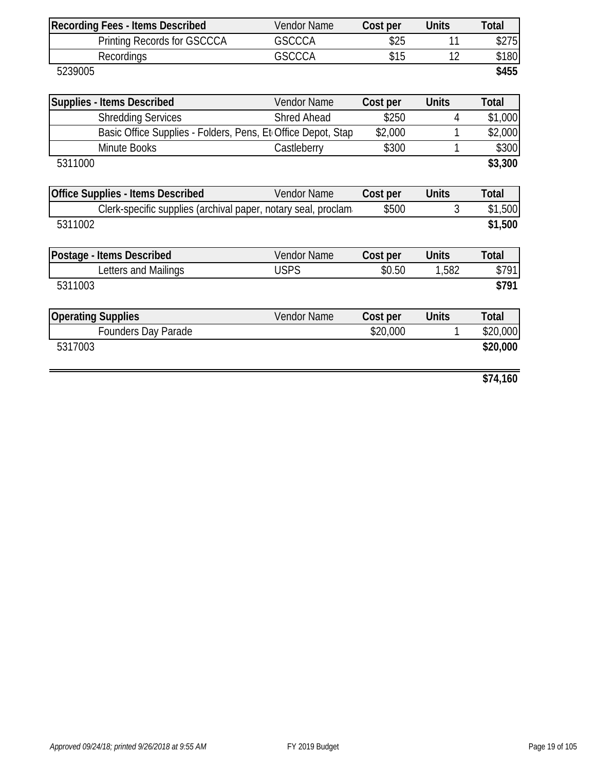| <b>Recording Fees - Items Described</b>                       | Vendor Name        | Cost per | <b>Units</b> | Total        |
|---------------------------------------------------------------|--------------------|----------|--------------|--------------|
| <b>Printing Records for GSCCCA</b>                            | <b>GSCCCA</b>      | \$25     | 11           | \$275        |
| Recordings                                                    | <b>GSCCCA</b>      | \$15     | 12           | \$180        |
| 5239005                                                       |                    |          |              | \$455        |
|                                                               |                    |          |              |              |
| <b>Supplies - Items Described</b>                             | Vendor Name        | Cost per | <b>Units</b> | <b>Total</b> |
| <b>Shredding Services</b>                                     | <b>Shred Ahead</b> | \$250    | 4            | \$1,000      |
| Basic Office Supplies - Folders, Pens, Et Office Depot, Stap  |                    | \$2,000  | 1            | \$2,000      |
| Minute Books                                                  | Castleberry        | \$300    |              | \$300        |
| 5311000                                                       |                    |          |              | \$3,300      |
|                                                               |                    |          |              |              |
| <b>Office Supplies - Items Described</b>                      | Vendor Name        | Cost per | <b>Units</b> | <b>Total</b> |
| Clerk-specific supplies (archival paper, notary seal, proclam |                    | \$500    | 3            | \$1,500      |
| 5311002                                                       |                    |          |              | \$1,500      |
|                                                               |                    |          |              |              |
| Postage - Items Described                                     | Vendor Name        | Cost per | <b>Units</b> | <b>Total</b> |
| Letters and Mailings                                          | <b>USPS</b>        | \$0.50   | 1,582        | \$791        |
| 5311003                                                       |                    |          |              | \$791        |
|                                                               |                    |          |              |              |
| <b>Operating Supplies</b>                                     | Vendor Name        | Cost per | <b>Units</b> | <b>Total</b> |
| <b>Founders Day Parade</b>                                    |                    | \$20,000 |              | \$20,000     |
| 5317003                                                       |                    |          |              | \$20,000     |
|                                                               |                    |          |              |              |
|                                                               |                    |          |              |              |

**\$74,160**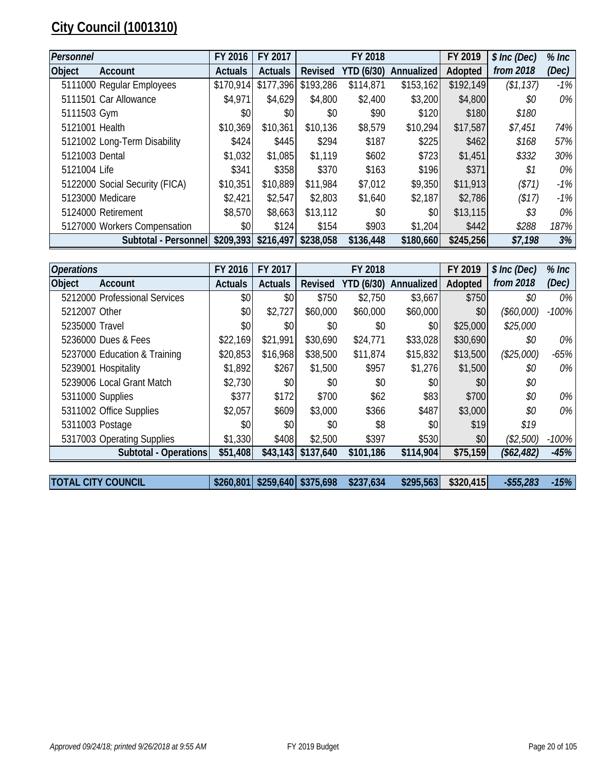### **City Council (1001310)**

| Personnel      |                                | FY 2016        | FY 2017        |           | FY 2018    |            | FY 2019   | \$ Inc (Dec) | $%$ Inc |
|----------------|--------------------------------|----------------|----------------|-----------|------------|------------|-----------|--------------|---------|
| <b>Object</b>  | Account                        | <b>Actuals</b> | <b>Actuals</b> | Revised   | YTD (6/30) | Annualized | Adopted   | from 2018    | (Dec)   |
|                | 5111000 Regular Employees      | \$170,914      | \$177,396      | \$193,286 | \$114,871  | \$153,162  | \$192,149 | (\$1,137)    | $-1%$   |
|                | 5111501 Car Allowance          | \$4,971        | \$4,629        | \$4,800   | \$2,400    | \$3,200    | \$4,800   | \$0          | $0\%$   |
| 5111503 Gym    |                                | \$0            | \$0            | \$0       | \$90       | \$120      | \$180     | \$180        |         |
| 5121001 Health |                                | \$10,369       | \$10,361       | \$10,136  | \$8,579    | \$10,294   | \$17,587  | \$7,451      | 74%     |
|                | 5121002 Long-Term Disability   | \$424          | \$445          | \$294     | \$187      | \$225      | \$462     | \$168        | 57%     |
| 5121003 Dental |                                | \$1,032        | \$1,085        | \$1,119   | \$602      | \$723      | \$1,451   | \$332        | 30%     |
| 5121004 Life   |                                | \$341          | \$358          | \$370     | \$163      | \$196      | \$371     | \$1          | $0\%$   |
|                | 5122000 Social Security (FICA) | \$10,351       | \$10,889       | \$11,984  | \$7,012    | \$9,350    | \$11,913  | (571)        | $-1%$   |
|                | 5123000 Medicare               | \$2,421        | \$2,547        | \$2,803   | \$1,640    | \$2,187    | \$2,786   | ( \$17)      | $-1\%$  |
|                | 5124000 Retirement             | \$8,570        | \$8,663        | \$13,112  | \$0        | \$0        | \$13,115  | \$3          | 0%      |
|                | 5127000 Workers Compensation   | \$0            | \$124          | \$154     | \$903      | \$1,204    | \$442     | \$288        | 187%    |
|                | Subtotal - Personnel           | \$209,393      | \$216,497      | \$238,058 | \$136,448  | \$180,660  | \$245,256 | \$7,198      | 3%      |

| <b>Operations</b> |                               | FY 2016        | FY 2017        |                      | FY 2018           |            | FY 2019   | \$ Inc (Dec) | $%$ Inc |
|-------------------|-------------------------------|----------------|----------------|----------------------|-------------------|------------|-----------|--------------|---------|
| <b>Object</b>     | Account                       | <b>Actuals</b> | <b>Actuals</b> | Revised              | <b>YTD (6/30)</b> | Annualized | Adopted   | from 2018    | (Dec)   |
|                   | 5212000 Professional Services | \$0            | \$0            | \$750                | \$2,750           | \$3,667    | \$750     | \$0          | 0%      |
| 5212007 Other     |                               | \$0            | \$2,727        | \$60,000             | \$60,000          | \$60,000   | \$0       | (\$60,000)   | $-100%$ |
| 5235000 Travel    |                               | \$0            | \$0            | \$0                  | \$0               | \$0        | \$25,000  | \$25,000     |         |
|                   | 5236000 Dues & Fees           | \$22,169       | \$21,991       | \$30,690             | \$24,771          | \$33,028   | \$30,690  | \$0          | 0%      |
|                   | 5237000 Education & Training  | \$20,853       | \$16,968       | \$38,500             | \$11,874          | \$15,832   | \$13,500  | (\$25,000)   | $-65%$  |
|                   | 5239001 Hospitality           | \$1,892        | \$267          | \$1,500              | \$957             | \$1,276    | \$1,500   | \$0          | $0\%$   |
|                   | 5239006 Local Grant Match     | \$2,730        | \$0            | \$0                  | \$0               | \$0        | \$0       | \$0          |         |
|                   | 5311000 Supplies              | \$377          | \$172          | \$700                | \$62              | \$83       | \$700     | \$0          | $0\%$   |
|                   | 5311002 Office Supplies       | \$2,057        | \$609          | \$3,000              | \$366             | \$487      | \$3,000   | \$0          | $0\%$   |
|                   | 5311003 Postage               | \$0            | \$0            | \$0                  | \$8               | \$0        | \$19      | \$19         |         |
|                   | 5317003 Operating Supplies    | \$1,330        | \$408          | \$2,500              | \$397             | \$530      | \$0       | (\$2,500)    | $-100%$ |
|                   | Subtotal - Operations         | \$51,408       |                | $$43,143$ $$137,640$ | \$101,186         | \$114,904  | \$75,159  | (\$62,482)   | $-45%$  |
|                   |                               |                |                |                      |                   |            |           |              |         |
|                   | <b>TOTAL CITY COUNCIL</b>     | \$260,801      |                | \$259,640 \$375,698  | \$237,634         | \$295,563  | \$320,415 | $- $55,283$  | $-15%$  |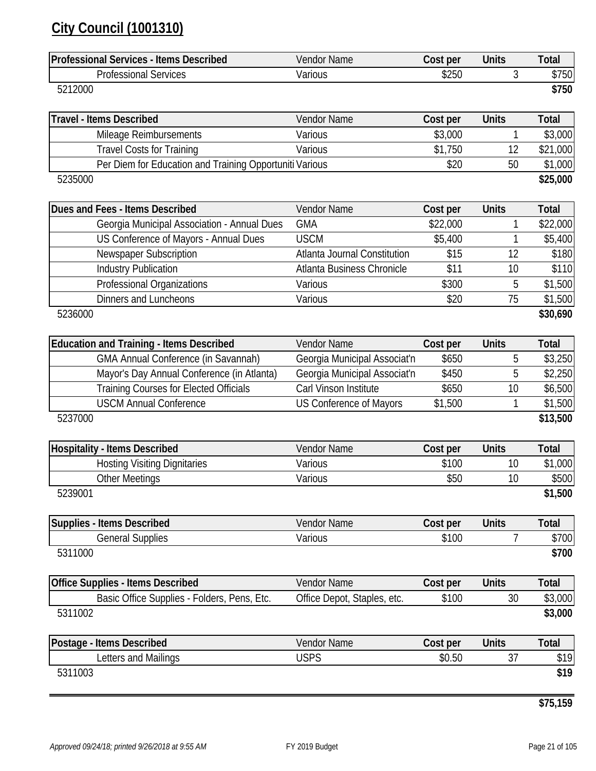### **City Council (1001310)**

| <b>Professional Services - Items Described</b>          | Vendor Name                    | Cost per | <b>Units</b>   | <b>Total</b> |
|---------------------------------------------------------|--------------------------------|----------|----------------|--------------|
| <b>Professional Services</b>                            | Various                        | \$250    | 3              | \$750        |
| 5212000                                                 |                                |          |                | \$750        |
| <b>Travel - Items Described</b>                         | Vendor Name                    | Cost per | <b>Units</b>   | <b>Total</b> |
| Mileage Reimbursements                                  | Various                        | \$3,000  | 1              | \$3,000      |
| <b>Travel Costs for Training</b>                        | Various                        | \$1,750  | 12             | \$21,000     |
| Per Diem for Education and Training Opportuniti Various |                                | \$20     | 50             | \$1,000      |
| 5235000                                                 |                                |          |                | \$25,000     |
| Dues and Fees - Items Described                         | Vendor Name                    | Cost per | <b>Units</b>   | <b>Total</b> |
| Georgia Municipal Association - Annual Dues             | <b>GMA</b>                     | \$22,000 | 1              | \$22,000     |
| US Conference of Mayors - Annual Dues                   | <b>USCM</b>                    | \$5,400  | 1              | \$5,400      |
| <b>Newspaper Subscription</b>                           | Atlanta Journal Constitution   | \$15     | 12             | \$180        |
| <b>Industry Publication</b>                             | Atlanta Business Chronicle     | \$11     | 10             | \$110        |
| Professional Organizations                              | Various                        | \$300    | 5              | \$1,500      |
| <b>Dinners and Luncheons</b>                            | Various                        | \$20     | 75             | \$1,500      |
| 5236000                                                 |                                |          |                | \$30,690     |
| <b>Education and Training - Items Described</b>         | Vendor Name                    | Cost per | <b>Units</b>   | <b>Total</b> |
| <b>GMA Annual Conference (in Savannah)</b>              | Georgia Municipal Associat'n   | \$650    | 5              | \$3,250      |
| Mayor's Day Annual Conference (in Atlanta)              | Georgia Municipal Associat'n   | \$450    | 5              | \$2,250      |
| <b>Training Courses for Elected Officials</b>           | Carl Vinson Institute          | \$650    | 10             | \$6,500      |
| <b>USCM Annual Conference</b>                           | <b>US Conference of Mayors</b> | \$1,500  | 1              | \$1,500      |
| 5237000                                                 |                                |          |                | \$13,500     |
| <b>Hospitality - Items Described</b>                    | Vendor Name                    | Cost per | <b>Units</b>   | <b>Total</b> |
| <b>Hosting Visiting Dignitaries</b>                     | Various                        | \$100    | 10             | \$1,000      |
| <b>Other Meetings</b>                                   | Various                        | \$50     | 10             | \$500        |
| 5239001                                                 |                                |          |                | \$1,500      |
| <b>Supplies - Items Described</b>                       | <b>Vendor Name</b>             | Cost per | <b>Units</b>   | <b>Total</b> |
| <b>General Supplies</b>                                 | Various                        | \$100    | $\overline{7}$ | \$700        |
| 5311000                                                 |                                |          |                | \$700        |
| <b>Office Supplies - Items Described</b>                | Vendor Name                    | Cost per | <b>Units</b>   | <b>Total</b> |
| Basic Office Supplies - Folders, Pens, Etc.             | Office Depot, Staples, etc.    | \$100    | 30             | \$3,000      |
| 5311002                                                 |                                |          |                | \$3,000      |
| Postage - Items Described                               | Vendor Name                    | Cost per | <b>Units</b>   | <b>Total</b> |
| Letters and Mailings                                    | <b>USPS</b>                    | \$0.50   | 37             | \$19         |
| 5311003                                                 |                                |          |                | \$19         |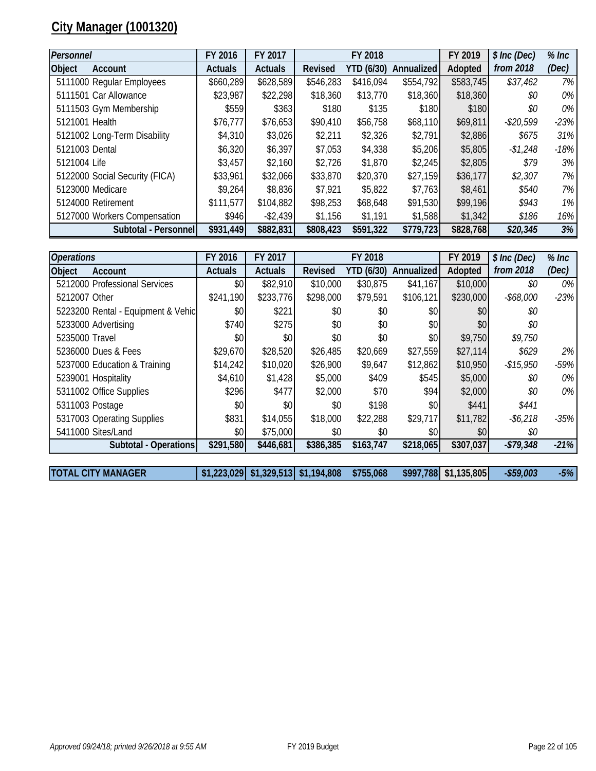### **City Manager (1001320)**

| Personnel                      |                      | FY 2016        | FY 2017        |           | FY 2018    |            | FY 2019   | \$ Inc (Dec) | $%$ Inc |
|--------------------------------|----------------------|----------------|----------------|-----------|------------|------------|-----------|--------------|---------|
| <b>Object</b><br>Account       |                      | <b>Actuals</b> | <b>Actuals</b> | Revised   | YTD (6/30) | Annualized | Adopted   | from 2018    | (Dec)   |
| 5111000 Regular Employees      |                      | \$660,289      | \$628,589      | \$546,283 | \$416,094  | \$554,792  | \$583,745 | \$37,462     | 7%      |
| 5111501 Car Allowance          |                      | \$23,987       | \$22,298       | \$18,360  | \$13,770   | \$18,360   | \$18,360  | \$0          | $0\%$   |
| 5111503 Gym Membership         |                      | \$559          | \$363          | \$180     | \$135      | \$180      | \$180     | \$0          | $0\%$   |
| 5121001 Health                 |                      | \$76,777       | \$76,653       | \$90,410  | \$56,758   | \$68,110   | \$69,811  | -\$20,599    | $-23%$  |
| 5121002 Long-Term Disability   |                      | \$4,310        | \$3,026        | \$2,211   | \$2,326    | \$2,791    | \$2,886   | \$675        | 31%     |
| 5121003 Dental                 |                      | \$6,320        | \$6,397        | \$7,053   | \$4,338    | \$5,206    | \$5,805   | $-$1,248$    | $-18%$  |
| 5121004 Life                   |                      | \$3,457        | \$2,160        | \$2,726   | \$1,870    | \$2,245    | \$2,805   | \$79         | 3%      |
| 5122000 Social Security (FICA) |                      | \$33,961       | \$32,066       | \$33,870  | \$20,370   | \$27,159   | \$36,177  | \$2,307      | 7%      |
| 5123000 Medicare               |                      | \$9,264        | \$8,836        | \$7,921   | \$5,822    | \$7,763    | \$8,461   | \$540        | 7%      |
| 5124000 Retirement             |                      | \$111,577      | \$104,882      | \$98,253  | \$68,648   | \$91,530   | \$99,196  | \$943        | $1\%$   |
| 5127000 Workers Compensation   |                      | \$946          | $-$ \$2,439    | \$1,156   | \$1,191    | \$1,588    | \$1,342   | \$186        | 16%     |
|                                | Subtotal - Personnel | \$931,449      | \$882,831      | \$808,423 | \$591,322  | \$779,723  | \$828,768 | \$20,345     | 3%      |

| <b>Operations</b> |                                    | FY 2016        | FY 2017        |                | FY 2018           |            | FY 2019   | \$ Inc (Dec) | $%$ Inc |
|-------------------|------------------------------------|----------------|----------------|----------------|-------------------|------------|-----------|--------------|---------|
| <b>Object</b>     | Account                            | <b>Actuals</b> | <b>Actuals</b> | <b>Revised</b> | <b>YTD (6/30)</b> | Annualized | Adopted   | from 2018    | (Dec)   |
|                   | 5212000 Professional Services      | \$0            | \$82,910       | \$10,000       | \$30,875          | \$41,167   | \$10,000  | \$0          | $0\%$   |
| 5212007 Other     |                                    | \$241,190      | \$233,776      | \$298,000      | \$79,591          | \$106,121  | \$230,000 | $-$68,000$   | $-23%$  |
|                   | 5223200 Rental - Equipment & Vehic | \$0            | \$221          | \$0            | \$0               | \$0        | \$0       | \$0          |         |
|                   | 5233000 Advertising                | \$740          | \$275          | \$0            | \$0               | \$0        | \$0       | \$0          |         |
| 5235000 Travel    |                                    | \$0            | \$0            | \$0            | \$0               | \$0        | \$9,750   | \$9,750      |         |
|                   | 5236000 Dues & Fees                | \$29,670       | \$28,520       | \$26,485       | \$20,669          | \$27,559   | \$27,114  | \$629        | $2\%$   |
|                   | 5237000 Education & Training       | \$14,242       | \$10,020       | \$26,900       | \$9,647           | \$12,862   | \$10,950  | $-$ \$15,950 | $-59%$  |
|                   | 5239001 Hospitality                | \$4,610        | \$1,428        | \$5,000        | \$409             | \$545      | \$5,000   | \$0          | 0%      |
|                   | 5311002 Office Supplies            | \$296          | \$477          | \$2,000        | \$70              | \$94       | \$2,000   | \$0          | 0%      |
|                   | 5311003 Postage                    | \$0            | \$0            | \$0            | \$198             | \$0        | \$441     | \$441        |         |
|                   | 5317003 Operating Supplies         | \$831          | \$14,055       | \$18,000       | \$22,288          | \$29,717   | \$11,782  | $-$6,218$    | $-35%$  |
|                   | 5411000 Sites/Land                 | \$0            | \$75,000       | \$0            | \$0               | \$0        | \$0       | \$0          |         |
|                   | Subtotal - Operations              | \$291,580      | \$446,681      | \$386,385      | \$163,747         | \$218,065  | \$307,037 | $-$79,348$   | $-21%$  |

**TOTAL CITY MANAGER \$1,223,029 \$1,329,513 \$1,194,808 \$755,068 \$997,788 \$1,135,805** *-\$59,003 -5%*

*Approved 09/24/18; printed 9/26/2018 at 9:55 AM* FY 2019 Budget Page 22 of 105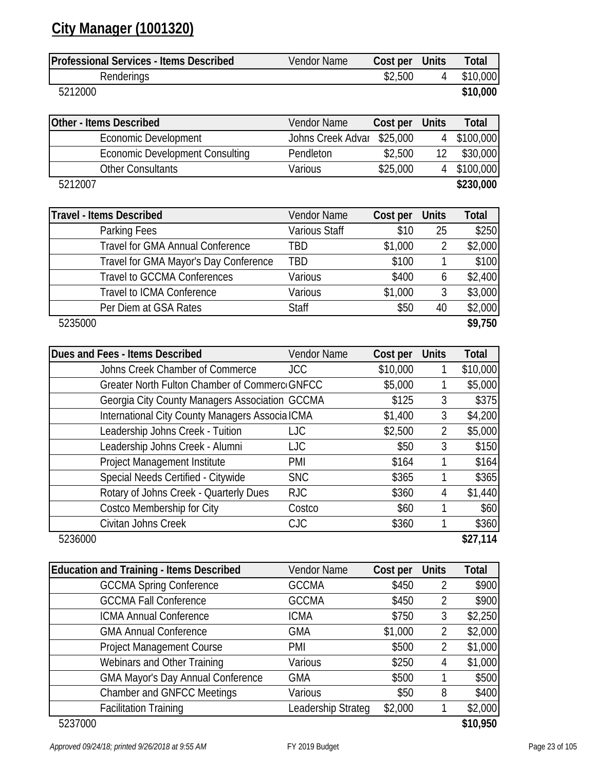### **City Manager (1001320)**

| <b>Professional Services - Items Described</b> | Vendor Name | Cost per Units | Total    |
|------------------------------------------------|-------------|----------------|----------|
| Renderings                                     |             | \$2,500        | \$10,000 |
| 5212000                                        |             |                | \$10,000 |

| Other - Items Described                | <b>Vendor Name</b>         | Cost per | <b>Units</b> | Total       |
|----------------------------------------|----------------------------|----------|--------------|-------------|
| <b>Economic Development</b>            | Johns Creek Advar \$25,000 |          |              | 4 \$100,000 |
| <b>Economic Development Consulting</b> | Pendleton                  | \$2,500  |              | \$30,000    |
| <b>Other Consultants</b>               | Various                    | \$25,000 |              | 4 \$100,000 |
| 5212007                                |                            |          |              | \$230,000   |

| <b>Travel - Items Described</b>         | Vendor Name   | Cost per | <b>Units</b> | Total   |
|-----------------------------------------|---------------|----------|--------------|---------|
| Parking Fees                            | Various Staff | \$10     | 25           | \$250   |
| <b>Travel for GMA Annual Conference</b> | TBD           | \$1,000  |              | \$2,000 |
| Travel for GMA Mayor's Day Conference   | TBD           | \$100    |              | \$100   |
| <b>Travel to GCCMA Conferences</b>      | Various       | \$400    | 6            | \$2,400 |
| Travel to ICMA Conference               | Various       | \$1,000  |              | \$3,000 |
| Per Diem at GSA Rates                   | <b>Staff</b>  | \$50     | 40           | \$2,000 |
| 5235000                                 |               |          |              | \$9,750 |

| Dues and Fees - Items Described                 | Vendor Name | Cost per | <b>Units</b> | <b>Total</b> |
|-------------------------------------------------|-------------|----------|--------------|--------------|
| Johns Creek Chamber of Commerce                 | <b>JCC</b>  | \$10,000 |              | \$10,000     |
| Greater North Fulton Chamber of Commerco GNFCC  |             | \$5,000  |              | \$5,000      |
| Georgia City County Managers Association GCCMA  |             | \$125    | 3            | \$375        |
| International City County Managers Associa ICMA |             | \$1,400  | 3            | \$4,200      |
| Leadership Johns Creek - Tuition                | LJC         | \$2,500  | 2            | \$5,000      |
| Leadership Johns Creek - Alumni                 | <b>LJC</b>  | \$50     | 3            | \$150        |
| Project Management Institute                    | PMI         | \$164    |              | \$164        |
| Special Needs Certified - Citywide              | <b>SNC</b>  | \$365    |              | \$365        |
| Rotary of Johns Creek - Quarterly Dues          | <b>RJC</b>  | \$360    | 4            | \$1,440      |
| Costco Membership for City                      | Costco      | \$60     |              | \$60         |
| Civitan Johns Creek                             | <b>CJC</b>  | \$360    |              | \$360        |
| 5236000                                         |             |          |              | \$27,114     |

| <b>Education and Training - Items Described</b> | Vendor Name        | Cost per | <b>Units</b> | <b>Total</b> |
|-------------------------------------------------|--------------------|----------|--------------|--------------|
| <b>GCCMA Spring Conference</b>                  | <b>GCCMA</b>       | \$450    |              | \$900        |
| <b>GCCMA Fall Conference</b>                    | <b>GCCMA</b>       | \$450    | 2            | \$900        |
| <b>ICMA Annual Conference</b>                   | <b>ICMA</b>        | \$750    | 3            | \$2,250      |
| <b>GMA Annual Conference</b>                    | <b>GMA</b>         | \$1,000  | 2            | \$2,000      |
| <b>Project Management Course</b>                | PMI                | \$500    | 2            | \$1,000      |
| Webinars and Other Training                     | Various            | \$250    | 4            | \$1,000      |
| <b>GMA Mayor's Day Annual Conference</b>        | <b>GMA</b>         | \$500    |              | \$500        |
| <b>Chamber and GNFCC Meetings</b>               | Various            | \$50     | 8            | \$400        |
| <b>Facilitation Training</b>                    | Leadership Strateg | \$2,000  |              | \$2,000      |
| 5237000                                         |                    |          |              | \$10,950     |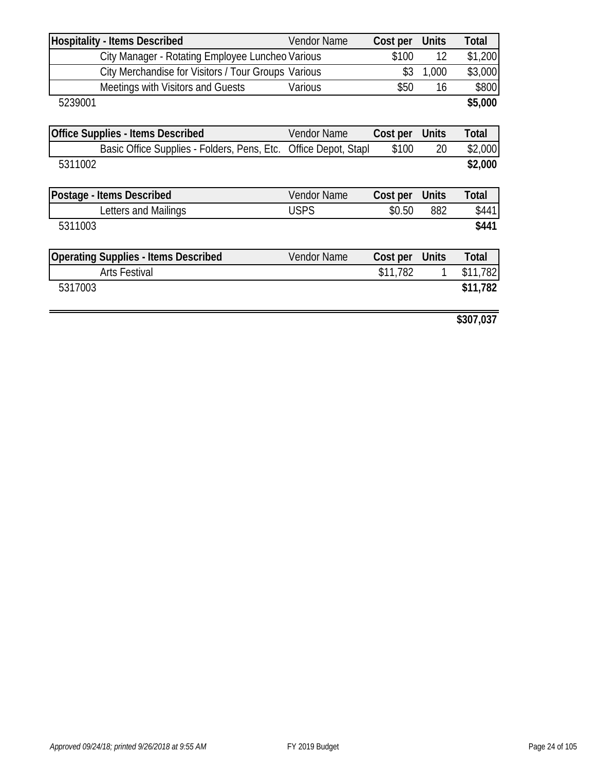| <b>Hospitality - Items Described</b>                | <b>Vendor Name</b>  | Cost per | <b>Units</b> | Total        |
|-----------------------------------------------------|---------------------|----------|--------------|--------------|
| City Manager - Rotating Employee Luncheo Various    |                     | \$100    | 12           | \$1,200      |
| City Merchandise for Visitors / Tour Groups Various |                     | \$3      | 1,000        | \$3,000      |
| Meetings with Visitors and Guests                   | Various             | \$50     | 16           | \$800        |
| 5239001                                             |                     |          |              | \$5,000      |
|                                                     |                     |          |              |              |
| <b>Office Supplies - Items Described</b>            | <b>Vendor Name</b>  | Cost per | <b>Units</b> | Total        |
| Basic Office Supplies - Folders, Pens, Etc.         | Office Depot, Stapl | \$100    | 20           | \$2,000      |
| 5311002                                             |                     |          |              | \$2,000      |
|                                                     |                     |          |              |              |
| Postage - Items Described                           | <b>Vendor Name</b>  | Cost per | <b>Units</b> | <b>Total</b> |
| Letters and Mailings                                | <b>USPS</b>         | \$0.50   | 882          | \$441        |
| 5311003                                             |                     |          |              | \$441        |
|                                                     |                     |          |              |              |
| <b>Operating Supplies - Items Described</b>         | <b>Vendor Name</b>  | Cost per | <b>Units</b> | Total        |
| <b>Arts Festival</b>                                |                     | \$11,782 |              | \$11,782     |
| 5317003                                             |                     |          |              | \$11,782     |
|                                                     |                     |          |              |              |
|                                                     |                     |          |              |              |

**\$307,037**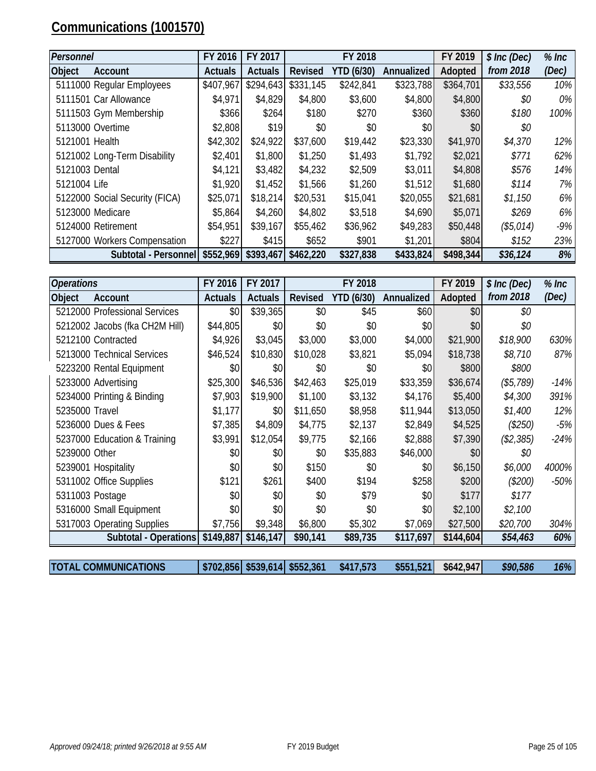## **Communications (1001570)**

| Personnel      |                                | FY 2016        | FY 2017        |                | FY 2018    |            | FY 2019   | \$ Inc (Dec) | $%$ Inc |
|----------------|--------------------------------|----------------|----------------|----------------|------------|------------|-----------|--------------|---------|
| Object         | Account                        | <b>Actuals</b> | <b>Actuals</b> | <b>Revised</b> | YTD (6/30) | Annualized | Adopted   | from 2018    | (Dec)   |
|                | 5111000 Regular Employees      | \$407,967      | \$294,643      | \$331,145      | \$242,841  | \$323,788  | \$364,701 | \$33,556     | 10%     |
|                | 5111501 Car Allowance          | \$4,971        | \$4,829        | \$4,800        | \$3,600    | \$4,800    | \$4,800   | \$0          | $0\%$   |
|                | 5111503 Gym Membership         | \$366          | \$264          | \$180          | \$270      | \$360      | \$360     | \$180        | 100%    |
|                | 5113000 Overtime               | \$2,808        | \$19           | \$0            | \$0        | \$0        | \$0       | \$0          |         |
| 5121001 Health |                                | \$42,302       | \$24,922       | \$37,600       | \$19,442   | \$23,330   | \$41,970  | \$4,370      | 12%     |
|                | 5121002 Long-Term Disability   | \$2,401        | \$1,800        | \$1,250        | \$1,493    | \$1,792    | \$2,021   | \$771        | 62%     |
| 5121003 Dental |                                | \$4,121        | \$3,482        | \$4,232        | \$2,509    | \$3,011    | \$4,808   | \$576        | 14%     |
| 5121004 Life   |                                | \$1,920        | \$1,452        | \$1,566        | \$1,260    | \$1,512    | \$1,680   | \$114        | $7\%$   |
|                | 5122000 Social Security (FICA) | \$25,071       | \$18,214       | \$20,531       | \$15,041   | \$20,055   | \$21,681  | \$1,150      | $6\%$   |
|                | 5123000 Medicare               | \$5,864        | \$4,260        | \$4,802        | \$3,518    | \$4,690    | \$5,071   | \$269        | $6\%$   |
|                | 5124000 Retirement             | \$54,951       | \$39,167       | \$55,462       | \$36,962   | \$49,283   | \$50,448  | (\$5,014)    | $-9\%$  |
|                | 5127000 Workers Compensation   | \$227          | \$415          | \$652          | \$901      | \$1,201    | \$804     | \$152        | 23%     |
|                | Subtotal - Personnel           | \$552,969      | \$393,467      | \$462,220      | \$327,838  | \$433,824  | \$498,344 | \$36,124     | 8%      |

| <b>Operations</b> |                                | FY 2016        | FY 2017        |                | FY 2018           |            | FY 2019   | \$ Inc (Dec) | $%$ Inc |
|-------------------|--------------------------------|----------------|----------------|----------------|-------------------|------------|-----------|--------------|---------|
| <b>Object</b>     | <b>Account</b>                 | <b>Actuals</b> | <b>Actuals</b> | <b>Revised</b> | <b>YTD (6/30)</b> | Annualized | Adopted   | from 2018    | (Dec)   |
|                   | 5212000 Professional Services  | \$0            | \$39,365       | \$0            | \$45              | \$60       | \$0       | \$0          |         |
|                   | 5212002 Jacobs (fka CH2M Hill) | \$44,805       | \$0            | \$0            | \$0               | \$0        | \$0       | \$0          |         |
|                   | 5212100 Contracted             | \$4,926        | \$3,045        | \$3,000        | \$3,000           | \$4,000    | \$21,900  | \$18,900     | 630%    |
|                   | 5213000 Technical Services     | \$46,524       | \$10,830       | \$10,028       | \$3,821           | \$5,094    | \$18,738  | \$8,710      | 87%     |
|                   | 5223200 Rental Equipment       | \$0            | \$0            | \$0            | \$0               | \$0        | \$800     | \$800        |         |
|                   | 5233000 Advertising            | \$25,300       | \$46,536       | \$42,463       | \$25,019          | \$33,359   | \$36,674  | (\$5,789)    | $-14%$  |
|                   | 5234000 Printing & Binding     | \$7,903        | \$19,900       | \$1,100        | \$3,132           | \$4,176    | \$5,400   | \$4,300      | 391%    |
| 5235000 Travel    |                                | \$1,177        | \$0            | \$11,650       | \$8,958           | \$11,944   | \$13,050  | \$1,400      | 12%     |
|                   | 5236000 Dues & Fees            | \$7,385        | \$4,809        | \$4,775        | \$2,137           | \$2,849    | \$4,525   | (\$250)      | -5%     |
|                   | 5237000 Education & Training   | \$3,991        | \$12,054       | \$9,775        | \$2,166           | \$2,888    | \$7,390   | (\$2,385)    | $-24%$  |
| 5239000 Other     |                                | \$0            | \$0\$          | \$0            | \$35,883          | \$46,000   | \$0       | \$0          |         |
|                   | 5239001 Hospitality            | \$0            | \$0\$          | \$150          | \$0               | \$0        | \$6,150   | \$6,000      | 4000%   |
|                   | 5311002 Office Supplies        | \$121          | \$261          | \$400          | \$194             | \$258      | \$200     | $(\$200)$    | $-50\%$ |
|                   | 5311003 Postage                | \$0            | \$0            | \$0            | \$79              | \$0        | \$177     | \$177        |         |
|                   | 5316000 Small Equipment        | \$0            | \$0            | \$0            | \$0               | \$0        | \$2,100   | \$2,100      |         |
|                   | 5317003 Operating Supplies     | \$7,756        | \$9,348        | \$6,800        | \$5,302           | \$7,069    | \$27,500  | \$20,700     | 304%    |
|                   | Subtotal - Operations          | \$149,887      | \$146,147      | \$90,141       | \$89,735          | \$117,697  | \$144,604 | \$54,463     | 60%     |
|                   |                                |                |                |                |                   |            |           |              |         |

| <b>TOTAL COMMUNICATIONS</b> |  | $$702,856$ $$539,614$ $$552,361$ | \$417,573 | $$551,521$ $$642,947$ | \$90,586 | $16\%$ |
|-----------------------------|--|----------------------------------|-----------|-----------------------|----------|--------|
|                             |  |                                  |           |                       |          |        |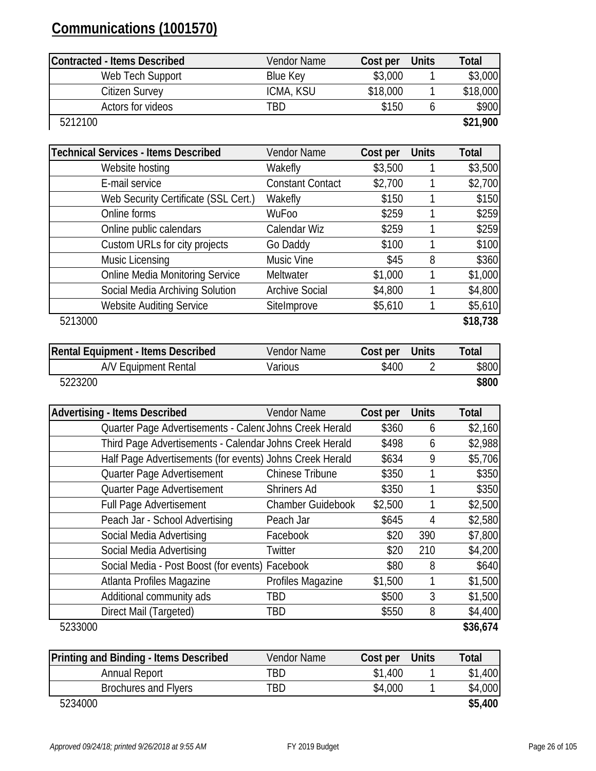### **Communications (1001570)**

| Contracted - Items Described | Vendor Name | Cost per | <b>Units</b> | Total    |
|------------------------------|-------------|----------|--------------|----------|
| Web Tech Support             | Blue Key    | \$3,000  |              | \$3,000  |
| Citizen Survey               | ICMA, KSU   | \$18,000 |              | \$18,000 |
| Actors for videos            | TBD.        | \$150    |              | \$900    |
| 5212100                      |             |          |              | \$21,900 |

| <b>Technical Services - Items Described</b> | Vendor Name             | Cost per | <b>Units</b> | <b>Total</b> |
|---------------------------------------------|-------------------------|----------|--------------|--------------|
| Website hosting                             | Wakefly                 | \$3,500  |              | \$3,500      |
| E-mail service                              | <b>Constant Contact</b> | \$2,700  |              | \$2,700      |
| Web Security Certificate (SSL Cert.)        | Wakefly                 | \$150    |              | \$150        |
| Online forms                                | WuFoo                   | \$259    |              | \$259        |
| Online public calendars                     | Calendar Wiz            | \$259    |              | \$259        |
| Custom URLs for city projects               | Go Daddy                | \$100    |              | \$100        |
| Music Licensing                             | Music Vine              | \$45     | 8            | \$360        |
| <b>Online Media Monitoring Service</b>      | Meltwater               | \$1,000  |              | \$1,000      |
| Social Media Archiving Solution             | <b>Archive Social</b>   | \$4,800  |              | \$4,800      |
| <b>Website Auditing Service</b>             | SiteImprove             | \$5,610  |              | \$5,610      |
| 5213000                                     |                         |          |              | \$18,738     |

| Rental Equipment - Items Described | Vendor Name | Cost per | Units | Total |
|------------------------------------|-------------|----------|-------|-------|
| A/V Equipment Rental               | Various     | \$400    |       | \$800 |
| 5223200                            |             |          |       | \$800 |

| <b>Advertising - Items Described</b>                     | <b>Vendor Name</b>       | Cost per | <b>Units</b> | Total    |
|----------------------------------------------------------|--------------------------|----------|--------------|----------|
| Quarter Page Advertisements - Calenc Johns Creek Herald  |                          | \$360    | 6            | \$2,160  |
| Third Page Advertisements - Calendar Johns Creek Herald  |                          | \$498    | 6            | \$2,988  |
| Half Page Advertisements (for events) Johns Creek Herald |                          | \$634    | 9            | \$5,706  |
| Quarter Page Advertisement                               | <b>Chinese Tribune</b>   | \$350    |              | \$350    |
| Quarter Page Advertisement                               | <b>Shriners Ad</b>       | \$350    |              | \$350    |
| <b>Full Page Advertisement</b>                           | <b>Chamber Guidebook</b> | \$2,500  |              | \$2,500  |
| Peach Jar - School Advertising                           | Peach Jar                | \$645    | 4            | \$2,580  |
| Social Media Advertising                                 | Facebook                 | \$20     | 390          | \$7,800  |
| Social Media Advertising                                 | Twitter                  | \$20     | 210          | \$4,200  |
| Social Media - Post Boost (for events) Facebook          |                          | \$80     | 8            | \$640    |
| Atlanta Profiles Magazine                                | Profiles Magazine        | \$1,500  |              | \$1,500  |
| Additional community ads                                 | TBD                      | \$500    | 3            | \$1,500  |
| Direct Mail (Targeted)                                   | TBD                      | \$550    | 8            | \$4,400  |
| 5233000                                                  |                          |          |              | \$36,674 |

| 5233000 |  |  |  |
|---------|--|--|--|
|         |  |  |  |

| Printing and Binding - Items Described | <b>Vendor Name</b> | Cost per Units | Total   |
|----------------------------------------|--------------------|----------------|---------|
| Annual Report                          | TBD                | \$1,400        | \$1,400 |
| Brochures and Flyers                   | TBD.               | \$4,000        | \$4,000 |
| 5234000                                |                    |                | \$5,400 |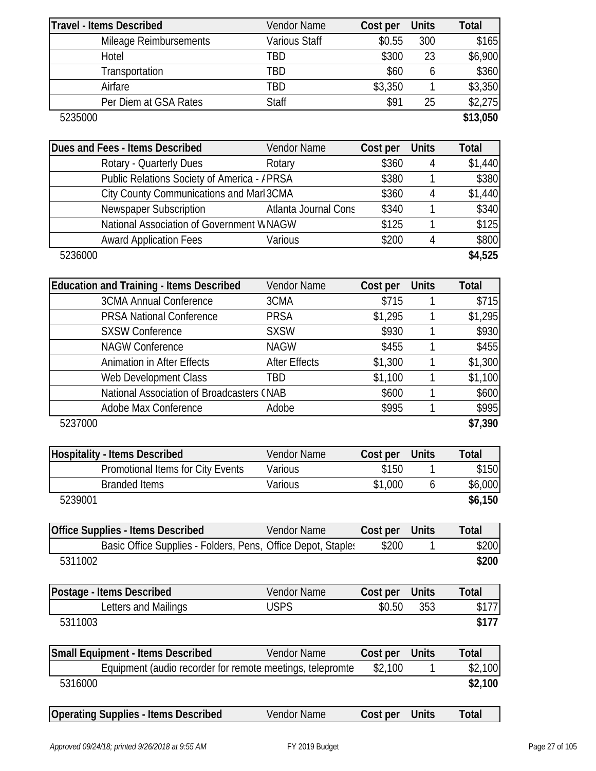|         | <b>Travel - Items Described</b>                              | Vendor Name          | Cost per | <b>Units</b>   | <b>Total</b> |
|---------|--------------------------------------------------------------|----------------------|----------|----------------|--------------|
|         | Mileage Reimbursements                                       | <b>Various Staff</b> | \$0.55   | 300            | \$165        |
|         | Hotel                                                        | <b>TBD</b>           | \$300    | 23             | \$6,900      |
|         | Transportation                                               | <b>TBD</b>           | \$60     | 6              | \$360        |
|         | Airfare                                                      | <b>TBD</b>           | \$3,350  | 1              | \$3,350      |
|         | Per Diem at GSA Rates                                        | Staff                | \$91     | 25             | \$2,275      |
| 5235000 |                                                              |                      |          |                | \$13,050     |
|         |                                                              |                      |          |                |              |
|         | Dues and Fees - Items Described                              | <b>Vendor Name</b>   | Cost per | <b>Units</b>   | <b>Total</b> |
|         | Rotary - Quarterly Dues                                      | Rotary               | \$360    | 4              | \$1,440      |
|         | Public Relations Society of America - / PRSA                 |                      | \$380    | 1              | \$380        |
|         | City County Communications and Marl 3CMA                     |                      | \$360    | 4              | \$1,440      |
|         | Newspaper Subscription                                       | Atlanta Journal Cons | \$340    | 1              | \$340        |
|         | National Association of Government WNAGW                     |                      | \$125    | 1              | \$125        |
|         | <b>Award Application Fees</b>                                | Various              | \$200    | $\overline{4}$ | \$800        |
| 5236000 |                                                              |                      |          |                | \$4,525      |
|         |                                                              |                      |          |                |              |
|         | <b>Education and Training - Items Described</b>              | <b>Vendor Name</b>   | Cost per | <b>Units</b>   | Total        |
|         | <b>3CMA Annual Conference</b>                                | 3CMA                 | \$715    | 1              | \$715        |
|         | <b>PRSA National Conference</b>                              | <b>PRSA</b>          | \$1,295  | 1              | \$1,295      |
|         | <b>SXSW Conference</b>                                       | <b>SXSW</b>          | \$930    | 1              | \$930        |
|         | <b>NAGW Conference</b>                                       | <b>NAGW</b>          | \$455    | 1              | \$455        |
|         | <b>Animation in After Effects</b>                            | <b>After Effects</b> | \$1,300  | 1              | \$1,300      |
|         | Web Development Class                                        | <b>TBD</b>           | \$1,100  | 1              | \$1,100      |
|         | National Association of Broadcasters (NAB                    |                      | \$600    | 1              | \$600        |
|         | Adobe Max Conference                                         | Adobe                | \$995    | 1              | \$995        |
| 5237000 |                                                              |                      |          |                | \$7,390      |
|         | <b>Hospitality - Items Described</b>                         | Vendor Name          | Cost per | <b>Units</b>   | <b>Total</b> |
|         | Promotional Items for City Events                            | Various              | \$150    | 1              | \$150        |
|         | <b>Branded Items</b>                                         | Various              | \$1,000  | 6              | \$6,000      |
| 5239001 |                                                              |                      |          |                | \$6,150      |
|         | <b>Office Supplies - Items Described</b>                     | Vendor Name          | Cost per | <b>Units</b>   | <b>Total</b> |
|         | Basic Office Supplies - Folders, Pens, Office Depot, Staples |                      | \$200    | 1              | \$200        |
| 5311002 |                                                              |                      |          |                | \$200        |
|         | Postage - Items Described                                    | Vendor Name          | Cost per | <b>Units</b>   | <b>Total</b> |
|         | Letters and Mailings                                         | <b>USPS</b>          | \$0.50   | 353            | \$177        |
| 5311003 |                                                              |                      |          |                | \$177        |
|         |                                                              |                      |          |                |              |
|         | <b>Small Equipment - Items Described</b>                     | Vendor Name          | Cost per | <b>Units</b>   | <b>Total</b> |
|         | Equipment (audio recorder for remote meetings, telepromte    |                      | \$2,100  | 1              | \$2,100      |
| 5316000 |                                                              |                      |          |                | \$2,100      |

| <b>Operating Supplies - Items Described</b> | <b>Vendor Name</b> | Cost per Units | Total |
|---------------------------------------------|--------------------|----------------|-------|
|---------------------------------------------|--------------------|----------------|-------|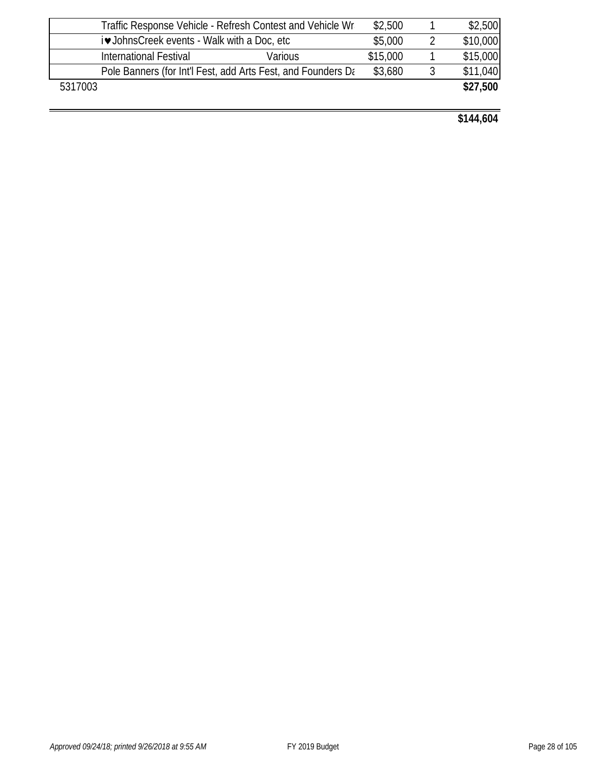|                                             | Traffic Response Vehicle - Refresh Contest and Vehicle Wra   | \$2,500  | \$2,500  |
|---------------------------------------------|--------------------------------------------------------------|----------|----------|
| i• JohnsCreek events - Walk with a Doc, etc |                                                              | \$5,000  | \$10,000 |
|                                             | Various<br>International Festival                            | \$15,000 | \$15,000 |
|                                             | Pole Banners (for Int'l Fest, add Arts Fest, and Founders Da | \$3,680  | \$11,040 |
| 5317003                                     |                                                              |          | \$27,500 |
|                                             |                                                              |          |          |

**\$144,604**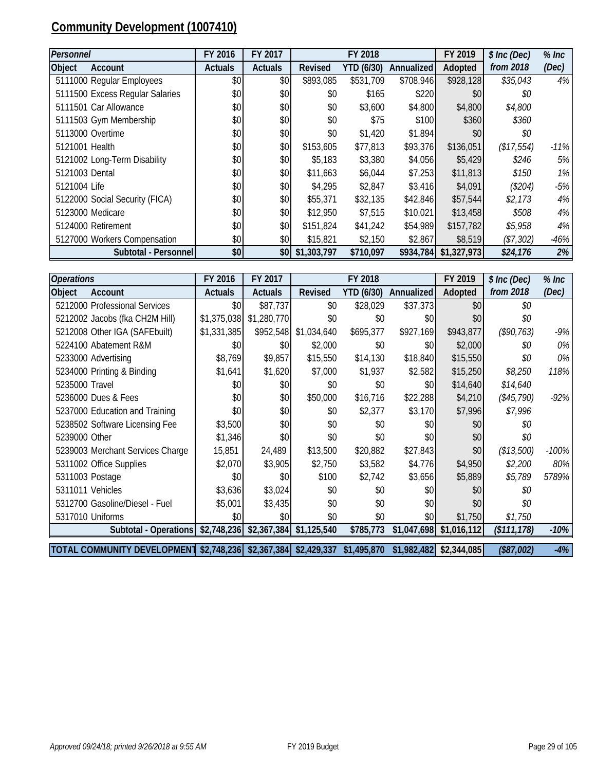### **Community Development (1007410)**

| Personnel                       | FY 2016        | FY 2017          |             | FY 2018    |            | FY 2019     | \$ Inc (Dec) | $%$ Inc |
|---------------------------------|----------------|------------------|-------------|------------|------------|-------------|--------------|---------|
| Object<br>Account               | <b>Actuals</b> | <b>Actuals</b>   | Revised     | YTD (6/30) | Annualized | Adopted     | from 2018    | (Dec)   |
| 5111000 Regular Employees       | \$0            | \$0              | \$893,085   | \$531,709  | \$708,946  | \$928,128   | \$35,043     | 4%      |
| 5111500 Excess Regular Salaries | \$0            | \$0              | \$0         | \$165      | \$220      | \$0         | \$0          |         |
| 5111501 Car Allowance           | \$0            | \$0              | \$0         | \$3,600    | \$4,800    | \$4,800     | \$4,800      |         |
| 5111503 Gym Membership          | \$0            | \$0              | \$0         | \$75       | \$100      | \$360       | \$360        |         |
| 5113000 Overtime                | \$0            | \$0              | \$0         | \$1,420    | \$1,894    | \$0         | \$0          |         |
| 5121001 Health                  | \$0            | \$0              | \$153,605   | \$77,813   | \$93,376   | \$136,051   | (\$17,554)   | $-11%$  |
| 5121002 Long-Term Disability    | \$0            | \$0              | \$5,183     | \$3,380    | \$4,056    | \$5,429     | \$246        | 5%      |
| 5121003 Dental                  | \$0            | \$0              | \$11,663    | \$6,044    | \$7,253    | \$11,813    | \$150        | $1\%$   |
| 5121004 Life                    | \$0            | \$0              | \$4,295     | \$2,847    | \$3,416    | \$4,091     | (\$204)      | $-5%$   |
| 5122000 Social Security (FICA)  | \$0            | \$0              | \$55,371    | \$32,135   | \$42,846   | \$57,544    | \$2,173      | 4%      |
| 5123000 Medicare                | \$0            | \$0              | \$12,950    | \$7,515    | \$10,021   | \$13,458    | \$508        | 4%      |
| 5124000 Retirement              | \$0            | \$0              | \$151,824   | \$41,242   | \$54,989   | \$157,782   | \$5,958      | 4%      |
| 5127000 Workers Compensation    | \$0            | \$0              | \$15,821    | \$2,150    | \$2,867    | \$8,519     | (\$7,302)    | $-46%$  |
| Subtotal - Personnel            | \$0            | \$0 <sub>1</sub> | \$1,303,797 | \$710,097  | \$934,784  | \$1,327,973 | \$24,176     | 2%      |

| <b>Operations</b>                                                           | FY 2016        | FY 2017                                |             | FY 2018           |                   | FY 2019                   | $$$ Inc (Dec) | $%$ Inc |
|-----------------------------------------------------------------------------|----------------|----------------------------------------|-------------|-------------------|-------------------|---------------------------|---------------|---------|
| Object<br>Account                                                           | <b>Actuals</b> | <b>Actuals</b>                         | Revised     | <b>YTD (6/30)</b> | <b>Annualized</b> | Adopted                   | from 2018     | (Dec)   |
| 5212000 Professional Services                                               | \$0            | \$87,737                               | \$0         | \$28,029          | \$37,373          | \$0                       | \$0           |         |
| 5212002 Jacobs (fka CH2M Hill)                                              | \$1,375,038    | \$1,280,770                            | \$0         | \$0               | \$0               | \$0                       | \$0           |         |
| 5212008 Other IGA (SAFEbuilt)                                               | \$1,331,385    | \$952,548                              | \$1,034,640 | \$695,377         | \$927,169         | \$943,877                 | (\$90,763)    | $-9%$   |
| 5224100 Abatement R&M                                                       | \$0            | \$0                                    | \$2,000     | \$0               | \$0               | \$2,000                   | \$0           | 0%      |
| 5233000 Advertising                                                         | \$8,769        | \$9,857                                | \$15,550    | \$14,130          | \$18,840          | \$15,550                  | \$0           | $0\%$   |
| 5234000 Printing & Binding                                                  | \$1,641        | \$1,620                                | \$7,000     | \$1,937           | \$2,582           | \$15,250                  | \$8,250       | 118%    |
| 5235000 Travel                                                              | \$0            | \$0                                    | \$0         | \$0               | \$0               | \$14,640                  | \$14,640      |         |
| 5236000 Dues & Fees                                                         | \$0            | \$0                                    | \$50,000    | \$16,716          | \$22,288          | \$4,210                   | (\$45,790)    | $-92%$  |
| 5237000 Education and Training                                              | \$0            | \$0                                    | \$0         | \$2,377           | \$3,170           | \$7,996                   | \$7,996       |         |
| 5238502 Software Licensing Fee                                              | \$3,500        | \$0                                    | \$0         | \$0               | \$0               | \$0                       | \$0           |         |
| 5239000 Other                                                               | \$1,346        | \$0                                    | \$0         | \$0               | \$0               | \$0                       | \$0           |         |
| 5239003 Merchant Services Charge                                            | 15,851         | 24,489                                 | \$13,500    | \$20,882          | \$27,843          | \$0                       | (\$13,500)    | $-100%$ |
| 5311002 Office Supplies                                                     | \$2,070        | \$3,905                                | \$2,750     | \$3,582           | \$4,776           | \$4,950                   | \$2,200       | 80%     |
| 5311003 Postage                                                             | \$0            | \$0                                    | \$100       | \$2,742           | \$3,656           | \$5,889                   | \$5,789       | 5789%   |
| 5311011 Vehicles                                                            | \$3,636        | \$3,024                                | \$0         | \$0               | \$0               | \$0                       | \$0           |         |
| 5312700 Gasoline/Diesel - Fuel                                              | \$5,001        | \$3,435                                | \$0         | \$0               | \$0               | \$0                       | \$0           |         |
| 5317010 Uniforms                                                            | \$0            | \$0                                    | \$0         | \$0               | \$0               | \$1,750                   | \$1,750       |         |
| Subtotal - Operations                                                       |                | $$2,748,236$ $$2,367,384$ $$1,125,540$ |             | \$785,773         |                   | $$1,047,698$ $$1,016,112$ | (\$111, 178)  | $-10%$  |
| TOTAL COMMUNITY DEVELOPMENT \$2,748,236 \$2,367,384 \$2,429,337 \$1,495,870 |                |                                        |             |                   | \$1,982,482       | \$2,344,085               | (\$87,002)    | $-4%$   |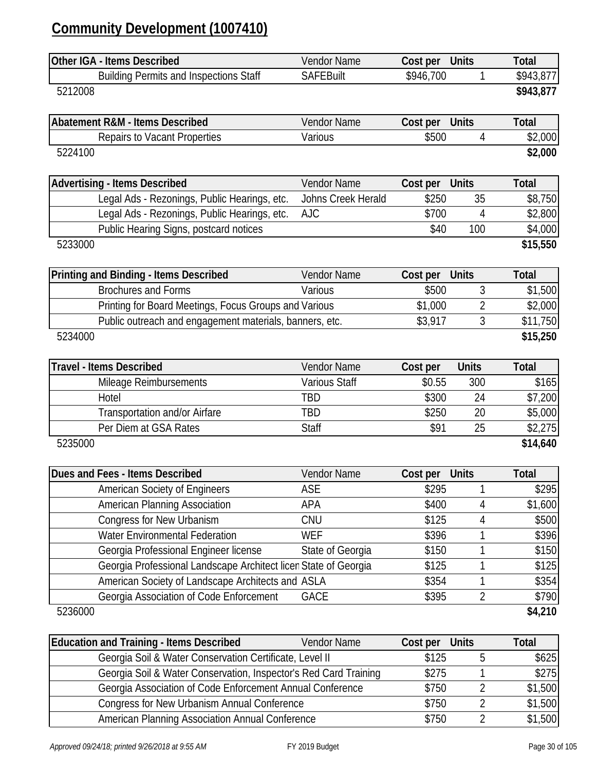### **Community Development (1007410)**

| Other IGA - Items Described                                      | Vendor Name          | Cost per  | <b>Units</b>   | <b>Total</b> |
|------------------------------------------------------------------|----------------------|-----------|----------------|--------------|
| <b>Building Permits and Inspections Staff</b>                    | <b>SAFEBuilt</b>     | \$946,700 | 1              | \$943,877    |
| 5212008                                                          |                      |           |                | \$943,877    |
| <b>Abatement R&amp;M - Items Described</b>                       | Vendor Name          | Cost per  | <b>Units</b>   | <b>Total</b> |
| <b>Repairs to Vacant Properties</b>                              | Various              | \$500     | 4              | \$2,000      |
| 5224100                                                          |                      |           |                | \$2,000      |
| <b>Advertising - Items Described</b>                             | Vendor Name          | Cost per  | <b>Units</b>   | <b>Total</b> |
| Legal Ads - Rezonings, Public Hearings, etc.                     | Johns Creek Herald   | \$250     | 35             | \$8,750      |
| Legal Ads - Rezonings, Public Hearings, etc.                     | <b>AJC</b>           | \$700     | 4              | \$2,800      |
| Public Hearing Signs, postcard notices                           |                      | \$40      | 100            | \$4,000      |
| 5233000                                                          |                      |           |                | \$15,550     |
| Printing and Binding - Items Described                           | Vendor Name          | Cost per  | <b>Units</b>   | <b>Total</b> |
| <b>Brochures and Forms</b>                                       | Various              | \$500     | 3              | \$1,500      |
| Printing for Board Meetings, Focus Groups and Various            |                      | \$1,000   | $\overline{2}$ | \$2,000      |
| Public outreach and engagement materials, banners, etc.          |                      | \$3,917   | 3              | \$11,750     |
| 5234000                                                          |                      |           |                | \$15,250     |
| <b>Travel - Items Described</b>                                  | Vendor Name          | Cost per  | <b>Units</b>   | <b>Total</b> |
| Mileage Reimbursements                                           | <b>Various Staff</b> | \$0.55    | 300            | \$165        |
| Hotel                                                            | <b>TBD</b>           | \$300     | 24             | \$7,200      |
| Transportation and/or Airfare                                    | TBD                  | \$250     | 20             | \$5,000      |
| Per Diem at GSA Rates                                            | <b>Staff</b>         | \$91      | 25             | \$2,275      |
| 5235000                                                          |                      |           |                | \$14,640     |
| Dues and Fees - Items Described                                  | Vendor Name          | Cost per  | <b>Units</b>   | <b>Total</b> |
| <b>American Society of Engineers</b>                             | ASE                  | \$295     |                | \$295        |
| American Planning Association                                    | APA                  | \$400     | 4              | \$1,600      |
| Congress for New Urbanism                                        | CNU                  | \$125     | 4              | \$500        |
| <b>Water Environmental Federation</b>                            | <b>WEF</b>           | \$396     | 1              | \$396        |
| Georgia Professional Engineer license                            | State of Georgia     | \$150     | 1              | \$150        |
| Georgia Professional Landscape Architect licen State of Georgia  |                      | \$125     | 1              | \$125        |
| American Society of Landscape Architects and ASLA                |                      | \$354     | 1              | \$354        |
| Georgia Association of Code Enforcement                          | <b>GACE</b>          | \$395     | $\overline{2}$ | \$790        |
| 5236000                                                          |                      |           |                | \$4,210      |
| <b>Education and Training - Items Described</b>                  | Vendor Name          | Cost per  | <b>Units</b>   | <b>Total</b> |
| Georgia Soil & Water Conservation Certificate, Level II          |                      | \$125     | 5              | \$625        |
| Georgia Soil & Water Conservation, Inspector's Red Card Training |                      | \$275     | 1              | \$275        |
| Georgia Association of Code Enforcement Annual Conference        |                      | \$750     | 2              | \$1,500      |
| <b>Congress for New Urbanism Annual Conference</b>               |                      | \$750     | 2              | \$1,500      |
| American Planning Association Annual Conference                  |                      | \$750     | $\overline{2}$ | \$1,500      |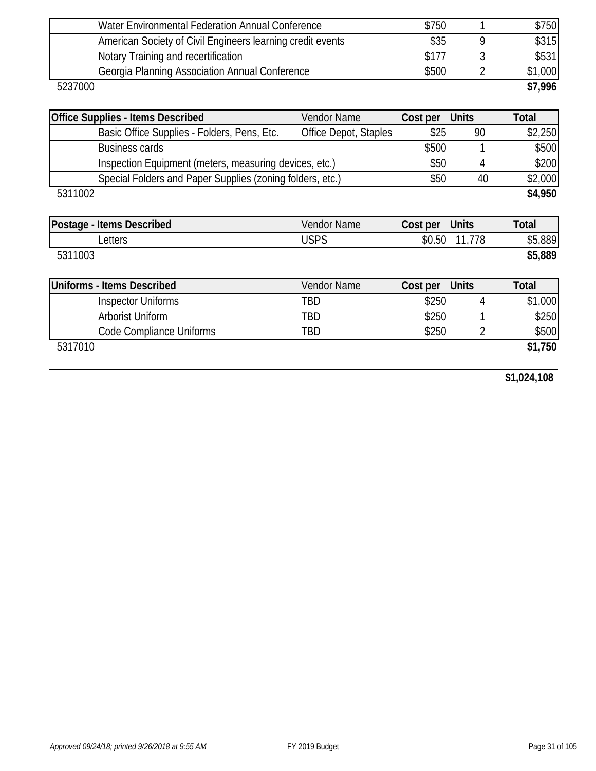| Water Environmental Federation Annual Conference           | \$750 | \$750   |
|------------------------------------------------------------|-------|---------|
| American Society of Civil Engineers learning credit events | \$35  | \$315   |
| Notary Training and recertification                        | \$177 | \$531   |
| Georgia Planning Association Annual Conference             | \$500 | \$1,000 |
| 5237000                                                    |       | \$7,996 |

| <b>Office Supplies - Items Described</b>                  | Vendor Name           | Cost per | <b>Units</b>   | <b>Total</b> |
|-----------------------------------------------------------|-----------------------|----------|----------------|--------------|
| Basic Office Supplies - Folders, Pens, Etc.               | Office Depot, Staples | \$25     | 90             | \$2,250      |
| <b>Business cards</b>                                     |                       | \$500    |                | \$500        |
| Inspection Equipment (meters, measuring devices, etc.)    |                       | \$50     | 4              | \$200        |
| Special Folders and Paper Supplies (zoning folders, etc.) |                       | \$50     | 40             | \$2,000      |
| 5311002                                                   |                       |          |                | \$4,950      |
|                                                           |                       |          |                |              |
| Postage - Items Described                                 | <b>Vendor Name</b>    | Cost per | <b>Units</b>   | <b>Total</b> |
| Letters                                                   | <b>USPS</b>           |          | \$0.50 11,778  | \$5,889      |
| 5311003                                                   |                       |          |                | \$5,889      |
|                                                           |                       |          |                |              |
| <b>Uniforms - Items Described</b>                         | <b>Vendor Name</b>    | Cost per | <b>Units</b>   | <b>Total</b> |
| <b>Inspector Uniforms</b>                                 | TBD                   | \$250    | 4              | \$1,000      |
| Arborist Uniform                                          | TBD                   | \$250    |                | \$250        |
| Code Compliance Uniforms                                  | TBD                   | \$250    | $\overline{2}$ | \$500        |

5317010 **\$1,750**

**\$1,024,108**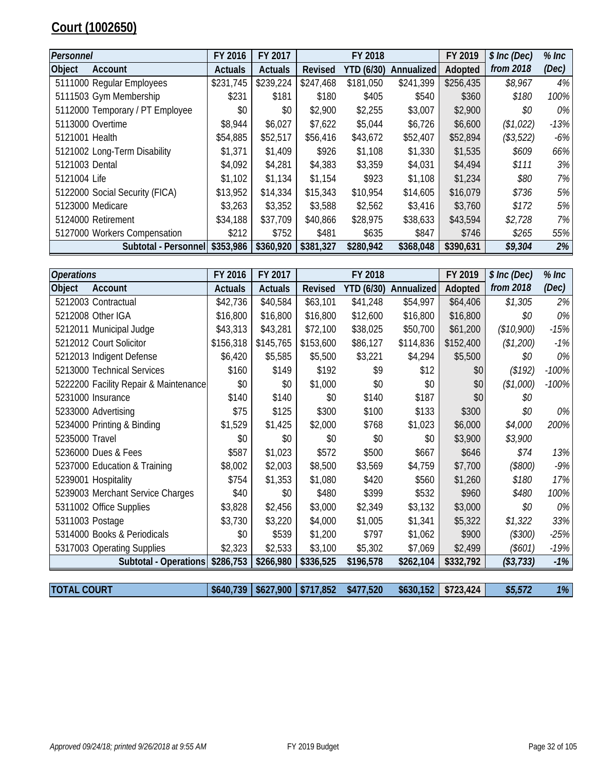### **Court (1002650)**

| Personnel      |                                 | FY 2016        | FY 2017   |                | FY 2018    |                   | FY 2019   | \$ Inc (Dec) | $%$ Inc |
|----------------|---------------------------------|----------------|-----------|----------------|------------|-------------------|-----------|--------------|---------|
| Object         | Account                         | <b>Actuals</b> | Actuals   | <b>Revised</b> | YTD (6/30) | <b>Annualized</b> | Adopted   | from 2018    | (Dec)   |
|                | 5111000 Regular Employees       | \$231,745      | \$239,224 | \$247,468      | \$181,050  | \$241,399         | \$256,435 | \$8,967      | 4%      |
|                | 5111503 Gym Membership          | \$231          | \$181     | \$180          | \$405      | \$540             | \$360     | \$180        | 100%    |
|                | 5112000 Temporary / PT Employee | \$0            | \$0       | \$2,900        | \$2,255    | \$3,007           | \$2,900   | \$0          | 0%      |
|                | 5113000 Overtime                | \$8,944        | \$6,027   | \$7,622        | \$5,044    | \$6,726           | \$6,600   | (\$1,022)    | $-13%$  |
| 5121001 Health |                                 | \$54,885       | \$52,517  | \$56,416       | \$43,672   | \$52,407          | \$52,894  | (\$3,522)    | $-6\%$  |
|                | 5121002 Long-Term Disability    | \$1,371        | \$1,409   | \$926          | \$1,108    | \$1,330           | \$1,535   | \$609        | 66%     |
| 5121003 Dental |                                 | \$4,092        | \$4,281   | \$4,383        | \$3,359    | \$4,031           | \$4,494   | \$111        | $3\%$   |
| 5121004 Life   |                                 | \$1,102        | \$1,134   | \$1,154        | \$923      | \$1,108           | \$1,234   | \$80         | 7%      |
|                | 5122000 Social Security (FICA)  | \$13,952       | \$14,334  | \$15,343       | \$10,954   | \$14,605          | \$16,079  | \$736        | 5%      |
|                | 5123000 Medicare                | \$3,263        | \$3,352   | \$3,588        | \$2,562    | \$3,416           | \$3,760   | \$172        | 5%      |
|                | 5124000 Retirement              | \$34,188       | \$37,709  | \$40,866       | \$28,975   | \$38,633          | \$43,594  | \$2,728      | 7%      |
|                | 5127000 Workers Compensation    | \$212          | \$752     | \$481          | \$635      | \$847             | \$746     | \$265        | 55%     |
|                | Subtotal - Personnel \$353,986  |                | \$360,920 | \$381,327      | \$280,942  | \$368,048         | \$390,631 | \$9,304      | 2%      |

| <b>Operations</b> |                                       | FY 2016        | FY 2017        |           | FY 2018           |            | FY 2019   | \$ Inc (Dec) | $%$ Inc |
|-------------------|---------------------------------------|----------------|----------------|-----------|-------------------|------------|-----------|--------------|---------|
| Object            | Account                               | <b>Actuals</b> | <b>Actuals</b> | Revised   | <b>YTD (6/30)</b> | Annualized | Adopted   | from 2018    | (Dec)   |
|                   | 5212003 Contractual                   | \$42,736       | \$40,584       | \$63,101  | \$41,248          | \$54,997   | \$64,406  | \$1,305      | 2%      |
|                   | 5212008 Other IGA                     | \$16,800       | \$16,800       | \$16,800  | \$12,600          | \$16,800   | \$16,800  | \$0          | 0%      |
|                   | 5212011 Municipal Judge               | \$43,313       | \$43,281       | \$72,100  | \$38,025          | \$50,700   | \$61,200  | (\$10,900)   | $-15%$  |
|                   | 5212012 Court Solicitor               | \$156,318      | \$145,765      | \$153,600 | \$86,127          | \$114,836  | \$152,400 | (\$1,200)    | $-1%$   |
|                   | 5212013 Indigent Defense              | \$6,420        | \$5,585        | \$5,500   | \$3,221           | \$4,294    | \$5,500   | \$0          | 0%      |
|                   | 5213000 Technical Services            | \$160          | \$149          | \$192     | \$9               | \$12       | \$0       | (\$192)      | $-100%$ |
|                   | 5222200 Facility Repair & Maintenance | \$0            | \$0            | \$1,000   | \$0               | \$0        | \$0       | (\$1,000)    | $-100%$ |
|                   | 5231000 Insurance                     | \$140          | \$140          | \$0       | \$140             | \$187      | \$0       | \$0          |         |
|                   | 5233000 Advertising                   | \$75           | \$125          | \$300     | \$100             | \$133      | \$300     | \$0          | 0%      |
|                   | 5234000 Printing & Binding            | \$1,529        | \$1,425        | \$2,000   | \$768             | \$1,023    | \$6,000   | \$4,000      | 200%    |
| 5235000 Travel    |                                       | \$0            | \$0            | \$0       | \$0               | \$0        | \$3,900   | \$3,900      |         |
|                   | 5236000 Dues & Fees                   | \$587          | \$1,023        | \$572     | \$500             | \$667      | \$646     | \$74         | 13%     |
|                   | 5237000 Education & Training          | \$8,002        | \$2,003        | \$8,500   | \$3,569           | \$4,759    | \$7,700   | $(\$800)$    | $-9%$   |
|                   | 5239001 Hospitality                   | \$754          | \$1,353        | \$1,080   | \$420             | \$560      | \$1,260   | \$180        | 17%     |
|                   | 5239003 Merchant Service Charges      | \$40           | \$0            | \$480     | \$399             | \$532      | \$960     | \$480        | 100%    |
|                   | 5311002 Office Supplies               | \$3,828        | \$2,456        | \$3,000   | \$2,349           | \$3,132    | \$3,000   | \$0          | 0%      |
|                   | 5311003 Postage                       | \$3,730        | \$3,220        | \$4,000   | \$1,005           | \$1,341    | \$5,322   | \$1,322      | 33%     |
|                   | 5314000 Books & Periodicals           | \$0            | \$539          | \$1,200   | \$797             | \$1,062    | \$900     | (\$300)      | $-25%$  |
|                   | 5317003 Operating Supplies            | \$2,323        | \$2,533        | \$3,100   | \$5,302           | \$7,069    | \$2,499   | $(\$601)$    | -19%    |
|                   | Subtotal - Operations \$286,753       |                | \$266,980      | \$336,525 | \$196,578         | \$262,104  | \$332,792 | ( \$3, 733)  | $-1%$   |
|                   |                                       |                |                |           |                   |            |           |              |         |

| <b>TOTAL COURT</b> |  | $\frac{1}{2}$ \$640,739   \$627,900   \$717,852 \$477,520 | $$630,152$ $$723,424$ | \$5,572 | $1\%$ |
|--------------------|--|-----------------------------------------------------------|-----------------------|---------|-------|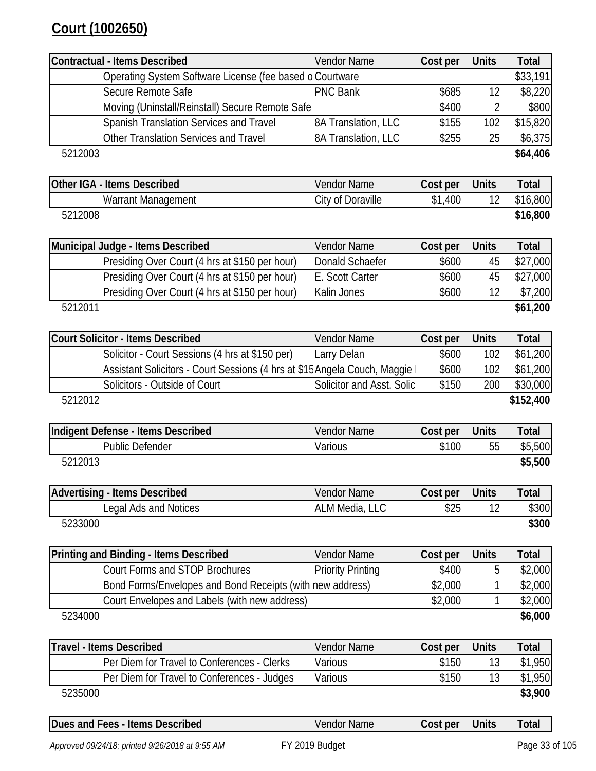### **Court (1002650)**

| Contractual - Items Described                                               | Vendor Name                | Cost per | <b>Units</b>   | <b>Total</b> |
|-----------------------------------------------------------------------------|----------------------------|----------|----------------|--------------|
| Operating System Software License (fee based o Courtware                    |                            |          |                | \$33,191     |
| Secure Remote Safe                                                          | <b>PNC Bank</b>            | \$685    | 12             | \$8,220      |
| Moving (Uninstall/Reinstall) Secure Remote Safe                             |                            | \$400    | $\overline{2}$ | \$800        |
| Spanish Translation Services and Travel                                     | 8A Translation, LLC        | \$155    | 102            | \$15,820     |
| Other Translation Services and Travel                                       | 8A Translation, LLC        | \$255    | 25             | \$6,375      |
| 5212003                                                                     |                            |          |                | \$64,406     |
| Other IGA - Items Described                                                 | Vendor Name                | Cost per | <b>Units</b>   | <b>Total</b> |
| Warrant Management                                                          | City of Doraville          | \$1,400  | 12             | \$16,800     |
| 5212008                                                                     |                            |          |                | \$16,800     |
| Municipal Judge - Items Described                                           | Vendor Name                | Cost per | <b>Units</b>   | <b>Total</b> |
| Presiding Over Court (4 hrs at \$150 per hour)                              | Donald Schaefer            | \$600    | 45             | \$27,000     |
| Presiding Over Court (4 hrs at \$150 per hour)                              | E. Scott Carter            | \$600    | 45             | \$27,000     |
| Presiding Over Court (4 hrs at \$150 per hour)                              | Kalin Jones                | \$600    | 12             | \$7,200      |
| 5212011                                                                     |                            |          |                | \$61,200     |
| <b>Court Solicitor - Items Described</b>                                    | Vendor Name                | Cost per | <b>Units</b>   | <b>Total</b> |
| Solicitor - Court Sessions (4 hrs at \$150 per)                             | Larry Delan                | \$600    | 102            | \$61,200     |
| Assistant Solicitors - Court Sessions (4 hrs at \$15 Angela Couch, Maggie I |                            | \$600    | 102            | \$61,200     |
| Solicitors - Outside of Court                                               | Solicitor and Asst. Solici | \$150    | 200            | \$30,000     |
| 5212012                                                                     |                            |          |                | \$152,400    |
| Indigent Defense - Items Described                                          | Vendor Name                | Cost per | <b>Units</b>   | <b>Total</b> |
| <b>Public Defender</b>                                                      | Various                    | \$100    | 55             | \$5,500      |
| 5212013                                                                     |                            |          |                | \$5,500      |
| <b>Advertising - Items Described</b>                                        | Vendor Name                | Cost per | <b>Units</b>   | <b>Total</b> |
| Legal Ads and Notices                                                       | ALM Media, LLC             | \$25     | 12             | \$300        |
| 5233000                                                                     |                            |          |                | \$300        |
| Printing and Binding - Items Described                                      | Vendor Name                | Cost per | <b>Units</b>   | <b>Total</b> |
| <b>Court Forms and STOP Brochures</b>                                       | <b>Priority Printing</b>   | \$400    | 5              | \$2,000      |
| Bond Forms/Envelopes and Bond Receipts (with new address)                   |                            | \$2,000  | 1              | \$2,000      |
| Court Envelopes and Labels (with new address)                               |                            | \$2,000  | 1              | \$2,000      |
| 5234000                                                                     |                            |          |                | \$6,000      |
| <b>Travel - Items Described</b>                                             | Vendor Name                | Cost per | <b>Units</b>   | <b>Total</b> |
| Per Diem for Travel to Conferences - Clerks                                 | Various                    | \$150    | 13             | \$1,950      |
| Per Diem for Travel to Conferences - Judges                                 | Various                    | \$150    | 13             | \$1,950      |
| 5235000                                                                     |                            |          |                | \$3,900      |
| Dues and Fees - Items Described                                             | Vendor Name                | Cost per | <b>Units</b>   | Total        |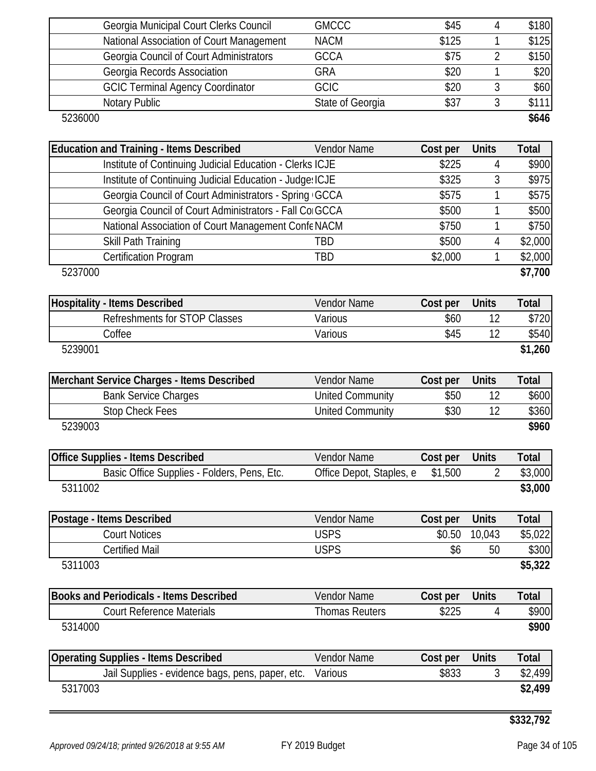| Georgia Municipal Court Clerks Council   | <b>GMCCC</b>     | \$45  | \$180 |
|------------------------------------------|------------------|-------|-------|
| National Association of Court Management | <b>NACM</b>      | \$125 | \$125 |
| Georgia Council of Court Administrators  | <b>GCCA</b>      | \$75  | \$150 |
| Georgia Records Association              | <b>GRA</b>       | \$20  | \$20  |
| <b>GCIC Terminal Agency Coordinator</b>  | <b>GCIC</b>      | \$20  | \$60  |
| Notary Public                            | State of Georgia | \$37  | \$111 |
| 5236000                                  |                  |       | \$646 |

| <b>Education and Training - Items Described</b>          | <b>Vendor Name</b> | Cost per | <b>Units</b> | Total   |
|----------------------------------------------------------|--------------------|----------|--------------|---------|
| Institute of Continuing Judicial Education - Clerks ICJE |                    | \$225    | 4            | \$900   |
| Institute of Continuing Judicial Education - Judge: ICJE |                    | \$325    | 3            | \$975   |
| Georgia Council of Court Administrators - Spring GCCA    |                    | \$575    |              | \$575   |
| Georgia Council of Court Administrators - Fall Co GCCA   |                    | \$500    |              | \$500   |
| National Association of Court Management Confe NACM      |                    | \$750    |              | \$750   |
| Skill Path Training                                      | TBD                | \$500    | 4            | \$2,000 |
| <b>Certification Program</b>                             | TBD                | \$2,000  |              | \$2,000 |
| 5237000                                                  |                    |          |              | \$7,700 |

| <b>Hospitality - Items Described</b> | <b>Vendor Name</b> | Cost per | <b>Units</b> | Total   |
|--------------------------------------|--------------------|----------|--------------|---------|
| Refreshments for STOP Classes        | Various            | \$60     |              | \$720   |
| Coffee                               | Various            | \$45     |              | \$540   |
| 5239001                              |                    |          |              | \$1,260 |

| Merchant Service Charges - Items Described | <b>Vendor Name</b> | Cost per | <b>Units</b> | Total |
|--------------------------------------------|--------------------|----------|--------------|-------|
| <b>Bank Service Charges</b>                | United Community   | \$50     |              | \$600 |
| Stop Check Fees                            | United Community   | \$30     |              | \$360 |
| 5239003                                    |                    |          |              | \$960 |

| <b>Office Supplies - Items Described</b>    | Vendor Name              | Cost per | <b>Units</b> | Total   |
|---------------------------------------------|--------------------------|----------|--------------|---------|
| Basic Office Supplies - Folders, Pens, Etc. | Office Depot, Staples, e | \$1,500  |              | \$3,000 |
| 5311002                                     |                          |          |              | \$3,000 |

| Postage - Items Described | <b>Vendor Name</b> | Cost per | <b>Units</b> | Total   |
|---------------------------|--------------------|----------|--------------|---------|
| Court Notices             | USPS               | \$0.50   | 10.043       | \$5,022 |
| Certified Mail            | USPS               | \$6      | 50           | \$300   |
| 5311003                   |                    |          |              | \$5,322 |

| Books and Periodicals - Items Described | Vendor Name    | Cost per | <b>Units</b> | $\tau$ otal |
|-----------------------------------------|----------------|----------|--------------|-------------|
| Court Reference Materials               | Thomas Reuters | \$225    |              | \$900       |
| 5314000                                 |                |          |              | \$900       |

| <b>Operating Supplies - Items Described</b>              | Vendor Name | Cost per | <b>Units</b> | Total   |
|----------------------------------------------------------|-------------|----------|--------------|---------|
| Jail Supplies - evidence bags, pens, paper, etc. Various |             | \$833    |              | \$2,499 |
| 5317003                                                  |             |          |              | \$2,499 |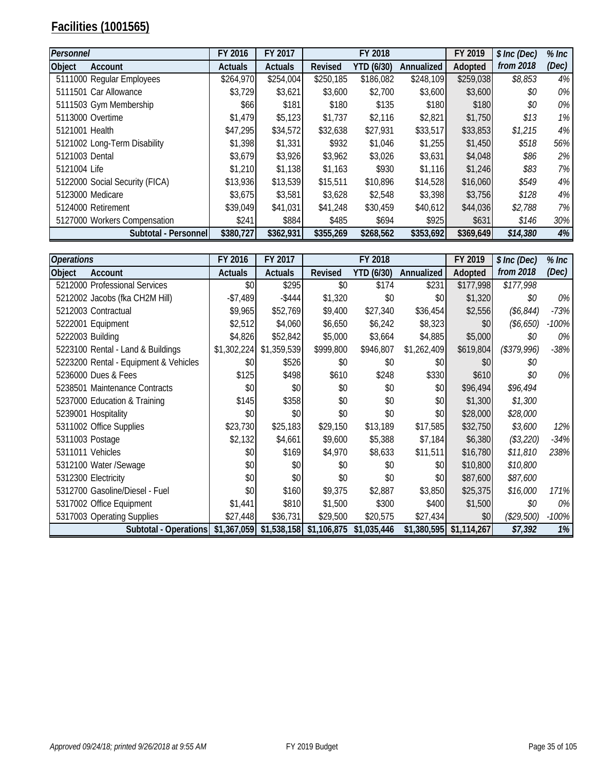### **Facilities (1001565)**

| Personnel                      | FY 2016        | FY 2017        |           | FY 2018    |            | FY 2019   | \$ Inc (Dec) | $%$ Inc |
|--------------------------------|----------------|----------------|-----------|------------|------------|-----------|--------------|---------|
| <b>Object</b><br>Account       | <b>Actuals</b> | <b>Actuals</b> | Revised   | YTD (6/30) | Annualized | Adopted   | from 2018    | (Dec)   |
| 5111000 Regular Employees      | \$264,970      | \$254,004      | \$250,185 | \$186,082  | \$248,109  | \$259,038 | \$8,853      | 4%      |
| 5111501 Car Allowance          | \$3,729        | \$3,621        | \$3,600   | \$2,700    | \$3,600    | \$3,600   | \$0          | 0%      |
| 5111503 Gym Membership         | \$66I          | \$181          | \$180     | \$135      | \$180      | \$180     | \$0          | 0%      |
| 5113000 Overtime               | \$1,479        | \$5,123        | \$1,737   | \$2,116    | \$2,821    | \$1,750   | \$13         | 1%      |
| 5121001 Health                 | \$47,295       | \$34,572       | \$32,638  | \$27,931   | \$33,517   | \$33,853  | \$1,215      | 4%      |
| 5121002 Long-Term Disability   | \$1,398        | \$1,331        | \$932     | \$1,046    | \$1,255    | \$1,450   | \$518        | 56%     |
| 5121003 Dental                 | \$3,679        | \$3,926        | \$3,962   | \$3,026    | \$3,631    | \$4,048   | \$86         | 2%      |
| 5121004 Life                   | \$1,210        | \$1,138        | \$1,163   | \$930      | \$1,116    | \$1,246   | \$83         | 7%      |
| 5122000 Social Security (FICA) | \$13,936       | \$13,539       | \$15,511  | \$10,896   | \$14,528   | \$16,060  | \$549        | 4%      |
| 5123000 Medicare               | \$3,675        | \$3,581        | \$3,628   | \$2,548    | \$3,398    | \$3,756   | \$128        | 4%      |
| 5124000 Retirement             | \$39,049       | \$41,031       | \$41,248  | \$30,459   | \$40,612   | \$44,036  | \$2,788      | 7%      |
| 5127000 Workers Compensation   | \$241          | \$884          | \$485     | \$694      | \$925      | \$631     | \$146        | 30%     |
| Subtotal - Personnel           | \$380,727      | \$362,931      | \$355,269 | \$268,562  | \$353,692  | \$369,649 | \$14,380     | 4%      |

| <b>Operations</b>                     | FY 2016        | FY 2017                                             |           | FY 2018           |             | FY 2019                   | \$ Inc (Dec) | $%$ Inc |
|---------------------------------------|----------------|-----------------------------------------------------|-----------|-------------------|-------------|---------------------------|--------------|---------|
| Object<br>Account                     | <b>Actuals</b> | <b>Actuals</b>                                      | Revised   | <b>YTD (6/30)</b> | Annualized  | Adopted                   | from 2018    | (Dec)   |
| 5212000 Professional Services         | \$0            | \$295                                               | \$0       | \$174             | \$231       | \$177,998                 | \$177,998    |         |
| 5212002 Jacobs (fka CH2M Hill)        | $-$7,489$      | $-$ \$444                                           | \$1,320   | \$0               | \$0         | \$1,320                   | \$0          | $0\%$   |
| 5212003 Contractual                   | \$9,965        | \$52,769                                            | \$9,400   | \$27,340          | \$36,454    | \$2,556                   | (\$6,844)    | $-73%$  |
| 5222001 Equipment                     | \$2,512        | \$4,060                                             | \$6,650   | \$6,242           | \$8,323     | \$0                       | (\$6,650)    | $-100%$ |
| 5222003 Building                      | \$4,826        | \$52,842                                            | \$5,000   | \$3,664           | \$4,885     | \$5,000                   | \$0          | $0\%$   |
| 5223100 Rental - Land & Buildings     | \$1,302,224    | \$1,359,539                                         | \$999,800 | \$946,807         | \$1,262,409 | \$619,804                 | (\$379,996)  | $-38%$  |
| 5223200 Rental - Equipment & Vehicles | \$0            | \$526                                               | \$0       | \$0               | \$0         | \$0                       | \$0          |         |
| 5236000 Dues & Fees                   | \$125          | \$498                                               | \$610     | \$248             | \$330       | \$610                     | \$0          | 0%      |
| 5238501 Maintenance Contracts         | \$0            | \$0                                                 | \$0       | \$0               | \$0         | \$96,494                  | \$96,494     |         |
| 5237000 Education & Training          | \$145          | \$358                                               | \$0       | \$0               | \$0         | \$1,300                   | \$1,300      |         |
| 5239001 Hospitality                   | \$0            | \$0                                                 | \$0       | \$0               | \$0         | \$28,000                  | \$28,000     |         |
| 5311002 Office Supplies               | \$23,730       | \$25,183                                            | \$29,150  | \$13,189          | \$17,585    | \$32,750                  | \$3,600      | $12\%$  |
| 5311003 Postage                       | \$2,132        | \$4,661                                             | \$9,600   | \$5,388           | \$7,184     | \$6,380                   | (\$3,220)    | $-34%$  |
| 5311011 Vehicles                      | \$0            | \$169                                               | \$4,970   | \$8,633           | \$11,511    | \$16,780                  | \$11,810     | 238%    |
| 5312100 Water /Sewage                 | \$0            | \$0                                                 | \$0       | \$0               | \$0         | \$10,800                  | \$10,800     |         |
| 5312300 Electricity                   | \$0            | \$0                                                 | \$0       | \$0               | \$0         | \$87,600                  | \$87,600     |         |
| 5312700 Gasoline/Diesel - Fuel        | \$0            | \$160                                               | \$9,375   | \$2,887           | \$3,850     | \$25,375                  | \$16,000     | 171%    |
| 5317002 Office Equipment              | \$1,441        | \$810                                               | \$1,500   | \$300             | \$400       | \$1,500                   | \$0          | $0\%$   |
| 5317003 Operating Supplies            | \$27,448       | \$36,731                                            | \$29,500  | \$20,575          | \$27,434    | \$0                       | (\$29,500)   | $-100%$ |
| Subtotal - Operations                 |                | $$1,367,059$ $$1,538,158$ $$1,106,875$ $$1,035,446$ |           |                   |             | $$1,380,595$ $$1,114,267$ | \$7,392      | 1%      |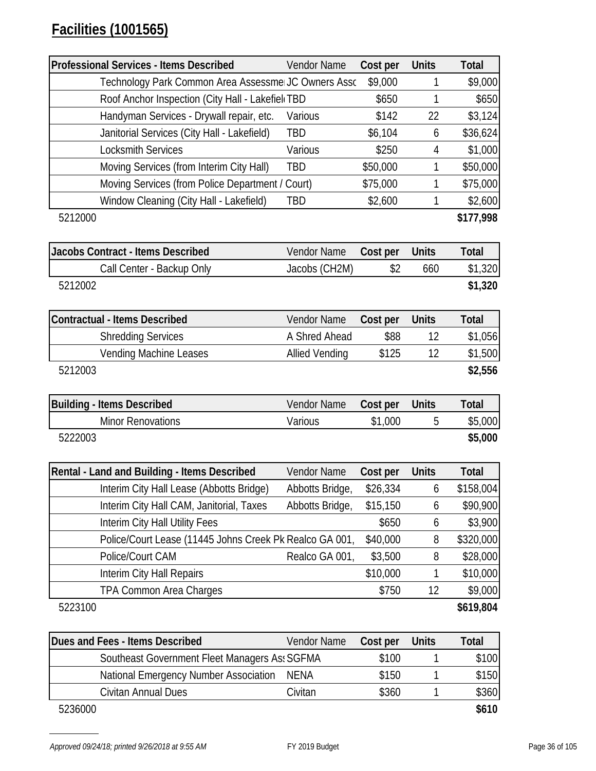| <b>Professional Services - Items Described</b>          | Vendor Name           | Cost per | <b>Units</b>                    | <b>Total</b>     |
|---------------------------------------------------------|-----------------------|----------|---------------------------------|------------------|
| Technology Park Common Area Assessme JC Owners Asso     |                       | \$9,000  | 1                               | \$9,000          |
| Roof Anchor Inspection (City Hall - Lakefiel TBD        |                       | \$650    | 1                               | \$650            |
| Handyman Services - Drywall repair, etc.                | Various               | \$142    | 22                              | \$3,124          |
| Janitorial Services (City Hall - Lakefield)             | <b>TBD</b>            | \$6,104  | 6                               | \$36,624         |
| <b>Locksmith Services</b>                               | Various               | \$250    | 4                               | \$1,000          |
| Moving Services (from Interim City Hall)                | TBD                   | \$50,000 | 1                               | \$50,000         |
| Moving Services (from Police Department / Court)        |                       | \$75,000 | 1                               | \$75,000         |
| Window Cleaning (City Hall - Lakefield)                 | TBD                   | \$2,600  | 1                               | \$2,600          |
| 5212000                                                 |                       |          |                                 | \$177,998        |
|                                                         |                       |          |                                 |                  |
| Jacobs Contract - Items Described                       | Vendor Name           | Cost per | <b>Units</b>                    | <b>Total</b>     |
| Call Center - Backup Only                               | Jacobs (CH2M)         | \$2      | 660                             | \$1,320          |
| 5212002                                                 |                       |          |                                 | \$1,320          |
|                                                         |                       |          |                                 |                  |
| Contractual - Items Described                           | Vendor Name           | Cost per | <b>Units</b>                    | <b>Total</b>     |
| <b>Shredding Services</b>                               | A Shred Ahead         | \$88     | 12                              | \$1,056          |
| <b>Vending Machine Leases</b>                           | <b>Allied Vending</b> | \$125    | 12                              | \$1,500          |
| 5212003                                                 |                       |          |                                 | \$2,556          |
|                                                         |                       |          |                                 |                  |
| <b>Building - Items Described</b>                       | Vendor Name           | Cost per | <b>Units</b>                    | <b>Total</b>     |
| <b>Minor Renovations</b>                                | Various               | \$1,000  | 5                               | \$5,000          |
| 5222003                                                 |                       |          |                                 | \$5,000          |
|                                                         |                       |          |                                 |                  |
| Rental - Land and Building - Items Described            | Vendor Name           | Cost per | <b>Units</b>                    | <b>Total</b>     |
| Interim City Hall Lease (Abbotts Bridge)                | Abbotts Bridge,       | \$26,334 | 6                               | \$158,004        |
| Interim City Hall CAM, Janitorial, Taxes                | Abbotts Bridge,       | \$15,150 | 6                               | \$90,900         |
| Interim City Hall Utility Fees                          |                       | \$650    | 6                               | \$3,900          |
| Police/Court Lease (11445 Johns Creek Pk Realco GA 001, |                       | \$40,000 | 8                               | \$320,000        |
| Police/Court CAM                                        | Realco GA 001,        | \$3,500  | 8                               | \$28,000         |
| Interim City Hall Repairs                               |                       | \$10,000 | 1                               | \$10,000         |
| TPA Common Area Charges                                 |                       | \$750    | 12                              | \$9,000          |
| 5223100                                                 |                       |          |                                 | \$619,804        |
| ad Foon, Home Departhead                                |                       |          | 11 <sub>m</sub> 11 <sub>n</sub> | $T_{\alpha}$ tal |

| Dues and Fees - Items Described               | Vendor Name | Cost per | <b>Units</b> | Total |
|-----------------------------------------------|-------------|----------|--------------|-------|
| Southeast Government Fleet Managers As: SGFMA |             | \$100    |              | \$100 |
| National Emergency Number Association NENA    |             | \$150    |              | \$150 |
| Civitan Annual Dues                           | Civitan     | \$360    |              | \$360 |
| 5236000                                       |             |          |              | \$610 |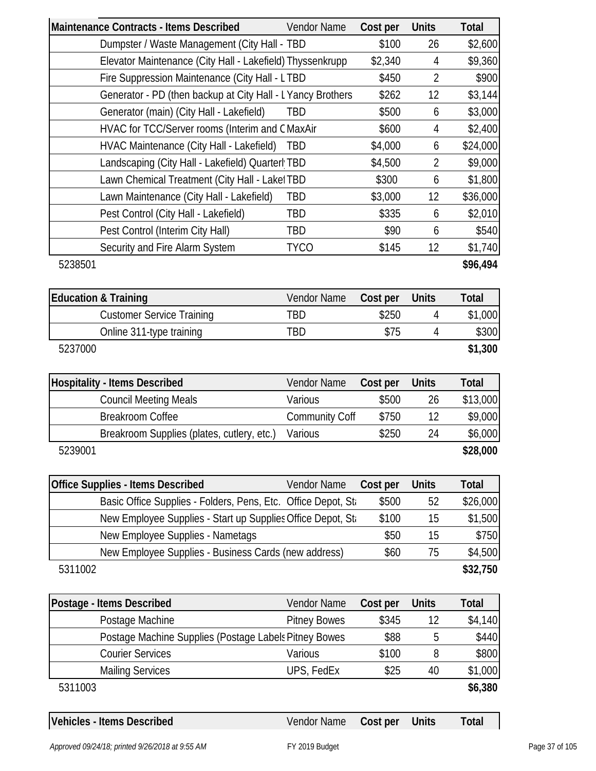| Maintenance Contracts - Items Described                       | Vendor Name           | Cost per | <b>Units</b>   | Total        |
|---------------------------------------------------------------|-----------------------|----------|----------------|--------------|
| Dumpster / Waste Management (City Hall - TBD                  |                       | \$100    | 26             | \$2,600      |
| Elevator Maintenance (City Hall - Lakefield) Thyssenkrupp     |                       | \$2,340  | 4              | \$9,360      |
| Fire Suppression Maintenance (City Hall - LTBD                |                       | \$450    | $\overline{2}$ | \$900        |
| Generator - PD (then backup at City Hall - L Yancy Brothers   |                       | \$262    | 12             | \$3,144      |
| Generator (main) (City Hall - Lakefield)                      | <b>TBD</b>            | \$500    | 6              | \$3,000      |
| HVAC for TCC/Server rooms (Interim and CMaxAir                |                       | \$600    | 4              | \$2,400      |
| HVAC Maintenance (City Hall - Lakefield)                      | TBD                   | \$4,000  | 6              | \$24,000     |
| Landscaping (City Hall - Lakefield) Quarterl TBD              |                       | \$4,500  | $\overline{2}$ | \$9,000      |
| Lawn Chemical Treatment (City Hall - Laket TBD                |                       | \$300    | 6              | \$1,800      |
| Lawn Maintenance (City Hall - Lakefield)                      | TBD                   | \$3,000  | 12             | \$36,000     |
| Pest Control (City Hall - Lakefield)                          | TBD                   | \$335    | 6              | \$2,010      |
| Pest Control (Interim City Hall)                              | TBD                   | \$90     | 6              | \$540        |
| Security and Fire Alarm System                                | <b>TYCO</b>           | \$145    | 12             | \$1,740      |
| 5238501                                                       |                       |          |                | \$96,494     |
| <b>Education &amp; Training</b>                               | Vendor Name           | Cost per | <b>Units</b>   | Total        |
| <b>Customer Service Training</b>                              | <b>TBD</b>            | \$250    | 4              | \$1,000      |
| Online 311-type training                                      | TBD                   | \$75     | 4              | \$300        |
| 5237000                                                       |                       |          |                | \$1,300      |
| <b>Hospitality - Items Described</b>                          | Vendor Name           | Cost per | <b>Units</b>   | Total        |
| <b>Council Meeting Meals</b>                                  | Various               | \$500    | 26             | \$13,000     |
| <b>Breakroom Coffee</b>                                       | <b>Community Coff</b> | \$750    | 12             | \$9,000      |
| Breakroom Supplies (plates, cutlery, etc.)                    | Various               | \$250    | 24             | \$6,000      |
| 5239001                                                       |                       |          |                | \$28,000     |
|                                                               |                       |          |                |              |
| <b>Office Supplies - Items Described</b>                      | Vendor Name           | Cost per | <b>Units</b>   | <b>Total</b> |
| Basic Office Supplies - Folders, Pens, Etc. Office Depot, Sta |                       | \$500    | 52             | \$26,000     |
| New Employee Supplies - Start up Supplies Office Depot, Sta   |                       | \$100    | 15             | \$1,500      |
| New Employee Supplies - Nametags                              |                       | \$50     | 15             | \$750        |
| New Employee Supplies - Business Cards (new address)          |                       | \$60     | 75             | \$4,500      |
| 5311002                                                       |                       |          |                | \$32,750     |
| Postage - Items Described                                     | Vendor Name           | Cost per | <b>Units</b>   | <b>Total</b> |
| Postage Machine                                               | <b>Pitney Bowes</b>   | \$345    | 12             | \$4,140      |
| Postage Machine Supplies (Postage Labels Pitney Bowes         |                       | \$88     | 5              | \$440        |
| <b>Courier Services</b>                                       | Various               | \$100    | 8              | \$800        |
| <b>Mailing Services</b>                                       | UPS, FedEx            | \$25     | 40             | \$1,000      |
| 5311003                                                       |                       |          |                | \$6,380      |
|                                                               |                       |          |                |              |
| Vehicles - Items Described                                    | Vendor Name           | Cost per | <b>Units</b>   | Total        |

*Approved 09/24/18; printed 9/26/2018 at 9:55 AM* FY 2019 Budget Page 37 of 105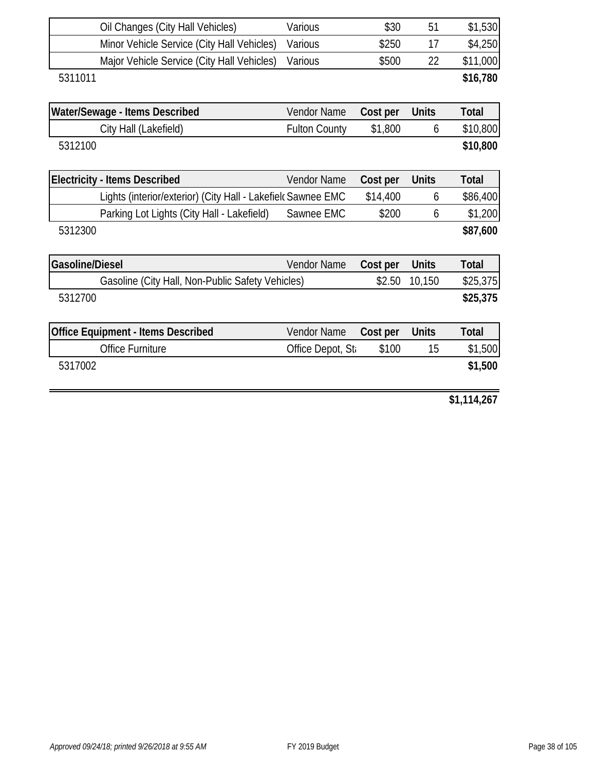| Various                                                      | \$30                                                            | 51                                      | \$1,530                |
|--------------------------------------------------------------|-----------------------------------------------------------------|-----------------------------------------|------------------------|
| Various                                                      | \$250                                                           | 17                                      | \$4,250                |
| Various                                                      | \$500                                                           | 22                                      | \$11,000               |
|                                                              |                                                                 |                                         | \$16,780               |
|                                                              |                                                                 |                                         |                        |
| <b>Vendor Name</b>                                           | Cost per                                                        | <b>Units</b>                            | <b>Total</b>           |
| <b>Fulton County</b>                                         | \$1,800                                                         | 6                                       | \$10,800               |
|                                                              |                                                                 |                                         | \$10,800               |
|                                                              |                                                                 |                                         |                        |
| <b>Vendor Name</b>                                           | Cost per                                                        | <b>Units</b>                            | <b>Total</b>           |
| Lights (interior/exterior) (City Hall - Lakefield Sawnee EMC | \$14,400                                                        | 6                                       | \$86,400               |
| Sawnee EMC                                                   | \$200                                                           | 6                                       | \$1,200                |
|                                                              |                                                                 |                                         | \$87,600               |
|                                                              |                                                                 |                                         | <b>Total</b>           |
|                                                              |                                                                 |                                         | \$25,375               |
|                                                              |                                                                 |                                         |                        |
|                                                              |                                                                 |                                         | \$25,375               |
| Vendor Name                                                  | Cost per                                                        | <b>Units</b>                            | <b>Total</b>           |
|                                                              | \$100                                                           | 15                                      | \$1,500                |
|                                                              |                                                                 |                                         | \$1,500                |
|                                                              |                                                                 |                                         | \$1,114,267            |
|                                                              | Vendor Name<br>Gasoline (City Hall, Non-Public Safety Vehicles) | Cost per<br>\$2.50<br>Office Depot, St. | <b>Units</b><br>10,150 |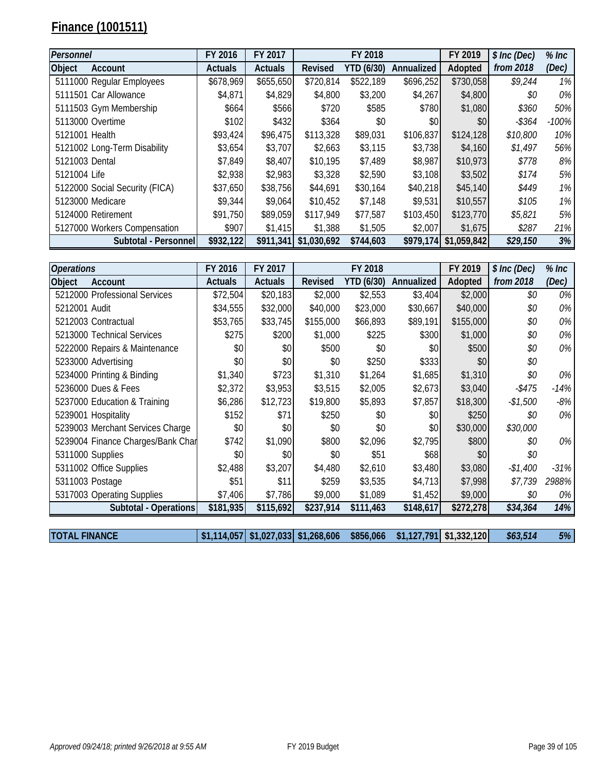# **Finance (1001511)**

| Personnel      |                                | FY 2016        | FY 2017        |                | FY 2018           |            | FY 2019     | \$ Inc (Dec) | $%$ Inc |
|----------------|--------------------------------|----------------|----------------|----------------|-------------------|------------|-------------|--------------|---------|
| <b>Object</b>  | Account                        | <b>Actuals</b> | <b>Actuals</b> | <b>Revised</b> | <b>YTD (6/30)</b> | Annualized | Adopted     | from 2018    | (Dec)   |
|                | 5111000 Regular Employees      | \$678,969      | \$655,650      | \$720,814      | \$522,189         | \$696,252  | \$730,058   | \$9,244      | $1\%$   |
|                | 5111501 Car Allowance          | \$4,871        | \$4,829        | \$4,800        | \$3,200           | \$4,267    | \$4,800     | \$0          | $0\%$   |
|                | 5111503 Gym Membership         | \$664]         | \$566          | \$720          | \$585             | \$780      | \$1,080     | \$360        | 50%     |
|                | 5113000 Overtime               | \$102          | \$432          | \$364          | \$0               | \$0        | \$0         | $-$ \$364    | $-100%$ |
| 5121001 Health |                                | \$93,424       | \$96,475       | \$113,328      | \$89,031          | \$106,837  | \$124,128   | \$10,800     | 10%     |
|                | 5121002 Long-Term Disability   | \$3,654        | \$3,707        | \$2,663        | \$3,115           | \$3,738    | \$4,160     | \$1,497      | 56%     |
| 5121003 Dental |                                | \$7,849        | \$8,407        | \$10,195       | \$7,489           | \$8,987    | \$10,973    | \$778        | 8%      |
| 5121004 Life   |                                | \$2,938        | \$2,983        | \$3,328        | \$2,590           | \$3,108    | \$3,502     | \$174        | 5%      |
|                | 5122000 Social Security (FICA) | \$37,650       | \$38,756       | \$44,691       | \$30,164          | \$40,218   | \$45,140    | \$449        | $1\%$   |
|                | 5123000 Medicare               | \$9,344        | \$9,064        | \$10,452       | \$7,148           | \$9,531    | \$10,557    | \$105        | 1%      |
|                | 5124000 Retirement             | \$91,750       | \$89,059       | \$117,949      | \$77,587          | \$103,450  | \$123,770   | \$5,821      | 5%      |
|                | 5127000 Workers Compensation   | \$907          | \$1,415        | \$1,388        | \$1,505           | \$2,007    | \$1,675     | \$287        | 21%     |
|                | Subtotal - Personnel           | \$932,122      | \$911,341      | \$1,030,692    | \$744,603         | \$979,174  | \$1,059,842 | \$29,150     | 3%      |

| <b>Operations</b>    |                                   | FY 2016        | FY 2017                   |             | FY 2018           |             | FY 2019     | \$ Inc (Dec) | $%$ Inc |
|----------------------|-----------------------------------|----------------|---------------------------|-------------|-------------------|-------------|-------------|--------------|---------|
| Object               | Account                           | <b>Actuals</b> | <b>Actuals</b>            | Revised     | <b>YTD (6/30)</b> | Annualized  | Adopted     | from 2018    | (Dec)   |
|                      | 5212000 Professional Services     | \$72,504       | \$20,183                  | \$2,000     | \$2,553           | \$3,404     | \$2,000     | \$0          | 0%      |
| 5212001 Audit        |                                   | \$34,555       | \$32,000                  | \$40,000    | \$23,000          | \$30,667    | \$40,000    | \$0          | 0%      |
|                      | 5212003 Contractual               | \$53,765       | \$33,745                  | \$155,000   | \$66,893          | \$89,191    | \$155,000   | \$0          | 0%      |
|                      | 5213000 Technical Services        | \$275          | \$200                     | \$1,000     | \$225             | \$300       | \$1,000     | \$0          | 0%      |
|                      | 5222000 Repairs & Maintenance     | \$0            | \$0                       | \$500       | \$0               | \$0         | \$500       | \$0          | 0%      |
|                      | 5233000 Advertising               | \$0            | \$0                       | \$0         | \$250             | \$333       | \$0         | \$0          |         |
|                      | 5234000 Printing & Binding        | \$1,340        | \$723                     | \$1,310     | \$1,264           | \$1,685     | \$1,310     | \$0          | 0%      |
|                      | 5236000 Dues & Fees               | \$2,372        | \$3,953                   | \$3,515     | \$2,005           | \$2,673     | \$3,040     | $-$ \$475    | $-14%$  |
|                      | 5237000 Education & Training      | \$6,286        | \$12,723                  | \$19,800    | \$5,893           | \$7,857     | \$18,300    | $-$1,500$    | -8%     |
|                      | 5239001 Hospitality               | \$152          | \$71                      | \$250       | \$0               | \$0         | \$250       | \$0          | 0%      |
|                      | 5239003 Merchant Services Charge  | \$0            | \$0                       | \$0         | \$0               | \$0         | \$30,000    | \$30,000     |         |
|                      | 5239004 Finance Charges/Bank Char | \$742          | \$1,090                   | \$800       | \$2,096           | \$2,795     | \$800       | \$0          | 0%      |
|                      | 5311000 Supplies                  | \$0            | \$0                       | \$0         | \$51              | \$68        | \$0         | \$0          |         |
|                      | 5311002 Office Supplies           | \$2,488        | \$3,207                   | \$4,480     | \$2,610           | \$3,480     | \$3,080     | $-$1,400$    | -31%    |
|                      | 5311003 Postage                   | \$51           | \$11                      | \$259       | \$3,535           | \$4,713     | \$7,998     | \$7,739      | 2988%   |
|                      | 5317003 Operating Supplies        | \$7,406        | \$7,786                   | \$9,000     | \$1,089           | \$1,452     | \$9,000     | \$0          | 0%      |
|                      | Subtotal - Operations             | \$181,935      | \$115,692                 | \$237,914   | \$111,463         | \$148,617   | \$272,278   | \$34,364     | 14%     |
|                      |                                   |                |                           |             |                   |             |             |              |         |
| <b>TOTAL FINANCE</b> |                                   |                | $$1,114,057$ $$1,027,033$ | \$1,268,606 | \$856,066         | \$1,127,791 | \$1,332,120 | \$63,514     | 5%      |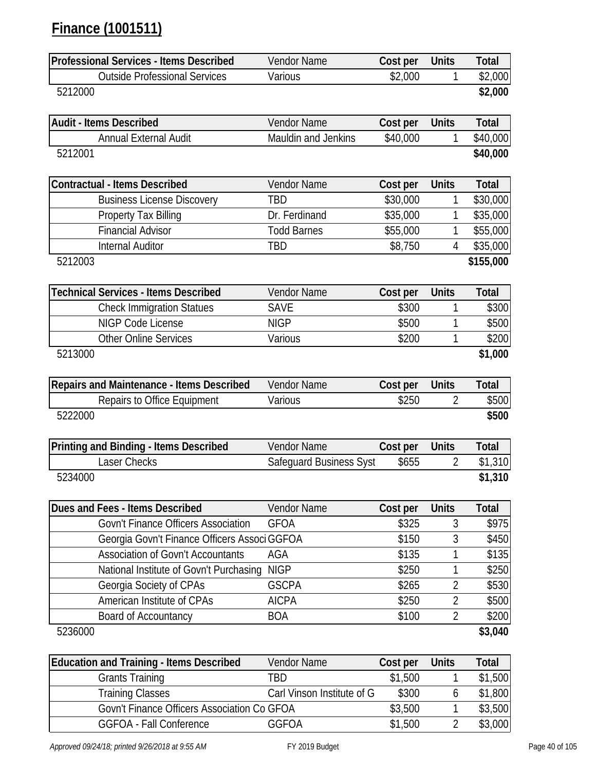# **Finance (1001511)**

| <b>Professional Services - Items Described</b>  | Vendor Name                    | Cost per | <b>Units</b>   | <b>Total</b> |
|-------------------------------------------------|--------------------------------|----------|----------------|--------------|
| <b>Outside Professional Services</b>            | Various                        | \$2,000  | 1              | \$2,000      |
| 5212000                                         |                                |          |                | \$2,000      |
| <b>Audit - Items Described</b>                  | <b>Vendor Name</b>             | Cost per | <b>Units</b>   | <b>Total</b> |
| <b>Annual External Audit</b>                    | Mauldin and Jenkins            | \$40,000 | 1              | \$40,000     |
| 5212001                                         |                                |          |                | \$40,000     |
|                                                 |                                |          |                |              |
| <b>Contractual - Items Described</b>            | Vendor Name                    | Cost per | <b>Units</b>   | <b>Total</b> |
| <b>Business License Discovery</b>               | TBD                            | \$30,000 | 1              | \$30,000     |
| <b>Property Tax Billing</b>                     | Dr. Ferdinand                  | \$35,000 | 1              | \$35,000     |
| <b>Financial Advisor</b>                        | <b>Todd Barnes</b>             | \$55,000 | 1              | \$55,000     |
| <b>Internal Auditor</b>                         | TBD                            | \$8,750  | 4              | \$35,000     |
| 5212003                                         |                                |          |                | \$155,000    |
| <b>Technical Services - Items Described</b>     | Vendor Name                    | Cost per | <b>Units</b>   | <b>Total</b> |
| <b>Check Immigration Statues</b>                | <b>SAVE</b>                    | \$300    | 1              | \$300        |
| <b>NIGP Code License</b>                        | <b>NIGP</b>                    | \$500    | 1              | \$500        |
| <b>Other Online Services</b>                    | Various                        | \$200    | 1              | \$200        |
| 5213000                                         |                                |          |                | \$1,000      |
|                                                 |                                |          |                |              |
| Repairs and Maintenance - Items Described       | Vendor Name                    | Cost per | <b>Units</b>   | <b>Total</b> |
| Repairs to Office Equipment                     | Various                        | \$250    | $\overline{2}$ | \$500        |
| 5222000                                         |                                |          |                | \$500        |
| Printing and Binding - Items Described          | Vendor Name                    | Cost per | <b>Units</b>   | <b>Total</b> |
| Laser Checks                                    | <b>Safeguard Business Syst</b> | \$655    | $\overline{2}$ | \$1,310      |
| 5234000                                         |                                |          |                | \$1,310      |
|                                                 |                                |          |                |              |
| Dues and Fees - Items Described                 | Vendor Name                    | Cost per | <b>Units</b>   | <b>Total</b> |
| <b>Govn't Finance Officers Association</b>      | <b>GFOA</b>                    | \$325    | 3              | \$975        |
| Georgia Govn't Finance Officers Associ GGFOA    |                                | \$150    | 3              | \$450        |
| <b>Association of Govn't Accountants</b>        | AGA                            | \$135    | 1              | \$135        |
| National Institute of Govn't Purchasing         | <b>NIGP</b>                    | \$250    | 1              | \$250        |
| Georgia Society of CPAs                         | <b>GSCPA</b>                   | \$265    | $\overline{2}$ | \$530        |
| American Institute of CPAs                      | <b>AICPA</b>                   | \$250    | $\overline{2}$ | \$500        |
| Board of Accountancy                            | <b>BOA</b>                     | \$100    | $\overline{2}$ | \$200        |
| 5236000                                         |                                |          |                | \$3,040      |
| <b>Education and Training - Items Described</b> | Vendor Name                    | Cost per | <b>Units</b>   | <b>Total</b> |
| <b>Grants Training</b>                          | TBD                            | \$1,500  | 1              | \$1,500      |
| <b>Training Classes</b>                         | Carl Vinson Institute of G     | \$300    | 6              | \$1,800      |
| Govn't Finance Officers Association Co GFOA     |                                | \$3,500  | 1              | \$3,500      |
| <b>GGFOA - Fall Conference</b>                  | <b>GGFOA</b>                   | \$1,500  | $\overline{2}$ | \$3,000      |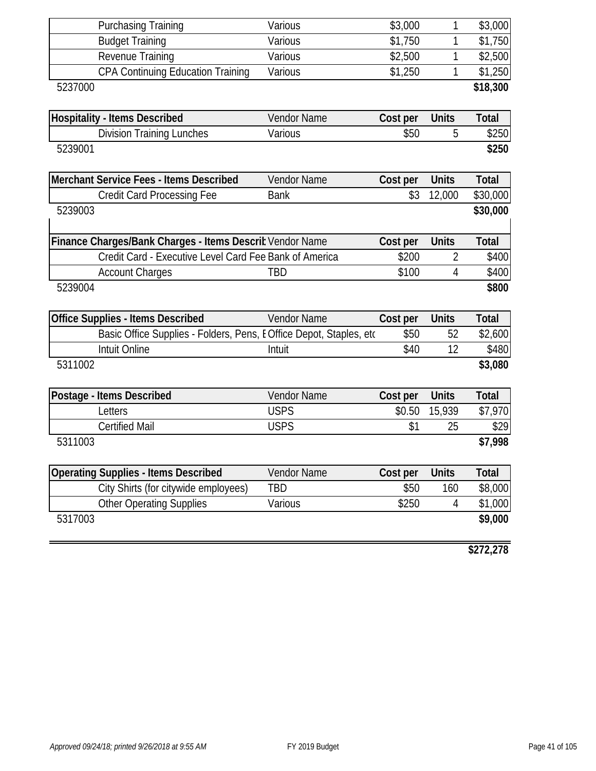|         | <b>Purchasing Training</b>                                         | Various            | \$3,000  | 1            | \$3,000      |
|---------|--------------------------------------------------------------------|--------------------|----------|--------------|--------------|
|         | <b>Budget Training</b>                                             | Various            | \$1,750  | 1            | \$1,750      |
|         | Revenue Training                                                   | Various            | \$2,500  | 1            | \$2,500      |
|         | CPA Continuing Education Training                                  | Various            | \$1,250  | 1            | \$1,250      |
| 5237000 |                                                                    |                    |          |              | \$18,300     |
|         | <b>Hospitality - Items Described</b>                               | Vendor Name        | Cost per | <b>Units</b> | <b>Total</b> |
|         | <b>Division Training Lunches</b>                                   | Various            | \$50     | 5            | \$250        |
| 5239001 |                                                                    |                    |          |              | \$250        |
|         | Merchant Service Fees - Items Described                            | <b>Vendor Name</b> | Cost per | <b>Units</b> | <b>Total</b> |
|         | <b>Credit Card Processing Fee</b>                                  | <b>Bank</b>        | \$3      | 12,000       | \$30,000     |
| 5239003 |                                                                    |                    |          |              | \$30,000     |
|         | Finance Charges/Bank Charges - Items Descrit Vendor Name           |                    | Cost per | <b>Units</b> | <b>Total</b> |
|         | Credit Card - Executive Level Card Fee Bank of America             |                    | \$200    | 2            | \$400        |
|         | <b>Account Charges</b>                                             | TBD                | \$100    | 4            | \$400        |
| 5239004 |                                                                    |                    |          |              | \$800        |
|         | <b>Office Supplies - Items Described</b>                           | Vendor Name        | Cost per | <b>Units</b> | <b>Total</b> |
|         | Basic Office Supplies - Folders, Pens, EOffice Depot, Staples, etc |                    | \$50     | 52           | \$2,600      |
|         | Intuit Online                                                      | Intuit             | \$40     | 12           | \$480        |
| 5311002 |                                                                    |                    |          |              | \$3,080      |
|         | Postage - Items Described                                          | <b>Vendor Name</b> | Cost per | <b>Units</b> | <b>Total</b> |
|         | Letters                                                            | <b>USPS</b>        | \$0.50   | 15,939       | \$7,970      |
|         | <b>Certified Mail</b>                                              | <b>USPS</b>        | \$1      | 25           | \$29         |
| 5311003 |                                                                    |                    |          |              | \$7,998      |
|         | <b>Operating Supplies - Items Described</b>                        | Vendor Name        | Cost per | <b>Units</b> | <b>Total</b> |
|         | City Shirts (for citywide employees)                               | TBD                | \$50     | 160          | \$8,000      |
|         | <b>Other Operating Supplies</b>                                    | Various            | \$250    | 4            | \$1,000      |
| 5317003 |                                                                    |                    |          |              | \$9,000      |
|         |                                                                    |                    |          |              | \$272,278    |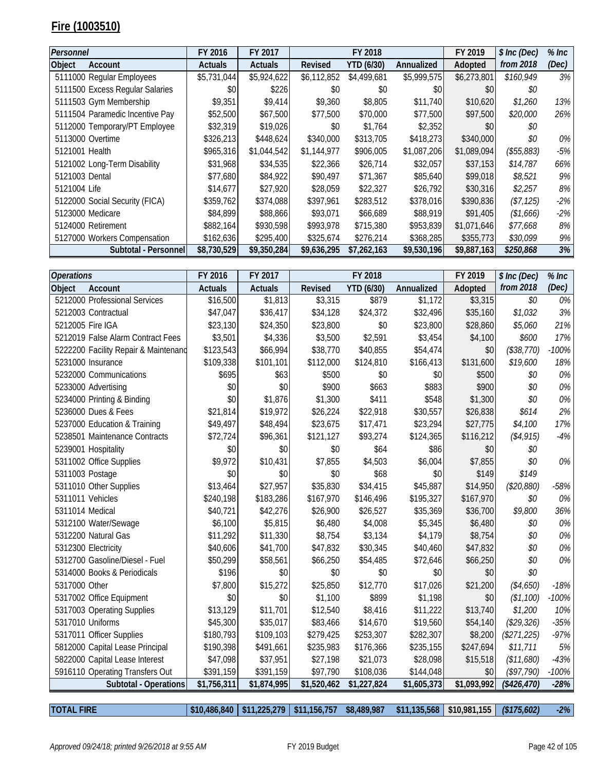## **Fire (1003510)**

| Personnel                       | FY 2016        | FY 2017        |             | FY 2018           |             | FY 2019     | \$ Inc (Dec) | $%$ Inc $\,$ |
|---------------------------------|----------------|----------------|-------------|-------------------|-------------|-------------|--------------|--------------|
| Object<br>Account               | <b>Actuals</b> | <b>Actuals</b> | Revised     | <b>YTD (6/30)</b> | Annualized  | Adopted     | from 2018    | (Dec)        |
| 5111000 Regular Employees       | \$5,731,044    | \$5,924,622    | \$6,112,852 | \$4,499,681       | \$5,999,575 | \$6,273,801 | \$160,949    | 3%           |
| 5111500 Excess Regular Salaries | \$0            | \$226          | \$0         | \$0               | \$0         | \$0         | \$0          |              |
| 5111503 Gym Membership          | \$9,351        | \$9,414        | \$9,360     | \$8,805           | \$11,740    | \$10,620    | \$1,260      | 13%          |
| 5111504 Paramedic Incentive Pay | \$52,500       | \$67,500       | \$77,500    | \$70,000          | \$77,500    | \$97,500    | \$20,000     | 26%          |
| 5112000 Temporary/PT Employee   | \$32,319       | \$19,026       | \$0         | \$1,764           | \$2,352     | \$0         | \$0          |              |
| 5113000 Overtime                | \$326,213      | \$448,624      | \$340,000   | \$313,705         | \$418,273   | \$340,000   | \$0          | 0%           |
| 5121001 Health                  | \$965,316      | \$1,044,542    | \$1,144,977 | \$906,005         | \$1,087,206 | \$1,089,094 | (\$55,883)   | -5%          |
| 5121002 Long-Term Disability    | \$31,968       | \$34,535       | \$22,366    | \$26,714          | \$32,057    | \$37,153    | \$14,787     | 66%          |
| 5121003 Dental                  | \$77,680       | \$84,922       | \$90,497    | \$71,367          | \$85,640    | \$99,018    | \$8,521      | 9%           |
| 5121004 Life                    | \$14,677       | \$27,920       | \$28,059    | \$22,327          | \$26,792    | \$30,316    | \$2,257      | 8%           |
| 5122000 Social Security (FICA)  | \$359,762      | \$374,088      | \$397,961   | \$283,512         | \$378,016   | \$390,836   | (\$7,125)    | $-2%$        |
| 5123000 Medicare                | \$84,899       | \$88,866       | \$93,071    | \$66,689          | \$88,919    | \$91,405    | (\$1,666)    | $-2%$        |
| 5124000 Retirement              | \$882,164      | \$930,598      | \$993,978   | \$715,380         | \$953,839   | \$1,071,646 | \$77,668     | 8%           |
| 5127000 Workers Compensation    | \$162,636      | \$295,400      | \$325,674   | \$276,214         | \$368,285   | \$355,773   | \$30,099     | 9%           |
| Subtotal - Personnel            | \$8,730,529    | \$9,350,284    | \$9,636,295 | \$7,262,163       | \$9,530,196 | \$9,887,163 | \$250,868    | 3%           |

| <b>Operations</b> |                                      | FY 2016        | FY 2017        |                         | FY 2018           |             | FY 2019     | \$ Inc (Dec) | $%$ Inc |
|-------------------|--------------------------------------|----------------|----------------|-------------------------|-------------------|-------------|-------------|--------------|---------|
| Object            | Account                              | <b>Actuals</b> | <b>Actuals</b> | <b>Revised</b>          | <b>YTD (6/30)</b> | Annualized  | Adopted     | from 2018    | (Dec)   |
|                   | 5212000 Professional Services        | \$16,500       | \$1,813        | \$3,315                 | \$879             | \$1,172     | \$3,315     | \$0          | 0%      |
|                   | 5212003 Contractual                  | \$47,047       | \$36,417       | \$34,128                | \$24,372          | \$32,496    | \$35,160    | \$1,032      | 3%      |
|                   | 5212005 Fire IGA                     | \$23,130       | \$24,350       | \$23,800                | \$0               | \$23,800    | \$28,860    | \$5,060      | 21%     |
|                   | 5212019 False Alarm Contract Fees    | \$3,501        | \$4,336        | \$3,500                 | \$2,591           | \$3,454     | \$4,100     | \$600        | 17%     |
|                   | 5222200 Facility Repair & Maintenand | \$123,543      | \$66,994       | \$38,770                | \$40,855          | \$54,474    | \$0         | (\$38,770)   | $-100%$ |
|                   | 5231000 Insurance                    | \$109,338      | \$101,101      | \$112,000               | \$124,810         | \$166,413   | \$131,600   | \$19,600     | 18%     |
|                   | 5232000 Communications               | \$695          | \$63           | \$500                   | \$0               | \$0         | \$500       | \$0          | 0%      |
|                   | 5233000 Advertising                  | \$0            | \$0            | \$900                   | \$663             | \$883       | \$900       | \$0          | 0%      |
|                   | 5234000 Printing & Binding           | \$0            | \$1,876        | \$1,300                 | \$411             | \$548       | \$1,300     | \$0          | 0%      |
|                   | 5236000 Dues & Fees                  | \$21,814       | \$19,972       | \$26,224                | \$22,918          | \$30,557    | \$26,838    | \$614        | 2%      |
|                   | 5237000 Education & Training         | \$49,497       | \$48,494       | \$23,675                | \$17,471          | \$23,294    | \$27,775    | \$4,100      | 17%     |
|                   | 5238501 Maintenance Contracts        | \$72,724       | \$96,361       | \$121,127               | \$93,274          | \$124,365   | \$116,212   | (\$4,915)    | $-4%$   |
|                   | 5239001 Hospitality                  | \$0            | \$0            | \$0                     | \$64              | \$86        | \$0         | \$0          |         |
|                   | 5311002 Office Supplies              | \$9,972        | \$10,431       | \$7,855                 | \$4,503           | \$6,004     | \$7,855     | \$0          | 0%      |
| 5311003 Postage   |                                      | \$0            | \$0            | \$0                     | \$68              | \$0         | \$149       | \$149        |         |
|                   | 5311010 Other Supplies               | \$13,464       | \$27,957       | \$35,830                | \$34,415          | \$45,887    | \$14,950    | (\$20,880)   | $-58%$  |
|                   | 5311011 Vehicles                     | \$240,198      | \$183,286      | \$167,970               | \$146,496         | \$195,327   | \$167,970   | \$0          | 0%      |
| 5311014 Medical   |                                      | \$40,721       | \$42,276       | \$26,900                | \$26,527          | \$35,369    | \$36,700    | \$9,800      | 36%     |
|                   | 5312100 Water/Sewage                 | \$6,100        | \$5,815        | \$6,480                 | \$4,008           | \$5,345     | \$6,480     | \$0          | 0%      |
|                   | 5312200 Natural Gas                  | \$11,292       | \$11,330       | \$8,754                 | \$3,134           | \$4,179     | \$8,754     | \$0          | 0%      |
|                   | 5312300 Electricity                  | \$40,606       | \$41,700       | \$47,832                | \$30,345          | \$40,460    | \$47,832    | \$0          | 0%      |
|                   | 5312700 Gasoline/Diesel - Fuel       | \$50,299       | \$58,561       | \$66,250                | \$54,485          | \$72,646    | \$66,250    | \$0          | 0%      |
|                   | 5314000 Books & Periodicals          | \$196          | \$0            | \$0                     | \$0               | \$0         | \$0         | \$0          |         |
| 5317000 Other     |                                      | \$7,800        | \$15,272       | \$25,850                | \$12,770          | \$17,026    | \$21,200    | (\$4,650)    | $-18%$  |
|                   | 5317002 Office Equipment             | \$0            | \$0            | \$1,100                 | \$899             | \$1,198     | \$0         | (\$1,100)    | $-100%$ |
|                   | 5317003 Operating Supplies           | \$13,129       | \$11,701       | \$12,540                | \$8,416           | \$11,222    | \$13,740    | \$1,200      | 10%     |
|                   | 5317010 Uniforms                     | \$45,300       | \$35,017       | \$83,466                | \$14,670          | \$19,560    | \$54,140    | (\$29,326)   | $-35%$  |
|                   | 5317011 Officer Supplies             | \$180,793      | \$109,103      | \$279,425               | \$253,307         | \$282,307   | \$8,200     | (\$271, 225) | $-97%$  |
|                   | 5812000 Capital Lease Principal      | \$190,398      | \$491,661      | \$235,983               | \$176,366         | \$235,155   | \$247,694   | \$11,711     | 5%      |
|                   | 5822000 Capital Lease Interest       | \$47,098       | \$37,951       | \$27,198                | \$21,073          | \$28,098    | \$15,518    | (\$11,680)   | $-43%$  |
|                   | 5916110 Operating Transfers Out      | \$391,159      | \$391,159      | \$97,790                | \$108,036         | \$144,048   | \$0         | (\$97,790)   | $-100%$ |
|                   | Subtotal - Operations                | \$1,756,311    | \$1,874,995    | $\overline{$1,520,462}$ | \$1,227,824       | \$1,605,373 | \$1,093,992 | $(*426,470)$ | $-28%$  |

**TOTAL FIRE \$10,486,840 \$11,225,279 \$11,156,757 \$8,489,987 \$11,135,568 \$10,981,155** *(\$175,602) -2%*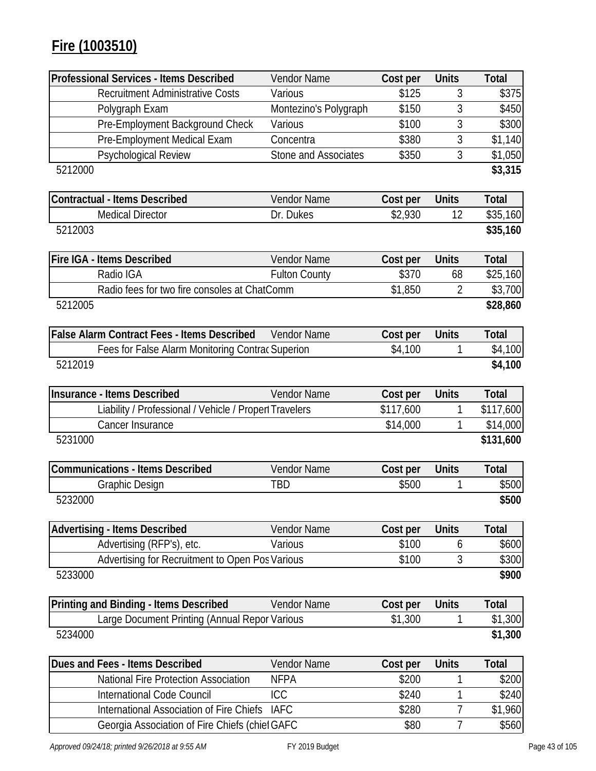# **Fire (1003510)**

| <b>Professional Services - Items Described</b>         | <b>Vendor Name</b>    | Cost per  | <b>Units</b>   | <b>Total</b> |
|--------------------------------------------------------|-----------------------|-----------|----------------|--------------|
| <b>Recruitment Administrative Costs</b>                | Various               | \$125     | 3              | \$375        |
| Polygraph Exam                                         | Montezino's Polygraph | \$150     | 3              | \$450        |
| Pre-Employment Background Check                        | Various               | \$100     | 3              | \$300        |
| Pre-Employment Medical Exam                            | Concentra             | \$380     | 3              | \$1,140      |
| Psychological Review                                   | Stone and Associates  | \$350     | 3              | \$1,050      |
| 5212000                                                |                       |           |                | \$3,315      |
| <b>Contractual - Items Described</b>                   | <b>Vendor Name</b>    | Cost per  | <b>Units</b>   | <b>Total</b> |
| <b>Medical Director</b>                                | Dr. Dukes             | \$2,930   | 12             | \$35,160     |
| 5212003                                                |                       |           |                | \$35,160     |
| Fire IGA - Items Described                             | <b>Vendor Name</b>    | Cost per  | <b>Units</b>   | <b>Total</b> |
| Radio IGA                                              | <b>Fulton County</b>  | \$370     | 68             | \$25,160     |
| Radio fees for two fire consoles at ChatComm           |                       | \$1,850   | $\overline{2}$ | \$3,700      |
| 5212005                                                |                       |           |                | \$28,860     |
| <b>False Alarm Contract Fees - Items Described</b>     | <b>Vendor Name</b>    | Cost per  | <b>Units</b>   | <b>Total</b> |
| Fees for False Alarm Monitoring Contrac Superion       |                       | \$4,100   | 1              | \$4,100      |
| 5212019                                                |                       |           |                | \$4,100      |
| <b>Insurance - Items Described</b>                     | Vendor Name           | Cost per  | <b>Units</b>   | <b>Total</b> |
| Liability / Professional / Vehicle / Propert Travelers |                       | \$117,600 | 1              | \$117,600    |
| Cancer Insurance                                       |                       | \$14,000  | 1              | \$14,000     |
| 5231000                                                |                       |           |                | \$131,600    |
| <b>Communications - Items Described</b>                | Vendor Name           | Cost per  | <b>Units</b>   | <b>Total</b> |
| <b>Graphic Design</b>                                  | TBD                   | \$500     | 1              | \$500        |
| 5232000                                                |                       |           |                | \$500        |
| <b>Advertising - Items Described</b>                   | <b>Vendor Name</b>    | Cost per  | <b>Units</b>   | <b>Total</b> |
| Advertising (RFP's), etc.                              | Various               | \$100     | 6              | \$600        |
| Advertising for Recruitment to Open Pos Various        |                       | \$100     | 3              | \$300        |
| 5233000                                                |                       |           |                | \$900        |
| Printing and Binding - Items Described                 | <b>Vendor Name</b>    | Cost per  | <b>Units</b>   | <b>Total</b> |
| Large Document Printing (Annual Repor Various          |                       | \$1,300   | 1              | \$1,300      |
| 5234000                                                |                       |           |                | \$1,300      |
| Dues and Fees - Items Described                        | <b>Vendor Name</b>    | Cost per  | <b>Units</b>   | <b>Total</b> |
| <b>National Fire Protection Association</b>            | <b>NFPA</b>           | \$200     |                | \$200        |
| <b>International Code Council</b>                      | ICC                   | \$240     | 1              | \$240        |
| <b>International Association of Fire Chiefs</b>        | <b>IAFC</b>           | \$280     | 7              | \$1,960      |
| Georgia Association of Fire Chiefs (chief GAFC         |                       | \$80      | 7              | \$560        |

 $\mathsf{l}$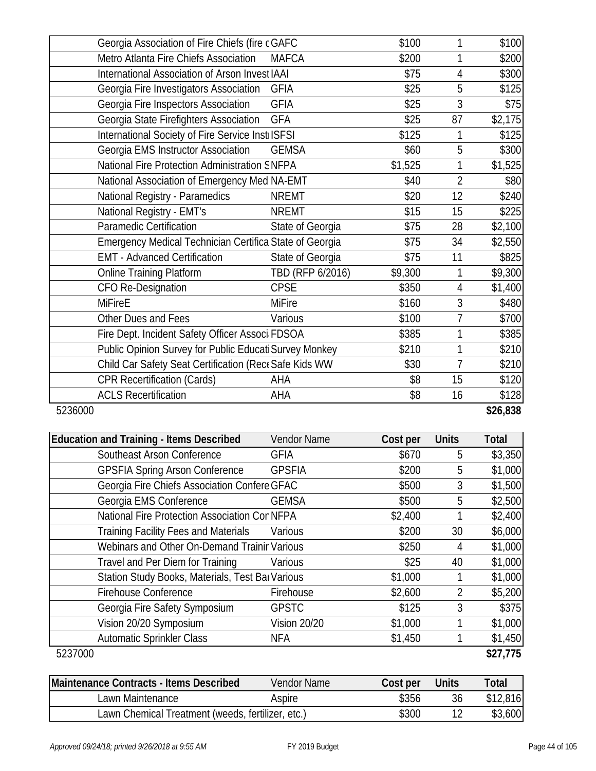|         | Georgia Association of Fire Chiefs (fire c GAFC         |                  | \$100   | 1              | \$100    |
|---------|---------------------------------------------------------|------------------|---------|----------------|----------|
|         | Metro Atlanta Fire Chiefs Association                   | <b>MAFCA</b>     | \$200   | 1              | \$200    |
|         | International Association of Arson Invest IAAI          |                  | \$75    | 4              | \$300    |
|         | Georgia Fire Investigators Association                  | <b>GFIA</b>      | \$25    | 5              | \$125    |
|         | Georgia Fire Inspectors Association                     | <b>GFIA</b>      | \$25    | $\overline{3}$ | \$75     |
|         | Georgia State Firefighters Association                  | <b>GFA</b>       | \$25    | 87             | \$2,175  |
|         | International Society of Fire Service InstilSFSI        |                  | \$125   | 1              | \$125    |
|         | Georgia EMS Instructor Association                      | <b>GEMSA</b>     | \$60    | 5              | \$300    |
|         | National Fire Protection Administration SNFPA           |                  | \$1,525 | 1              | \$1,525  |
|         | National Association of Emergency Med NA-EMT            |                  | \$40    | $\overline{2}$ | \$80     |
|         | National Registry - Paramedics                          | <b>NREMT</b>     | \$20    | 12             | \$240    |
|         | National Registry - EMT's                               | <b>NREMT</b>     | \$15    | 15             | \$225    |
|         | <b>Paramedic Certification</b>                          | State of Georgia | \$75    | 28             | \$2,100  |
|         | Emergency Medical Technician Certifica State of Georgia |                  | \$75    | 34             | \$2,550  |
|         | <b>EMT - Advanced Certification</b>                     | State of Georgia | \$75    | 11             | \$825    |
|         | <b>Online Training Platform</b>                         | TBD (RFP 6/2016) | \$9,300 | 1              | \$9,300  |
|         | <b>CFO Re-Designation</b>                               | <b>CPSE</b>      | \$350   | 4              | \$1,400  |
|         | <b>MiFireE</b>                                          | <b>MiFire</b>    | \$160   | 3              | \$480    |
|         | Other Dues and Fees                                     | Various          | \$100   | $\overline{1}$ | \$700    |
|         | Fire Dept. Incident Safety Officer Associ FDSOA         |                  | \$385   | 1              | \$385    |
|         | Public Opinion Survey for Public Educati Survey Monkey  |                  | \$210   | 1              | \$210    |
|         | Child Car Safety Seat Certification (Rece Safe Kids WW  |                  | \$30    | $\overline{1}$ | \$210    |
|         | <b>CPR Recertification (Cards)</b>                      | AHA              | \$8     | 15             | \$120    |
|         | <b>ACLS Recertification</b>                             | AHA              | \$8     | 16             | \$128    |
| 5236000 |                                                         |                  |         |                | \$26,838 |

| <b>Education and Training - Items Described</b>  | <b>Vendor Name</b>  | Cost per | <b>Units</b>   | <b>Total</b> |
|--------------------------------------------------|---------------------|----------|----------------|--------------|
| Southeast Arson Conference                       | <b>GFIA</b>         | \$670    | 5              | \$3,350      |
| <b>GPSFIA Spring Arson Conference</b>            | <b>GPSFIA</b>       | \$200    | 5              | \$1,000      |
| Georgia Fire Chiefs Association Confere GFAC     |                     | \$500    | 3              | \$1,500      |
| Georgia EMS Conference                           | <b>GEMSA</b>        | \$500    | 5              | \$2,500      |
| National Fire Protection Association Cor NFPA    |                     | \$2,400  |                | \$2,400      |
| <b>Training Facility Fees and Materials</b>      | Various             | \$200    | 30             | \$6,000      |
| Webinars and Other On-Demand Trainir Various     |                     | \$250    | 4              | \$1,000      |
| Travel and Per Diem for Training                 | Various             | \$25     | 40             | \$1,000      |
| Station Study Books, Materials, Test Bar Various |                     | \$1,000  |                | \$1,000      |
| <b>Firehouse Conference</b>                      | Firehouse           | \$2,600  | $\overline{2}$ | \$5,200      |
| Georgia Fire Safety Symposium                    | <b>GPSTC</b>        | \$125    | 3              | \$375        |
| Vision 20/20 Symposium                           | <b>Vision 20/20</b> | \$1,000  |                | \$1,000      |
| <b>Automatic Sprinkler Class</b>                 | <b>NFA</b>          | \$1,450  |                | \$1,450      |
| 5237000                                          |                     |          |                | \$27,775     |

| Maintenance Contracts - Items Described           | Vendor Name | Cost per | <b>Units</b> | Total    |
|---------------------------------------------------|-------------|----------|--------------|----------|
| Lawn Maintenance                                  | Aspire      | \$356    | 36           | \$12,816 |
| Lawn Chemical Treatment (weeds, fertilizer, etc.) |             | \$300    |              | \$3,600  |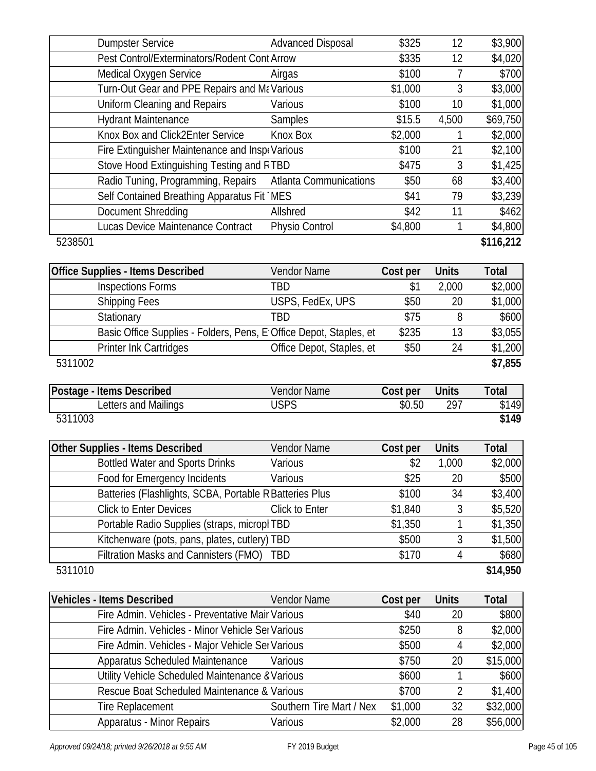|         | <b>Dumpster Service</b>                                            | <b>Advanced Disposal</b>            | \$325              | 12             | \$3,900              |
|---------|--------------------------------------------------------------------|-------------------------------------|--------------------|----------------|----------------------|
|         | Pest Control/Exterminators/Rodent Cont Arrow                       |                                     | \$335              | 12             | \$4,020              |
|         | Medical Oxygen Service                                             | Airgas                              | \$100              | 7              | \$700                |
|         | Turn-Out Gear and PPE Repairs and Ma Various                       |                                     | \$1,000            | 3              | \$3,000              |
|         | <b>Uniform Cleaning and Repairs</b>                                | Various                             | \$100              | 10             | \$1,000              |
|         | <b>Hydrant Maintenance</b>                                         | Samples                             | \$15.5             | 4,500          | \$69,750             |
|         | Knox Box and Click2Enter Service                                   | Knox Box                            | \$2,000            | 1              | \$2,000              |
|         | Fire Extinguisher Maintenance and Inspr Various                    |                                     | \$100              | 21             | \$2,100              |
|         | Stove Hood Extinguishing Testing and RTBD                          |                                     | \$475              | 3              | \$1,425              |
|         | Radio Tuning, Programming, Repairs                                 | <b>Atlanta Communications</b>       | \$50               | 68             | \$3,400              |
|         | Self Contained Breathing Apparatus Fit MES                         |                                     | \$41               | 79             | \$3,239              |
|         | Document Shredding                                                 | Allshred                            | \$42               | 11             | \$462                |
|         | Lucas Device Maintenance Contract                                  | Physio Control                      | \$4,800            | 1              | \$4,800              |
| 5238501 |                                                                    |                                     |                    |                | \$116,212            |
|         |                                                                    |                                     |                    |                |                      |
|         | <b>Office Supplies - Items Described</b>                           | Vendor Name                         | Cost per           | <b>Units</b>   | Total                |
|         | Inspections Forms                                                  | <b>TBD</b>                          | \$1                | 2,000          | \$2,000              |
|         | <b>Shipping Fees</b>                                               | USPS, FedEx, UPS                    | \$50               | 20             | \$1,000              |
|         | Stationary                                                         | <b>TBD</b>                          | \$75               | 8              | \$600                |
|         | Basic Office Supplies - Folders, Pens, E Office Depot, Staples, et |                                     | \$235              | 13             | \$3,055              |
|         | Printer Ink Cartridges                                             | Office Depot, Staples, et           | \$50               | 24             | \$1,200              |
| 5311002 |                                                                    |                                     |                    |                | \$7,855              |
|         |                                                                    |                                     |                    |                |                      |
|         |                                                                    |                                     |                    |                |                      |
|         | Postage - Items Described                                          | <b>Vendor Name</b>                  | Cost per           | <b>Units</b>   | <b>Total</b>         |
|         | Letters and Mailings                                               | <b>USPS</b>                         | \$0.50             | 297            |                      |
| 5311003 |                                                                    |                                     |                    |                | \$149<br>\$149       |
|         |                                                                    |                                     |                    |                |                      |
|         | Other Supplies - Items Described                                   | Vendor Name                         | Cost per           | <b>Units</b>   | <b>Total</b>         |
|         | <b>Bottled Water and Sports Drinks</b>                             | Various                             | \$2                | 1,000          | \$2,000              |
|         | Food for Emergency Incidents                                       | Various                             | \$25               | 20             |                      |
|         | Batteries (Flashlights, SCBA, Portable R Batteries Plus            |                                     | \$100              | 34             | \$3,400              |
|         | <b>Click to Enter Devices</b>                                      | Click to Enter                      | \$1,840            | 3              | \$5,520              |
|         | Portable Radio Supplies (straps, micropl TBD                       |                                     | \$1,350            | 1              | \$1,350              |
|         | Kitchenware (pots, pans, plates, cutlery) TBD                      |                                     | \$500              | 3              | \$500<br>\$1,500     |
|         | Filtration Masks and Cannisters (FMO)                              | <b>TBD</b>                          | \$170              | 4              | \$680                |
| 5311010 |                                                                    |                                     |                    |                | \$14,950             |
|         |                                                                    |                                     |                    |                |                      |
|         | <b>Vehicles - Items Described</b>                                  | Vendor Name                         | Cost per           | <b>Units</b>   | <b>Total</b>         |
|         | Fire Admin. Vehicles - Preventative Mair Various                   |                                     | \$40               | 20             | \$800                |
|         | Fire Admin. Vehicles - Minor Vehicle Ser Various                   |                                     | \$250              | 8              | \$2,000              |
|         | Fire Admin. Vehicles - Major Vehicle Ser Various                   |                                     | \$500              | 4              | \$2,000              |
|         | Apparatus Scheduled Maintenance                                    | Various                             | \$750              | 20             | \$15,000             |
|         | Utility Vehicle Scheduled Maintenance & Various                    |                                     | \$600              | 1              | \$600                |
|         | Rescue Boat Scheduled Maintenance & Various                        |                                     | \$700              | $\overline{2}$ | \$1,400              |
|         | <b>Tire Replacement</b><br>Apparatus - Minor Repairs               | Southern Tire Mart / Nex<br>Various | \$1,000<br>\$2,000 | 32<br>28       | \$32,000<br>\$56,000 |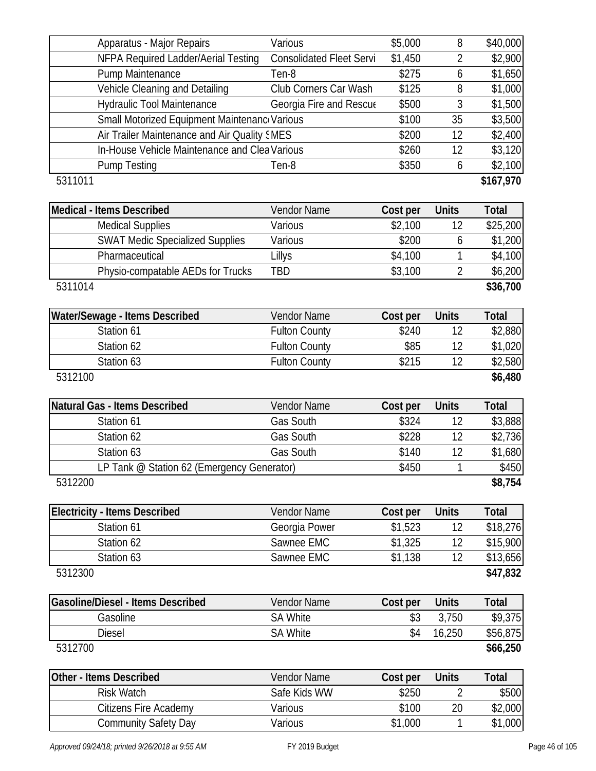| Apparatus - Major Repairs                     | Various                         | \$5,000  | 8              | \$40,000              |
|-----------------------------------------------|---------------------------------|----------|----------------|-----------------------|
| NFPA Required Ladder/Aerial Testing           | <b>Consolidated Fleet Servi</b> | \$1,450  | $\overline{2}$ | \$2,900               |
| Pump Maintenance                              | Ten-8                           | \$275    | 6              | \$1,650               |
| Vehicle Cleaning and Detailing                | Club Corners Car Wash           | \$125    | 8              | \$1,000               |
| <b>Hydraulic Tool Maintenance</b>             | Georgia Fire and Rescue         | \$500    | 3              | \$1,500               |
| Small Motorized Equipment Maintenanc Various  |                                 | \$100    | 35             | \$3,500               |
| Air Trailer Maintenance and Air Quality SMES  |                                 | \$200    | 12             | \$2,400               |
| In-House Vehicle Maintenance and Clea Various |                                 | \$260    | 12             | \$3,120               |
| <b>Pump Testing</b>                           | Ten-8                           | \$350    | 6              | \$2,100               |
| 5311011                                       |                                 |          |                | \$167,970             |
| Medical - Items Described                     | <b>Vendor Name</b>              | Cost per | <b>Units</b>   | <b>Total</b>          |
| <b>Medical Supplies</b>                       | Various                         | \$2,100  | 12             | \$25,200              |
| <b>SWAT Medic Specialized Supplies</b>        | Various                         | \$200    | 6              | \$1,200               |
| Pharmaceutical                                | Lillys                          | \$4,100  | 1              | \$4,100               |
| Physio-compatable AEDs for Trucks             | <b>TBD</b>                      | \$3,100  | $\overline{2}$ | \$6,200               |
| 5311014                                       |                                 |          |                | \$36,700              |
| Water/Sewage - Items Described                | Vendor Name                     | Cost per | <b>Units</b>   | <b>Total</b>          |
| Station 61                                    | <b>Fulton County</b>            | \$240    | 12             | \$2,880               |
| Station 62                                    | <b>Fulton County</b>            | \$85     | 12             | \$1,020               |
| Station 63                                    | <b>Fulton County</b>            | \$215    | 12             | \$2,580               |
| 5312100                                       |                                 |          |                | \$6,480               |
|                                               |                                 |          |                |                       |
| Natural Gas - Items Described                 | Vendor Name                     | Cost per | <b>Units</b>   | <b>Total</b>          |
| Station 61                                    | Gas South                       | \$324    | 12             | \$3,888               |
| Station 62                                    | Gas South                       | \$228    | 12             | \$2,736               |
| Station 63                                    | Gas South                       | \$140    | 12             | \$1,680               |
| LP Tank @ Station 62 (Emergency Generator)    |                                 | \$450    | 1              |                       |
| 5312200                                       |                                 |          |                | \$8,754               |
| <b>Electricity - Items Described</b>          | Vendor Name                     | Cost per | <b>Units</b>   | <b>Total</b>          |
| Station 61                                    | Georgia Power                   | \$1,523  | 12             | \$18,276              |
| Station 62                                    | Sawnee EMC                      | \$1,325  | 12             | \$15,900              |
| Station 63                                    | Sawnee EMC                      | \$1,138  | 12             | \$13,656              |
| 5312300                                       |                                 |          |                | \$47,832              |
| <b>Gasoline/Diesel - Items Described</b>      | Vendor Name                     | Cost per | <b>Units</b>   | <b>Total</b>          |
| Gasoline                                      | <b>SA White</b>                 | \$3      | 3,750          | \$9,375               |
| <b>Diesel</b>                                 | <b>SA White</b>                 | \$4      | 16,250         | \$56,875              |
| 5312700                                       |                                 |          |                | \$66,250              |
| <b>Other - Items Described</b>                | Vendor Name                     | Cost per | <b>Units</b>   | \$450<br><b>Total</b> |
| <b>Risk Watch</b>                             | Safe Kids WW                    | \$250    | 2              | \$500                 |
| Citizens Fire Academy                         | Various                         | \$100    | 20             | \$2,000               |

 $\mathbf l$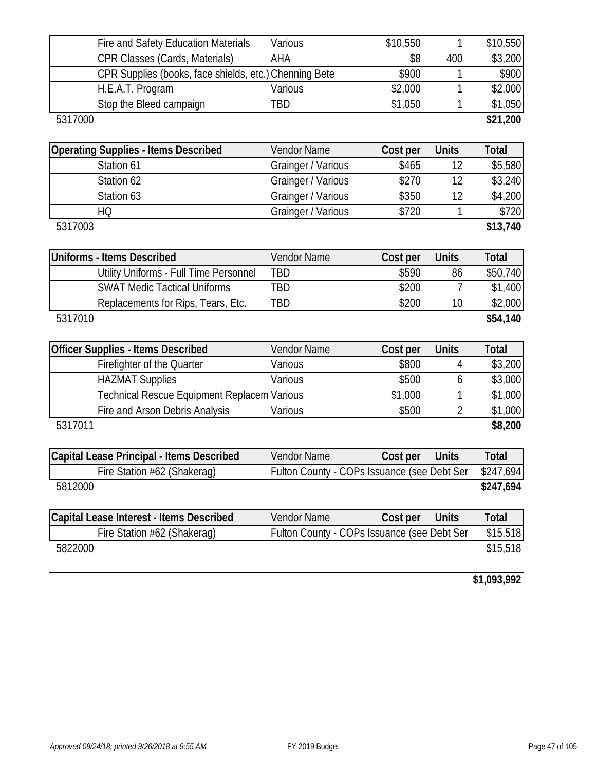| Fire and Safety Education Materials                    | Various            | \$10,550                                    | 1              | \$10,550              |
|--------------------------------------------------------|--------------------|---------------------------------------------|----------------|-----------------------|
| <b>CPR Classes (Cards, Materials)</b>                  | AHA                | \$8                                         | 400            | \$3,200               |
| CPR Supplies (books, face shields, etc.) Chenning Bete |                    | \$900                                       | 1              | \$900                 |
| H.E.A.T. Program                                       | Various            | \$2,000                                     |                | \$2,000               |
| Stop the Bleed campaign                                | <b>TBD</b>         | \$1,050                                     | 1              | \$1,050               |
| 5317000                                                |                    |                                             |                | \$21,200              |
|                                                        |                    |                                             |                |                       |
| <b>Operating Supplies - Items Described</b>            | Vendor Name        | Cost per                                    | <b>Units</b>   | <b>Total</b>          |
| Station 61                                             | Grainger / Various | \$465                                       | 12             | \$5,580               |
| Station 62                                             | Grainger / Various | \$270                                       | 12             | \$3,240               |
| Station 63                                             | Grainger / Various | \$350                                       | 12             | \$4,200               |
| HQ                                                     | Grainger / Various | \$720                                       | 1              | \$720                 |
| 5317003                                                |                    |                                             |                | \$13,740              |
|                                                        |                    |                                             |                |                       |
| <b>Uniforms - Items Described</b>                      | Vendor Name        | Cost per                                    | <b>Units</b>   | <b>Total</b>          |
| Utility Uniforms - Full Time Personnel                 | <b>TBD</b>         | \$590                                       | 86             | \$50,740              |
| <b>SWAT Medic Tactical Uniforms</b>                    | <b>TBD</b>         | \$200                                       | 7              | \$1,400               |
| Replacements for Rips, Tears, Etc.                     | TBD                | \$200                                       | 10             | \$2,000               |
| 5317010                                                |                    |                                             |                | \$54,140              |
| <b>Officer Supplies - Items Described</b>              | <b>Vendor Name</b> | Cost per                                    | <b>Units</b>   | <b>Total</b>          |
| Firefighter of the Quarter                             | Various            | \$800                                       | 4              | \$3,200               |
| <b>HAZMAT Supplies</b>                                 | Various            | \$500                                       | 6              | \$3,000               |
| <b>Technical Rescue Equipment Replacem Various</b>     |                    | \$1,000                                     | 1              | \$1,000               |
| Fire and Arson Debris Analysis                         | Various            | \$500                                       | $\overline{2}$ | \$1,000               |
| 5317011                                                |                    |                                             |                | \$8,200               |
|                                                        |                    |                                             |                |                       |
| <b>Capital Lease Principal - Items Described</b>       | Vendor Name        | Cost per                                    | <b>Units</b>   | <b>Total</b>          |
| Fire Station #62 (Shakerag)                            |                    | Fulton County - COPs Issuance (see Debt Ser |                | $\overline{$}247,694$ |
| 5812000                                                |                    |                                             |                | \$247,694             |
|                                                        |                    |                                             |                |                       |
| Capital Lease Interest - Items Described               | Vendor Name        | Cost per                                    | <b>Units</b>   | <b>Total</b>          |
| Fire Station #62 (Shakeraq)                            |                    | Fulton County - COPs Issuance (see Debt Ser |                | \$15,518              |
| 5822000                                                |                    |                                             |                | \$15,518              |
|                                                        |                    |                                             |                |                       |

**\$1,093,992**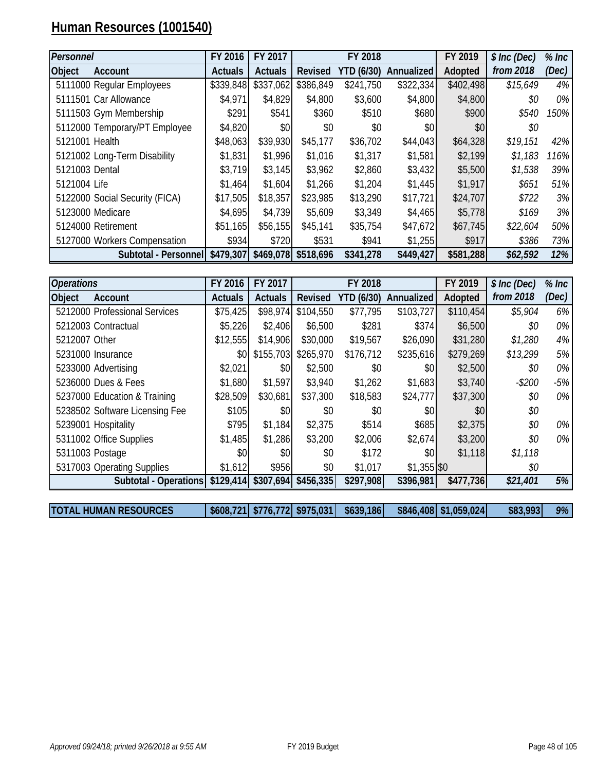# **Human Resources (1001540)**

| Personnel      |                                | FY 2016        | FY 2017        |           | FY 2018           |                   | FY 2019   | \$ Inc (Dec) | $%$ Inc |
|----------------|--------------------------------|----------------|----------------|-----------|-------------------|-------------------|-----------|--------------|---------|
| <b>Object</b>  | Account                        | <b>Actuals</b> | <b>Actuals</b> | Revised   | <b>YTD (6/30)</b> | <b>Annualized</b> | Adopted   | from 2018    | (Dec)   |
|                | 5111000 Regular Employees      | \$339,848      | \$337,062      | \$386,849 | \$241,750         | \$322,334         | \$402,498 | \$15,649     | 4%      |
|                | 5111501 Car Allowance          | \$4,971        | \$4,829        | \$4,800   | \$3,600           | \$4,800           | \$4,800   | \$0          | 0%      |
|                | 5111503 Gym Membership         | \$291          | \$541          | \$360     | \$510             | \$680             | \$900     | \$540        | 150%    |
|                | 5112000 Temporary/PT Employee  | \$4,820        | \$0            | \$0       | \$0               | \$0 <sub>l</sub>  | \$0       | \$0          |         |
| 5121001 Health |                                | \$48,063       | \$39,930       | \$45,177  | \$36,702          | \$44,043          | \$64,328  | \$19,151     | 42%     |
|                | 5121002 Long-Term Disability   | \$1,831        | \$1,996        | \$1,016   | \$1,317           | \$1,581           | \$2,199   | \$1,183      | 116%    |
| 5121003 Dental |                                | \$3,719        | \$3,145        | \$3,962   | \$2,860           | \$3,432           | \$5,500   | \$1,538      | 39%     |
| 5121004 Life   |                                | \$1,464        | \$1,604        | \$1,266   | \$1,204           | \$1,445           | \$1,917   | \$651        | 51%     |
|                | 5122000 Social Security (FICA) | \$17,505       | \$18,357       | \$23,985  | \$13,290          | \$17,721          | \$24,707  | \$722        | 3%      |
|                | 5123000 Medicare               | \$4,695        | \$4,739        | \$5,609   | \$3,349           | \$4,465           | \$5,778   | \$169        | 3%      |
|                | 5124000 Retirement             | \$51,165       | \$56,155       | \$45,141  | \$35,754          | \$47,672          | \$67,745  | \$22,604     | 50%     |
|                | 5127000 Workers Compensation   | \$934          | \$720          | \$531     | \$941             | \$1,255           | \$917     | \$386        | 73%     |
|                | Subtotal - Personnel           | \$479,307      | \$469,078      | \$518,696 | \$341,278         | \$449,427         | \$581,288 | \$62,592     | 12%     |

| <b>Operations</b> |                                | FY 2016        | FY 2017        |                                  | FY 2018           |                   | FY 2019   | \$ Inc (Dec) | $%$ Inc |
|-------------------|--------------------------------|----------------|----------------|----------------------------------|-------------------|-------------------|-----------|--------------|---------|
| <b>Object</b>     | Account                        | <b>Actuals</b> | <b>Actuals</b> | Revised                          | <b>YTD (6/30)</b> | <b>Annualized</b> | Adopted   | from 2018    | (Dec)   |
|                   | 5212000 Professional Services  | \$75,425       | \$98,974       | \$104,550                        | \$77,795          | \$103,727         | \$110,454 | \$5,904      | 6%      |
|                   | 5212003 Contractual            | \$5,226        | \$2,406        | \$6,500                          | \$281             | \$374             | \$6,500   | \$0          | 0%      |
| 5212007 Other     |                                | \$12,555       | \$14,906       | \$30,000                         | \$19,567          | \$26,090          | \$31,280  | \$1,280      | 4%      |
|                   | 5231000 Insurance              | \$0            | \$155,703      | \$265,970                        | \$176,712         | \$235,616         | \$279,269 | \$13,299     | 5%      |
|                   | 5233000 Advertising            | \$2,021        | \$0            | \$2,500                          | \$0               | \$0               | \$2,500   | \$0          | $0\%$   |
|                   | 5236000 Dues & Fees            | \$1,680        | \$1,597        | \$3,940                          | \$1,262           | \$1,683           | \$3,740   | $-$200$      | $-5%$   |
|                   | 5237000 Education & Training   | \$28,509       | \$30,681       | \$37,300                         | \$18,583          | \$24,777          | \$37,300  | \$0          | $0\%$   |
|                   | 5238502 Software Licensing Fee | \$105          | \$0            | \$0                              | \$0               | \$0               | \$0       | \$0          |         |
|                   | 5239001 Hospitality            | \$795          | \$1,184        | \$2,375                          | \$514             | \$685             | \$2,375   | \$0          | 0%      |
|                   | 5311002 Office Supplies        | \$1,485        | \$1,286        | \$3,200                          | \$2,006           | \$2,674           | \$3,200   | \$0          | $0\%$   |
| 5311003 Postage   |                                | \$0            | \$0            | \$0                              | \$172             | \$0               | \$1,118   | \$1,118      |         |
|                   | 5317003 Operating Supplies     | \$1,612        | \$956          | \$0                              | \$1,017           | $$1,355$ \$0      |           | \$0          |         |
|                   | Subtotal - Operations          |                |                | $$129,414$ $$307,694$ $$456,335$ | \$297,908         | \$396,981         | \$477,736 | \$21,401     | 5%      |
|                   |                                |                |                |                                  |                   |                   |           |              |         |

**TOTAL HUMAN RESOURCES \$608,721 \$776,772 \$975,031 \$639,186 \$846,408 \$1,059,024 \$83,993** *9%*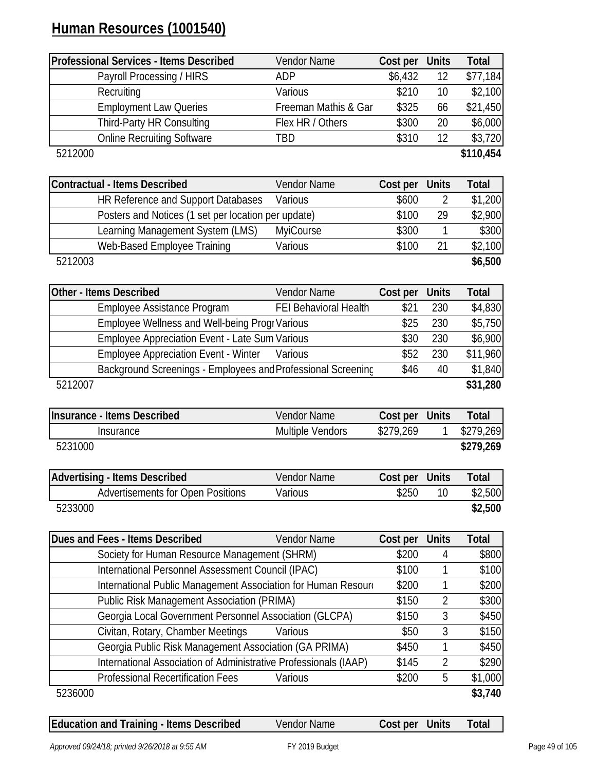# **Human Resources (1001540)**

|                         | <b>Professional Services - Items Described</b>                   | <b>Vendor Name</b>    | Cost per  | <b>Units</b> | <b>Total</b> |
|-------------------------|------------------------------------------------------------------|-----------------------|-----------|--------------|--------------|
|                         | Payroll Processing / HIRS                                        | ADP                   | \$6,432   | 12           | \$77,184     |
|                         | Recruiting                                                       | Various               | \$210     | 10           | \$2,100      |
|                         | <b>Employment Law Queries</b>                                    | Freeman Mathis & Gar  | \$325     | 66           | \$21,450     |
|                         | Third-Party HR Consulting                                        | Flex HR / Others      | \$300     | 20           | \$6,000      |
|                         | <b>Online Recruiting Software</b>                                | TBD                   | \$310     | 12           | \$3,720      |
| 5212000                 |                                                                  |                       |           |              | \$110,454    |
|                         | <b>Contractual - Items Described</b>                             | <b>Vendor Name</b>    | Cost per  | <b>Units</b> | <b>Total</b> |
|                         | HR Reference and Support Databases                               | Various               | \$600     | 2            | \$1,200      |
|                         | Posters and Notices (1 set per location per update)              |                       | \$100     | 29           | \$2,900      |
|                         | Learning Management System (LMS)                                 | MyiCourse             | \$300     | 1            | \$300        |
|                         | Web-Based Employee Training                                      | Various               | \$100     | 21           | \$2,100      |
| 5212003                 |                                                                  |                       |           |              | \$6,500      |
| Other - Items Described |                                                                  | <b>Vendor Name</b>    | Cost per  | <b>Units</b> | Total        |
|                         | Employee Assistance Program                                      | FEI Behavioral Health | \$21      | 230          | \$4,830      |
|                         | Employee Wellness and Well-being Progr Various                   |                       | \$25      | 230          | \$5,750      |
|                         | <b>Employee Appreciation Event - Late Sum Various</b>            |                       | \$30      | 230          | \$6,900      |
|                         | <b>Employee Appreciation Event - Winter</b>                      | Various               | \$52      | 230          | \$11,960     |
|                         | Background Screenings - Employees and Professional Screening     |                       | \$46      | 40           | \$1,840      |
| 5212007                 |                                                                  |                       |           |              | \$31,280     |
|                         | <b>Insurance - Items Described</b>                               | <b>Vendor Name</b>    | Cost per  | <b>Units</b> | <b>Total</b> |
|                         | Insurance                                                        | Multiple Vendors      | \$279,269 |              | \$279,269    |
| 5231000                 |                                                                  |                       |           |              | \$279,269    |
|                         | <b>Advertising - Items Described</b>                             | Vendor Name           | Cost per  | <b>Units</b> | <b>Total</b> |
|                         | <b>Advertisements for Open Positions</b>                         | Various               | \$250     | 10           | \$2,500      |
| 5233000                 |                                                                  |                       |           |              | \$2,500      |
|                         | Dues and Fees - Items Described                                  | Vendor Name           | Cost per  | <b>Units</b> | <b>Total</b> |
|                         | Society for Human Resource Management (SHRM)                     |                       | \$200     | 4            | \$800        |
|                         | International Personnel Assessment Council (IPAC)                |                       | \$100     | 1            | \$100        |
|                         | International Public Management Association for Human Resourd    |                       | \$200     | 1            | \$200        |
|                         | <b>Public Risk Management Association (PRIMA)</b>                |                       | \$150     | 2            | \$300        |
|                         | Georgia Local Government Personnel Association (GLCPA)           |                       | \$150     | 3            | \$450        |
|                         | Civitan, Rotary, Chamber Meetings                                | Various               | \$50      | 3            | \$150        |
|                         | Georgia Public Risk Management Association (GA PRIMA)            |                       | \$450     |              | \$450        |
|                         | International Association of Administrative Professionals (IAAP) |                       | \$145     | 2            | \$290        |
|                         | <b>Professional Recertification Fees</b>                         | Various               | \$200     | 5            | \$1,000      |
| 5236000                 |                                                                  |                       |           |              | \$3,740      |

| <b>Education and Training - Items Described</b> | <b>Vendor Name</b> | Cost per Units | Total |
|-------------------------------------------------|--------------------|----------------|-------|
|                                                 |                    |                |       |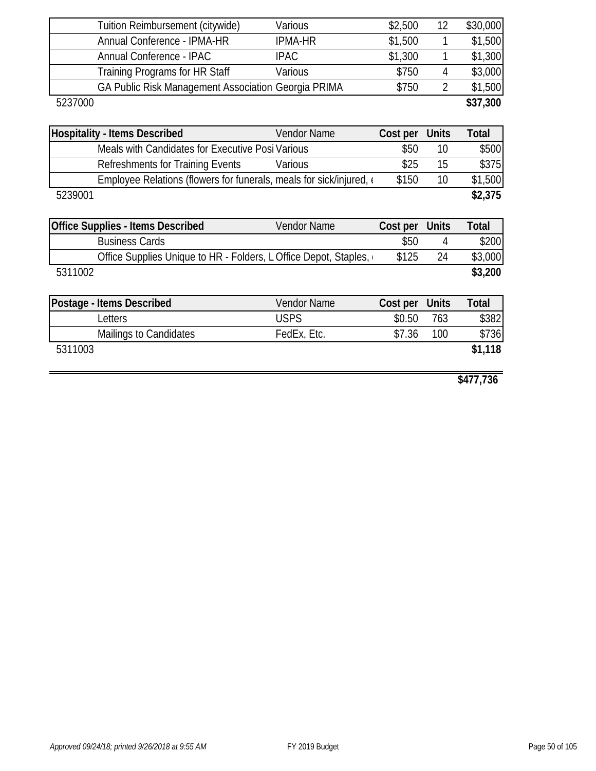|         | Tuition Reimbursement (citywide)                                    | Various        | \$2,500  | 12             | \$30,000     |
|---------|---------------------------------------------------------------------|----------------|----------|----------------|--------------|
|         | Annual Conference - IPMA-HR                                         | <b>IPMA-HR</b> | \$1,500  |                | \$1,500      |
|         | Annual Conference - IPAC                                            | <b>IPAC</b>    | \$1,300  | 1              | \$1,300      |
|         | Training Programs for HR Staff                                      | Various        | \$750    | $\overline{4}$ | \$3,000      |
|         | GA Public Risk Management Association Georgia PRIMA                 |                | \$750    | $\overline{2}$ | \$1,500      |
| 5237000 |                                                                     |                |          |                | \$37,300     |
|         |                                                                     |                |          |                |              |
|         | <b>Hospitality - Items Described</b>                                | Vendor Name    | Cost per | <b>Units</b>   | <b>Total</b> |
|         | Meals with Candidates for Executive Posi Various                    |                | \$50     | 10             | \$500        |
|         | <b>Refreshments for Training Events</b>                             | Various        | \$25     | 15             | \$375        |
|         | Employee Relations (flowers for funerals, meals for sick/injured, e |                | \$150    | 10             | \$1,500      |
| 5239001 |                                                                     |                |          |                | \$2,375      |
|         |                                                                     |                |          |                |              |
|         | <b>Office Supplies - Items Described</b>                            | Vendor Name    | Cost per | <b>Units</b>   | <b>Total</b> |
|         | <b>Business Cards</b>                                               |                | \$50     | 4              | \$200        |
|         | Office Supplies Unique to HR - Folders, L Office Depot, Staples,    |                | \$125    | 24             | \$3,000      |
| 5311002 |                                                                     |                |          |                | \$3,200      |
|         |                                                                     |                |          |                |              |
|         | Postage - Items Described                                           | Vendor Name    | Cost per | <b>Units</b>   | <b>Total</b> |
|         | Letters                                                             | <b>USPS</b>    | \$0.50   | 763            | \$382        |
|         | Mailings to Candidates                                              | FedEx, Etc.    | \$7.36   | 100            | \$736        |
| 5311003 |                                                                     |                |          |                | \$1,118      |
|         |                                                                     |                |          |                |              |
|         |                                                                     |                |          |                |              |

**\$477,736**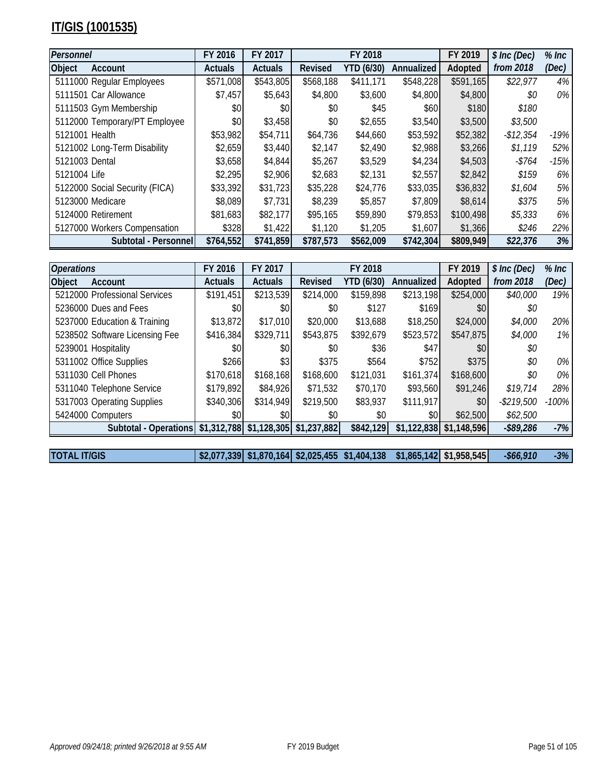# **IT/GIS (1001535)**

| Personnel      |                                | FY 2016        | FY 2017        |                | FY 2018    |            | FY 2019   | \$ Inc (Dec) | $%$ Inc |
|----------------|--------------------------------|----------------|----------------|----------------|------------|------------|-----------|--------------|---------|
| <b>Object</b>  | Account                        | <b>Actuals</b> | <b>Actuals</b> | <b>Revised</b> | YTD (6/30) | Annualized | Adopted   | from 2018    | (Dec)   |
|                | 5111000 Regular Employees      | \$571,008      | \$543,805      | \$568,188      | \$411,171  | \$548,228  | \$591,165 | \$22,977     | 4%      |
|                | 5111501 Car Allowance          | \$7,457        | \$5,643        | \$4,800        | \$3,600    | \$4,800    | \$4,800   | \$0          | $0\%$   |
|                | 5111503 Gym Membership         | \$0            | \$0            | \$0            | \$45       | \$60       | \$180     | \$180        |         |
|                | 5112000 Temporary/PT Employee  | \$0            | \$3,458        | \$0            | \$2,655    | \$3,540    | \$3,500   | \$3,500      |         |
| 5121001 Health |                                | \$53,982       | \$54,711       | \$64,736       | \$44,660   | \$53,592   | \$52,382  | $-$12,354$   | $-19%$  |
|                | 5121002 Long-Term Disability   | \$2,659        | \$3,440        | \$2,147        | \$2,490    | \$2,988    | \$3,266   | \$1,119      | 52%     |
| 5121003 Dental |                                | \$3,658        | \$4,844        | \$5,267        | \$3,529    | \$4,234    | \$4,503   | $-$ \$764    | $-15%$  |
| 5121004 Life   |                                | \$2,295        | \$2,906        | \$2,683        | \$2,131    | \$2,557    | \$2,842   | \$159        | $6\%$   |
|                | 5122000 Social Security (FICA) | \$33,392       | \$31,723       | \$35,228       | \$24,776   | \$33,035   | \$36,832  | \$1,604      | 5%      |
|                | 5123000 Medicare               | \$8,089        | \$7,731        | \$8,239        | \$5,857    | \$7,809    | \$8,614   | \$375        | 5%      |
|                | 5124000 Retirement             | \$81,683       | \$82,177       | \$95,165       | \$59,890   | \$79,853   | \$100,498 | \$5,333      | $6\%$   |
|                | 5127000 Workers Compensation   | \$328          | \$1,422        | \$1,120        | \$1,205    | \$1,607    | \$1,366   | \$246        | 22%     |
|                | Subtotal - Personnel           | \$764,552      | \$741,859      | \$787,573      | \$562,009  | \$742,304  | \$809,949 | \$22,376     | 3%      |

| <b>Operations</b> |                                | FY 2016        | FY 2017                   |                | FY 2018    |             | FY 2019     | \$ Inc (Dec) | $%$ Inc |
|-------------------|--------------------------------|----------------|---------------------------|----------------|------------|-------------|-------------|--------------|---------|
| Object            | Account                        | <b>Actuals</b> | <b>Actuals</b>            | <b>Revised</b> | YTD (6/30) | Annualized  | Adopted     | from 2018    | (Dec)   |
|                   | 5212000 Professional Services  | \$191,451      | \$213,539                 | \$214,000      | \$159,898  | \$213,198   | \$254,000   | \$40,000     | 19%     |
|                   | 5236000 Dues and Fees          | \$0            | \$0                       | \$0            | \$127      | \$169       | \$0         | \$0          |         |
|                   | 5237000 Education & Training   | \$13,872       | \$17,010                  | \$20,000       | \$13,688   | \$18,250    | \$24,000    | \$4,000      | 20%     |
|                   | 5238502 Software Licensing Fee | \$416,384      | \$329,711                 | \$543,875      | \$392,679  | \$523,572   | \$547,875   | \$4,000      | $1\%$   |
|                   | 5239001 Hospitality            | \$0            | \$0                       | \$0            | \$36       | \$47        | \$0         | \$0          |         |
|                   | 5311002 Office Supplies        | \$266          | \$3                       | \$375          | \$564      | \$752       | \$375       | \$0          | $0\%$   |
|                   | 5311030 Cell Phones            | \$170,618      | \$168,168                 | \$168,600      | \$121,031  | \$161,374   | \$168,600   | \$0          | $0\%$   |
|                   | 5311040 Telephone Service      | \$179,892      | \$84,926                  | \$71,532       | \$70,170   | \$93,560    | \$91,246    | \$19,714     | 28%     |
|                   | 5317003 Operating Supplies     | \$340,306      | \$314,949                 | \$219,500      | \$83,937   | \$111,917   | \$0         | $-$219,500$  | $-100%$ |
|                   | 5424000 Computers              | \$0            | \$0                       | \$0            | \$0        | \$0         | \$62,500    | \$62,500     |         |
|                   | Subtotal - Operations          |                | $$1,312,788$ $$1,128,305$ | \$1,237,882    | \$842,129  | \$1,122,838 | \$1,148,596 | $-$ \$89,286 | $-7%$   |
|                   |                                |                |                           |                |            |             |             |              |         |

**TOTAL IT/GIS \$2,077,339 \$1,870,164 \$2,025,455 \$1,404,138 \$1,865,142 \$1,958,545** *-\$66,910 -3%*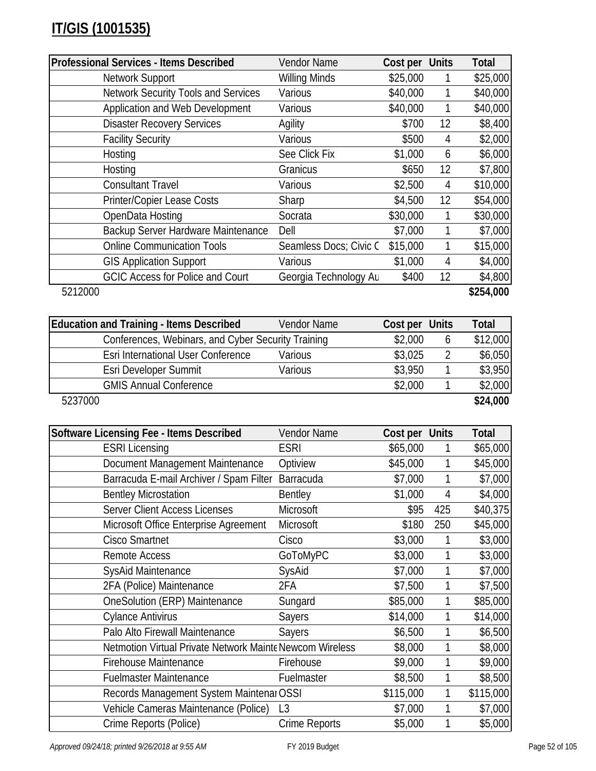| Professional Services - Items Described    | Vendor Name            | Cost per Units |    | Total     |
|--------------------------------------------|------------------------|----------------|----|-----------|
| Network Support                            | <b>Willing Minds</b>   | \$25,000       |    | \$25,000  |
| <b>Network Security Tools and Services</b> | Various                | \$40,000       |    | \$40,000  |
| Application and Web Development            | Various                | \$40,000       |    | \$40,000  |
| <b>Disaster Recovery Services</b>          | Agility                | \$700          | 12 | \$8,400   |
| <b>Facility Security</b>                   | Various                | \$500          | 4  | \$2,000   |
| Hosting                                    | See Click Fix          | \$1,000        | 6  | \$6,000   |
| Hosting                                    | Granicus               | \$650          | 12 | \$7,800   |
| <b>Consultant Travel</b>                   | Various                | \$2,500        | 4  | \$10,000  |
| Printer/Copier Lease Costs                 | Sharp                  | \$4,500        | 12 | \$54,000  |
| OpenData Hosting                           | Socrata                | \$30,000       |    | \$30,000  |
| Backup Server Hardware Maintenance         | Dell                   | \$7,000        |    | \$7,000   |
| <b>Online Communication Tools</b>          | Seamless Docs; Civic C | \$15,000       |    | \$15,000  |
| <b>GIS Application Support</b>             | Various                | \$1,000        | 4  | \$4,000   |
| <b>GCIC Access for Police and Court</b>    | Georgia Technology Au  | \$400          | 12 | \$4,800   |
| 5212000                                    |                        |                |    | \$254,000 |

| <b>Education and Training - Items Described</b>    | Vendor Name | Cost per Units |   | Total    |
|----------------------------------------------------|-------------|----------------|---|----------|
| Conferences, Webinars, and Cyber Security Training |             | \$2,000        | O | \$12,000 |
| Esri International User Conference                 | Various     | \$3,025        |   | \$6,050  |
| Esri Developer Summit                              | Various     | \$3,950        |   | \$3,950  |
| <b>GMIS Annual Conference</b>                      |             | \$2,000        |   | \$2,000  |
| 5237000                                            |             |                |   | \$24,000 |

| Software Licensing Fee - Items Described                 | Vendor Name    | Cost per Units |     | <b>Total</b> |
|----------------------------------------------------------|----------------|----------------|-----|--------------|
| <b>ESRI Licensing</b>                                    | ESRI           | \$65,000       |     | \$65,000     |
| Document Management Maintenance                          | Optiview       | \$45,000       |     | \$45,000     |
| Barracuda E-mail Archiver / Spam Filter                  | Barracuda      | \$7,000        |     | \$7,000      |
| <b>Bentley Microstation</b>                              | <b>Bentley</b> | \$1,000        | 4   | \$4,000      |
| <b>Server Client Access Licenses</b>                     | Microsoft      | \$95           | 425 | \$40,375     |
| Microsoft Office Enterprise Agreement                    | Microsoft      | \$180          | 250 | \$45,000     |
| <b>Cisco Smartnet</b>                                    | Cisco          | \$3,000        |     | \$3,000      |
| Remote Access                                            | GoToMyPC       | \$3,000        | 1   | \$3,000      |
| SysAid Maintenance                                       | SysAid         | \$7,000        | 1   | \$7,000      |
| 2FA (Police) Maintenance                                 | 2FA            | \$7,500        | 1   | \$7,500      |
| <b>OneSolution (ERP) Maintenance</b>                     | Sungard        | \$85,000       | 1   | \$85,000     |
| <b>Cylance Antivirus</b>                                 | <b>Sayers</b>  | \$14,000       |     | \$14,000     |
| Palo Alto Firewall Maintenance                           | Sayers         | \$6,500        | 1   | \$6,500      |
| Netmotion Virtual Private Network Mainte Newcom Wireless |                | \$8,000        |     | \$8,000      |
| <b>Firehouse Maintenance</b>                             | Firehouse      | \$9,000        | 1   | \$9,000      |
| <b>Fuelmaster Maintenance</b>                            | Fuelmaster     | \$8,500        |     | \$8,500      |
| Records Management System Maintenar OSSI                 |                | \$115,000      | 1   | \$115,000    |
| Vehicle Cameras Maintenance (Police)                     | L <sub>3</sub> | \$7,000        | 1   | \$7,000      |
| Crime Reports (Police)                                   | Crime Reports  | \$5,000        |     | \$5,000      |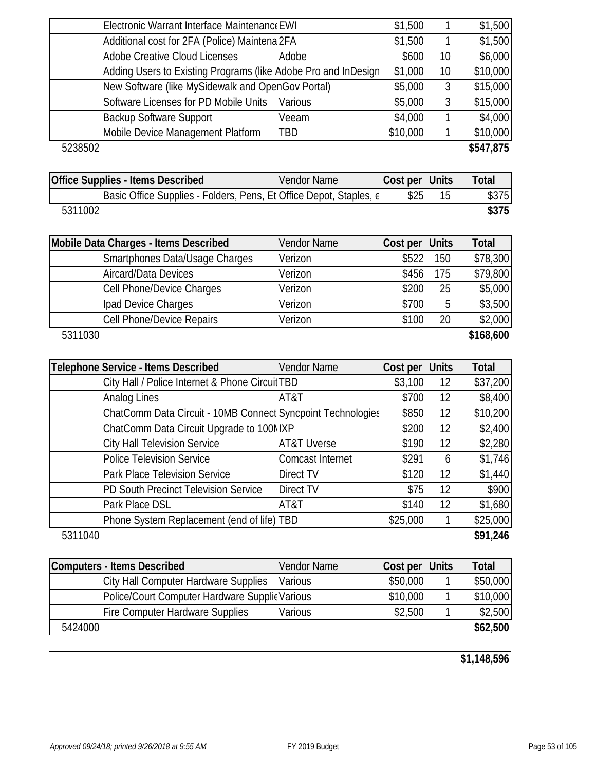| Electronic Warrant Interface Maintenance EWI                       |                        | \$1,500        | 1            | \$1,500      |
|--------------------------------------------------------------------|------------------------|----------------|--------------|--------------|
| Additional cost for 2FA (Police) Maintena 2FA                      |                        | \$1,500        | 1            | \$1,500      |
| <b>Adobe Creative Cloud Licenses</b>                               | Adobe                  | \$600          | 10           | \$6,000      |
| Adding Users to Existing Programs (like Adobe Pro and InDesign     |                        | \$1,000        | 10           | \$10,000     |
| New Software (like MySidewalk and OpenGov Portal)                  |                        | \$5,000        | 3            | \$15,000     |
| Software Licenses for PD Mobile Units                              | Various                | \$5,000        | 3            | \$15,000     |
| <b>Backup Software Support</b>                                     | Veeam                  | \$4,000        | 1            | \$4,000      |
| Mobile Device Management Platform                                  | TBD                    | \$10,000       | 1            | \$10,000     |
| 5238502                                                            |                        |                |              | \$547,875    |
| <b>Office Supplies - Items Described</b>                           | Vendor Name            | Cost per Units |              | Total        |
| Basic Office Supplies - Folders, Pens, Et Office Depot, Staples, e |                        | \$25           | 15           | \$375        |
| 5311002                                                            |                        |                |              | \$375        |
| Mobile Data Charges - Items Described                              | Vendor Name            | Cost per       | <b>Units</b> | <b>Total</b> |
| Smartphones Data/Usage Charges                                     | Verizon                | \$522          | 150          | \$78,300     |
| Aircard/Data Devices                                               | Verizon                | \$456          | 175          | \$79,800     |
| Cell Phone/Device Charges                                          | Verizon                | \$200          | 25           | \$5,000      |
| Ipad Device Charges                                                | Verizon                | \$700          | 5            | \$3,500      |
| <b>Cell Phone/Device Repairs</b>                                   | Verizon                | \$100          | 20           | \$2,000      |
| 5311030                                                            |                        |                |              | \$168,600    |
| <b>Telephone Service - Items Described</b>                         | Vendor Name            | Cost per Units |              | Total        |
| City Hall / Police Internet & Phone Circuit TBD                    |                        | \$3,100        | 12           | \$37,200     |
| Analog Lines                                                       | AT&T                   | \$700          | 12           | \$8,400      |
| ChatComm Data Circuit - 10MB Connect Syncpoint Technologies        |                        | \$850          | 12           | \$10,200     |
| ChatComm Data Circuit Upgrade to 100MXP                            |                        | \$200          | 12           | \$2,400      |
| <b>City Hall Television Service</b>                                | <b>AT&amp;T Uverse</b> | \$190          | 12           | \$2,280      |
| <b>Police Television Service</b>                                   | Comcast Internet       | \$291          | 6            | \$1,746      |
| Park Place Television Service                                      | Direct TV              | \$120          | 12           | \$1,440      |
| PD South Precinct Television Service                               | Direct TV              | \$75           | 12           | \$900        |
| Park Place DSL                                                     | AT&T                   | \$140          | 12           | \$1,680      |
| Phone System Replacement (end of life) TBD                         |                        | \$25,000       | $\mathbf{1}$ | \$25,000     |
| 5311040                                                            |                        |                |              | \$91,246     |
| <b>Computers - Items Described</b>                                 | Vendor Name            | Cost per       | <b>Units</b> | Total        |
| City Hall Computer Hardware Supplies                               | Various                | \$50,000       | 1            | \$50,000     |
| Police/Court Computer Hardware Supplic Various                     |                        | \$10,000       | 1            | \$10,000     |
| Fire Computer Hardware Supplies                                    | Various                | \$2,500        | 1            | \$2,500      |
| 5424000                                                            |                        |                |              | \$62,500     |

**\$1,148,596**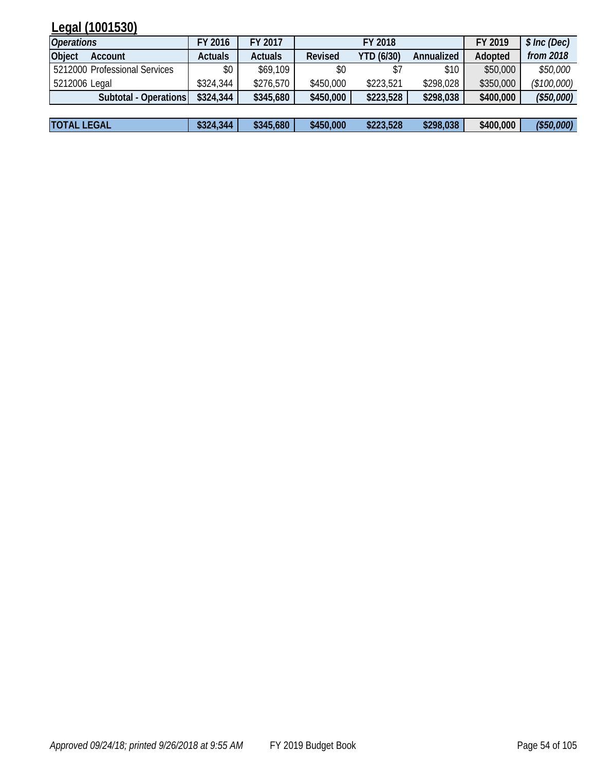# **Legal (1001530)**

| <b>Operations</b>             | FY 2016        | FY 2017        | FY 2018        |                   |            | FY 2019   | \$ Inc (Dec) |
|-------------------------------|----------------|----------------|----------------|-------------------|------------|-----------|--------------|
| <b>Object</b><br>Account      | <b>Actuals</b> | <b>Actuals</b> | <b>Revised</b> | <b>YTD (6/30)</b> | Annualized | Adopted   | from 2018    |
| 5212000 Professional Services | \$0            | \$69,109       | \$0            |                   | \$10       | \$50,000  | \$50,000     |
| 5212006 Legal                 | \$324,344      | \$276,570      | \$450,000      | \$223,521         | \$298,028  | \$350,000 | (\$100,000)  |
| Subtotal - Operations         | \$324,344      | \$345,680      | \$450,000      | \$223,528         | \$298,038  | \$400,000 | (\$50,000)   |
|                               |                |                |                |                   |            |           |              |
| <b>TOTAL LEGAL</b>            | \$324,344      | \$345,680      | \$450,000      | \$223,528         | \$298,038  | \$400,000 | (\$50,000)   |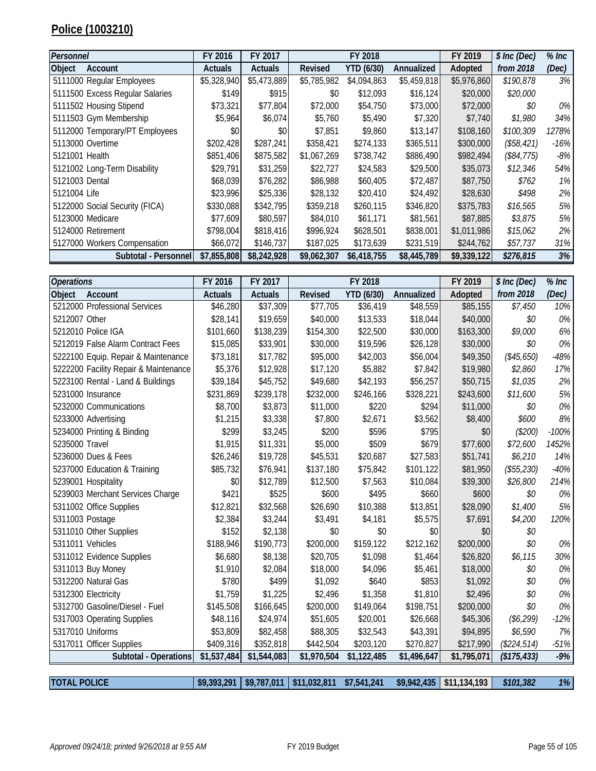## **Police (1003210)**

| Personnel                       | FY 2016        | FY 2017        |             | FY 2018           |             | FY 2019     | \$ Inc (Dec) | $%$ Inc |
|---------------------------------|----------------|----------------|-------------|-------------------|-------------|-------------|--------------|---------|
| Object<br>Account               | <b>Actuals</b> | <b>Actuals</b> | Revised     | <b>YTD (6/30)</b> | Annualized  | Adopted     | from 2018    | (Dec)   |
| 5111000 Regular Employees       | \$5,328,940    | \$5,473,889    | \$5,785,982 | \$4,094,863       | \$5,459,818 | \$5,976,860 | \$190,878    | 3%      |
| 5111500 Excess Regular Salaries | \$149          | \$915          | \$0         | \$12,093          | \$16,124    | \$20,000    | \$20,000     |         |
| 5111502 Housing Stipend         | \$73,321       | \$77,804       | \$72,000    | \$54,750          | \$73,000    | \$72,000    | \$0          | 0%      |
| 5111503 Gym Membership          | \$5,964        | \$6,074        | \$5,760     | \$5,490           | \$7,320     | \$7,740     | \$1,980      | 34%     |
| 5112000 Temporary/PT Employees  | \$0            | \$0            | \$7,851     | \$9,860           | \$13,147    | \$108,160   | \$100,309    | 1278%   |
| 5113000 Overtime                | \$202,428      | \$287,241      | \$358,421   | \$274,133         | \$365,511   | \$300,000   | (\$58,421)   | -16%    |
| 5121001 Health                  | \$851,406      | \$875,582      | \$1,067,269 | \$738,742         | \$886,490   | \$982,494   | (\$84,775)   | -8%     |
| 5121002 Long-Term Disability    | \$29,791       | \$31,259       | \$22,727    | \$24,583          | \$29,500    | \$35,073    | \$12,346     | 54%     |
| 5121003 Dental                  | \$68,039       | \$76,282       | \$86,988    | \$60,405          | \$72,487    | \$87,750    | \$762        | 1%      |
| 5121004 Life                    | \$23,996       | \$25,336       | \$28,132    | \$20,410          | \$24,492    | \$28,630    | \$498        | 2%      |
| 5122000 Social Security (FICA)  | \$330,088      | \$342,795      | \$359,218   | \$260.115         | \$346,820   | \$375,783   | \$16,565     | 5%      |
| 5123000 Medicare                | \$77,609       | \$80,597       | \$84,010    | \$61,171          | \$81,561    | \$87,885    | \$3,875      | 5%      |
| 5124000 Retirement              | \$798,004      | \$818,416      | \$996,924   | \$628,501         | \$838,001   | \$1,011,986 | \$15,062     | 2%      |
| 5127000 Workers Compensation    | \$66,072       | \$146,737      | \$187,025   | \$173,639         | \$231,519   | \$244,762   | \$57,737     | 31%     |
| Subtotal - Personnel            | \$7,855,808    | \$8,242,928    | \$9,062,307 | \$6,418,755       | \$8,445,789 | \$9,339,122 | \$276,815    | 3%      |

| <b>Operations</b>                     | FY 2016        | FY 2017        |                | FY 2018     |             | FY 2019     | \$ Inc (Dec) | $%$ Inc |
|---------------------------------------|----------------|----------------|----------------|-------------|-------------|-------------|--------------|---------|
| Account<br>Object                     | <b>Actuals</b> | <b>Actuals</b> | <b>Revised</b> | YTD (6/30)  | Annualized  | Adopted     | from 2018    | (Dec)   |
| 5212000 Professional Services         | \$46,280       | \$37,309       | \$77,705       | \$36,419    | \$48,559    | \$85,155    | \$7,450      | 10%     |
| 5212007 Other                         | \$28,141       | \$19,659       | \$40,000       | \$13,533    | \$18,044    | \$40,000    | \$0          | 0%      |
| 5212010 Police IGA                    | \$101,660      | \$138,239      | \$154,300      | \$22,500    | \$30,000    | \$163,300   | \$9,000      | 6%      |
| 5212019 False Alarm Contract Fees     | \$15,085       | \$33,901       | \$30,000       | \$19,596    | \$26,128    | \$30,000    | \$0          | 0%      |
| 5222100 Equip. Repair & Maintenance   | \$73,181       | \$17,782       | \$95,000       | \$42,003    | \$56,004    | \$49,350    | (\$45,650)   | $-48%$  |
| 5222200 Facility Repair & Maintenance | \$5,376        | \$12,928       | \$17,120       | \$5,882     | \$7,842     | \$19,980    | \$2,860      | 17%     |
| 5223100 Rental - Land & Buildings     | \$39,184       | \$45,752       | \$49,680       | \$42,193    | \$56,257    | \$50,715    | \$1,035      | 2%      |
| 5231000 Insurance                     | \$231,869      | \$239,178      | \$232,000      | \$246,166   | \$328,221   | \$243,600   | \$11,600     | 5%      |
| 5232000 Communications                | \$8,700        | \$3,873        | \$11,000       | \$220       | \$294       | \$11,000    | \$0          | 0%      |
| 5233000 Advertising                   | \$1,215        | \$3,338        | \$7,800        | \$2,671     | \$3,562     | \$8,400     | \$600        | 8%      |
| 5234000 Printing & Binding            | \$299          | \$3,245        | \$200          | \$596       | \$795       | \$0         | (\$200)      | $-100%$ |
| 5235000 Travel                        | \$1,915        | \$11,331       | \$5,000        | \$509       | \$679       | \$77,600    | \$72,600     | 1452%   |
| 5236000 Dues & Fees                   | \$26,246       | \$19,728       | \$45,531       | \$20,687    | \$27,583    | \$51,741    | \$6,210      | 14%     |
| 5237000 Education & Training          | \$85,732       | \$76,941       | \$137,180      | \$75,842    | \$101,122   | \$81,950    | (\$55,230)   | $-40%$  |
| 5239001 Hospitality                   | \$0            | \$12,789       | \$12,500       | \$7,563     | \$10,084    | \$39,300    | \$26,800     | 214%    |
| 5239003 Merchant Services Charge      | \$421          | \$525          | \$600          | \$495       | \$660       | \$600       | \$0          | 0%      |
| 5311002 Office Supplies               | \$12,821       | \$32,568       | \$26,690       | \$10,388    | \$13,851    | \$28,090    | \$1,400      | 5%      |
| 5311003 Postage                       | \$2,384        | \$3,244        | \$3,491        | \$4,181     | \$5,575     | \$7,691     | \$4,200      | 120%    |
| 5311010 Other Supplies                | \$152          | \$2,138        | \$0            | \$0         | \$0         | \$0         | \$0          |         |
| 5311011 Vehicles                      | \$188,946      | \$190,773      | \$200,000      | \$159,122   | \$212,162   | \$200,000   | \$0          | 0%      |
| 5311012 Evidence Supplies             | \$6,680        | \$8,138        | \$20,705       | \$1,098     | \$1,464     | \$26,820    | \$6,115      | 30%     |
| 5311013 Buy Money                     | \$1,910        | \$2,084        | \$18,000       | \$4,096     | \$5,461     | \$18,000    | \$0          | 0%      |
| 5312200 Natural Gas                   | \$780          | \$499          | \$1,092        | \$640       | \$853       | \$1,092     | \$0          | 0%      |
| 5312300 Electricity                   | \$1,759        | \$1,225        | \$2,496        | \$1,358     | \$1,810     | \$2,496     | \$0          | 0%      |
| 5312700 Gasoline/Diesel - Fuel        | \$145,508      | \$166,645      | \$200,000      | \$149,064   | \$198,751   | \$200,000   | \$0          | 0%      |
| 5317003 Operating Supplies            | \$48,116       | \$24,974       | \$51,605       | \$20,001    | \$26,668    | \$45,306    | (\$6,299)    | $-12%$  |
| 5317010 Uniforms                      | \$53,809       | \$82,458       | \$88,305       | \$32,543    | \$43,391    | \$94,895    | \$6,590      | 7%      |
| 5317011 Officer Supplies              | \$409,316      | \$352,818      | \$442,504      | \$203,120   | \$270,827   | \$217,990   | (\$224,514)  | $-51%$  |
| Subtotal - Operations                 | \$1,537,484    | \$1,544,083    | \$1,970,504    | \$1,122,485 | \$1,496,647 | \$1,795,071 | (\$175,433)  | $-9%$   |
|                                       |                |                |                |             |             |             |              |         |

**TOTAL POLICE \$9,393,291 \$9,787,011 \$11,032,811 \$7,541,241 \$9,942,435 \$11,134,193** *\$101,382 1%*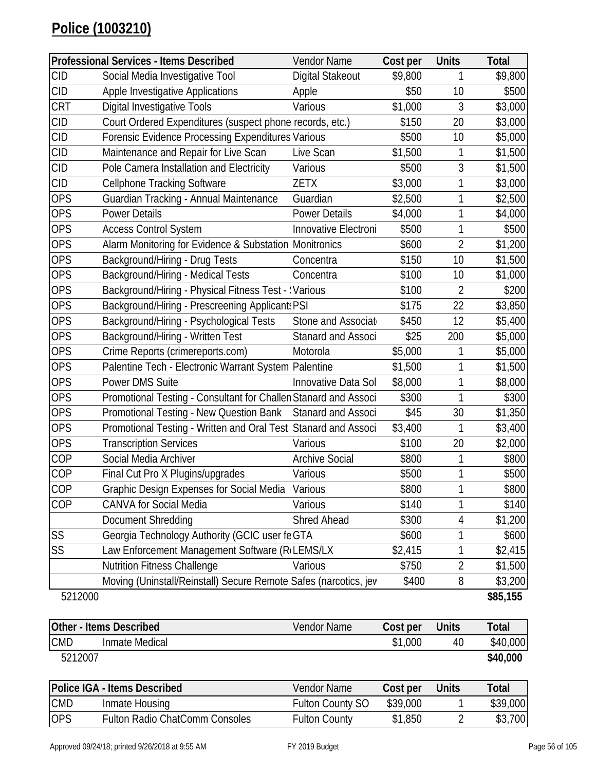|            | <b>Professional Services - Items Described</b>                   | Vendor Name           | Cost per | <b>Units</b>   | <b>Total</b> |
|------------|------------------------------------------------------------------|-----------------------|----------|----------------|--------------|
| <b>CID</b> | Social Media Investigative Tool                                  | Digital Stakeout      | \$9,800  | 1              | \$9,800      |
| <b>CID</b> | <b>Apple Investigative Applications</b>                          | Apple                 | \$50     | 10             | \$500        |
| <b>CRT</b> | <b>Digital Investigative Tools</b>                               | Various               | \$1,000  | 3              | \$3,000      |
| <b>CID</b> | Court Ordered Expenditures (suspect phone records, etc.)         |                       | \$150    | 20             | \$3,000      |
| <b>CID</b> | Forensic Evidence Processing Expenditures Various                |                       | \$500    | 10             | \$5,000      |
| <b>CID</b> | Maintenance and Repair for Live Scan                             | Live Scan             | \$1,500  | 1              | \$1,500      |
| <b>CID</b> | Pole Camera Installation and Electricity                         | Various               | \$500    | 3              | \$1,500      |
| <b>CID</b> | <b>Cellphone Tracking Software</b>                               | <b>ZETX</b>           | \$3,000  | 1              | \$3,000      |
| <b>OPS</b> | Guardian Tracking - Annual Maintenance                           | Guardian              | \$2,500  | 1              | \$2,500      |
| <b>OPS</b> | <b>Power Details</b>                                             | <b>Power Details</b>  | \$4,000  | 1              | \$4,000      |
| <b>OPS</b> | <b>Access Control System</b>                                     | Innovative Electroni  | \$500    | 1              | \$500        |
| <b>OPS</b> | Alarm Monitoring for Evidence & Substation Monitronics           |                       | \$600    | $\overline{2}$ | \$1,200      |
| <b>OPS</b> | Background/Hiring - Drug Tests                                   | Concentra             | \$150    | 10             | \$1,500      |
| <b>OPS</b> | Background/Hiring - Medical Tests                                | Concentra             | \$100    | 10             | \$1,000      |
| <b>OPS</b> | Background/Hiring - Physical Fitness Test - : Various            |                       | \$100    | $\overline{2}$ | \$200        |
| <b>OPS</b> | Background/Hiring - Prescreening Applicant: PSI                  |                       | \$175    | 22             | \$3,850      |
| <b>OPS</b> | Background/Hiring - Psychological Tests                          | Stone and Associat    | \$450    | 12             | \$5,400      |
| <b>OPS</b> | Background/Hiring - Written Test                                 | Stanard and Associ    | \$25     | 200            | \$5,000      |
| <b>OPS</b> | Crime Reports (crimereports.com)                                 | Motorola              | \$5,000  | 1              | \$5,000      |
| <b>OPS</b> | Palentine Tech - Electronic Warrant System Palentine             |                       | \$1,500  | 1              | \$1,500      |
| OPS        | Power DMS Suite                                                  | Innovative Data Sol   | \$8,000  | 1              | \$8,000      |
| <b>OPS</b> | Promotional Testing - Consultant for Challen Stanard and Associ  |                       | \$300    | 1              | \$300        |
| <b>OPS</b> | Promotional Testing - New Question Bank                          | Stanard and Associ    | \$45     | 30             | \$1,350      |
| <b>OPS</b> | Promotional Testing - Written and Oral Test Stanard and Associ   |                       | \$3,400  | 1              | \$3,400      |
| <b>OPS</b> | <b>Transcription Services</b>                                    | Various               | \$100    | 20             | \$2,000      |
| COP        | Social Media Archiver                                            | <b>Archive Social</b> | \$800    | 1              | \$800        |
| COP        | Final Cut Pro X Plugins/upgrades                                 | Various               | \$500    | 1              | \$500        |
| COP        | Graphic Design Expenses for Social Media Various                 |                       | \$800    | $\overline{ }$ | \$800        |
| COP        | <b>CANVA for Social Media</b>                                    | Various               | \$140    | 1              | \$140        |
|            | Document Shredding                                               | <b>Shred Ahead</b>    | \$300    | 4              | \$1,200      |
| SS         | Georgia Technology Authority (GCIC user fe GTA                   |                       | \$600    | 1              | \$600        |
| SS         | Law Enforcement Management Software (R(LEMS/LX                   |                       | \$2,415  | 1              | \$2,415      |
|            | <b>Nutrition Fitness Challenge</b>                               | Various               | \$750    | $\overline{2}$ | \$1,500      |
|            | Moving (Uninstall/Reinstall) Secure Remote Safes (narcotics, jev |                       | \$400    | 8              | \$3,200      |
| 5212000    |                                                                  |                       |          |                | \$85,155     |
|            | <b>Other - Items Described</b>                                   | Vendor Name           | Cost per | <b>Units</b>   | <b>Total</b> |
| <b>CMD</b> | Inmate Medical                                                   |                       | \$1,000  | 40             | \$40,000     |
| 5212007    |                                                                  |                       |          |                | \$40,000     |

|            | Police IGA - Items Described   | Vendor Name             | Cost per | <b>Units</b> | Total    |
|------------|--------------------------------|-------------------------|----------|--------------|----------|
| <b>CMD</b> | Inmate Housing                 | <b>Fulton County SO</b> | \$39,000 |              | \$39,000 |
| <b>OPS</b> | Fulton Radio ChatComm Consoles | <b>Fulton County</b>    | \$1,850  |              | \$3,700  |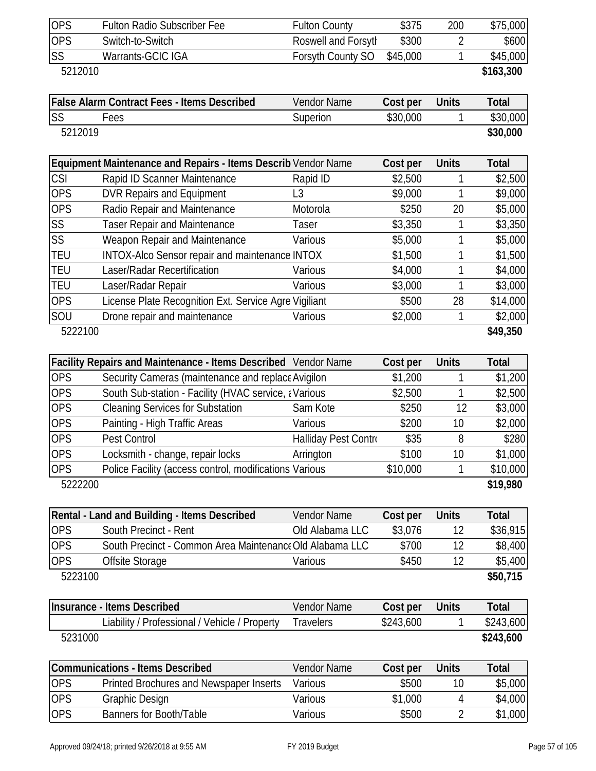| <b>OPS</b>            | <b>Fulton Radio Subscriber Fee</b>                                                         | <b>Fulton County</b> | \$375             | 200          | \$75,000            |
|-----------------------|--------------------------------------------------------------------------------------------|----------------------|-------------------|--------------|---------------------|
| <b>OPS</b>            | Switch-to-Switch                                                                           | Roswell and Forsyth  | \$300             | 2            | \$600               |
| SS                    | Warrants-GCIC IGA                                                                          | Forsyth County SO    | \$45,000          | 1            | \$45,000            |
| 5212010               |                                                                                            |                      |                   |              | \$163,300           |
|                       | <b>False Alarm Contract Fees - Items Described</b>                                         | Vendor Name          | Cost per          | <b>Units</b> | <b>Total</b>        |
| <b>SS</b>             | Fees                                                                                       | Superion             | \$30,000          | 1            | \$30,000            |
| 5212019               |                                                                                            |                      |                   |              | \$30,000            |
|                       | Equipment Maintenance and Repairs - Items Describ Vendor Name                              |                      | Cost per          | <b>Units</b> | <b>Total</b>        |
| <b>CSI</b>            | Rapid ID Scanner Maintenance                                                               | Rapid ID             | \$2,500           | 1            | \$2,500             |
| <b>OPS</b>            | <b>DVR Repairs and Equipment</b>                                                           | L3                   | \$9,000           | 1            | \$9,000             |
| <b>OPS</b>            | Radio Repair and Maintenance                                                               | Motorola             | \$250             | 20           | \$5,000             |
| SS                    | <b>Taser Repair and Maintenance</b>                                                        | <b>Taser</b>         | \$3,350           | 1            | \$3,350             |
| SS                    | Weapon Repair and Maintenance                                                              | Various              | \$5,000           | 1            | \$5,000             |
| <b>TEU</b>            | INTOX-Alco Sensor repair and maintenance INTOX                                             |                      | \$1,500           | 1            | \$1,500             |
| <b>TEU</b>            | Laser/Radar Recertification                                                                | Various              | \$4,000           | 1            | \$4,000             |
| <b>TEU</b>            | Laser/Radar Repair                                                                         | Various              | \$3,000           | 1            | \$3,000             |
| <b>OPS</b>            | License Plate Recognition Ext. Service Agre Vigiliant                                      |                      | \$500             | 28           | \$14,000            |
| SOU                   | Drone repair and maintenance                                                               | Various              | \$2,000           | 1            | \$2,000             |
| 5222100               |                                                                                            |                      |                   |              | \$49,350            |
|                       |                                                                                            |                      |                   |              |                     |
|                       | Facility Repairs and Maintenance - Items Described Vendor Name                             |                      | Cost per          | <b>Units</b> | <b>Total</b>        |
| <b>OPS</b>            | Security Cameras (maintenance and replace Avigilon                                         |                      | \$1,200           | 1            | \$1,200             |
|                       |                                                                                            |                      |                   |              |                     |
| <b>OPS</b>            | South Sub-station - Facility (HVAC service, ¿Various                                       |                      | \$2,500           | 1            | \$2,500             |
| <b>OPS</b>            | <b>Cleaning Services for Substation</b>                                                    | Sam Kote             | \$250             | 12           | \$3,000             |
| <b>OPS</b>            | Painting - High Traffic Areas                                                              | Various              | \$200             | 10           | \$2,000             |
| <b>OPS</b>            | Pest Control                                                                               |                      | \$35              | 8            | \$280               |
| <b>OPS</b>            |                                                                                            | Halliday Pest Contro |                   |              |                     |
| <b>OPS</b>            | Locksmith - change, repair locks<br>Police Facility (access control, modifications Various | Arrington            | \$100<br>\$10,000 | 10<br>1      | \$1,000<br>\$10,000 |
| 5222200               |                                                                                            |                      |                   |              | \$19,980            |
|                       | Rental - Land and Building - Items Described                                               | <b>Vendor Name</b>   | Cost per          | <b>Units</b> | <b>Total</b>        |
| <b>OPS</b>            | South Precinct - Rent                                                                      | Old Alabama LLC      | \$3,076           | 12           | \$36,915            |
| <b>OPS</b>            | South Precinct - Common Area Maintenance Old Alabama LLC                                   |                      | \$700             | 12           |                     |
|                       |                                                                                            | Various              | \$450             | 12           | \$8,400             |
| <b>OPS</b><br>5223100 | Offsite Storage                                                                            |                      |                   |              | \$5,400<br>\$50,715 |
|                       | <b>Insurance - Items Described</b>                                                         | <b>Vendor Name</b>   | Cost per          | <b>Units</b> | <b>Total</b>        |
|                       | Liability / Professional / Vehicle / Property                                              | <b>Travelers</b>     | \$243,600         | 1            | \$243,600           |
| 5231000               |                                                                                            |                      |                   |              | \$243,600           |
|                       | <b>Communications - Items Described</b>                                                    | Vendor Name          | Cost per          | <b>Units</b> | <b>Total</b>        |
| <b>OPS</b>            | Printed Brochures and Newspaper Inserts                                                    | Various              | \$500             | 10           | \$5,000             |
| <b>OPS</b>            | <b>Graphic Design</b>                                                                      | Various              | \$1,000           | 4            | \$4,000             |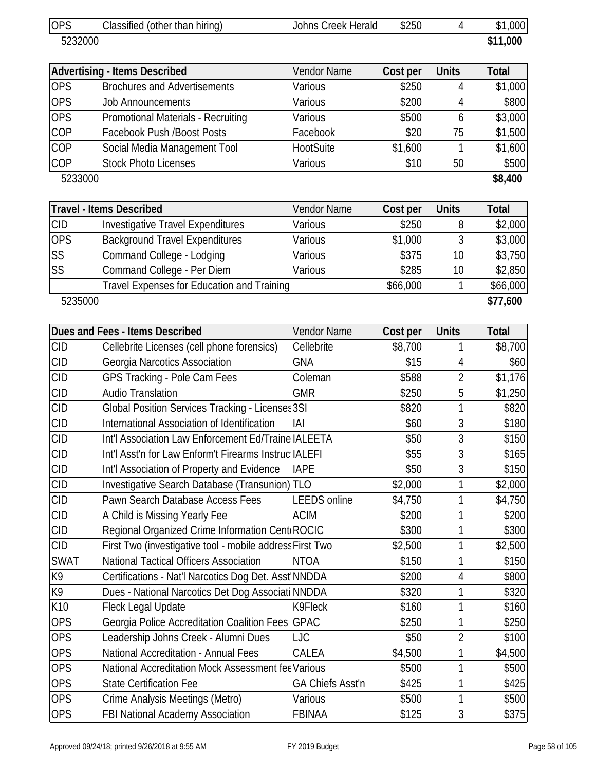| <b>OPS</b>  | Classified (other than hiring)                           | Johns Creek Herald  | \$250    | 4              | \$1,000      |
|-------------|----------------------------------------------------------|---------------------|----------|----------------|--------------|
| 5232000     |                                                          |                     |          |                | \$11,000     |
|             | <b>Advertising - Items Described</b>                     | Vendor Name         | Cost per | <b>Units</b>   | <b>Total</b> |
| <b>OPS</b>  | <b>Brochures and Advertisements</b>                      | Various             | \$250    | 4              | \$1,000      |
| <b>OPS</b>  | <b>Job Announcements</b>                                 | Various             | \$200    | 4              | \$800        |
| <b>OPS</b>  | Promotional Materials - Recruiting                       | Various             | \$500    | 6              | \$3,000      |
| COP         | <b>Facebook Push /Boost Posts</b>                        | Facebook            | \$20     | 75             | \$1,500      |
| COP         | Social Media Management Tool                             | HootSuite           | \$1,600  | 1              | \$1,600      |
| <b>COP</b>  | <b>Stock Photo Licenses</b>                              | Various             | \$10     | 50             | \$500        |
| 5233000     |                                                          |                     |          |                | \$8,400      |
|             | Travel - Items Described                                 | Vendor Name         | Cost per | <b>Units</b>   | <b>Total</b> |
| <b>CID</b>  | <b>Investigative Travel Expenditures</b>                 | Various             | \$250    | 8              | \$2,000      |
| <b>OPS</b>  | <b>Background Travel Expenditures</b>                    | Various             | \$1,000  | 3              | \$3,000      |
| SS          | Command College - Lodging                                | Various             | \$375    | 10             | \$3,750      |
| SS          | Command College - Per Diem                               | Various             | \$285    | 10             | \$2,850      |
|             | Travel Expenses for Education and Training               |                     | \$66,000 | 1              | \$66,000     |
| 5235000     |                                                          |                     |          |                | \$77,600     |
|             | Dues and Fees - Items Described                          | Vendor Name         | Cost per | <b>Units</b>   | <b>Total</b> |
| <b>CID</b>  | Cellebrite Licenses (cell phone forensics)               | Cellebrite          | \$8,700  | 1              | \$8,700      |
| <b>CID</b>  | Georgia Narcotics Association                            | <b>GNA</b>          | \$15     | 4              | \$60         |
| <b>CID</b>  | GPS Tracking - Pole Cam Fees                             | Coleman             | \$588    | 2              | \$1,176      |
| <b>CID</b>  | <b>Audio Translation</b>                                 | <b>GMR</b>          | \$250    | 5              | \$1,250      |
| <b>CID</b>  | Global Position Services Tracking - Licenses 3SI         |                     | \$820    | 1              | \$820        |
| <b>CID</b>  | International Association of Identification              | IAI                 | \$60     | 3              | \$180        |
| <b>CID</b>  | Int'l Association Law Enforcement Ed/Traine IALEETA      |                     | \$50     | 3              | \$150        |
| <b>CID</b>  | Int'l Asst'n for Law Enform't Firearms Instruc IALEFI    |                     | \$55     | 3              | \$165        |
| <b>CID</b>  | Int'l Association of Property and Evidence               | <b>IAPE</b>         | \$50     | 3              | \$150        |
| <b>CID</b>  | Investigative Search Database (Transunion) TLO           |                     | \$2,000  | 1              | \$2,000      |
| <b>CID</b>  | Pawn Search Database Access Fees                         | <b>LEEDS</b> online | \$4,750  | 1              | \$4,750      |
| <b>CID</b>  | A Child is Missing Yearly Fee                            | <b>ACIM</b>         | \$200    | 1              | \$200        |
| <b>CID</b>  | Regional Organized Crime Information Cent ROCIC          |                     | \$300    | 1              | \$300        |
| <b>CID</b>  | First Two (investigative tool - mobile address First Two |                     | \$2,500  | 1              | \$2,500      |
| <b>SWAT</b> | <b>National Tactical Officers Association</b>            | <b>NTOA</b>         | \$150    | 1              | \$150        |
| K9          | Certifications - Nat'l Narcotics Dog Det. Asst NNDDA     |                     | \$200    | 4              | \$800        |
| K9          | Dues - National Narcotics Det Dog Associati NNDDA        |                     | \$320    | 1              | \$320        |
| K10         | Fleck Legal Update                                       | K9Fleck             | \$160    | 1              | \$160        |
| <b>OPS</b>  | Georgia Police Accreditation Coalition Fees GPAC         |                     | \$250    | 1              | \$250        |
| <b>OPS</b>  | Leadership Johns Creek - Alumni Dues                     | <b>LJC</b>          | \$50     | $\overline{2}$ | \$100        |
| <b>OPS</b>  | <b>National Accreditation - Annual Fees</b>              | CALEA               | \$4,500  | 1              | \$4,500      |
| <b>OPS</b>  | National Accreditation Mock Assessment fee Various       |                     | \$500    | 1              | \$500        |
| <b>OPS</b>  | <b>State Certification Fee</b>                           | GA Chiefs Asst'n    | \$425    | 1              | \$425        |
| <b>OPS</b>  | Crime Analysis Meetings (Metro)                          | Various             | \$500    | 1              | \$500        |
| <b>OPS</b>  | FBI National Academy Association                         | <b>FBINAA</b>       | \$125    | 3              | \$375        |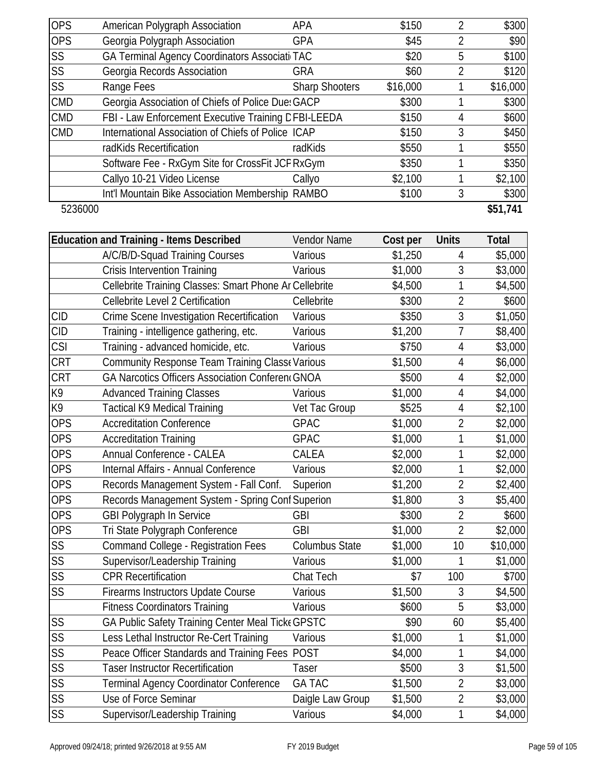| <b>OPS</b> | American Polygraph Association                      | APA                   | \$150    |   | \$300    |
|------------|-----------------------------------------------------|-----------------------|----------|---|----------|
| <b>OPS</b> | Georgia Polygraph Association                       | <b>GPA</b>            | \$45     | 2 | \$90     |
| <b>SS</b>  | GA Terminal Agency Coordinators Associati TAC       |                       | \$20     | 5 | \$100    |
| <b>SS</b>  | Georgia Records Association                         | <b>GRA</b>            | \$60     | 2 | \$120    |
| <b>SS</b>  | Range Fees                                          | <b>Sharp Shooters</b> | \$16,000 |   | \$16,000 |
| <b>CMD</b> | Georgia Association of Chiefs of Police Due: GACP   |                       | \$300    |   | \$300    |
| <b>CMD</b> | FBI - Law Enforcement Executive Training CFBI-LEEDA |                       | \$150    | 4 | \$600    |
| <b>CMD</b> | International Association of Chiefs of Police ICAP  |                       | \$150    | 3 | \$450    |
|            | radKids Recertification                             | radKids               | \$550    |   | \$550    |
|            | Software Fee - RxGym Site for CrossFit JCF RxGym    |                       | \$350    |   | \$350    |
|            | Callyo 10-21 Video License                          | Callyo                | \$2,100  |   | \$2,100  |
|            | Int'l Mountain Bike Association Membership RAMBO    |                       | \$100    | 3 | \$300    |
| 5236000    |                                                     |                       |          |   | \$51,741 |

|                        | <b>Education and Training - Items Described</b>         | Vendor Name           | Cost per | <b>Units</b>   | <b>Total</b> |
|------------------------|---------------------------------------------------------|-----------------------|----------|----------------|--------------|
|                        | A/C/B/D-Squad Training Courses                          | Various               | \$1,250  | 4              | \$5,000      |
|                        | <b>Crisis Intervention Training</b>                     | Various               | \$1,000  | 3              | \$3,000      |
|                        | Cellebrite Training Classes: Smart Phone Ar Cellebrite  |                       | \$4,500  | 1              | \$4,500      |
|                        | Cellebrite Level 2 Certification                        | Cellebrite            | \$300    | $\overline{2}$ | \$600        |
| <b>CID</b>             | Crime Scene Investigation Recertification               | Various               | \$350    | $\overline{3}$ | \$1,050      |
| <b>CID</b>             | Training - intelligence gathering, etc.                 | Various               | \$1,200  | $\overline{7}$ | \$8,400      |
| <b>CSI</b>             | Training - advanced homicide, etc.                      | Various               | \$750    | $\overline{4}$ | \$3,000      |
| <b>CRT</b>             | Community Response Team Training Class Narious          |                       | \$1,500  | 4              | \$6,000      |
| <b>CRT</b>             | <b>GA Narcotics Officers Association Conferent GNOA</b> |                       | \$500    | $\overline{4}$ | \$2,000      |
| K9                     | <b>Advanced Training Classes</b>                        | Various               | \$1,000  | $\overline{4}$ | \$4,000      |
| K9                     | <b>Tactical K9 Medical Training</b>                     | Vet Tac Group         | \$525    | $\overline{4}$ | \$2,100      |
| <b>OPS</b>             | <b>Accreditation Conference</b>                         | <b>GPAC</b>           | \$1,000  | $\overline{2}$ | \$2,000      |
| <b>OPS</b>             | <b>Accreditation Training</b>                           | <b>GPAC</b>           | \$1,000  | 1              | \$1,000      |
| <b>OPS</b>             | Annual Conference - CALEA                               | CALEA                 | \$2,000  | 1              | \$2,000      |
| <b>OPS</b>             | Internal Affairs - Annual Conference                    | Various               | \$2,000  | $\mathbf{1}$   | \$2,000      |
| <b>OPS</b>             | Records Management System - Fall Conf.                  | Superion              | \$1,200  | $\overline{2}$ | \$2,400      |
| <b>OPS</b>             | Records Management System - Spring Conf Superion        |                       | \$1,800  | 3              | \$5,400      |
| <b>OPS</b>             | <b>GBI Polygraph In Service</b>                         | <b>GBI</b>            | \$300    | $\overline{2}$ | \$600        |
| <b>OPS</b>             | Tri State Polygraph Conference                          | <b>GBI</b>            | \$1,000  | $\overline{2}$ | \$2,000      |
| SS                     | <b>Command College - Registration Fees</b>              | <b>Columbus State</b> | \$1,000  | 10             | \$10,000     |
| $\overline{\text{SS}}$ | Supervisor/Leadership Training                          | Various               | \$1,000  | 1              | \$1,000      |
| SS                     | <b>CPR Recertification</b>                              | Chat Tech             | \$7      | 100            | \$700        |
| SS                     | Firearms Instructors Update Course                      | Various               | \$1,500  | $\mathfrak{Z}$ | \$4,500      |
|                        | <b>Fitness Coordinators Training</b>                    | Various               | \$600    | 5              | \$3,000      |
| SS                     | GA Public Safety Training Center Meal Ticke GPSTC       |                       | \$90     | 60             | \$5,400      |
| SS                     | Less Lethal Instructor Re-Cert Training                 | Various               | \$1,000  | 1              | \$1,000      |
| SS                     | Peace Officer Standards and Training Fees POST          |                       | \$4,000  | 1              | \$4,000      |
| SS                     | <b>Taser Instructor Recertification</b>                 | <b>Taser</b>          | \$500    | 3              | \$1,500      |
| SS                     | Terminal Agency Coordinator Conference                  | <b>GA TAC</b>         | \$1,500  | $\overline{2}$ | \$3,000      |
| SS                     | Use of Force Seminar                                    | Daigle Law Group      | \$1,500  | $\overline{2}$ | \$3,000      |
| SS                     | Supervisor/Leadership Training                          | Various               | \$4,000  | 1              | \$4,000      |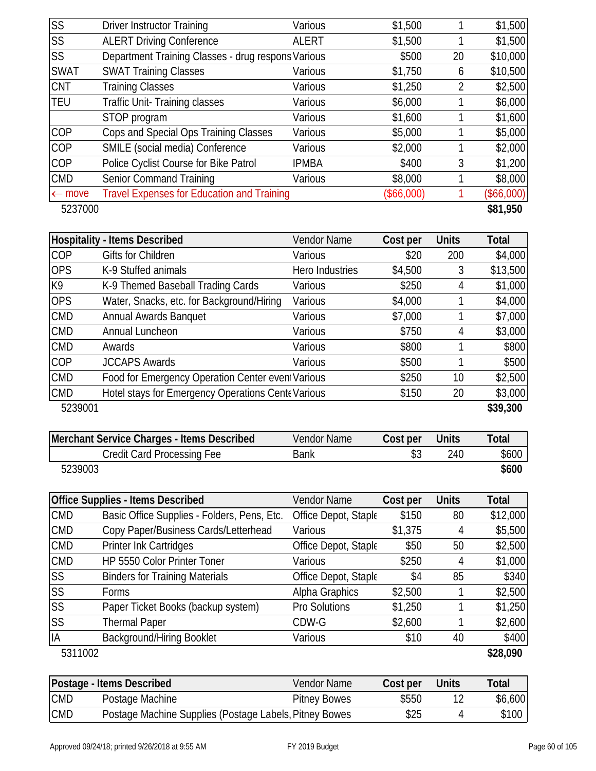| <b>SS</b>         | <b>Driver Instructor Training</b>                  | Various      | \$1,500      |    | \$1,500    |
|-------------------|----------------------------------------------------|--------------|--------------|----|------------|
| <b>SS</b>         | <b>ALERT Driving Conference</b>                    | <b>ALERT</b> | \$1,500      |    | \$1,500    |
| <b>SS</b>         | Department Training Classes - drug respons Various |              | \$500        | 20 | \$10,000   |
| <b>SWAT</b>       | <b>SWAT Training Classes</b>                       | Various      | \$1,750      | 6  | \$10,500   |
| <b>CNT</b>        | <b>Training Classes</b>                            | Various      | \$1,250      | 2  | \$2,500    |
| <b>TEU</b>        | Traffic Unit-Training classes                      | Various      | \$6,000      |    | \$6,000    |
|                   | STOP program                                       | Various      | \$1,600      |    | \$1,600    |
| COP               | Cops and Special Ops Training Classes              | Various      | \$5,000      |    | \$5,000    |
| <b>COP</b>        | SMILE (social media) Conference                    | Various      | \$2,000      |    | \$2,000    |
| <b>COP</b>        | Police Cyclist Course for Bike Patrol              | <b>IPMBA</b> | \$400        | 3  | \$1,200    |
| <b>CMD</b>        | <b>Senior Command Training</b>                     | Various      | \$8,000      |    | \$8,000    |
| $\leftarrow$ move | <b>Travel Expenses for Education and Training</b>  |              | $(\$66,000)$ |    | (\$66,000) |
| 5237000           |                                                    |              |              |    | \$81,950   |

|            | <b>Hospitality - Items Described</b>               | <b>Vendor Name</b> | Cost per | <b>Units</b> | <b>Total</b> |
|------------|----------------------------------------------------|--------------------|----------|--------------|--------------|
| COP        | Gifts for Children                                 | Various            | \$20     | 200          | \$4,000      |
| <b>OPS</b> | K-9 Stuffed animals                                | Hero Industries    | \$4,500  | 3            | \$13,500     |
| K9         | K-9 Themed Baseball Trading Cards                  | Various            | \$250    | 4            | \$1,000      |
| <b>OPS</b> | Water, Snacks, etc. for Background/Hiring          | Various            | \$4,000  |              | \$4,000      |
| <b>CMD</b> | <b>Annual Awards Banquet</b>                       | Various            | \$7,000  |              | \$7,000      |
| <b>CMD</b> | Annual Luncheon                                    | Various            | \$750    | 4            | \$3,000      |
| <b>CMD</b> | Awards                                             | Various            | \$800    |              | \$800        |
| <b>COP</b> | <b>JCCAPS Awards</b>                               | Various            | \$500    |              | \$500        |
| <b>CMD</b> | Food for Emergency Operation Center even Various   |                    | \$250    | 10           | \$2,500      |
| <b>CMD</b> | Hotel stays for Emergency Operations Cente Various |                    | \$150    | 20           | \$3,000      |
| 5239001    |                                                    |                    |          |              | \$39,300     |

| Merchant Service Charges - Items Described | Vendor Name | Cost per | <b>Units</b> | Total |
|--------------------------------------------|-------------|----------|--------------|-------|
| Credit Card Processing Fee                 | Bank        |          | 240          | \$600 |
| 5239003                                    |             |          |              | \$600 |

|                        | <b>Office Supplies - Items Described</b>    | Vendor Name          | Cost per | <b>Units</b> | <b>Total</b> |
|------------------------|---------------------------------------------|----------------------|----------|--------------|--------------|
| <b>CMD</b>             | Basic Office Supplies - Folders, Pens, Etc. | Office Depot, Staple | \$150    | 80           | \$12,000     |
| <b>CMD</b>             | Copy Paper/Business Cards/Letterhead        | Various              | \$1,375  | 4            | \$5,500      |
| <b>CMD</b>             | Printer Ink Cartridges                      | Office Depot, Staple | \$50     | 50           | \$2,500      |
| <b>CMD</b>             | HP 5550 Color Printer Toner                 | Various              | \$250    | 4            | \$1,000      |
| <b>SS</b>              | <b>Binders for Training Materials</b>       | Office Depot, Staple | \$4      | 85           | \$340        |
| SS                     | Forms                                       | Alpha Graphics       | \$2,500  |              | \$2,500      |
| $\overline{\text{SS}}$ | Paper Ticket Books (backup system)          | Pro Solutions        | \$1,250  |              | \$1,250      |
| <b>SS</b>              | <b>Thermal Paper</b>                        | CDW-G                | \$2,600  |              | \$2,600      |
| IA                     | <b>Background/Hiring Booklet</b>            | Various              | \$10     | 40           | \$400        |
| 5311002                |                                             |                      |          |              | \$28,090     |

|            | Postage - Items Described                              | Vendor Name         | Cost per | Units | Total   |
|------------|--------------------------------------------------------|---------------------|----------|-------|---------|
| <b>CMD</b> | Postage Machine                                        | <b>Pitney Bowes</b> | \$550    |       | \$6,600 |
| <b>CMD</b> | Postage Machine Supplies (Postage Labels, Pitney Bowes |                     | \$25     |       | \$100   |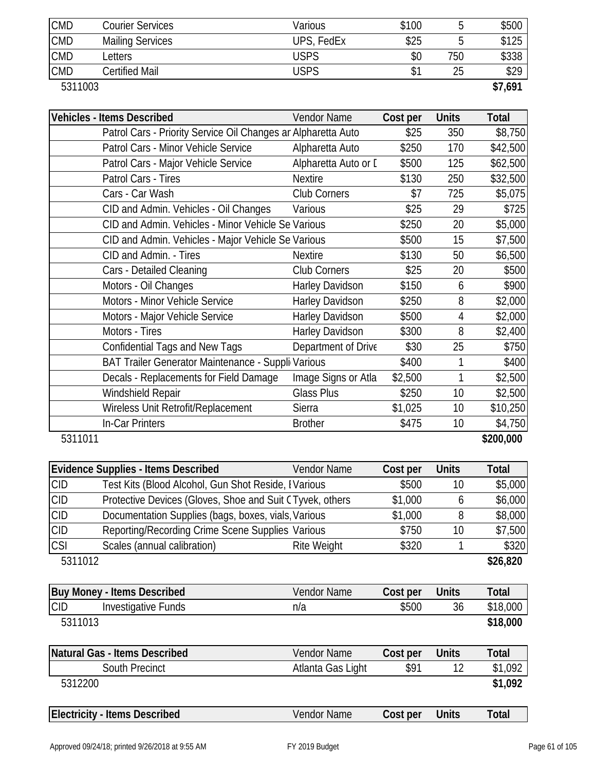| <b>CMD</b> | Courier Services        | Various    | \$100 |     | \$500   |
|------------|-------------------------|------------|-------|-----|---------|
| <b>CMD</b> | <b>Mailing Services</b> | UPS, FedEx | \$25  |     | \$125   |
| <b>CMD</b> | Letters                 | USPS       | \$0   | 750 | \$338   |
| <b>CMD</b> | Certified Mail          | USPS       |       | 25  | \$29    |
| 5311003    |                         |            |       |     | \$7,691 |

| <b>Vehicles - Items Described</b>                             | <b>Vendor Name</b>     | Cost per | <b>Units</b> | <b>Total</b> |
|---------------------------------------------------------------|------------------------|----------|--------------|--------------|
| Patrol Cars - Priority Service Oil Changes ar Alpharetta Auto |                        | \$25     | 350          | \$8,750      |
| Patrol Cars - Minor Vehicle Service                           | Alpharetta Auto        | \$250    | 170          | \$42,500     |
| Patrol Cars - Major Vehicle Service                           | Alpharetta Auto or D   | \$500    | 125          | \$62,500     |
| Patrol Cars - Tires                                           | <b>Nextire</b>         | \$130    | 250          | \$32,500     |
| Cars - Car Wash                                               | <b>Club Corners</b>    | \$7      | 725          | \$5,075      |
| CID and Admin. Vehicles - Oil Changes                         | Various                | \$25     | 29           | \$725        |
| CID and Admin. Vehicles - Minor Vehicle Se Various            |                        | \$250    | 20           | \$5,000      |
| CID and Admin. Vehicles - Major Vehicle Se Various            |                        | \$500    | 15           | \$7,500      |
| CID and Admin. - Tires                                        | <b>Nextire</b>         | \$130    | 50           | \$6,500      |
| Cars - Detailed Cleaning                                      | <b>Club Corners</b>    | \$25     | 20           | \$500        |
| Motors - Oil Changes                                          | Harley Davidson        | \$150    | 6            | \$900        |
| Motors - Minor Vehicle Service                                | Harley Davidson        | \$250    | 8            | \$2,000      |
| Motors - Major Vehicle Service                                | <b>Harley Davidson</b> | \$500    | 4            | \$2,000      |
| Motors - Tires                                                | <b>Harley Davidson</b> | \$300    | 8            | \$2,400      |
| <b>Confidential Tags and New Tags</b>                         | Department of Drive    | \$30     | 25           | \$750        |
| BAT Trailer Generator Maintenance - Suppli Various            |                        | \$400    | 1            | \$400        |
| Decals - Replacements for Field Damage                        | Image Signs or Atla    | \$2,500  |              | \$2,500      |
| Windshield Repair                                             | Glass Plus             | \$250    | 10           | \$2,500      |
| Wireless Unit Retrofit/Replacement                            | Sierra                 | \$1,025  | 10           | \$10,250     |
| In-Car Printers                                               | <b>Brother</b>         | \$475    | 10           | \$4,750      |
| 5311011                                                       |                        |          |              | \$200,000    |

|            | <b>Evidence Supplies - Items Described</b>               | <b>Vendor Name</b> | Cost per | <b>Units</b> | Total    |
|------------|----------------------------------------------------------|--------------------|----------|--------------|----------|
| <b>CID</b> | Test Kits (Blood Alcohol, Gun Shot Reside, IVarious      |                    | \$500    | 10           | \$5,000  |
| <b>CID</b> | Protective Devices (Gloves, Shoe and Suit CTyvek, others |                    | \$1,000  | b            | \$6,000  |
| <b>CID</b> | Documentation Supplies (bags, boxes, vials, Various      |                    | \$1,000  | 8            | \$8,000  |
| <b>CID</b> | Reporting/Recording Crime Scene Supplies Various         |                    | \$750    | 10           | \$7,500  |
| <b>CSI</b> | Scales (annual calibration)                              | Rite Weight        | \$320    |              | \$320    |
| 5311012    |                                                          |                    |          |              | \$26,820 |
|            |                                                          |                    |          |              |          |

|            | <b>Buy Money - Items Described</b> | Vendor Name | Cost per | Units | Total    |
|------------|------------------------------------|-------------|----------|-------|----------|
| <b>CID</b> | Investigative Funds                | n/a         | \$500    | 36    | \$18,000 |
|            | 5311013                            |             |          |       | \$18,000 |

| Natural Gas - Items Described | Vendor Name       | Cost per     | <b>Units</b> | Total   |
|-------------------------------|-------------------|--------------|--------------|---------|
| South Precinct                | Atlanta Gas Light | $$9^{\circ}$ |              | \$1,092 |
| 5312200                       |                   |              |              | \$1,092 |
|                               |                   |              |              |         |

| <b>Electricity - Items Described</b> | Name<br>Vendor | Cost per | Units | `ota |  |
|--------------------------------------|----------------|----------|-------|------|--|
|                                      |                |          |       |      |  |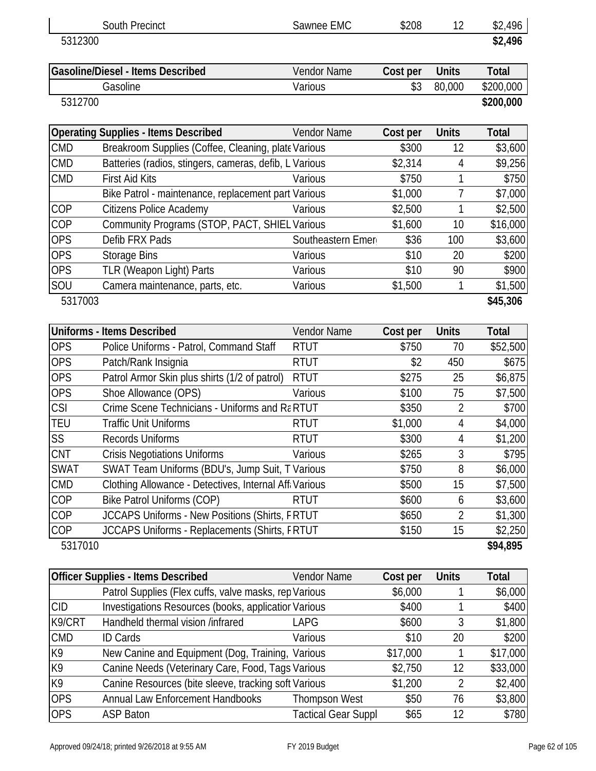|             | <b>South Precinct</b>                                  | Sawnee EMC           | \$208    | 12             | \$2,496      |
|-------------|--------------------------------------------------------|----------------------|----------|----------------|--------------|
| 5312300     |                                                        |                      |          |                | \$2,496      |
|             | <b>Gasoline/Diesel - Items Described</b>               | <b>Vendor Name</b>   | Cost per | <b>Units</b>   | <b>Total</b> |
|             | Gasoline                                               | Various              | \$3      | 80,000         | \$200,000    |
| 5312700     |                                                        |                      |          |                | \$200,000    |
|             | <b>Operating Supplies - Items Described</b>            | <b>Vendor Name</b>   | Cost per | <b>Units</b>   | <b>Total</b> |
| <b>CMD</b>  | Breakroom Supplies (Coffee, Cleaning, plate Various    |                      | \$300    | 12             | \$3,600      |
| <b>CMD</b>  | Batteries (radios, stingers, cameras, defib, L Various |                      | \$2,314  | 4              | \$9,256      |
| <b>CMD</b>  | <b>First Aid Kits</b>                                  | Various              | \$750    | 1              | \$750        |
|             | Bike Patrol - maintenance, replacement part Various    |                      | \$1,000  | 7              | \$7,000      |
| COP         | <b>Citizens Police Academy</b>                         | Various              | \$2,500  | 1              | \$2,500      |
| COP         | Community Programs (STOP, PACT, SHIEL Various          |                      | \$1,600  | 10             | \$16,000     |
| <b>OPS</b>  | Defib FRX Pads                                         | Southeastern Emeri   | \$36     | 100            | \$3,600      |
| <b>OPS</b>  | <b>Storage Bins</b>                                    | Various              | \$10     | 20             | \$200        |
| <b>OPS</b>  | <b>TLR (Weapon Light) Parts</b>                        | Various              | \$10     | 90             | \$900        |
| SOU         | Camera maintenance, parts, etc.                        | Various              | \$1,500  | 1              | \$1,500      |
| 5317003     |                                                        |                      |          |                | \$45,306     |
|             | <b>Uniforms - Items Described</b>                      | <b>Vendor Name</b>   | Cost per | <b>Units</b>   | <b>Total</b> |
| <b>OPS</b>  | Police Uniforms - Patrol, Command Staff                | <b>RTUT</b>          | \$750    | 70             | \$52,500     |
| <b>OPS</b>  | Patch/Rank Insignia                                    | <b>RTUT</b>          | \$2      | 450            | \$675        |
| <b>OPS</b>  | Patrol Armor Skin plus shirts (1/2 of patrol)          | <b>RTUT</b>          | \$275    | 25             | \$6,875      |
| <b>OPS</b>  | Shoe Allowance (OPS)                                   | Various              | \$100    | 75             | \$7,500      |
| <b>CSI</b>  | Crime Scene Technicians - Uniforms and Ra RTUT         |                      | \$350    | $\overline{2}$ | \$700        |
| <b>TEU</b>  | <b>Traffic Unit Uniforms</b>                           | <b>RTUT</b>          | \$1,000  | 4              | \$4,000      |
| SS          | <b>Records Uniforms</b>                                | <b>RTUT</b>          | \$300    | 4              | \$1,200      |
| <b>CNT</b>  | <b>Crisis Negotiations Uniforms</b>                    | Various              | \$265    | $\mathfrak{Z}$ | \$795        |
| <b>SWAT</b> | SWAT Team Uniforms (BDU's, Jump Suit, T Various        |                      | \$750    | 8              | \$6,000      |
| <b>CMD</b>  | Clothing Allowance - Detectives, Internal Aff. Various |                      | \$500    | 15             | \$7,500      |
| COP         | <b>Bike Patrol Uniforms (COP)</b>                      | <b>RTUT</b>          | \$600    | 6              | \$3,600      |
| COP         | JCCAPS Uniforms - New Positions (Shirts, FRTUT         |                      | \$650    | 2              | \$1,300      |
| COP         | JCCAPS Uniforms - Replacements (Shirts, FRTUT          |                      | \$150    | 15             | \$2,250      |
| 5317010     |                                                        |                      |          |                | \$94,895     |
|             | <b>Officer Supplies - Items Described</b>              | Vendor Name          | Cost per | <b>Units</b>   | <b>Total</b> |
|             | Patrol Supplies (Flex cuffs, valve masks, rep Various  |                      | \$6,000  | 1              | \$6,000      |
| <b>CID</b>  | Investigations Resources (books, applicatior Various   |                      | \$400    | 1              | \$400        |
| K9/CRT      | Handheld thermal vision /infrared                      | LAPG                 | \$600    | 3              | \$1,800      |
| <b>CMD</b>  | <b>ID Cards</b>                                        | Various              | \$10     | 20             | \$200        |
| K9          | New Canine and Equipment (Dog, Training, Various       |                      | \$17,000 | 1              | \$17,000     |
| K9          | Canine Needs (Veterinary Care, Food, Tags Various      |                      | \$2,750  | 12             | \$33,000     |
| K9          | Canine Resources (bite sleeve, tracking soft Various   |                      | \$1,200  | $\overline{2}$ | \$2,400      |
| <b>OPS</b>  | Annual Law Enforcement Handbooks                       | <b>Thompson West</b> | \$50     | 76             | \$3,800      |

ASP Baton Tactical Gear Suppl \$65 12 \$780

OPS Annual Law Enforcement Handbooks Thompson West \$50 76 \$3,800<br>
OPS ASP Baton Tactical Gear Suppl \$65 12 \$780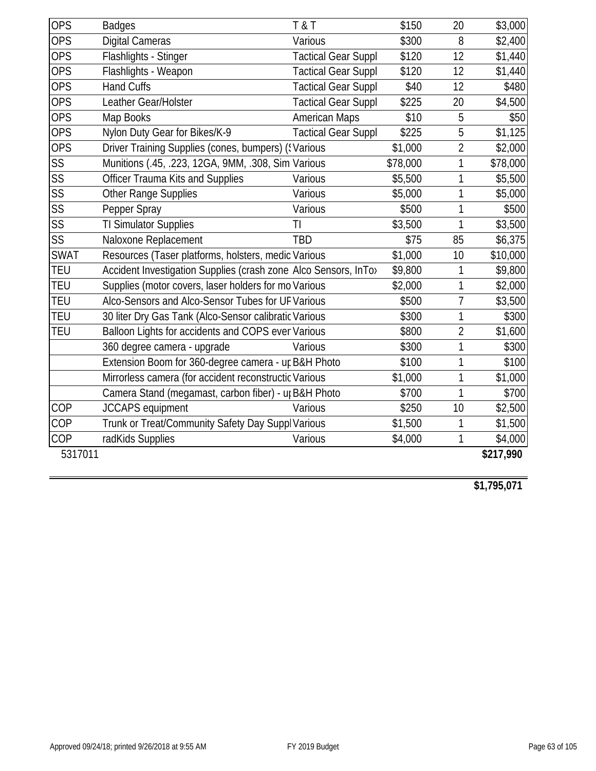| <b>OPS</b>             | <b>Badges</b>                                                   | T & T                      | \$150    | 20             | \$3,000   |
|------------------------|-----------------------------------------------------------------|----------------------------|----------|----------------|-----------|
| <b>OPS</b>             | <b>Digital Cameras</b>                                          | Various                    | \$300    | 8              | \$2,400   |
| <b>OPS</b>             | Flashlights - Stinger                                           | <b>Tactical Gear Suppl</b> | \$120    | 12             | \$1,440   |
| <b>OPS</b>             | Flashlights - Weapon                                            | <b>Tactical Gear Suppl</b> | \$120    | 12             | \$1,440   |
| <b>OPS</b>             | <b>Hand Cuffs</b>                                               | <b>Tactical Gear Suppl</b> | \$40     | 12             | \$480     |
| <b>OPS</b>             | Leather Gear/Holster                                            | <b>Tactical Gear Suppl</b> | \$225    | 20             | \$4,500   |
| <b>OPS</b>             | Map Books                                                       | <b>American Maps</b>       | \$10     | 5              | \$50      |
| <b>OPS</b>             | Nylon Duty Gear for Bikes/K-9                                   | <b>Tactical Gear Suppl</b> | \$225    | 5              | \$1,125   |
| <b>OPS</b>             | Driver Training Supplies (cones, bumpers) ('Various             |                            | \$1,000  | $\overline{2}$ | \$2,000   |
| SS                     | Munitions (.45, .223, 12GA, 9MM, .308, Sim Various              |                            | \$78,000 | 1              | \$78,000  |
| SS                     | <b>Officer Trauma Kits and Supplies</b>                         | Various                    | \$5,500  | 1              | \$5,500   |
| SS                     | Other Range Supplies                                            | Various                    | \$5,000  | 1              | \$5,000   |
| $\overline{\text{SS}}$ | Pepper Spray                                                    | Various                    | \$500    | 1              | \$500     |
| $\overline{\text{SS}}$ | <b>TI Simulator Supplies</b>                                    | TI                         | \$3,500  | 1              | \$3,500   |
| SS                     | Naloxone Replacement                                            | <b>TBD</b>                 | \$75     | 85             | \$6,375   |
| <b>SWAT</b>            | Resources (Taser platforms, holsters, medic Various             |                            | \$1,000  | 10             | \$10,000  |
| <b>TEU</b>             | Accident Investigation Supplies (crash zone Alco Sensors, InTo> |                            | \$9,800  | 1              | \$9,800   |
| <b>TEU</b>             | Supplies (motor covers, laser holders for mo Various            |                            | \$2,000  | 1              | \$2,000   |
| <b>TEU</b>             | Alco-Sensors and Alco-Sensor Tubes for UF Various               |                            | \$500    | 7              | \$3,500   |
| <b>TEU</b>             | 30 liter Dry Gas Tank (Alco-Sensor calibratic Various           |                            | \$300    | 1              | \$300     |
| <b>TEU</b>             | Balloon Lights for accidents and COPS ever Various              |                            | \$800    | $\overline{2}$ | \$1,600   |
|                        | 360 degree camera - upgrade                                     | Various                    | \$300    | 1              | \$300     |
|                        | Extension Boom for 360-degree camera - ur B&H Photo             |                            | \$100    | 1              | \$100     |
|                        | Mirrorless camera (for accident reconstructic Various           |                            | \$1,000  | 1              | \$1,000   |
|                        | Camera Stand (megamast, carbon fiber) - up B&H Photo            |                            | \$700    | 1              | \$700     |
| COP                    | <b>JCCAPS</b> equipment                                         | Various                    | \$250    | 10             | \$2,500   |
| COP                    | Trunk or Treat/Community Safety Day Suppl Various               |                            | \$1,500  | 1              | \$1,500   |
| COP                    | radKids Supplies                                                | Various                    | \$4,000  | 1              | \$4,000   |
| 5317011                |                                                                 |                            |          |                | \$217,990 |
|                        |                                                                 |                            |          |                |           |

**\$1,795,071**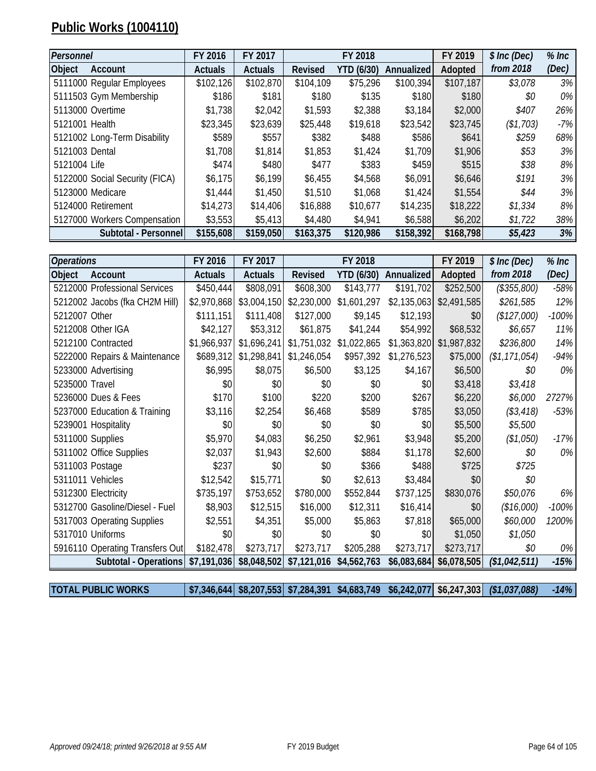# **Public Works (1004110)**

| Personnel                      | FY 2016        | FY 2017        |                | FY 2018           |            | FY 2019   | \$ Inc (Dec) | $%$ Inc |
|--------------------------------|----------------|----------------|----------------|-------------------|------------|-----------|--------------|---------|
| <b>Object</b><br>Account       | <b>Actuals</b> | <b>Actuals</b> | <b>Revised</b> | <b>YTD (6/30)</b> | Annualized | Adopted   | from 2018    | (Dec)   |
| 5111000 Regular Employees      | \$102,126      | \$102,870      | \$104,109      | \$75,296          | \$100,394  | \$107,187 | \$3,078      | $3\%$   |
| 5111503 Gym Membership         | \$186          | \$181          | \$180          | \$135             | \$180      | \$180     | \$0          | $0\%$   |
| 5113000 Overtime               | \$1,738        | \$2,042        | \$1,593        | \$2,388           | \$3,184    | \$2,000   | \$407        | 26%     |
| 5121001 Health                 | \$23,345       | \$23,639       | \$25,448       | \$19,618          | \$23,542   | \$23,745  | (\$1,703)    | $-7%$   |
| 5121002 Long-Term Disability   | \$589          | \$557          | \$382          | \$488             | \$586      | \$641     | \$259        | 68%     |
| 5121003 Dental                 | \$1,708        | \$1,814        | \$1,853        | \$1,424           | \$1,709    | \$1,906   | \$53         | 3%      |
| 5121004 Life                   | \$474          | \$480          | \$477          | \$383             | \$459      | \$515     | \$38         | 8%      |
| 5122000 Social Security (FICA) | \$6,175        | \$6,199        | \$6,455        | \$4,568           | \$6,091    | \$6,646   | \$191        | 3%      |
| 5123000 Medicare               | \$1,444        | \$1,450        | \$1,510        | \$1,068           | \$1,424    | \$1,554   | \$44         | 3%      |
| 5124000 Retirement             | \$14,273       | \$14,406       | \$16,888       | \$10,677          | \$14,235   | \$18,222  | \$1,334      | 8%      |
| 5127000 Workers Compensation   | \$3,553        | \$5,413        | \$4,480        | \$4,941           | \$6,588    | \$6,202   | \$1,722      | 38%     |
| Subtotal - Personnel           | \$155,608      | \$159,050      | \$163,375      | \$120,986         | \$158,392  | \$168,798 | \$5,423      | 3%      |

| <b>Operations</b> |                                 | FY 2016        | FY 2017        |                | FY 2018     |             | FY 2019                 | \$ Inc (Dec)  | $%$ Inc |
|-------------------|---------------------------------|----------------|----------------|----------------|-------------|-------------|-------------------------|---------------|---------|
| Object            | Account                         | <b>Actuals</b> | <b>Actuals</b> | <b>Revised</b> | YTD (6/30)  | Annualized  | Adopted                 | from 2018     | (Dec)   |
|                   | 5212000 Professional Services   | \$450,444      | \$808,091      | \$608,300      | \$143,777   | \$191,702   | \$252,500               | (\$355,800)   | $-58%$  |
|                   | 5212002 Jacobs (fka CH2M Hill)  | \$2,970,868    | \$3,004,150    | \$2,230,000    | \$1,601,297 | \$2,135,063 | \$2,491,585             | \$261,585     | 12%     |
| 5212007 Other     |                                 | \$111,151      | \$111,408      | \$127,000      | \$9,145     | \$12,193    | \$0                     | (\$127,000)   | $-100%$ |
|                   | 5212008 Other IGA               | \$42,127       | \$53,312       | \$61,875       | \$41,244    | \$54,992    | \$68,532                | \$6,657       | 11%     |
|                   | 5212100 Contracted              | \$1,966,937    | \$1,696,241    | \$1,751,032    | \$1,022,865 |             | \$1,363,820 \$1,987,832 | \$236,800     | 14%     |
|                   | 5222000 Repairs & Maintenance   | \$689,312      | \$1,298,841    | \$1,246,054    | \$957,392   | \$1,276,523 | \$75,000                | (\$1,171,054) | $-94%$  |
|                   | 5233000 Advertising             | \$6,995        | \$8,075        | \$6,500        | \$3,125     | \$4,167     | \$6,500                 | \$0           | 0%      |
| 5235000 Travel    |                                 | \$0            | \$0            | \$0            | \$0         | \$0         | \$3,418                 | \$3,418       |         |
|                   | 5236000 Dues & Fees             | \$170          | \$100          | \$220          | \$200       | \$267       | \$6,220                 | \$6,000       | 2727%   |
|                   | 5237000 Education & Training    | \$3,116        | \$2,254        | \$6,468        | \$589       | \$785       | \$3,050                 | (\$3,418)     | $-53%$  |
|                   | 5239001 Hospitality             | \$0            | \$0            | \$0            | \$0         | \$0         | \$5,500                 | \$5,500       |         |
|                   | 5311000 Supplies                | \$5,970        | \$4,083        | \$6,250        | \$2,961     | \$3,948     | \$5,200                 | (\$1,050)     | $-17%$  |
|                   | 5311002 Office Supplies         | \$2,037        | \$1,943        | \$2,600        | \$884       | \$1,178     | \$2,600                 | \$0           | 0%      |
|                   | 5311003 Postage                 | \$237          | \$0            | \$0            | \$366       | \$488       | \$725                   | \$725         |         |
|                   | 5311011 Vehicles                | \$12,542       | \$15,771       | \$0            | \$2,613     | \$3,484     | \$0                     | \$0           |         |
|                   | 5312300 Electricity             | \$735,197      | \$753,652      | \$780,000      | \$552,844   | \$737,125   | \$830,076               | \$50,076      | 6%      |
|                   | 5312700 Gasoline/Diesel - Fuel  | \$8,903        | \$12,515       | \$16,000       | \$12,311    | \$16,414    | \$0                     | (\$16,000)    | $-100%$ |
|                   | 5317003 Operating Supplies      | \$2,551        | \$4,351        | \$5,000        | \$5,863     | \$7,818     | \$65,000                | \$60,000      | 1200%   |
|                   | 5317010 Uniforms                | \$0            | \$0            | \$0            | \$0         | \$0         | \$1,050                 | \$1,050       |         |
|                   | 5916110 Operating Transfers Out | \$182,478      | \$273,717      | \$273,717      | \$205,288   | \$273,717   | \$273,717               | \$0           | 0%      |
|                   | Subtotal - Operations           | \$7,191,036    | \$8,048,502    | \$7,121,016    | \$4,562,763 | \$6,083,684 | \$6,078,505             | (\$1,042,511) | $-15%$  |

**TOTAL PUBLIC WORKS \$7,346,644 \$8,207,553 \$7,284,391 \$4,683,749 \$6,242,077 \$6,247,303** *(\$1,037,088) -14%*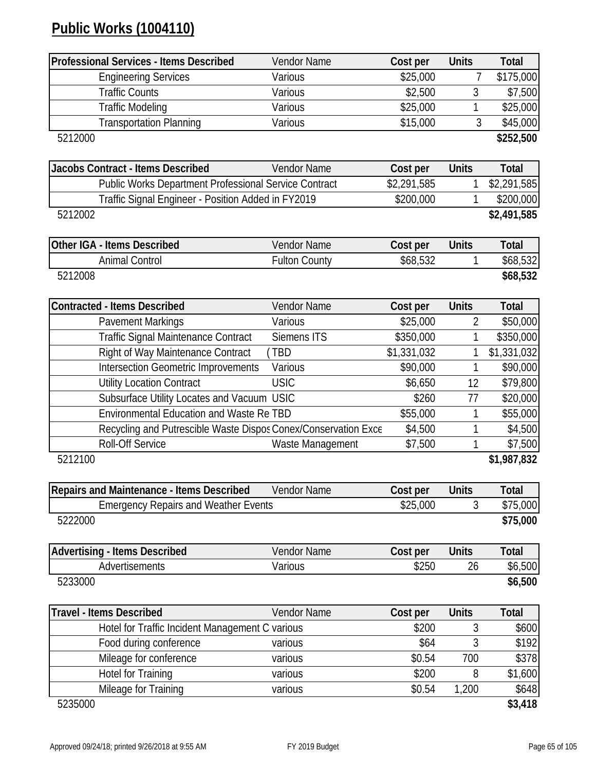# **Public Works (1004110)**

| <b>Professional Services - Items Described</b>                 | Vendor Name          | Cost per    | <b>Units</b>   | <b>Total</b> |
|----------------------------------------------------------------|----------------------|-------------|----------------|--------------|
| <b>Engineering Services</b>                                    | Various              | \$25,000    |                | \$175,000    |
| <b>Traffic Counts</b>                                          | Various              | \$2,500     | 3              | \$7,500      |
| <b>Traffic Modeling</b>                                        | Various              | \$25,000    | 1              | \$25,000     |
| <b>Transportation Planning</b>                                 | Various              | \$15,000    | 3              | \$45,000     |
| 5212000                                                        |                      |             |                | \$252,500    |
|                                                                |                      |             |                |              |
| <b>Jacobs Contract - Items Described</b>                       | Vendor Name          | Cost per    | <b>Units</b>   | Total        |
| Public Works Department Professional Service Contract          |                      | \$2,291,585 | 1              | \$2,291,585  |
| Traffic Signal Engineer - Position Added in FY2019             |                      | \$200,000   | 1              | \$200,000    |
| 5212002                                                        |                      |             |                | \$2,491,585  |
| Other IGA - Items Described                                    | Vendor Name          | Cost per    | <b>Units</b>   | <b>Total</b> |
| <b>Animal Control</b>                                          | <b>Fulton County</b> | \$68,532    | 1              | \$68,532     |
| 5212008                                                        |                      |             |                | \$68,532     |
|                                                                |                      |             |                |              |
| <b>Contracted - Items Described</b>                            | Vendor Name          | Cost per    | <b>Units</b>   | <b>Total</b> |
| <b>Pavement Markings</b>                                       | Various              | \$25,000    | $\overline{2}$ | \$50,000     |
| Traffic Signal Maintenance Contract                            | Siemens ITS          | \$350,000   | 1              | \$350,000    |
| Right of Way Maintenance Contract                              | <b>TBD</b>           | \$1,331,032 |                | \$1,331,032  |
| <b>Intersection Geometric Improvements</b>                     | Various              | \$90,000    | 1              | \$90,000     |
| <b>Utility Location Contract</b>                               | <b>USIC</b>          | \$6,650     | 12             | \$79,800     |
| Subsurface Utility Locates and Vacuum USIC                     |                      | \$260       | 77             | \$20,000     |
| <b>Environmental Education and Waste Re TBD</b>                |                      | \$55,000    | 1              | \$55,000     |
| Recycling and Putrescible Waste Dispos Conex/Conservation Exce |                      | \$4,500     | 1              | \$4,500      |
| <b>Roll-Off Service</b>                                        | Waste Management     | \$7,500     | 1              | \$7,500      |
| 5212100                                                        |                      |             |                | \$1,987,832  |
|                                                                |                      |             |                |              |
| <b>Repairs and Maintenance - Items Described</b>               | Vendor Name          | Cost per    | <b>Units</b>   | Total        |
| <b>Emergency Repairs and Weather Events</b>                    |                      | \$25,000    | 3              | \$75,000     |
| 5222000                                                        |                      |             |                | \$75,000     |
| <b>Advertising - Items Described</b>                           | Vendor Name          | Cost per    | <b>Units</b>   | <b>Total</b> |
| Advertisements                                                 | Various              | \$250       | 26             | \$6,500      |
| 5233000                                                        |                      |             |                | \$6,500      |
|                                                                |                      |             |                |              |
| <b>Travel - Items Described</b>                                | Vendor Name          | Cost per    | <b>Units</b>   | <b>Total</b> |
| Hotel for Traffic Incident Management C various                |                      | \$200       | 3              | \$600        |
| Food during conference                                         | various              | \$64        | 3              | \$192        |
| Mileage for conference                                         | various              | \$0.54      | 700            | \$378        |
| <b>Hotel for Training</b>                                      | various              | \$200       | 8              | \$1,600      |
| Mileage for Training                                           | various              | \$0.54      | 1,200          | \$648        |
| 5235000                                                        |                      |             |                | \$3,418      |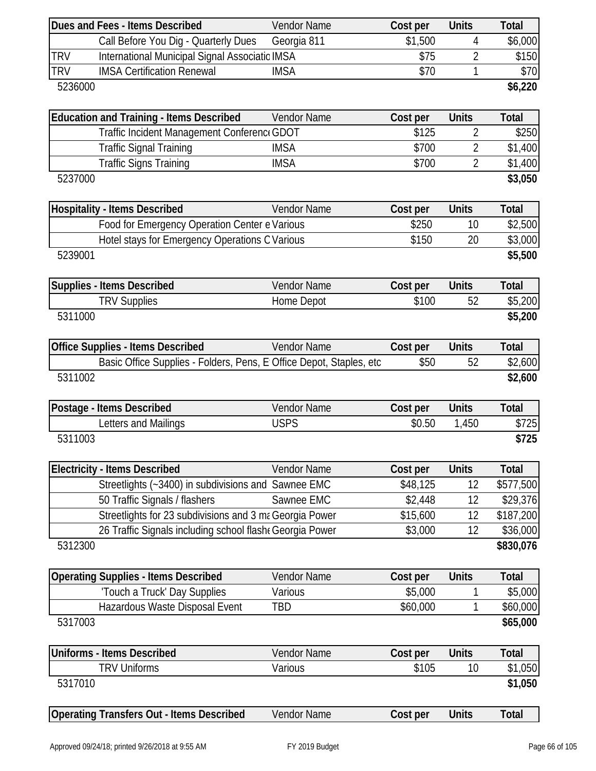|            | Dues and Fees - Items Described                                     | <b>Vendor Name</b>         | Cost per           | <b>Units</b>   | <b>Total</b>   |
|------------|---------------------------------------------------------------------|----------------------------|--------------------|----------------|----------------|
|            | Call Before You Dig - Quarterly Dues                                | Georgia 811                | \$1,500            | 4              | \$6,000        |
| <b>TRV</b> | International Municipal Signal Associatic IMSA                      |                            | \$75               | $\overline{2}$ | \$150          |
| <b>TRV</b> | <b>IMSA Certification Renewal</b>                                   | <b>IMSA</b>                | \$70               | 1              | \$70           |
| 5236000    |                                                                     |                            |                    |                | \$6,220        |
|            | <b>Education and Training - Items Described</b>                     | Vendor Name                |                    | <b>Units</b>   | <b>Total</b>   |
|            | Traffic Incident Management Conferenc GDOT                          |                            | Cost per<br>\$125  | $\overline{2}$ | \$250          |
|            | <b>Traffic Signal Training</b>                                      | <b>IMSA</b>                | \$700              | $\overline{2}$ | \$1,400        |
|            | <b>Traffic Signs Training</b>                                       | <b>IMSA</b>                | \$700              | $\overline{2}$ | \$1,400        |
| 5237000    |                                                                     |                            |                    |                | \$3,050        |
|            |                                                                     |                            |                    |                |                |
|            | <b>Hospitality - Items Described</b>                                | <b>Vendor Name</b>         | Cost per           | <b>Units</b>   | <b>Total</b>   |
|            | Food for Emergency Operation Center e Various                       |                            | \$250              | 10             | \$2,500        |
|            | Hotel stays for Emergency Operations C Various                      |                            | \$150              | 20             | \$3,000        |
| 5239001    |                                                                     |                            |                    |                | \$5,500        |
|            | <b>Supplies - Items Described</b>                                   | <b>Vendor Name</b>         | Cost per           | <b>Units</b>   | Total          |
|            | <b>TRV Supplies</b>                                                 | Home Depot                 | \$100              | 52             | \$5,200        |
| 5311000    |                                                                     |                            |                    |                | \$5,200        |
|            |                                                                     |                            |                    |                |                |
|            | <b>Office Supplies - Items Described</b>                            | Vendor Name                | Cost per           | <b>Units</b>   | <b>Total</b>   |
|            | Basic Office Supplies - Folders, Pens, E Office Depot, Staples, etc |                            | \$50               | 52             | \$2,600        |
| 5311002    |                                                                     |                            |                    |                | \$2,600        |
|            |                                                                     |                            |                    |                |                |
|            | Postage - Items Described                                           | Vendor Name<br><b>USPS</b> | Cost per<br>\$0.50 | <b>Units</b>   | Total          |
| 5311003    | Letters and Mailings                                                |                            |                    | 1,450          | \$725<br>\$725 |
|            |                                                                     |                            |                    |                |                |
|            | <b>Electricity - Items Described</b>                                | Vendor Name                | Cost per           | <b>Units</b>   | <b>Total</b>   |
|            | Streetlights (~3400) in subdivisions and Sawnee EMC                 |                            | \$48,125           | 12             | \$577,500      |
|            | 50 Traffic Signals / flashers                                       | Sawnee EMC                 | \$2,448            | 12             | \$29,376       |
|            | Streetlights for 23 subdivisions and 3 ma Georgia Power             |                            | \$15,600           | 12             | \$187,200      |
|            | 26 Traffic Signals including school flash Georgia Power             |                            | \$3,000            | 12             | \$36,000       |
| 5312300    |                                                                     |                            |                    |                | \$830,076      |
|            | <b>Operating Supplies - Items Described</b>                         | Vendor Name                | Cost per           | <b>Units</b>   | <b>Total</b>   |
|            | 'Touch a Truck' Day Supplies                                        | Various                    | \$5,000            |                | \$5,000        |
|            | Hazardous Waste Disposal Event                                      | TBD                        | \$60,000           |                | \$60,000       |
| 5317003    |                                                                     |                            |                    |                | \$65,000       |
|            |                                                                     |                            |                    |                |                |
|            | <b>Uniforms - Items Described</b>                                   | Vendor Name                | Cost per           | <b>Units</b>   | <b>Total</b>   |
|            | <b>TRV Uniforms</b>                                                 | Various                    | \$105              | 10             | \$1,050        |
| 5317010    |                                                                     |                            |                    |                | \$1,050        |
|            | <b>Operating Transfers Out - Items Described</b>                    | Vendor Name                | Cost per           | <b>Units</b>   | <b>Total</b>   |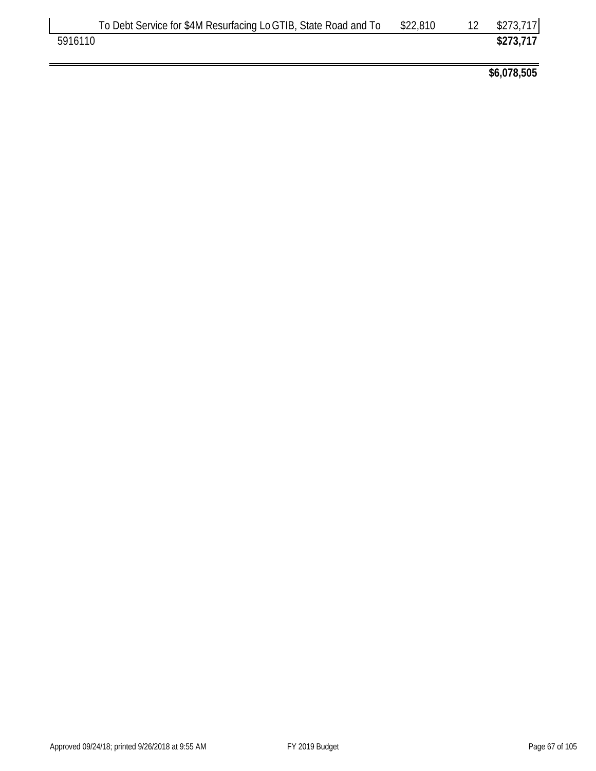|         | To Debt Service for \$4M Resurfacing Lo GTIB, State Road and To | \$22,810 | \$273,717 |
|---------|-----------------------------------------------------------------|----------|-----------|
| 5916110 |                                                                 |          | \$273,717 |

**\$6,078,505**

 $\overline{\mathsf{L}}$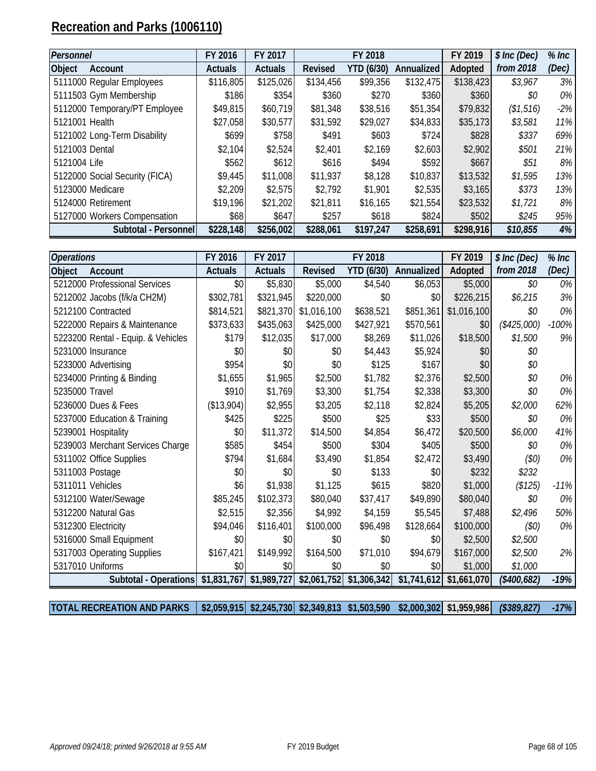# **Recreation and Parks (1006110)**

| Personnel                      | FY 2016        | FY 2017        |                | FY 2018           |            | FY 2019   | \$ Inc (Dec) | $%$ Inc |
|--------------------------------|----------------|----------------|----------------|-------------------|------------|-----------|--------------|---------|
| <b>Object</b><br>Account       | <b>Actuals</b> | <b>Actuals</b> | <b>Revised</b> | <b>YTD (6/30)</b> | Annualized | Adopted   | from 2018    | (Dec)   |
| 5111000 Regular Employees      | \$116,805      | \$125,026      | \$134,456      | \$99,356          | \$132,475  | \$138,423 | \$3,967      | 3%      |
| 5111503 Gym Membership         | \$186          | \$354          | \$360          | \$270             | \$360      | \$360     | \$0          | $0\%$   |
| 5112000 Temporary/PT Employee  | \$49,815       | \$60,719       | \$81,348       | \$38,516          | \$51,354   | \$79,832  | (\$1,516)    | $-2\%$  |
| 5121001 Health                 | \$27,058       | \$30,577       | \$31,592       | \$29,027          | \$34,833   | \$35,173  | \$3,581      | 11%     |
| 5121002 Long-Term Disability   | \$699          | \$758          | \$491          | \$603             | \$724      | \$828     | \$337        | 69%     |
| 5121003 Dental                 | \$2,104        | \$2,524        | \$2,401        | \$2,169           | \$2,603    | \$2,902   | \$501        | 21%     |
| 5121004 Life                   | \$562          | \$612          | \$616          | \$494             | \$592      | \$667     | \$51         | $8\%$   |
| 5122000 Social Security (FICA) | \$9,445        | \$11,008       | \$11,937       | \$8,128           | \$10,837   | \$13,532  | \$1,595      | 13%     |
| 5123000 Medicare               | \$2,209        | \$2,575        | \$2,792        | \$1,901           | \$2,535    | \$3,165   | \$373        | 13%     |
| 5124000 Retirement             | \$19,196       | \$21,202       | \$21,811       | \$16,165          | \$21,554   | \$23,532  | \$1,721      | 8%      |
| 5127000 Workers Compensation   | \$68           | \$647          | \$257          | \$618             | \$824      | \$502     | \$245        | 95%     |
| Subtotal - Personnel           | \$228,148      | \$256,002      | \$288,061      | \$197,247         | \$258,691  | \$298,916 | \$10,855     | 4%      |

| <b>Operations</b>   |                                    | FY 2016        | FY 2017        |                | FY 2018           |             | FY 2019     | \$ Inc (Dec) | $%$ Inc |
|---------------------|------------------------------------|----------------|----------------|----------------|-------------------|-------------|-------------|--------------|---------|
| <b>Object</b>       | Account                            | <b>Actuals</b> | <b>Actuals</b> | <b>Revised</b> | <b>YTD (6/30)</b> | Annualized  | Adopted     | from 2018    | (Dec)   |
|                     | 5212000 Professional Services      | \$0            | \$5,830        | \$5,000        | \$4,540           | \$6,053     | \$5,000     | \$0          | $0\%$   |
|                     | 5212002 Jacobs (f/k/a CH2M)        | \$302,781      | \$321,945      | \$220,000      | \$0               | \$0         | \$226,215   | \$6,215      | 3%      |
|                     | 5212100 Contracted                 | \$814,521      | \$821,370      | \$1,016,100    | \$638,521         | \$851,361   | \$1,016,100 | \$0          | $0\%$   |
|                     | 5222000 Repairs & Maintenance      | \$373,633      | \$435,063      | \$425,000      | \$427,921         | \$570,561   | \$0         | $(*425,000)$ | $-100%$ |
|                     | 5223200 Rental - Equip. & Vehicles | \$179          | \$12,035       | \$17,000       | \$8,269           | \$11,026    | \$18,500    | \$1,500      | 9%      |
| 5231000 Insurance   |                                    | \$0            | \$0            | \$0            | \$4,443           | \$5,924     | \$0         | \$0          |         |
|                     | 5233000 Advertising                | \$954          | \$0            | \$0            | \$125             | \$167       | \$0         | \$0          |         |
|                     | 5234000 Printing & Binding         | \$1,655        | \$1,965        | \$2,500        | \$1,782           | \$2,376     | \$2,500     | \$0          | $0\%$   |
| 5235000 Travel      |                                    | \$910          | \$1,769        | \$3,300        | \$1,754           | \$2,338     | \$3,300     | \$0          | $0\%$   |
|                     | 5236000 Dues & Fees                | (\$13,904)     | \$2,955        | \$3,205        | \$2,118           | \$2,824     | \$5,205     | \$2,000      | 62%     |
|                     | 5237000 Education & Training       | \$425          | \$225          | \$500          | \$25              | \$33]       | \$500       | \$0          | $0\%$   |
|                     | 5239001 Hospitality                | \$0            | \$11,372       | \$14,500       | \$4,854           | \$6,472     | \$20,500    | \$6,000      | 41%     |
|                     | 5239003 Merchant Services Charge   | \$585          | \$454          | \$500          | \$304             | \$405       | \$500       | \$0          | $0\%$   |
|                     | 5311002 Office Supplies            | \$794          | \$1,684        | \$3,490        | \$1,854           | \$2,472     | \$3,490     | (50)         | $0\%$   |
| 5311003 Postage     |                                    | \$0            | \$0            | \$0            | \$133             | \$0         | \$232       | \$232        |         |
| 5311011 Vehicles    |                                    | \$6            | \$1,938        | \$1,125        | \$615             | \$820       | \$1,000     | (\$125)      | $-11%$  |
|                     | 5312100 Water/Sewage               | \$85,245       | \$102,373      | \$80,040       | \$37,417          | \$49,890    | \$80,040    | \$0          | $0\%$   |
|                     | 5312200 Natural Gas                | \$2,515        | \$2,356        | \$4,992        | \$4,159           | \$5,545     | \$7,488     | \$2,496      | 50%     |
| 5312300 Electricity |                                    | \$94,046       | \$116,401      | \$100,000      | \$96,498          | \$128,664   | \$100,000   | (50)         | $0\%$   |
|                     | 5316000 Small Equipment            | \$0            | \$0            | \$0            | \$0               | \$0         | \$2,500     | \$2,500      |         |
|                     | 5317003 Operating Supplies         | \$167,421      | \$149,992      | \$164,500      | \$71,010          | \$94,679    | \$167,000   | \$2,500      | 2%      |
| 5317010 Uniforms    |                                    | \$0            | \$0            | \$0            | \$0               | \$0         | \$1,000     | \$1,000      |         |
|                     | Subtotal - Operations              | \$1,831,767    | \$1,989,727    | \$2,061,752    | \$1,306,342       | \$1,741,612 | \$1,661,070 | $(*400,682)$ | $-19%$  |

**TOTAL RECREATION AND PARKS \$2,059,915 \$2,245,730 \$2,349,813 \$1,503,590 \$2,000,302 \$1,959,986** *(\$389,827) -17%*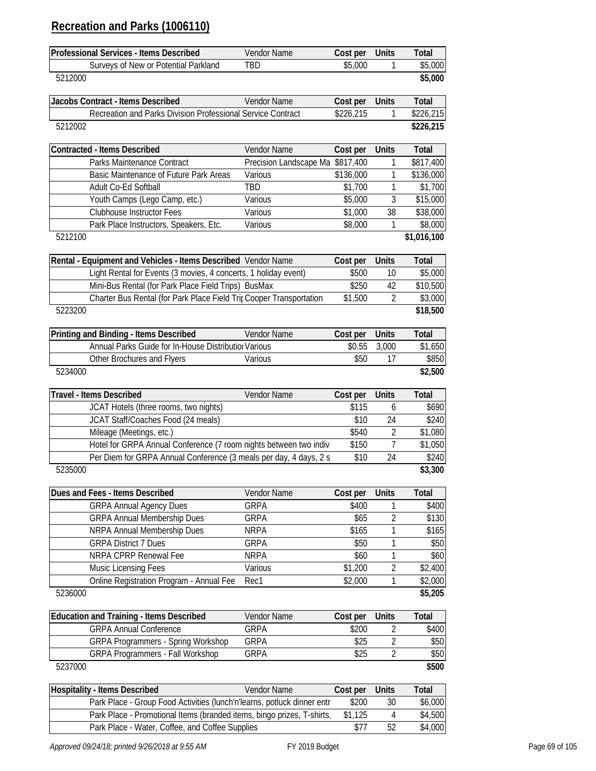# **Recreation and Parks (1006110)**

| Professional Services - Items Described                                                       | Vendor Name                      | Cost per          | <b>Units</b>      | Total              |
|-----------------------------------------------------------------------------------------------|----------------------------------|-------------------|-------------------|--------------------|
| Surveys of New or Potential Parkland                                                          | <b>TBD</b>                       | \$5,000           | 1                 | \$5,000            |
| 5212000                                                                                       |                                  |                   |                   | \$5,000            |
|                                                                                               |                                  |                   |                   |                    |
| Jacobs Contract - Items Described                                                             | Vendor Name                      | Cost per          | Units             | Total              |
| Recreation and Parks Division Professional Service Contract                                   |                                  | \$226,215         | 1                 | \$226,215          |
| 5212002                                                                                       |                                  |                   |                   | \$226,215          |
| <b>Contracted - Items Described</b>                                                           | Vendor Name                      | Cost per          | Units             | Total              |
| Parks Maintenance Contract                                                                    | Precision Landscape Ma \$817,400 |                   | 1                 | \$817,400          |
| Basic Maintenance of Future Park Areas                                                        | Various                          | \$136,000         | 1                 | \$136,000          |
| Adult Co-Ed Softball                                                                          | <b>TBD</b>                       | \$1,700           | 1                 | \$1,700            |
| Youth Camps (Lego Camp, etc.)                                                                 | Various                          | \$5,000           | 3                 | \$15,000           |
| <b>Clubhouse Instructor Fees</b>                                                              | Various                          | \$1,000           | 38                | \$38,000           |
| Park Place Instructors, Speakers, Etc.                                                        | Various                          | \$8,000           | 1                 | \$8,000            |
| 5212100                                                                                       |                                  |                   |                   | \$1,016,100        |
| Rental - Equipment and Vehicles - Items Described Vendor Name                                 |                                  | Cost per          | Units             | Total              |
| Light Rental for Events (3 movies, 4 concerts, 1 holiday event)                               |                                  | \$500             | 10                | \$5,000            |
| Mini-Bus Rental (for Park Place Field Trips) BusMax                                           |                                  | \$250             | 42                | \$10,500           |
| Charter Bus Rental (for Park Place Field Trit Cooper Transportation                           |                                  | \$1,500           | 2                 | \$3,000            |
| 5223200                                                                                       |                                  |                   |                   | \$18,500           |
| Printing and Binding - Items Described                                                        | Vendor Name                      | Cost per          | <b>Units</b>      | Total              |
| Annual Parks Guide for In-House Distribution Various                                          |                                  | \$0.55            | 3,000             | \$1,650            |
| Other Brochures and Flyers                                                                    | Various                          | \$50              | 17                | \$850              |
| 5234000                                                                                       |                                  |                   |                   | \$2,500            |
|                                                                                               |                                  |                   |                   |                    |
|                                                                                               | Vendor Name                      |                   | <b>Units</b>      | Total              |
| Travel - Items Described                                                                      |                                  | Cost per<br>\$115 | 6                 | \$690              |
| JCAT Hotels (three rooms, two nights)<br>JCAT Staff/Coaches Food (24 meals)                   |                                  | \$10              | 24                |                    |
|                                                                                               |                                  | \$540             | 2                 | \$240              |
| Mileage (Meetings, etc.)<br>Hotel for GRPA Annual Conference (7 room nights between two indiv |                                  | \$150             | 7                 | \$1,080<br>\$1,050 |
|                                                                                               |                                  | \$10              | 24                | \$240              |
| Per Diem for GRPA Annual Conference (3 meals per day, 4 days, 2 s<br>5235000                  |                                  |                   |                   | \$3,300            |
|                                                                                               |                                  |                   |                   |                    |
| Dues and Fees - Items Described                                                               | Vendor Name                      | Cost per<br>\$400 | <b>Units</b><br>1 | Total              |
| <b>GRPA Annual Agency Dues</b>                                                                | <b>GRPA</b><br><b>GRPA</b>       | \$65              | $\overline{2}$    | \$400<br>\$130     |
| <b>GRPA Annual Membership Dues</b><br>NRPA Annual Membership Dues                             | <b>NRPA</b>                      | \$165             | 1                 | \$165              |
| <b>GRPA District 7 Dues</b>                                                                   | <b>GRPA</b>                      | \$50              | 1                 | \$50               |
| NRPA CPRP Renewal Fee                                                                         | <b>NRPA</b>                      | \$60              | 1                 | \$60               |
| Music Licensing Fees                                                                          | Various                          | \$1,200           | $\overline{2}$    | \$2,400            |
| Online Registration Program - Annual Fee                                                      | Rec1                             | \$2,000           | 1                 | \$2,000            |
| 5236000                                                                                       |                                  |                   |                   | \$5,205            |
| <b>Education and Training - Items Described</b>                                               | Vendor Name                      | Cost per          | Units             | Total              |
| <b>GRPA Annual Conference</b>                                                                 | <b>GRPA</b>                      | \$200             | 2                 | \$400              |
| <b>GRPA Programmers - Spring Workshop</b>                                                     | <b>GRPA</b>                      | \$25              | $\overline{2}$    | \$50               |
| <b>GRPA Programmers - Fall Workshop</b>                                                       | <b>GRPA</b>                      | \$25              | $\overline{2}$    | \$50               |
| 5237000                                                                                       |                                  |                   |                   | \$500              |
| <b>Hospitality - Items Described</b>                                                          | Vendor Name                      | Cost per          | <b>Units</b>      | Total              |
| Park Place - Group Food Activities (lunch'n'learns, potluck dinner entr                       |                                  | \$200             | 30                | \$6,000            |
| Park Place - Promotional Items (branded items, bingo prizes, T-shirts,                        |                                  | \$1,125           | 4                 | \$4,500            |

 $\mathbf l$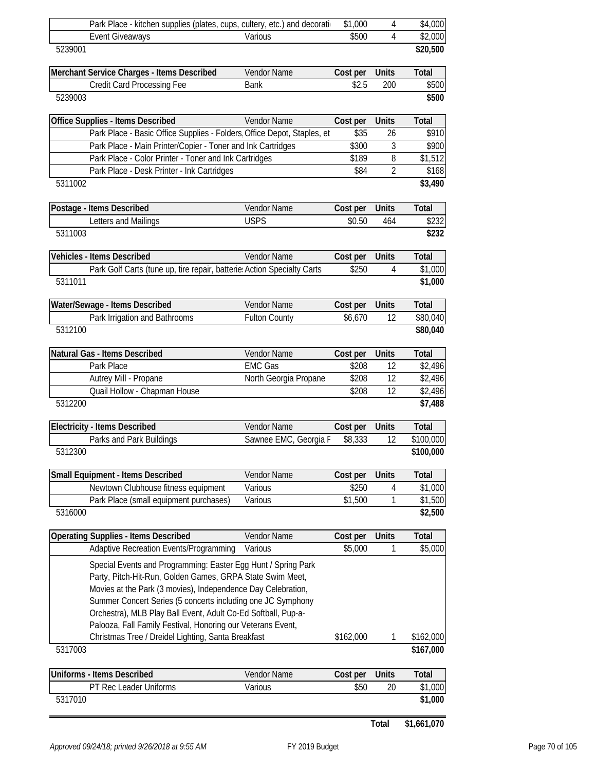|         | Park Place - kitchen supplies (plates, cups, cultery, etc.) and decoration                                                                                                                                                                                                                                                                                                                |                       | \$1,000        | 4              | \$4,000            |
|---------|-------------------------------------------------------------------------------------------------------------------------------------------------------------------------------------------------------------------------------------------------------------------------------------------------------------------------------------------------------------------------------------------|-----------------------|----------------|----------------|--------------------|
|         | <b>Event Giveaways</b>                                                                                                                                                                                                                                                                                                                                                                    | Various               | \$500          | 4              | \$2,000            |
| 5239001 |                                                                                                                                                                                                                                                                                                                                                                                           |                       |                |                | \$20,500           |
|         | Merchant Service Charges - Items Described                                                                                                                                                                                                                                                                                                                                                | Vendor Name           | Cost per       | Units          | <b>Total</b>       |
|         | Credit Card Processing Fee                                                                                                                                                                                                                                                                                                                                                                | <b>Bank</b>           | \$2.5          | 200            | \$500              |
| 5239003 |                                                                                                                                                                                                                                                                                                                                                                                           |                       |                |                | \$500              |
|         | Office Supplies - Items Described                                                                                                                                                                                                                                                                                                                                                         | Vendor Name           | Cost per       | <b>Units</b>   | <b>Total</b>       |
|         | Park Place - Basic Office Supplies - Folders Office Depot, Staples, et<br>Park Place - Main Printer/Copier - Toner and Ink Cartridges                                                                                                                                                                                                                                                     |                       | \$35           | 26             | \$910              |
|         | Park Place - Color Printer - Toner and Ink Cartridges                                                                                                                                                                                                                                                                                                                                     |                       | \$300<br>\$189 | 3<br>8         | \$900<br>\$1,512   |
|         | Park Place - Desk Printer - Ink Cartridges                                                                                                                                                                                                                                                                                                                                                |                       | \$84           | $\overline{2}$ | \$168              |
| 5311002 |                                                                                                                                                                                                                                                                                                                                                                                           |                       |                |                | \$3,490            |
|         | Postage - Items Described                                                                                                                                                                                                                                                                                                                                                                 | Vendor Name           | Cost per       | <b>Units</b>   | <b>Total</b>       |
|         | Letters and Mailings                                                                                                                                                                                                                                                                                                                                                                      | <b>USPS</b>           | \$0.50         | 464            | \$232              |
| 5311003 |                                                                                                                                                                                                                                                                                                                                                                                           |                       |                |                | \$232              |
|         | <b>Vehicles - Items Described</b>                                                                                                                                                                                                                                                                                                                                                         | Vendor Name           | Cost per       | Units          | <b>Total</b>       |
|         | Park Golf Carts (tune up, tire repair, batterie: Action Specialty Carts                                                                                                                                                                                                                                                                                                                   |                       | \$250          | 4              | \$1,000            |
| 5311011 |                                                                                                                                                                                                                                                                                                                                                                                           |                       |                |                | \$1,000            |
|         | Water/Sewage - Items Described                                                                                                                                                                                                                                                                                                                                                            | Vendor Name           | Cost per       | <b>Units</b>   | <b>Total</b>       |
|         | Park Irrigation and Bathrooms                                                                                                                                                                                                                                                                                                                                                             | <b>Fulton County</b>  | \$6,670        | 12             | \$80,040           |
| 5312100 |                                                                                                                                                                                                                                                                                                                                                                                           |                       |                |                | \$80,040           |
|         | Natural Gas - Items Described                                                                                                                                                                                                                                                                                                                                                             | Vendor Name           | Cost per       | Units          | Total              |
|         | Park Place                                                                                                                                                                                                                                                                                                                                                                                | <b>EMC Gas</b>        | \$208          | 12             | \$2,496            |
|         | Autrey Mill - Propane                                                                                                                                                                                                                                                                                                                                                                     | North Georgia Propane | \$208<br>\$208 | 12<br>12       | \$2,496            |
| 5312200 | Quail Hollow - Chapman House                                                                                                                                                                                                                                                                                                                                                              |                       |                |                | \$2,496<br>\$7,488 |
|         | <b>Electricity - Items Described</b>                                                                                                                                                                                                                                                                                                                                                      | Vendor Name           | Cost per       | <b>Units</b>   | <b>Total</b>       |
|         | Parks and Park Buildings                                                                                                                                                                                                                                                                                                                                                                  | Sawnee EMC, Georgia F | \$8,333        | 12             | \$100,000          |
| 5312300 |                                                                                                                                                                                                                                                                                                                                                                                           |                       |                |                | \$100,000          |
|         | <b>Small Equipment - Items Described</b>                                                                                                                                                                                                                                                                                                                                                  | Vendor Name           | Cost per       | <b>Units</b>   | <b>Total</b>       |
|         | Newtown Clubhouse fitness equipment                                                                                                                                                                                                                                                                                                                                                       | Various               | \$250          | 4              | \$1,000            |
|         | Park Place (small equipment purchases)                                                                                                                                                                                                                                                                                                                                                    | Various               | \$1,500        | 1              | \$1,500            |
| 5316000 |                                                                                                                                                                                                                                                                                                                                                                                           |                       |                |                | \$2,500            |
|         | <b>Operating Supplies - Items Described</b>                                                                                                                                                                                                                                                                                                                                               | Vendor Name           | Cost per       | Units          | Total              |
|         | <b>Adaptive Recreation Events/Programming</b>                                                                                                                                                                                                                                                                                                                                             | Various               | \$5,000        |                | \$5,000            |
|         | Special Events and Programming: Easter Egg Hunt / Spring Park<br>Party, Pitch-Hit-Run, Golden Games, GRPA State Swim Meet,<br>Movies at the Park (3 movies), Independence Day Celebration,<br>Summer Concert Series (5 concerts including one JC Symphony<br>Orchestra), MLB Play Ball Event, Adult Co-Ed Softball, Pup-a-<br>Palooza, Fall Family Festival, Honoring our Veterans Event, |                       |                |                |                    |
|         | Christmas Tree / Dreidel Lighting, Santa Breakfast                                                                                                                                                                                                                                                                                                                                        |                       | \$162,000      | 1              | \$162,000          |
| 5317003 |                                                                                                                                                                                                                                                                                                                                                                                           |                       |                |                | \$167,000          |
|         | Uniforms - Items Described                                                                                                                                                                                                                                                                                                                                                                | Vendor Name           | Cost per       | Units          | Total              |
|         | PT Rec Leader Uniforms                                                                                                                                                                                                                                                                                                                                                                    | Various               | \$50           | 20             | \$1,000            |
| 5317010 |                                                                                                                                                                                                                                                                                                                                                                                           |                       |                |                | \$1,000            |

**Total \$1,661,070**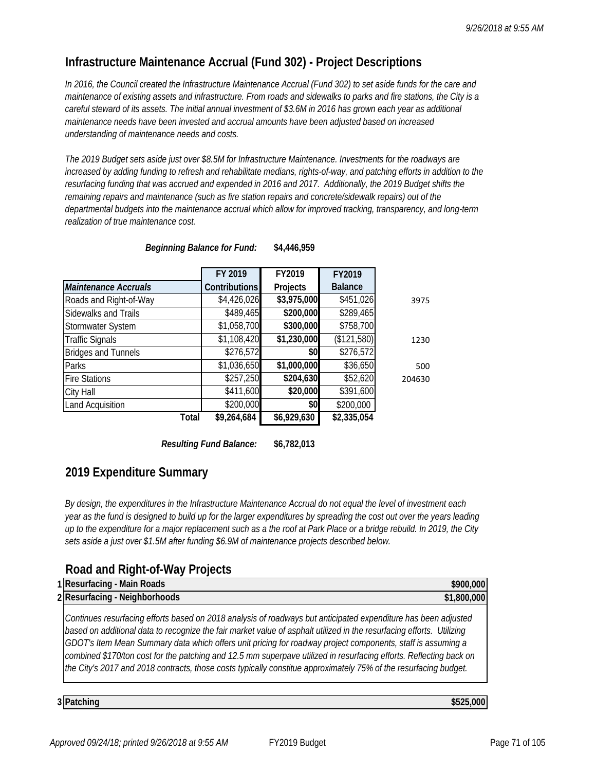## **Infrastructure Maintenance Accrual (Fund 302) - Project Descriptions**

*In 2016, the Council created the Infrastructure Maintenance Accrual (Fund 302) to set aside funds for the care and maintenance of existing assets and infrastructure. From roads and sidewalks to parks and fire stations, the City is a*  careful steward of its assets. The initial annual investment of \$3.6M in 2016 has grown each year as additional *maintenance needs have been invested and accrual amounts have been adjusted based on increased understanding of maintenance needs and costs.* 

*The 2019 Budget sets aside just over \$8.5M for Infrastructure Maintenance. Investments for the roadways are increased by adding funding to refresh and rehabilitate medians, rights-of-way, and patching efforts in addition to the*  resurfacing funding that was accrued and expended in 2016 and 2017. Additionally, the 2019 Budget shifts the *remaining repairs and maintenance (such as fire station repairs and concrete/sidewalk repairs) out of the departmental budgets into the maintenance accrual which allow for improved tracking, transparency, and long-term realization of true maintenance cost.*

|                             | FY 2019              | FY2019      | FY2019         |        |
|-----------------------------|----------------------|-------------|----------------|--------|
| <b>Maintenance Accruals</b> | <b>Contributions</b> | Projects    | <b>Balance</b> |        |
| Roads and Right-of-Way      | \$4,426,026          | \$3,975,000 | \$451,026      | 3975   |
| Sidewalks and Trails        | \$489,465            | \$200,000   | \$289,465      |        |
| Stormwater System           | \$1,058,700          | \$300,000   | \$758,700      |        |
| <b>Traffic Signals</b>      | \$1,108,420          | \$1,230,000 | (\$121,580)    | 1230   |
| <b>Bridges and Tunnels</b>  | \$276,572            | \$0         | \$276,572      |        |
| Parks                       | \$1,036,650          | \$1,000,000 | \$36,650       | 500    |
| <b>Fire Stations</b>        | \$257,250            | \$204,630   | \$52,620       | 204630 |
| City Hall                   | \$411,600            | \$20,000    | \$391,600      |        |
| <b>Land Acquisition</b>     | \$200,000            | \$0         | \$200,000      |        |
| Total                       | \$9,264,684          | \$6,929,630 | \$2,335,054    |        |

|  |  | <b>Beginning Balance for Fund:</b> | \$4,446,959 |
|--|--|------------------------------------|-------------|
|--|--|------------------------------------|-------------|

*Resulting Fund Balance:* **\$6,782,013**

## **2019 Expenditure Summary**

*By design, the expenditures in the Infrastructure Maintenance Accrual do not equal the level of investment each year as the fund is designed to build up for the larger expenditures by spreading the cost out over the years leading up to the expenditure for a major replacement such as a the roof at Park Place or a bridge rebuild. In 2019, the City sets aside a just over \$1.5M after funding \$6.9M of maintenance projects described below.* 

## **Road and Right-of-Way Projects**

| 1 Resurfacing - Main Roads<br>\$900,000                                                                                                                                                                                                                                                                                                                                                                                                                                                                                                                                                          |  |
|--------------------------------------------------------------------------------------------------------------------------------------------------------------------------------------------------------------------------------------------------------------------------------------------------------------------------------------------------------------------------------------------------------------------------------------------------------------------------------------------------------------------------------------------------------------------------------------------------|--|
| 2 Resurfacing - Neighborhoods<br>\$1,800,000                                                                                                                                                                                                                                                                                                                                                                                                                                                                                                                                                     |  |
| Continues resurfacing efforts based on 2018 analysis of roadways but anticipated expenditure has been adjusted<br>based on additional data to recognize the fair market value of asphalt utilized in the resurfacing efforts. Utilizing<br>GDOT's Item Mean Summary data which offers unit pricing for roadway project components, staff is assuming a<br>combined \$170/ton cost for the patching and 12.5 mm superpave utilized in resurfacing efforts. Reflecting back on<br>the City's 2017 and 2018 contracts, those costs typically constitue approximately 75% of the resurfacing budget. |  |

**3 \$525,000 Patching**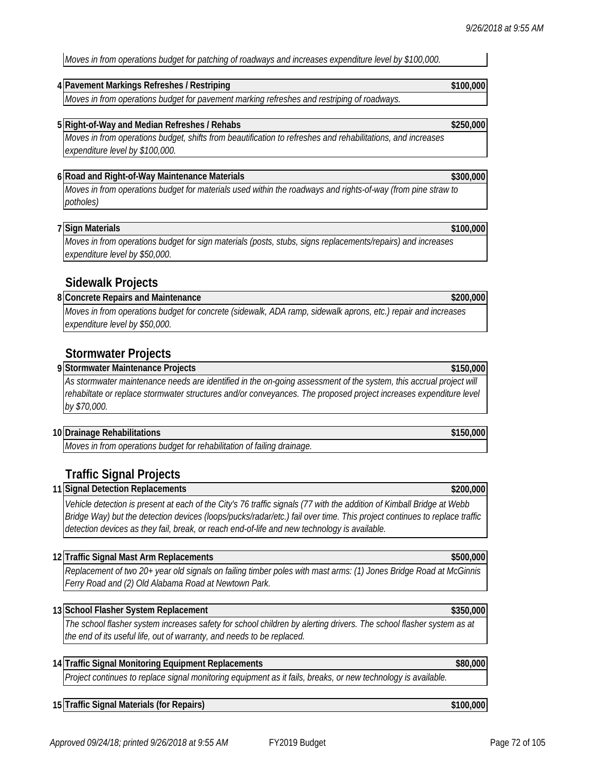*Moves in from operations budget for patching of roadways and increases expenditure level by \$100,000.*

### **4 \$100,000 Pavement Markings Refreshes / Restriping**

*Moves in from operations budget for pavement marking refreshes and restriping of roadways.*

### **5 \$250,000 Right-of-Way and Median Refreshes / Rehabs**

*Moves in from operations budget, shifts from beautification to refreshes and rehabilitations, and increases expenditure level by \$100,000.*

### **6 \$300,000 Road and Right-of-Way Maintenance Materials**

*Moves in from operations budget for materials used within the roadways and rights-of-way (from pine straw to potholes)*

### **7 \$100,000 Sign Materials**

*Moves in from operations budget for sign materials (posts, stubs, signs replacements/repairs) and increases expenditure level by \$50,000.* 

### **Sidewalk Projects**

#### **8 \$200,000 Concrete Repairs and Maintenance**

*Moves in from operations budget for concrete (sidewalk, ADA ramp, sidewalk aprons, etc.) repair and increases expenditure level by \$50,000.*

## **Stormwater Projects**

**9 \$150,000 Stormwater Maintenance Projects**

As stormwater maintenance needs are identified in the on-going assessment of the system, this accrual project will rehabiltate or replace stormwater structures and/or conveyances. The proposed project increases expenditure level *by \$70,000.* 

#### **10 \$150,000 Drainage Rehabilitations**

*Moves in from operations budget for rehabilitation of failing drainage.*

## **Traffic Signal Projects**

**11 \$200,000 Signal Detection Replacements**

*Vehicle detection is present at each of the City's 76 traffic signals (77 with the addition of Kimball Bridge at Webb Bridge Way) but the detection devices (loops/pucks/radar/etc.) fail over time. This project continues to replace traffic detection devices as they fail, break, or reach end-of-life and new technology is available.* 

### **12 \$500,000 Traffic Signal Mast Arm Replacements**

*Replacement of two 20+ year old signals on failing timber poles with mast arms: (1) Jones Bridge Road at McGinnis Ferry Road and (2) Old Alabama Road at Newtown Park.* 

#### **13 \$350,000 School Flasher System Replacement**

*The school flasher system increases safety for school children by alerting drivers. The school flasher system as at the end of its useful life, out of warranty, and needs to be replaced.* 

### **14 Traffic Signal Monitoring Equipment Replacements \$80,000**

*Project continues to replace signal monitoring equipment as it fails, breaks, or new technology is available.*

### **15 \$100,000 Traffic Signal Materials (for Repairs)**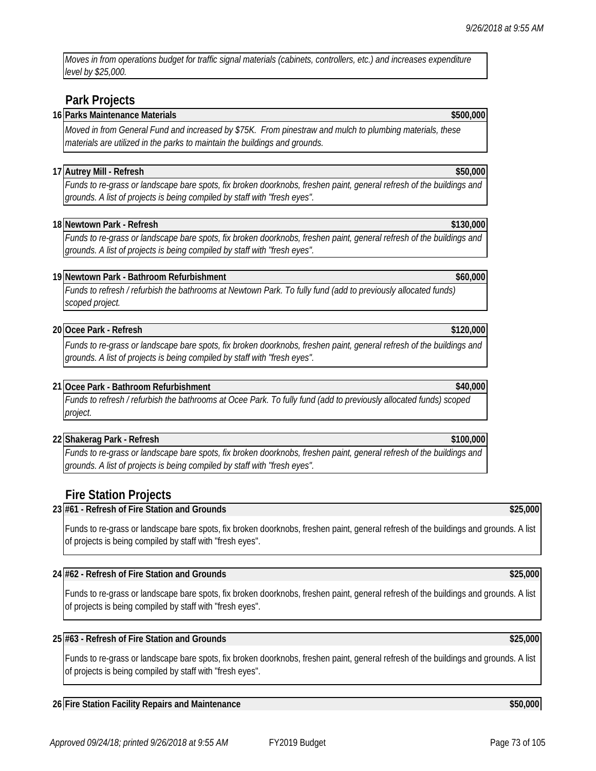*Moves in from operations budget for traffic signal materials (cabinets, controllers, etc.) and increases expenditure level by \$25,000.* 

## **Park Projects**

### **16 Parks Maintenance Materials \$500,000**

*Moved in from General Fund and increased by \$75K. From pinestraw and mulch to plumbing materials, these materials are utilized in the parks to maintain the buildings and grounds.* 

### **17 Autrey Mill - Refresh \$50,000**

*Funds to re-grass or landscape bare spots, fix broken doorknobs, freshen paint, general refresh of the buildings and grounds. A list of projects is being compiled by staff with "fresh eyes".* 

### **18 Newtown Park - Refresh \$130,000**

*Funds to re-grass or landscape bare spots, fix broken doorknobs, freshen paint, general refresh of the buildings and grounds. A list of projects is being compiled by staff with "fresh eyes".* 

### **19 Newtown Park - Bathroom Refurbishment \$60,000**

*Funds to refresh / refurbish the bathrooms at Newtown Park. To fully fund (add to previously allocated funds) scoped project.* 

### **20 Ocee Park - Refresh \$120,000**

*Funds to re-grass or landscape bare spots, fix broken doorknobs, freshen paint, general refresh of the buildings and grounds. A list of projects is being compiled by staff with "fresh eyes".* 

### **21 Ocee Park - Bathroom Refurbishment \$40,000**

*Funds to refresh / refurbish the bathrooms at Ocee Park. To fully fund (add to previously allocated funds) scoped project.* 

### **22 Shakerag Park - Refresh \$100,000**

*Funds to re-grass or landscape bare spots, fix broken doorknobs, freshen paint, general refresh of the buildings and grounds. A list of projects is being compiled by staff with "fresh eyes".* 

## **Fire Station Projects**

### **23 #61 - Refresh of Fire Station and Grounds \$25,000**

Funds to re-grass or landscape bare spots, fix broken doorknobs, freshen paint, general refresh of the buildings and grounds. A list of projects is being compiled by staff with "fresh eyes".

### **24 #62 - Refresh of Fire Station and Grounds \$25,000**

Funds to re-grass or landscape bare spots, fix broken doorknobs, freshen paint, general refresh of the buildings and grounds. A list of projects is being compiled by staff with "fresh eyes".

### **25 #63 - Refresh of Fire Station and Grounds \$25,000**

Funds to re-grass or landscape bare spots, fix broken doorknobs, freshen paint, general refresh of the buildings and grounds. A list of projects is being compiled by staff with "fresh eyes".

### **26 Fire Station Facility Repairs and Maintenance \$50,000**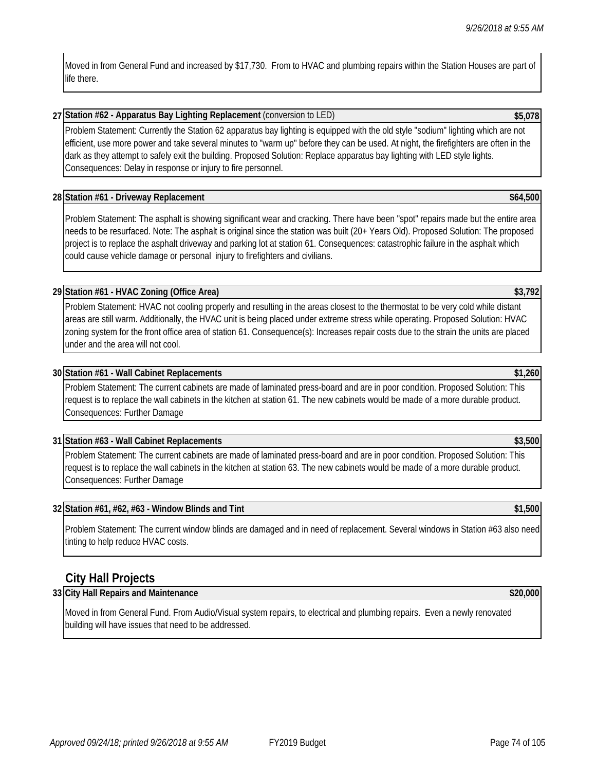Moved in from General Fund and increased by \$17,730. From to HVAC and plumbing repairs within the Station Houses are part of life there.

### **27 Station #62 - Apparatus Bay Lighting Replacement** (conversion to LED) **\$5,078**

Problem Statement: Currently the Station 62 apparatus bay lighting is equipped with the old style "sodium" lighting which are not efficient, use more power and take several minutes to "warm up" before they can be used. At night, the firefighters are often in the dark as they attempt to safely exit the building. Proposed Solution: Replace apparatus bay lighting with LED style lights. Consequences: Delay in response or injury to fire personnel.

### **28 Station #61 - Driveway Replacement \$64,500**

Problem Statement: The asphalt is showing significant wear and cracking. There have been "spot" repairs made but the entire area needs to be resurfaced. Note: The asphalt is original since the station was built (20+ Years Old). Proposed Solution: The proposed project is to replace the asphalt driveway and parking lot at station 61. Consequences: catastrophic failure in the asphalt which could cause vehicle damage or personal injury to firefighters and civilians.

### **29 Station #61 - HVAC Zoning (Office Area) \$3,792**

Problem Statement: HVAC not cooling properly and resulting in the areas closest to the thermostat to be very cold while distant areas are still warm. Additionally, the HVAC unit is being placed under extreme stress while operating. Proposed Solution: HVAC zoning system for the front office area of station 61. Consequence(s): Increases repair costs due to the strain the units are placed under and the area will not cool.

### **30 Station #61 - Wall Cabinet Replacements \$1,260**

Problem Statement: The current cabinets are made of laminated press-board and are in poor condition. Proposed Solution: This request is to replace the wall cabinets in the kitchen at station 61. The new cabinets would be made of a more durable product. Consequences: Further Damage

### **31 Station #63 - Wall Cabinet Replacements \$3,500**

Problem Statement: The current cabinets are made of laminated press-board and are in poor condition. Proposed Solution: This request is to replace the wall cabinets in the kitchen at station 63. The new cabinets would be made of a more durable product. Consequences: Further Damage

### **32 Station #61, #62, #63 - Window Blinds and Tint \$1,500**

Problem Statement: The current window blinds are damaged and in need of replacement. Several windows in Station #63 also need tinting to help reduce HVAC costs.

### **City Hall Projects**

### **33 City Hall Repairs and Maintenance \$20,000**

Moved in from General Fund. From Audio/Visual system repairs, to electrical and plumbing repairs. Even a newly renovated building will have issues that need to be addressed.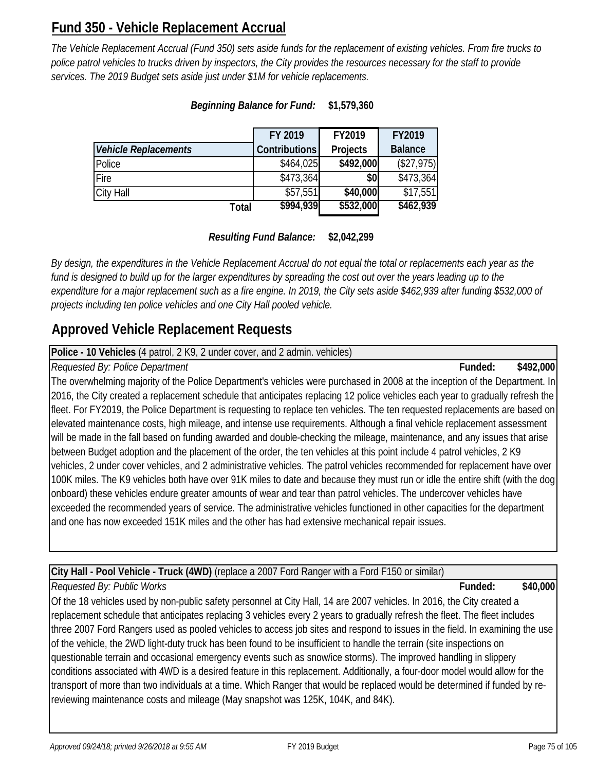# **Fund 350 - Vehicle Replacement Accrual**

*The Vehicle Replacement Accrual (Fund 350) sets aside funds for the replacement of existing vehicles. From fire trucks to police patrol vehicles to trucks driven by inspectors, the City provides the resources necessary for the staff to provide services. The 2019 Budget sets aside just under \$1M for vehicle replacements.* 

|                             | FY 2019              | FY2019    | FY2019         |
|-----------------------------|----------------------|-----------|----------------|
| <b>Vehicle Replacements</b> | <b>Contributions</b> | Projects  | <b>Balance</b> |
| Police                      | \$464,025            | \$492,000 | (\$27,975)     |
| Fire                        | \$473,364            | \$0       | \$473,364      |
| City Hall                   | \$57,551             | \$40,000  | \$17,551       |
| Total                       | \$994,939            | \$532,000 | \$462,939      |

## *Beginning Balance for Fund:* **\$1,579,360**

*Resulting Fund Balance:* **\$2,042,299**

*By design, the expenditures in the Vehicle Replacement Accrual do not equal the total or replacements each year as the*  fund is designed to build up for the larger expenditures by spreading the cost out over the years leading up to the *expenditure for a major replacement such as a fire engine. In 2019, the City sets aside \$462,939 after funding \$532,000 of projects including ten police vehicles and one City Hall pooled vehicle.* 

# **Approved Vehicle Replacement Requests**

**Police - 10 Vehicles** (4 patrol, 2 K9, 2 under cover, and 2 admin. vehicles)

## *Requested By: Police Department* **Funded: \$492,000**

The overwhelming majority of the Police Department's vehicles were purchased in 2008 at the inception of the Department. In 2016, the City created a replacement schedule that anticipates replacing 12 police vehicles each year to gradually refresh the fleet. For FY2019, the Police Department is requesting to replace ten vehicles. The ten requested replacements are based on elevated maintenance costs, high mileage, and intense use requirements. Although a final vehicle replacement assessment will be made in the fall based on funding awarded and double-checking the mileage, maintenance, and any issues that arise between Budget adoption and the placement of the order, the ten vehicles at this point include 4 patrol vehicles, 2 K9 vehicles, 2 under cover vehicles, and 2 administrative vehicles. The patrol vehicles recommended for replacement have over 100K miles. The K9 vehicles both have over 91K miles to date and because they must run or idle the entire shift (with the dog onboard) these vehicles endure greater amounts of wear and tear than patrol vehicles. The undercover vehicles have exceeded the recommended years of service. The administrative vehicles functioned in other capacities for the department and one has now exceeded 151K miles and the other has had extensive mechanical repair issues.

**City Hall - Pool Vehicle - Truck (4WD)** (replace a 2007 Ford Ranger with a Ford F150 or similar)

## *Requested By: Public Works* **Funded: \$40,000**

Of the 18 vehicles used by non-public safety personnel at City Hall, 14 are 2007 vehicles. In 2016, the City created a replacement schedule that anticipates replacing 3 vehicles every 2 years to gradually refresh the fleet. The fleet includes three 2007 Ford Rangers used as pooled vehicles to access job sites and respond to issues in the field. In examining the use of the vehicle, the 2WD light-duty truck has been found to be insufficient to handle the terrain (site inspections on questionable terrain and occasional emergency events such as snow/ice storms). The improved handling in slippery conditions associated with 4WD is a desired feature in this replacement. Additionally, a four-door model would allow for the transport of more than two individuals at a time. Which Ranger that would be replaced would be determined if funded by rereviewing maintenance costs and mileage (May snapshot was 125K, 104K, and 84K).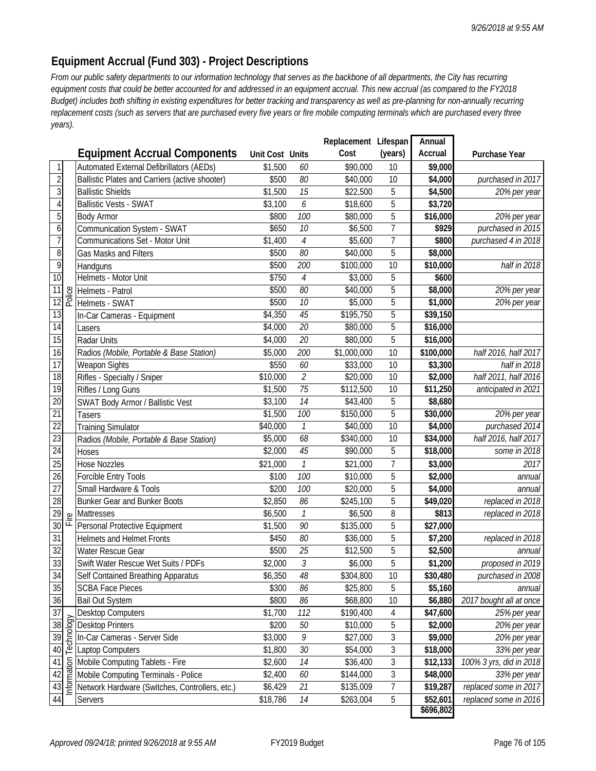## **Equipment Accrual (Fund 303) - Project Descriptions**

*From our public safety departments to our information technology that serves as the backbone of all departments, the City has recurring equipment costs that could be better accounted for and addressed in an equipment accrual. This new accrual (as compared to the FY2018 Budget) includes both shifting in existing expenditures for better tracking and transparency as well as pre-planning for non-annually recurring replacement costs (such as servers that are purchased every five years or fire mobile computing terminals which are purchased every three years).* 

|                  |                        |                                                |                 |                            | Replacement Lifespan |                | Annual    |                         |
|------------------|------------------------|------------------------------------------------|-----------------|----------------------------|----------------------|----------------|-----------|-------------------------|
|                  |                        | <b>Equipment Accrual Components</b>            | Unit Cost Units |                            | Cost                 | (years)        | Accrual   | Purchase Year           |
| $\mathbf{1}$     |                        | Automated External Defibrillators (AEDs)       | \$1,500         | 60                         | \$90,000             | 10             | \$9,000   |                         |
| $\overline{2}$   |                        | Ballistic Plates and Carriers (active shooter) | \$500           | 80                         | \$40,000             | 10             | \$4,000   | purchased in 2017       |
| $\overline{3}$   |                        | <b>Ballistic Shields</b>                       | \$1,500         | 15                         | \$22,500             | 5              | \$4,500   | 20% per year            |
| $\overline{4}$   |                        | <b>Ballistic Vests - SWAT</b>                  | \$3,100         | 6                          | \$18,600             | 5              | \$3,720   |                         |
| 5                |                        | <b>Body Armor</b>                              | \$800           | 100                        | \$80,000             | 5              | \$16,000  | 20% per year            |
| $\boldsymbol{6}$ |                        | Communication System - SWAT                    | \$650           | 10                         | \$6,500              | $\overline{7}$ | \$929     | purchased in 2015       |
| $\overline{7}$   |                        | Communications Set - Motor Unit                | \$1,400         | $\overline{4}$             | \$5,600              | 7              | \$800     | purchased 4 in 2018     |
| $\overline{8}$   |                        | Gas Masks and Filters                          | \$500           | 80                         | \$40,000             | 5              | \$8,000   |                         |
| $\overline{9}$   |                        | Handguns                                       | \$500           | 200                        | \$100,000            | 10             | \$10,000  | half in 2018            |
| 10               |                        | Helmets - Motor Unit                           | \$750           | $\overline{4}$             | \$3,000              | 5              | \$600     |                         |
| 11               | Police                 | Helmets - Patrol                               | \$500           | 80                         | \$40,000             | 5              | \$8,000   | 20% per year            |
| $\overline{12}$  |                        | Helmets - SWAT                                 | \$500           | 10                         | \$5,000              | 5              | \$1,000   | 20% per year            |
| 13               |                        | In-Car Cameras - Equipment                     | \$4,350         | 45                         | \$195,750            | 5              | \$39,150  |                         |
| 14               |                        | Lasers                                         | \$4,000         | 20                         | \$80,000             | 5              | \$16,000  |                         |
| 15               |                        | Radar Units                                    | \$4,000         | 20                         | \$80,000             | 5              | \$16,000  |                         |
| 16               |                        | Radios (Mobile, Portable & Base Station)       | \$5,000         | 200                        | \$1,000,000          | 10             | \$100,000 | half 2016, half 2017    |
| $\overline{17}$  |                        | Weapon Sights                                  | \$550           | 60                         | \$33,000             | 10             | \$3,300   | half in 2018            |
| $\overline{18}$  |                        | Rifles - Specialty / Sniper                    | \$10,000        | $\overline{2}$             | \$20,000             | 10             | \$2,000   | half 2011, half 2016    |
| 19               |                        | Rifles / Long Guns                             | \$1,500         | $\overline{75}$            | \$112,500            | 10             | \$11,250  | anticipated in 2021     |
| 20               |                        | <b>SWAT Body Armor / Ballistic Vest</b>        | \$3,100         | $\overline{14}$            | \$43,400             | 5              | \$8,680   |                         |
| 21               |                        | Tasers                                         | \$1,500         | 100                        | \$150,000            | 5              | \$30,000  | 20% per year            |
| $\overline{22}$  |                        | <b>Training Simulator</b>                      | \$40,000        | 1                          | \$40,000             | 10             | \$4,000   | purchased 2014          |
| 23               |                        | Radios (Mobile, Portable & Base Station)       | \$5,000         | 68                         | \$340,000            | 10             | \$34,000  | half 2016, half 2017    |
| $\overline{24}$  |                        | Hoses                                          | \$2,000         | 45                         | \$90,000             | 5              | \$18,000  | some in 2018            |
| 25               |                        | <b>Hose Nozzles</b>                            | \$21,000        | $\mathcal{I}$              | \$21,000             | $\overline{7}$ | \$3,000   | 2017                    |
| 26               |                        | Forcible Entry Tools                           | \$100           | 100                        | \$10,000             | 5              | \$2,000   | annual                  |
| $\overline{27}$  |                        | Small Hardware & Tools                         | \$200           | 100                        | \$20,000             | 5              | \$4,000   | annual                  |
| $\overline{28}$  |                        | <b>Bunker Gear and Bunker Boots</b>            | \$2,850         | 86                         | \$245,100            | 5              | \$49,020  | replaced in 2018        |
| 29               | Fire                   | Mattresses                                     | \$6,500         | $\boldsymbol{\mathcal{I}}$ | \$6,500              | 8              | \$813     | replaced in 2018        |
| 30               |                        | Personal Protective Equipment                  | \$1,500         | 90                         | \$135,000            | 5              | \$27,000  |                         |
| 31               |                        | <b>Helmets and Helmet Fronts</b>               | \$450           | 80                         | \$36,000             | 5              | \$7,200   | replaced in 2018        |
| 32               |                        | Water Rescue Gear                              | \$500           | 25                         | \$12,500             | 5              | \$2,500   | annual                  |
| 33               |                        | Swift Water Rescue Wet Suits / PDFs            | \$2,000         | 3                          | \$6,000              | 5              | \$1,200   | proposed in 2019        |
| $\overline{34}$  |                        | Self Contained Breathing Apparatus             | \$6,350         | $\it 48$                   | \$304,800            | 10             | \$30,480  | purchased in 2008       |
| 35               |                        | <b>SCBA Face Pieces</b>                        | \$300           | 86                         | \$25,800             | 5              | \$5,160   | annual                  |
| $\overline{36}$  |                        | <b>Bail Out System</b>                         | \$800           | 86                         | \$68,800             | 10             | \$6,880   | 2017 bought all at once |
| 37               |                        | <b>Desktop Computers</b>                       | \$1,700         | 112                        | \$190,400            | 4              | \$47,600  | 25% per year            |
| 38               |                        | <b>Desktop Printers</b>                        | \$200           | 50                         | \$10,000             | 5              | \$2,000   | 20% per year            |
| 39               |                        | In-Car Cameras - Server Side                   | \$3,000         | 9                          | \$27,000             | 3              | \$9,000   | 20% per year            |
| 40               |                        | <b>Laptop Computers</b>                        | \$1,800         | $30\,$                     | \$54,000             | 3              | \$18,000  | 33% per year            |
| 41               |                        | Mobile Computing Tablets - Fire                | \$2,600         | 14                         | \$36,400             | 3              | \$12,133  | 100% 3 yrs, did in 2018 |
| 42               | Information Technology | Mobile Computing Terminals - Police            | \$2,400         | 60                         | \$144,000            | 3              | \$48,000  | 33% per year            |
| 43               |                        | Network Hardware (Switches, Controllers, etc.) | \$6,429         | 21                         | \$135,009            | 7              | \$19,287  | replaced some in 2017   |
| 44               |                        | Servers                                        | \$18,786        | 14                         | \$263,004            | 5              | \$52,601  | replaced some in 2016   |
|                  |                        |                                                |                 |                            |                      |                | \$696,802 |                         |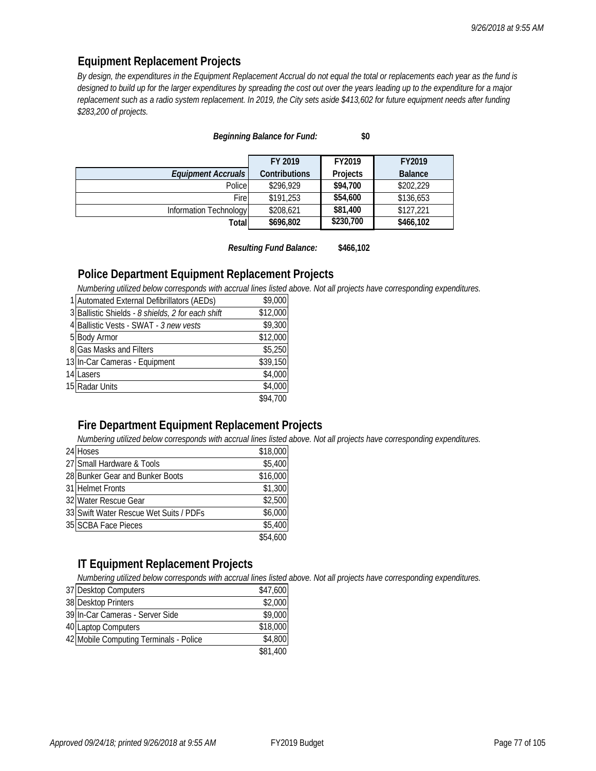### **Equipment Replacement Projects**

*By design, the expenditures in the Equipment Replacement Accrual do not equal the total or replacements each year as the fund is designed to build up for the larger expenditures by spreading the cost out over the years leading up to the expenditure for a major replacement such as a radio system replacement. In 2019, the City sets aside \$413,602 for future equipment needs after funding \$283,200 of projects.*

|                        | FY 2019              | FY2019    | FY2019         |
|------------------------|----------------------|-----------|----------------|
| Equipment Accruals     | <b>Contributions</b> | Projects  | <b>Balance</b> |
| Police                 | \$296,929            | \$94,700  | \$202,229      |
| Fire                   | \$191,253            | \$54,600  | \$136,653      |
| Information Technology | \$208,621            | \$81,400  | \$127,221      |
| Total                  | \$696,802            | \$230,700 | \$466,102      |

### *Beginning Balance for Fund:* **\$0**

*Resulting Fund Balance:* **\$466,102**

### **Police Department Equipment Replacement Projects**

*Numbering utilized below corresponds with accrual lines listed above. Not all projects have corresponding expenditures.*

| 1 Automated External Defibrillators (AEDs)        | \$9,000  |
|---------------------------------------------------|----------|
| 3 Ballistic Shields - 8 shields, 2 for each shift | \$12,000 |
| 4 Ballistic Vests - SWAT - 3 new vests            | \$9,300  |
| 5 Body Armor                                      | \$12,000 |
| 8 Gas Masks and Filters                           | \$5,250  |
| 13 In-Car Cameras - Equipment                     | \$39,150 |
| 14 Lasers                                         | \$4,000  |
| 15 Radar Units                                    | \$4,000  |
|                                                   | \$94,700 |

### **Fire Department Equipment Replacement Projects**

*Numbering utilized below corresponds with accrual lines listed above. Not all projects have corresponding expenditures.*

| 24 Hoses                               | \$18,000 |
|----------------------------------------|----------|
| 27 Small Hardware & Tools              | \$5,400  |
| 28 Bunker Gear and Bunker Boots        | \$16,000 |
| 31 Helmet Fronts                       | \$1,300  |
| 32 Water Rescue Gear                   | \$2,500  |
| 33 Swift Water Rescue Wet Suits / PDFs | \$6,000  |
| 35 SCBA Face Pieces                    | \$5,400  |
|                                        | \$54,600 |

### **IT Equipment Replacement Projects**

*Numbering utilized below corresponds with accrual lines listed above. Not all projects have corresponding expenditures.*

| 37 Desktop Computers                   | \$47,600 |
|----------------------------------------|----------|
| 38 Desktop Printers                    | \$2,000  |
| 39 In-Car Cameras - Server Side        | \$9,000  |
| 40 Laptop Computers                    | \$18,000 |
| 42 Mobile Computing Terminals - Police | \$4,800  |
|                                        | \$81,400 |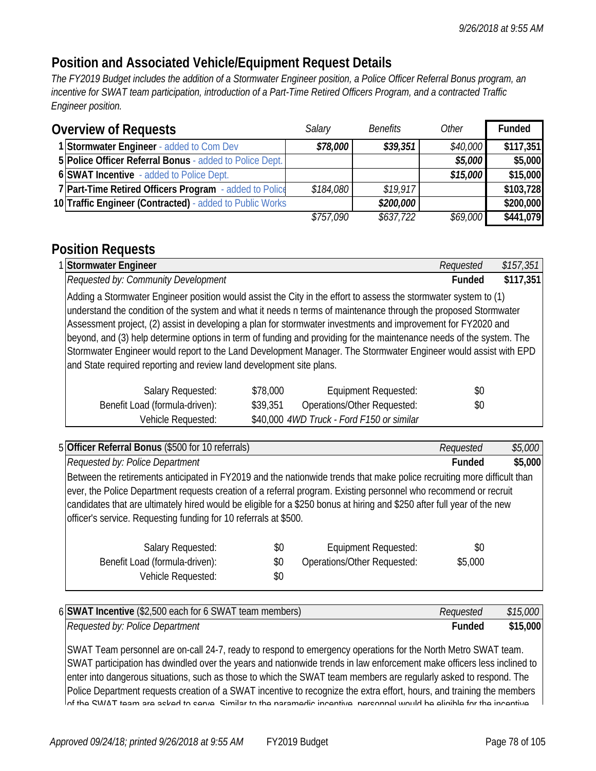# **Position and Associated Vehicle/Equipment Request Details**

*The FY2019 Budget includes the addition of a Stormwater Engineer position, a Police Officer Referral Bonus program, an incentive for SWAT team participation, introduction of a Part-Time Retired Officers Program, and a contracted Traffic Engineer position.*

| <b>Overview of Requests</b>                              | Salary    | <b>Benefits</b> | Other    | <b>Funded</b> |
|----------------------------------------------------------|-----------|-----------------|----------|---------------|
| 1 Stormwater Engineer - added to Com Dev                 | \$78,000  | \$39,351        | \$40,000 | \$117,351     |
| 5 Police Officer Referral Bonus - added to Police Dept.  |           |                 | \$5,000  | \$5,000       |
| 6 SWAT Incentive - added to Police Dept.                 |           |                 | \$15,000 | \$15,000      |
| 7 Part-Time Retired Officers Program - added to Police   | \$184,080 | \$19.917        |          | \$103,728     |
| 10 Traffic Engineer (Contracted) - added to Public Works |           | \$200,000       |          | \$200,000     |
|                                                          | \$757,090 | \$637,722       | \$69,000 | \$441,079     |

# **Position Requests**

| 1 Stormwater Engineer                                                                                                                                                                                                                                                                                                                                                                                                                                                                                                                                                                                                                                                   |                                           | Requested | \$157,351 |
|-------------------------------------------------------------------------------------------------------------------------------------------------------------------------------------------------------------------------------------------------------------------------------------------------------------------------------------------------------------------------------------------------------------------------------------------------------------------------------------------------------------------------------------------------------------------------------------------------------------------------------------------------------------------------|-------------------------------------------|-----------|-----------|
| Requested by: Community Development                                                                                                                                                                                                                                                                                                                                                                                                                                                                                                                                                                                                                                     |                                           | Funded    | \$117,351 |
| Adding a Stormwater Engineer position would assist the City in the effort to assess the stormwater system to (1)<br>understand the condition of the system and what it needs n terms of maintenance through the proposed Stormwater<br>Assessment project, (2) assist in developing a plan for stormwater investments and improvement for FY2020 and<br>beyond, and (3) help determine options in term of funding and providing for the maintenance needs of the system. The<br>Stormwater Engineer would report to the Land Development Manager. The Stormwater Engineer would assist with EPD<br>and State required reporting and review land development site plans. |                                           |           |           |
| \$78,000<br>Salary Requested:                                                                                                                                                                                                                                                                                                                                                                                                                                                                                                                                                                                                                                           | <b>Equipment Requested:</b>               | \$0       |           |
| Benefit Load (formula-driven):<br>\$39,351                                                                                                                                                                                                                                                                                                                                                                                                                                                                                                                                                                                                                              | Operations/Other Requested:               | \$0       |           |
| Vehicle Requested:                                                                                                                                                                                                                                                                                                                                                                                                                                                                                                                                                                                                                                                      | \$40,000 4WD Truck - Ford F150 or similar |           |           |

| 5 Officer Referral Bonus (\$500 for 10 referrals)                                                                       | Requested     | \$5,000 |
|-------------------------------------------------------------------------------------------------------------------------|---------------|---------|
| Requested by: Police Department                                                                                         | <b>Funded</b> | \$5,000 |
| Between the retirements anticipated in FY2019 and the nationwide trends that make police recruiting more difficult than |               |         |
| ever, the Police Department requests creation of a referral program. Existing personnel who recommend or recruit        |               |         |
| candidates that are ultimately hired would be eligible for a \$250 bonus at hiring and \$250 after full year of the new |               |         |
| officer's service. Requesting funding for 10 referrals at \$500.                                                        |               |         |
|                                                                                                                         |               |         |
| \$0<br>Salary Requested:<br>Equipment Requested:                                                                        | \$0           |         |
| Benefit Load (formula-driven):<br>Operations/Other Requested:<br>\$0                                                    | \$5,000       |         |
| Vehicle Requested:<br>\$0                                                                                               |               |         |
|                                                                                                                         |               |         |

| 6 SWAT Incentive (\$2,500 each for 6 SWAT team members) | Reauested | \$15,000 |
|---------------------------------------------------------|-----------|----------|
| Requested by: Police Department                         | Funded    | \$15,000 |

SWAT Team personnel are on-call 24-7, ready to respond to emergency operations for the North Metro SWAT team. SWAT participation has dwindled over the years and nationwide trends in law enforcement make officers less inclined to enter into dangerous situations, such as those to which the SWAT team members are regularly asked to respond. The Police Department requests creation of a SWAT incentive to recognize the extra effort, hours, and training the members  $\mathsf{I}$ of the SWAT team are asked to serve Similar to the paramedic incentive personnel would be eligible for the incentive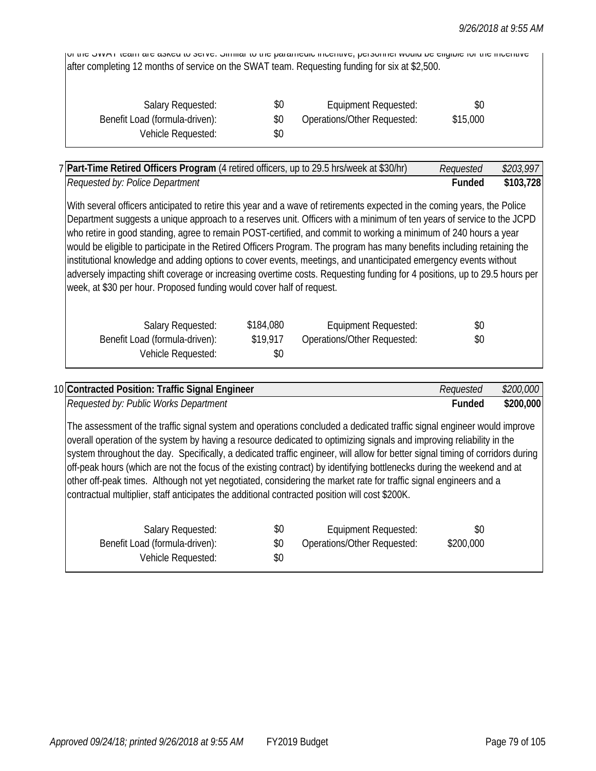of the SWAT team are asked to serve. Similar to the paramedic incentive, personnel would be eligible for the incentive after completing 12 months of service on the SWAT team. Requesting funding for six at \$2,500.

| Salary Requested:              | \$0 | Equipment Requested:        | \$0      |
|--------------------------------|-----|-----------------------------|----------|
| Benefit Load (formula-driven): | \$0 | Operations/Other Requested: | \$15,000 |
| Vehicle Requested:             | SO. |                             |          |

|                                                                                                                                                                                                                                             |           | 7 Part-Time Retired Officers Program (4 retired officers, up to 29.5 hrs/week at \$30/hr) | Requested     | \$203,997 |
|---------------------------------------------------------------------------------------------------------------------------------------------------------------------------------------------------------------------------------------------|-----------|-------------------------------------------------------------------------------------------|---------------|-----------|
| Requested by: Police Department                                                                                                                                                                                                             |           |                                                                                           | <b>Funded</b> | \$103,728 |
| With several officers anticipated to retire this year and a wave of retirements expected in the coming years, the Police                                                                                                                    |           |                                                                                           |               |           |
| Department suggests a unique approach to a reserves unit. Officers with a minimum of ten years of service to the JCPD                                                                                                                       |           |                                                                                           |               |           |
| who retire in good standing, agree to remain POST-certified, and commit to working a minimum of 240 hours a year<br>would be eligible to participate in the Retired Officers Program. The program has many benefits including retaining the |           |                                                                                           |               |           |
| institutional knowledge and adding options to cover events, meetings, and unanticipated emergency events without                                                                                                                            |           |                                                                                           |               |           |
| adversely impacting shift coverage or increasing overtime costs. Requesting funding for 4 positions, up to 29.5 hours per                                                                                                                   |           |                                                                                           |               |           |
| week, at \$30 per hour. Proposed funding would cover half of request.                                                                                                                                                                       |           |                                                                                           |               |           |
| Salary Requested:                                                                                                                                                                                                                           | \$184,080 | Equipment Requested:                                                                      | \$0           |           |
|                                                                                                                                                                                                                                             |           |                                                                                           |               |           |
| Benefit Load (formula-driven):                                                                                                                                                                                                              | \$19,917  | Operations/Other Requested:                                                               | \$0           |           |

| 10 Contracted Position: Traffic Signal Engineer                                                                                                                                                                                                                                                                                                                                                                                                                                                                                                                                                                                                                                                                                    |                   |                                                            | Requested        | \$200,000 |
|------------------------------------------------------------------------------------------------------------------------------------------------------------------------------------------------------------------------------------------------------------------------------------------------------------------------------------------------------------------------------------------------------------------------------------------------------------------------------------------------------------------------------------------------------------------------------------------------------------------------------------------------------------------------------------------------------------------------------------|-------------------|------------------------------------------------------------|------------------|-----------|
| Requested by: Public Works Department                                                                                                                                                                                                                                                                                                                                                                                                                                                                                                                                                                                                                                                                                              |                   |                                                            | <b>Funded</b>    | \$200,000 |
| The assessment of the traffic signal system and operations concluded a dedicated traffic signal engineer would improve<br>overall operation of the system by having a resource dedicated to optimizing signals and improving reliability in the<br>system throughout the day. Specifically, a dedicated traffic engineer, will allow for better signal timing of corridors during<br>off-peak hours (which are not the focus of the existing contract) by identifying bottlenecks during the weekend and at<br>other off-peak times. Although not yet negotiated, considering the market rate for traffic signal engineers and a<br>contractual multiplier, staff anticipates the additional contracted position will cost \$200K. |                   |                                                            |                  |           |
| Salary Requested:<br>Benefit Load (formula-driven):<br>Vehicle Requested:                                                                                                                                                                                                                                                                                                                                                                                                                                                                                                                                                                                                                                                          | \$0<br>\$0<br>\$0 | <b>Equipment Requested:</b><br>Operations/Other Requested: | \$0<br>\$200,000 |           |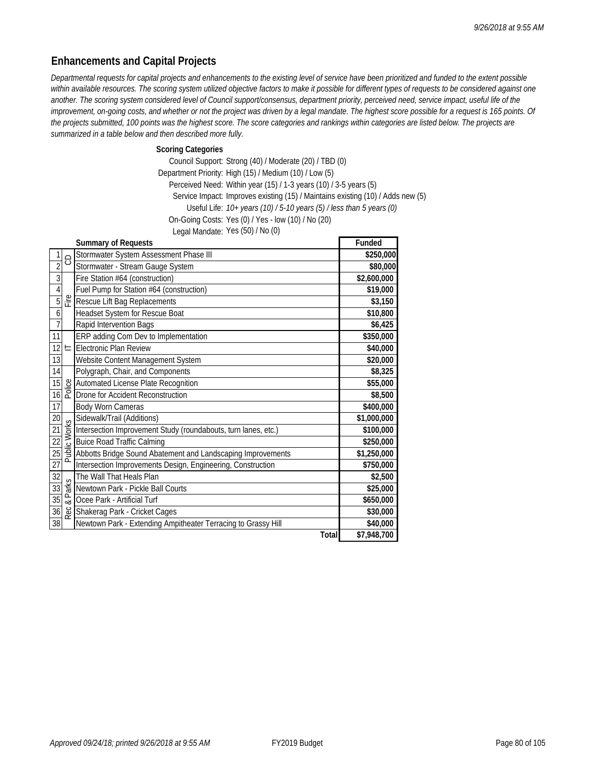## **Enhancements and Capital Projects**

*Departmental requests for capital projects and enhancements to the existing level of service have been prioritized and funded to the extent possible*  within available resources. The scoring system utilized objective factors to make it possible for different types of requests to be considered against one *another. The scoring system considered level of Council support/consensus, department priority, perceived need, service impact, useful life of the improvement, on-going costs, and whether or not the project was driven by a legal mandate. The highest score possible for a request is 165 points. Of*  the projects submitted, 100 points was the highest score. The score categories and rankings within categories are listed below. The projects are *summarized in a table below and then described more fully.* 

**Scoring Categories**

Council Support: Strong (40) / Moderate (20) / TBD (0) Department Priority: High (15) / Medium (10) / Low (5) Perceived Need: Within year (15) / 1-3 years (10) / 3-5 years (5) Service Impact: Improves existing (15) / Maintains existing (10) / Adds new (5) Useful Life: *10+ years (10) / 5-10 years (5) / less than 5 years (0)* On-Going Costs: Yes (0) / Yes - low (10) / No (20) Legal Mandate: Yes (50) / No (0)

|                 |   | <b>Summary of Requests</b>                                                                                                                                                                                                                                                                                                                                                         | Funded      |
|-----------------|---|------------------------------------------------------------------------------------------------------------------------------------------------------------------------------------------------------------------------------------------------------------------------------------------------------------------------------------------------------------------------------------|-------------|
| 1               |   | Stormwater System Assessment Phase III                                                                                                                                                                                                                                                                                                                                             | \$250,000   |
| $\overline{2}$  | 8 | Stormwater - Stream Gauge System                                                                                                                                                                                                                                                                                                                                                   | \$80,000    |
| $\overline{3}$  |   | Fire Station #64 (construction)                                                                                                                                                                                                                                                                                                                                                    | \$2,600,000 |
| $\overline{4}$  |   | Fuel Pump for Station #64 (construction)                                                                                                                                                                                                                                                                                                                                           | \$19,000    |
| $\overline{5}$  |   | Rescue Lift Bag Replacements                                                                                                                                                                                                                                                                                                                                                       | \$3,150     |
| $\overline{6}$  |   | Headset System for Rescue Boat                                                                                                                                                                                                                                                                                                                                                     | \$10,800    |
| $\overline{7}$  |   | Rapid Intervention Bags                                                                                                                                                                                                                                                                                                                                                            | \$6,425     |
| 11              |   | ERP adding Com Dev to Implementation                                                                                                                                                                                                                                                                                                                                               | \$350,000   |
| 12              |   | $\equiv$ Electronic Plan Review                                                                                                                                                                                                                                                                                                                                                    | \$40,000    |
| 13              |   | Website Content Management System                                                                                                                                                                                                                                                                                                                                                  | \$20,000    |
| 14              |   | Polygraph, Chair, and Components                                                                                                                                                                                                                                                                                                                                                   | \$8,325     |
| 15              |   | $\frac{18}{6}$ Automated License Plate Recognition                                                                                                                                                                                                                                                                                                                                 | \$55,000    |
| 16              |   |                                                                                                                                                                                                                                                                                                                                                                                    | \$8,500     |
| $\overline{17}$ |   | Body Worn Cameras                                                                                                                                                                                                                                                                                                                                                                  | \$400,000   |
| $20\,$          |   | Sidewalk/Trail (Additions)                                                                                                                                                                                                                                                                                                                                                         | \$1,000,000 |
| $\overline{21}$ |   | $\begin{array}{l}\n\mathcal{L} \\ \text{Sidewalk/Train (Additions)} \\ \hline\n\text{Bulces Road Traffic Calling} \\ \hline\n\text{Bulice Road Traffic Cambridge} \\ \hline\n\text{Abbotts Bridge Sound Abatement and Landscaping Improvements} \\ \hline\n\text{Inptoresetine Inversion, make the following Information of the system of the system of the system.}\n\end{array}$ | \$100,000   |
| 22              |   |                                                                                                                                                                                                                                                                                                                                                                                    | \$250,000   |
| 25              |   |                                                                                                                                                                                                                                                                                                                                                                                    | \$1,250,000 |
| 27              |   | Intersection Improvements Design, Engineering, Construction                                                                                                                                                                                                                                                                                                                        | \$750,000   |
| 32              |   | The Wall That Heals Plan                                                                                                                                                                                                                                                                                                                                                           | \$2,500     |
| 33              |   | $\frac{Q}{Z}$ Newtown Park - Pickle Ball Courts                                                                                                                                                                                                                                                                                                                                    | \$25,000    |
| 35              |   | $\frac{d^2}{dx}$ Ocee Park - Artificial Turf                                                                                                                                                                                                                                                                                                                                       | \$650,000   |
| 36              |   | Shakerag Park - Cricket Cages                                                                                                                                                                                                                                                                                                                                                      | \$30,000    |
| 38              |   | Newtown Park - Extending Ampitheater Terracing to Grassy Hill                                                                                                                                                                                                                                                                                                                      | \$40,000    |
|                 |   | Total                                                                                                                                                                                                                                                                                                                                                                              | \$7,948,700 |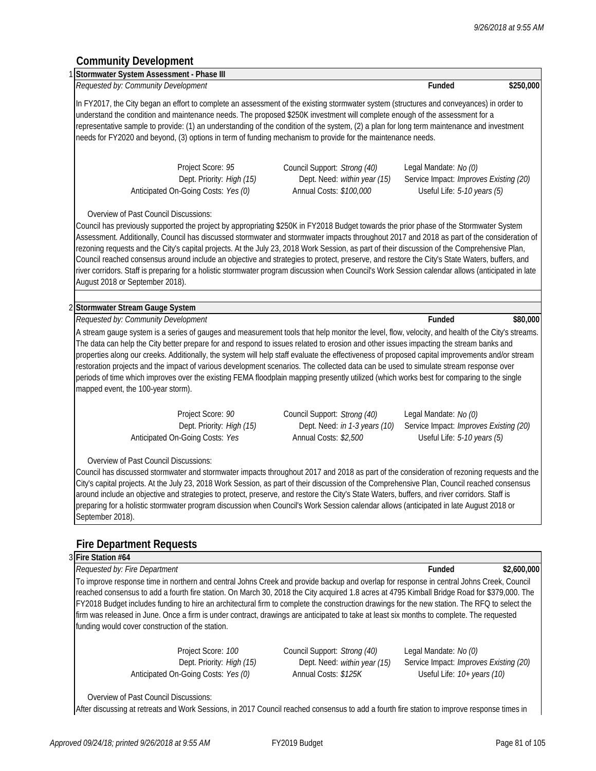## **Community Development**

|                                                                                                                                                  | Requested by: Community Development                              |                                                                                                                                                                                                                                                                                                                                                                                                                                                                                                                                                                                                                                                                                                                                           | Funded                                                                | \$250,000                                                                                                                                       |
|--------------------------------------------------------------------------------------------------------------------------------------------------|------------------------------------------------------------------|-------------------------------------------------------------------------------------------------------------------------------------------------------------------------------------------------------------------------------------------------------------------------------------------------------------------------------------------------------------------------------------------------------------------------------------------------------------------------------------------------------------------------------------------------------------------------------------------------------------------------------------------------------------------------------------------------------------------------------------------|-----------------------------------------------------------------------|-------------------------------------------------------------------------------------------------------------------------------------------------|
|                                                                                                                                                  |                                                                  | In FY2017, the City began an effort to complete an assessment of the existing stormwater system (structures and conveyances) in order to<br>understand the condition and maintenance needs. The proposed \$250K investment will complete enough of the assessment for a<br>representative sample to provide: (1) an understanding of the condition of the system, (2) a plan for long term maintenance and investment                                                                                                                                                                                                                                                                                                                     |                                                                       |                                                                                                                                                 |
|                                                                                                                                                  |                                                                  | needs for FY2020 and beyond, (3) options in term of funding mechanism to provide for the maintenance needs.                                                                                                                                                                                                                                                                                                                                                                                                                                                                                                                                                                                                                               |                                                                       |                                                                                                                                                 |
|                                                                                                                                                  | Project Score: 95                                                | Council Support: Strong (40)                                                                                                                                                                                                                                                                                                                                                                                                                                                                                                                                                                                                                                                                                                              | Legal Mandate: No (0)                                                 |                                                                                                                                                 |
|                                                                                                                                                  | Dept. Priority: High (15)<br>Anticipated On-Going Costs: Yes (0) | Dept. Need: within year (15)<br>Annual Costs: \$100,000                                                                                                                                                                                                                                                                                                                                                                                                                                                                                                                                                                                                                                                                                   | Service Impact: Improves Existing (20)<br>Useful Life: 5-10 years (5) |                                                                                                                                                 |
| Overview of Past Council Discussions:                                                                                                            |                                                                  |                                                                                                                                                                                                                                                                                                                                                                                                                                                                                                                                                                                                                                                                                                                                           |                                                                       |                                                                                                                                                 |
| August 2018 or September 2018).                                                                                                                  |                                                                  | Council has previously supported the project by appropriating \$250K in FY2018 Budget towards the prior phase of the Stormwater System<br>Assessment. Additionally, Council has discussed stormwater and stormwater impacts throughout 2017 and 2018 as part of the consideration of<br>rezoning requests and the City's capital projects. At the July 23, 2018 Work Session, as part of their discussion of the Comprehensive Plan,<br>Council reached consensus around include an objective and strategies to protect, preserve, and restore the City's State Waters, buffers, and<br>river corridors. Staff is preparing for a holistic stormwater program discussion when Council's Work Session calendar allows (anticipated in late |                                                                       |                                                                                                                                                 |
| 2 Stormwater Stream Gauge System                                                                                                                 |                                                                  |                                                                                                                                                                                                                                                                                                                                                                                                                                                                                                                                                                                                                                                                                                                                           |                                                                       |                                                                                                                                                 |
| Requested by: Community Development                                                                                                              |                                                                  |                                                                                                                                                                                                                                                                                                                                                                                                                                                                                                                                                                                                                                                                                                                                           | Funded                                                                | \$80,000                                                                                                                                        |
|                                                                                                                                                  |                                                                  | restoration projects and the impact of various development scenarios. The collected data can be used to simulate stream response over                                                                                                                                                                                                                                                                                                                                                                                                                                                                                                                                                                                                     |                                                                       |                                                                                                                                                 |
|                                                                                                                                                  |                                                                  | periods of time which improves over the existing FEMA floodplain mapping presently utilized (which works best for comparing to the single                                                                                                                                                                                                                                                                                                                                                                                                                                                                                                                                                                                                 |                                                                       | properties along our creeks. Additionally, the system will help staff evaluate the effectiveness of proposed capital improvements and/or stream |
|                                                                                                                                                  | Project Score: 90                                                | Council Support: Strong (40)                                                                                                                                                                                                                                                                                                                                                                                                                                                                                                                                                                                                                                                                                                              | Legal Mandate: No (0)                                                 |                                                                                                                                                 |
|                                                                                                                                                  | Dept. Priority: High (15)<br>Anticipated On-Going Costs: Yes     | Dept. Need: in 1-3 years (10)<br>Annual Costs: \$2,500                                                                                                                                                                                                                                                                                                                                                                                                                                                                                                                                                                                                                                                                                    | Service Impact: Improves Existing (20)<br>Useful Life: 5-10 years (5) |                                                                                                                                                 |
| Overview of Past Council Discussions:                                                                                                            |                                                                  |                                                                                                                                                                                                                                                                                                                                                                                                                                                                                                                                                                                                                                                                                                                                           |                                                                       |                                                                                                                                                 |
|                                                                                                                                                  |                                                                  | Council has discussed stormwater and stormwater impacts throughout 2017 and 2018 as part of the consideration of rezoning requests and the<br>City's capital projects. At the July 23, 2018 Work Session, as part of their discussion of the Comprehensive Plan, Council reached consensus<br>around include an objective and strategies to protect, preserve, and restore the City's State Waters, buffers, and river corridors. Staff is<br>preparing for a holistic stormwater program discussion when Council's Work Session calendar allows (anticipated in late August 2018 or                                                                                                                                                      |                                                                       |                                                                                                                                                 |
|                                                                                                                                                  |                                                                  |                                                                                                                                                                                                                                                                                                                                                                                                                                                                                                                                                                                                                                                                                                                                           |                                                                       |                                                                                                                                                 |
|                                                                                                                                                  |                                                                  |                                                                                                                                                                                                                                                                                                                                                                                                                                                                                                                                                                                                                                                                                                                                           |                                                                       |                                                                                                                                                 |
|                                                                                                                                                  |                                                                  |                                                                                                                                                                                                                                                                                                                                                                                                                                                                                                                                                                                                                                                                                                                                           |                                                                       |                                                                                                                                                 |
| mapped event, the 100-year storm).<br>September 2018).<br><b>Fire Department Requests</b><br>3 Fire Station #64<br>Requested by: Fire Department |                                                                  | To improve response time in northern and central Johns Creek and provide backup and overlap for response in central Johns Creek, Council<br>reached consensus to add a fourth fire station. On March 30, 2018 the City acquired 1.8 acres at 4795 Kimball Bridge Road for \$379,000. The<br>FY2018 Budget includes funding to hire an architectural firm to complete the construction drawings for the new station. The RFQ to select the                                                                                                                                                                                                                                                                                                 | Funded                                                                | \$2,600,000                                                                                                                                     |

Anticipated On-Going Costs: *Yes (0)* Annual Costs: *\$125K* Useful Life: *10+ years (10)*

Project Score: *100* Council Support: *Strong (40)* Legal Mandate: *No (0)*<br>Dept. Priority: *High (15)* Dept. Need: *within year (15)* Service Impact: *Improv* 

Dept. Priority: *High (15)* Dept. Need: *within year (15)* Service Impact: *Improves Existing (20)*

Overview of Past Council Discussions:

After discussing at retreats and Work Sessions, in 2017 Council reached consensus to add a fourth fire station to improve response times in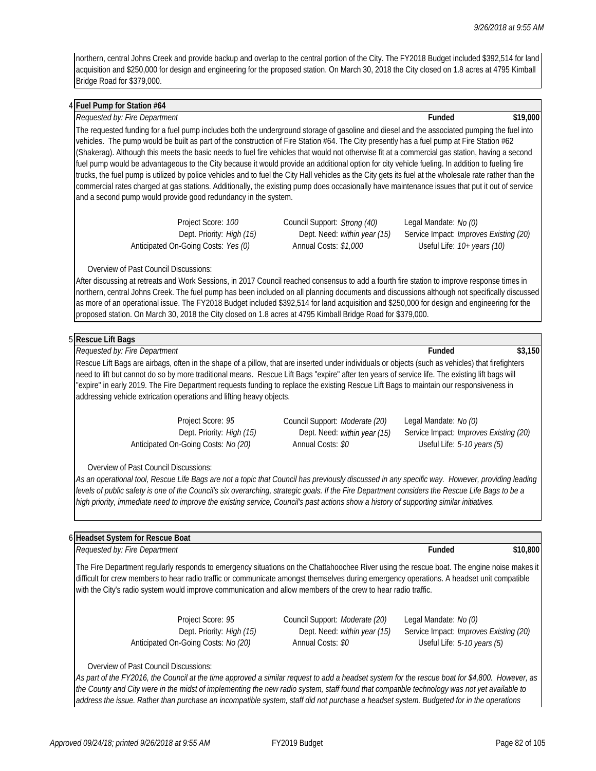northern, central Johns Creek and provide backup and overlap to the central portion of the City. The FY2018 Budget included \$392,514 for land acquisition and \$250,000 for design and engineering for the proposed station. On March 30, 2018 the City closed on 1.8 acres at 4795 Kimball Bridge Road for \$379,000.

#### 4 **Fuel Pump for Station #64**

#### 4 *Requested by: Fire Department* **Funded \$19,000**

The requested funding for a fuel pump includes both the underground storage of gasoline and diesel and the associated pumping the fuel into vehicles. The pump would be built as part of the construction of Fire Station #64. The City presently has a fuel pump at Fire Station #62 (Shakerag). Although this meets the basic needs to fuel fire vehicles that would not otherwise fit at a commercial gas station, having a second fuel pump would be advantageous to the City because it would provide an additional option for city vehicle fueling. In addition to fueling fire trucks, the fuel pump is utilized by police vehicles and to fuel the City Hall vehicles as the City gets its fuel at the wholesale rate rather than the commercial rates charged at gas stations. Additionally, the existing pump does occasionally have maintenance issues that put it out of service and a second pump would provide good redundancy in the system.

Anticipated On-Going Costs: *Yes (0)* Annual Costs: *\$1,000* Useful Life: *10+ years (10)*

Project Score: *100* Council Support: *Strong (40)* Legal Mandate: *No (0)*

Dept. Priority: *High (15)* Dept. Need: *within year (15)* Service Impact: *Improves Existing (20)*

#### Overview of Past Council Discussions:

After discussing at retreats and Work Sessions, in 2017 Council reached consensus to add a fourth fire station to improve response times in northern, central Johns Creek. The fuel pump has been included on all planning documents and discussions although not specifically discussed as more of an operational issue. The FY2018 Budget included \$392,514 for land acquisition and \$250,000 for design and engineering for the proposed station. On March 30, 2018 the City closed on 1.8 acres at 4795 Kimball Bridge Road for \$379,000.

| 5 Rescue Lift<br>Bags |  |
|-----------------------|--|
|                       |  |

5 *Requested by: Fire Department* **Funded \$3,150** Rescue Lift Bags are airbags, often in the shape of a pillow, that are inserted under individuals or objects (such as vehicles) that firefighters need to lift but cannot do so by more traditional means. Rescue Lift Bags "expire" after ten years of service life. The existing lift bags will "expire" in early 2019. The Fire Department requests funding to replace the existing Rescue Lift Bags to maintain our responsiveness in addressing vehicle extrication operations and lifting heavy objects.

Project Score: *95* Council Support: *Moderate (20)* Legal Mandate: *No (0)* Dept. Priority: *High (15)* Dept. Need: *within year (15)* Service Impact: *Improves Existing (20)* Anticipated On-Going Costs: *No (20)* Annual Costs: *\$0* Useful Life: *5-10 years (5)*

Overview of Past Council Discussions:

As an operational tool, Rescue Life Bags are not a topic that Council has previously discussed in any specific way. However, providing leading *levels of public safety is one of the Council's six overarching, strategic goals. If the Fire Department considers the Rescue Life Bags to be a high priority, immediate need to improve the existing service, Council's past actions show a history of supporting similar initiatives.* 

#### 6 **Headset System for Rescue Boat**

6 *Requested by: Fire Department* **Funded \$10,800**

The Fire Department regularly responds to emergency situations on the Chattahoochee River using the rescue boat. The engine noise makes it difficult for crew members to hear radio traffic or communicate amongst themselves during emergency operations. A headset unit compatible with the City's radio system would improve communication and allow members of the crew to hear radio traffic.

Anticipated On-Going Costs: *No (20)* Annual Costs: *\$0* Useful Life: *5-10 years (5)*

Project Score: 95 Council Support: *Moderate (20)* Legal Mandate: *No (0)* 

Dept. Priority: *High (15)* Dept. Need: *within year (15)* Service Impact: *Improves Existing (20)*

#### Overview of Past Council Discussions:

*As part of the FY2016, the Council at the time approved a similar request to add a headset system for the rescue boat for \$4,800. However, as the County and City were in the midst of implementing the new radio system, staff found that compatible technology was not yet available to address the issue. Rather than purchase an incompatible system, staff did not purchase a headset system. Budgeted for in the operations*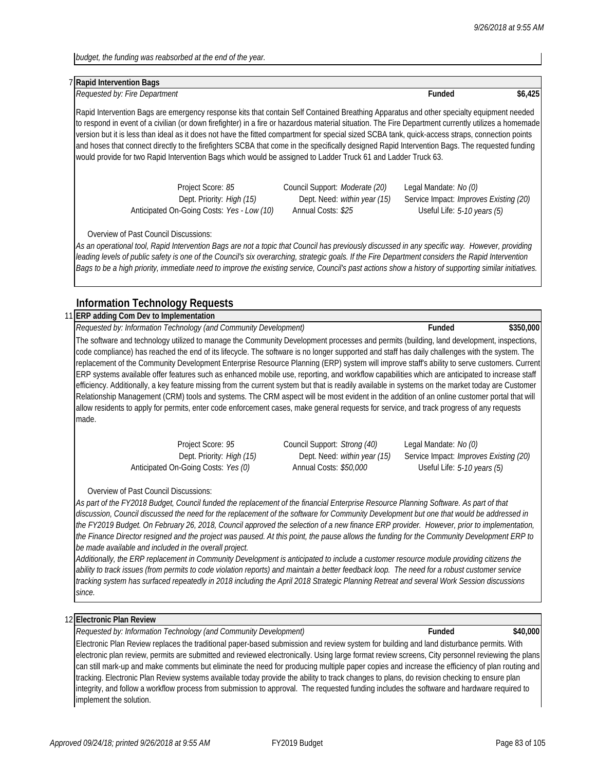*budget, the funding was reabsorbed at the end of the year.* 

#### 7 **Rapid Intervention Bags**

7 *Requested by: Fire Department* **Funded \$6,425**

Rapid Intervention Bags are emergency response kits that contain Self Contained Breathing Apparatus and other specialty equipment needed to respond in event of a civilian (or down firefighter) in a fire or hazardous material situation. The Fire Department currently utilizes a homemade version but it is less than ideal as it does not have the fitted compartment for special sized SCBA tank, quick-access straps, connection points and hoses that connect directly to the firefighters SCBA that come in the specifically designed Rapid Intervention Bags. The requested funding would provide for two Rapid Intervention Bags which would be assigned to Ladder Truck 61 and Ladder Truck 63.

| Project Score: 85                          | Council Support: Moderate (20)      | Legal Mandate: No (0)                         |
|--------------------------------------------|-------------------------------------|-----------------------------------------------|
| Dept. Priority: High (15)                  | Dept. Need: <i>within year (15)</i> | Service Impact: <i>Improves Existing (20)</i> |
| Anticipated On-Going Costs: Yes - Low (10) | Annual Costs: \$25                  | Useful Life: 5-10 years (5)                   |

Overview of Past Council Discussions:

*As an operational tool, Rapid Intervention Bags are not a topic that Council has previously discussed in any specific way. However, providing leading levels of public safety is one of the Council's six overarching, strategic goals. If the Fire Department considers the Rapid Intervention Bags to be a high priority, immediate need to improve the existing service, Council's past actions show a history of supporting similar initiatives.* 

### **Information Technology Requests**

### 11 **ERP adding Com Dev to Implementation**

11 *Requested by: Information Technology (and Community Development)* **Funded \$350,000**

The software and technology utilized to manage the Community Development processes and permits (building, land development, inspections, code compliance) has reached the end of its lifecycle. The software is no longer supported and staff has daily challenges with the system. The replacement of the Community Development Enterprise Resource Planning (ERP) system will improve staff's ability to serve customers. Current ERP systems available offer features such as enhanced mobile use, reporting, and workflow capabilities which are anticipated to increase staff efficiency. Additionally, a key feature missing from the current system but that is readily available in systems on the market today are Customer Relationship Management (CRM) tools and systems. The CRM aspect will be most evident in the addition of an online customer portal that will allow residents to apply for permits, enter code enforcement cases, make general requests for service, and track progress of any requests made.

Anticipated On-Going Costs: *Yes (0)* Annual Costs: *\$50,000* Useful Life: *5-10 years (5)*

Project Score: *95* Council Support: *Strong (40)* Legal Mandate: *No (0)*

Dept. Priority: *High (15)* Dept. Need: *within year (15)* Service Impact: *Improves Existing (20)*

Overview of Past Council Discussions:

*As part of the FY2018 Budget, Council funded the replacement of the financial Enterprise Resource Planning Software. As part of that discussion, Council discussed the need for the replacement of the software for Community Development but one that would be addressed in the FY2019 Budget. On February 26, 2018, Council approved the selection of a new finance ERP provider. However, prior to implementation, the Finance Director resigned and the project was paused. At this point, the pause allows the funding for the Community Development ERP to be made available and included in the overall project.* 

*Additionally, the ERP replacement in Community Development is anticipated to include a customer resource module providing citizens the ability to track issues (from permits to code violation reports) and maintain a better feedback loop. The need for a robust customer service tracking system has surfaced repeatedly in 2018 including the April 2018 Strategic Planning Retreat and several Work Session discussions since.*

### 12 **Electronic Plan Review**

12 *Requested by: Information Technology (and Community Development)* **Funded \$40,000**

Electronic Plan Review replaces the traditional paper-based submission and review system for building and land disturbance permits. With electronic plan review, permits are submitted and reviewed electronically. Using large format review screens, City personnel reviewing the plans can still mark-up and make comments but eliminate the need for producing multiple paper copies and increase the efficiency of plan routing and tracking. Electronic Plan Review systems available today provide the ability to track changes to plans, do revision checking to ensure plan integrity, and follow a workflow process from submission to approval. The requested funding includes the software and hardware required to implement the solution.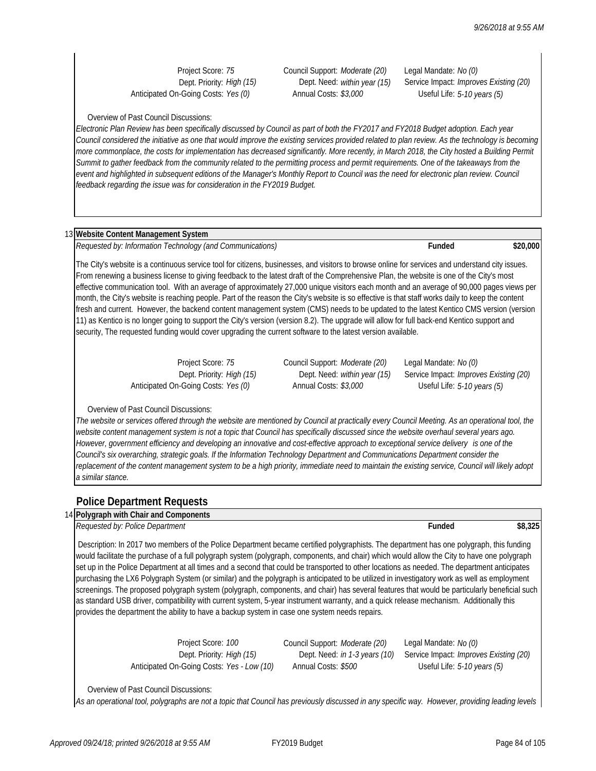Anticipated On-Going Costs: *Yes (0)* Annual Costs: *\$3,000* Useful Life: *5-10 years (5)*

Project Score: *75* Council Support: *Moderate (20)* Legal Mandate: *No (0)*

Dept. Priority: *High (15)* Dept. Need: *within year (15)* Service Impact: *Improves Existing (20)*

Overview of Past Council Discussions:

*Electronic Plan Review has been specifically discussed by Council as part of both the FY2017 and FY2018 Budget adoption. Each year Council considered the initiative as one that would improve the existing services provided related to plan review. As the technology is becoming*  more commonplace, the costs for implementation has decreased significantly. More recently, in March 2018, the City hosted a Building Permit Summit to gather feedback from the community related to the permitting process and permit requirements. One of the takeaways from the event and highlighted in subsequent editions of the Manager's Monthly Report to Council was the need for electronic plan review. Council feedback regarding the issue was for consideration in the FY2019 Budget.

### 13 **Website Content Management System**

13 *Requested by: Information Technology (and Communications)* **Funded \$20,000**

The City's website is a continuous service tool for citizens, businesses, and visitors to browse online for services and understand city issues. From renewing a business license to giving feedback to the latest draft of the Comprehensive Plan, the website is one of the City's most effective communication tool. With an average of approximately 27,000 unique visitors each month and an average of 90,000 pages views per month, the City's website is reaching people. Part of the reason the City's website is so effective is that staff works daily to keep the content fresh and current. However, the backend content management system (CMS) needs to be updated to the latest Kentico CMS version (version 11) as Kentico is no longer going to support the City's version (version 8.2). The upgrade will allow for full back-end Kentico support and security, The requested funding would cover upgrading the current software to the latest version available.

Anticipated On-Going Costs: *Yes (0)* Annual Costs: *\$3,000* Useful Life: *5-10 years (5)*

Project Score: *75* Council Support: *Moderate (20)* Legal Mandate: *No (0)*

Dept. Priority: *High (15)* Dept. Need: *within year (15)* Service Impact: *Improves Existing (20)*

### Overview of Past Council Discussions:

The website or services offered through the website are mentioned by Council at practically every Council Meeting. As an operational tool, the *website content management system is not a topic that Council has specifically discussed since the website overhaul several years ago. However, government efficiency and developing an innovative and cost-effective approach to exceptional service delivery is one of the Council's six overarching, strategic goals. If the Information Technology Department and Communications Department consider the*  replacement of the content management system to be a high priority, immediate need to maintain the existing service, Council will likely adopt *a similar stance.* 

### **Police Department Requests**

### 14 **Polygraph with Chair and Components**

*Requested by: Police Department* **Funded \$8,325**

 Description: In 2017 two members of the Police Department became certified polygraphists. The department has one polygraph, this funding would facilitate the purchase of a full polygraph system (polygraph, components, and chair) which would allow the City to have one polygraph set up in the Police Department at all times and a second that could be transported to other locations as needed. The department anticipates purchasing the LX6 Polygraph System (or similar) and the polygraph is anticipated to be utilized in investigatory work as well as employment screenings. The proposed polygraph system (polygraph, components, and chair) has several features that would be particularly beneficial such as standard USB driver, compatibility with current system, 5-year instrument warranty, and a quick release mechanism. Additionally this provides the department the ability to have a backup system in case one system needs repairs.

> Project Score: *100* Council Support: *Moderate (20)* Legal Mandate: *No (0)* Anticipated On-Going Costs: *Yes - Low (10)* Annual Costs: *\$500* Useful Life: *5-10 years (5)*

Dept. Priority: *High (15)* Dept. Need: *in 1-3 years (10)* Service Impact: *Improves Existing (20)*

Overview of Past Council Discussions:

*As an operational tool, polygraphs are not a topic that Council has previously discussed in any specific way. However, providing leading levels*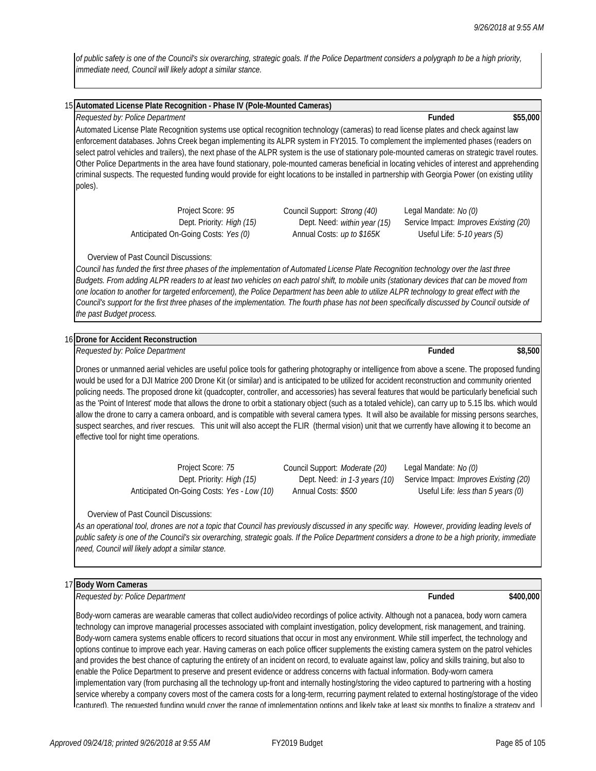*of public safety is one of the Council's six overarching, strategic goals. If the Police Department considers a polygraph to be a high priority, immediate need, Council will likely adopt a similar stance.* 

| 15 Automated License Plate Recognition - Phase IV (Pole-Mounted Cameras)                                                                |                                                                                              |                                                                                                                                                                                                                                                                                                                                                                                                                                                                                                                                                                                                                                                                                                                                       |                                                                                                       |           |
|-----------------------------------------------------------------------------------------------------------------------------------------|----------------------------------------------------------------------------------------------|---------------------------------------------------------------------------------------------------------------------------------------------------------------------------------------------------------------------------------------------------------------------------------------------------------------------------------------------------------------------------------------------------------------------------------------------------------------------------------------------------------------------------------------------------------------------------------------------------------------------------------------------------------------------------------------------------------------------------------------|-------------------------------------------------------------------------------------------------------|-----------|
| Requested by: Police Department                                                                                                         |                                                                                              |                                                                                                                                                                                                                                                                                                                                                                                                                                                                                                                                                                                                                                                                                                                                       | Funded                                                                                                | \$55,000  |
| poles).                                                                                                                                 |                                                                                              | Automated License Plate Recognition systems use optical recognition technology (cameras) to read license plates and check against law<br>enforcement databases. Johns Creek began implementing its ALPR system in FY2015. To complement the implemented phases (readers on<br>select patrol vehicles and trailers), the next phase of the ALPR system is the use of stationary pole-mounted cameras on strategic travel routes.<br>Other Police Departments in the area have found stationary, pole-mounted cameras beneficial in locating vehicles of interest and apprehending<br>criminal suspects. The requested funding would provide for eight locations to be installed in partnership with Georgia Power (on existing utility |                                                                                                       |           |
|                                                                                                                                         | Project Score: 95<br>Dept. Priority: High (15)<br>Anticipated On-Going Costs: Yes (0)        | Council Support: Strong (40)<br>Dept. Need: within year (15)<br>Annual Costs: up to \$165K                                                                                                                                                                                                                                                                                                                                                                                                                                                                                                                                                                                                                                            | Legal Mandate: No (0)<br>Service Impact: Improves Existing (20)<br>Useful Life: 5-10 years (5)        |           |
| <b>Overview of Past Council Discussions:</b><br>the past Budget process.                                                                |                                                                                              | Council has funded the first three phases of the implementation of Automated License Plate Recognition technology over the last three<br>Budgets. From adding ALPR readers to at least two vehicles on each patrol shift, to mobile units (stationary devices that can be moved from<br>one location to another for targeted enforcement), the Police Department has been able to utilize ALPR technology to great effect with the<br>Council's support for the first three phases of the implementation. The fourth phase has not been specifically discussed by Council outside of                                                                                                                                                  |                                                                                                       |           |
|                                                                                                                                         |                                                                                              |                                                                                                                                                                                                                                                                                                                                                                                                                                                                                                                                                                                                                                                                                                                                       |                                                                                                       |           |
| 16 Drone for Accident Reconstruction                                                                                                    |                                                                                              |                                                                                                                                                                                                                                                                                                                                                                                                                                                                                                                                                                                                                                                                                                                                       |                                                                                                       |           |
| Requested by: Police Department                                                                                                         |                                                                                              |                                                                                                                                                                                                                                                                                                                                                                                                                                                                                                                                                                                                                                                                                                                                       | Funded                                                                                                | \$8,500   |
|                                                                                                                                         |                                                                                              | Drones or unmanned aerial vehicles are useful police tools for gathering photography or intelligence from above a scene. The proposed funding<br>would be used for a DJI Matrice 200 Drone Kit (or similar) and is anticipated to be utilized for accident reconstruction and community oriented<br>policing needs. The proposed drone kit (quadcopter, controller, and accessories) has several features that would be particularly beneficial such<br>as the 'Point of Interest' mode that allows the drone to orbit a stationary object (such as a totaled vehicle), can carry up to 5.15 lbs. which would                                                                                                                         |                                                                                                       |           |
|                                                                                                                                         |                                                                                              | allow the drone to carry a camera onboard, and is compatible with several camera types. It will also be available for missing persons searches,<br>suspect searches, and river rescues. This unit will also accept the FLIR (thermal vision) unit that we currently have allowing it to become an                                                                                                                                                                                                                                                                                                                                                                                                                                     |                                                                                                       |           |
|                                                                                                                                         | Project Score: 75<br>Dept. Priority: High (15)<br>Anticipated On-Going Costs: Yes - Low (10) | Council Support: Moderate (20)<br>Dept. Need: in 1-3 years (10)<br>Annual Costs: \$500                                                                                                                                                                                                                                                                                                                                                                                                                                                                                                                                                                                                                                                | Legal Mandate: No (0)<br>Service Impact: Improves Existing (20)<br>Useful Life: less than 5 years (0) |           |
| effective tool for night time operations.<br>Overview of Past Council Discussions:<br>need, Council will likely adopt a similar stance. |                                                                                              | As an operational tool, drones are not a topic that Council has previously discussed in any specific way. However, providing leading levels of<br>public safety is one of the Council's six overarching, strategic goals. If the Police Department considers a drone to be a high priority, immediate                                                                                                                                                                                                                                                                                                                                                                                                                                 |                                                                                                       |           |
|                                                                                                                                         |                                                                                              |                                                                                                                                                                                                                                                                                                                                                                                                                                                                                                                                                                                                                                                                                                                                       |                                                                                                       |           |
| 17 Body Worn Cameras<br>Requested by: Police Department                                                                                 |                                                                                              |                                                                                                                                                                                                                                                                                                                                                                                                                                                                                                                                                                                                                                                                                                                                       | Funded                                                                                                | \$400,000 |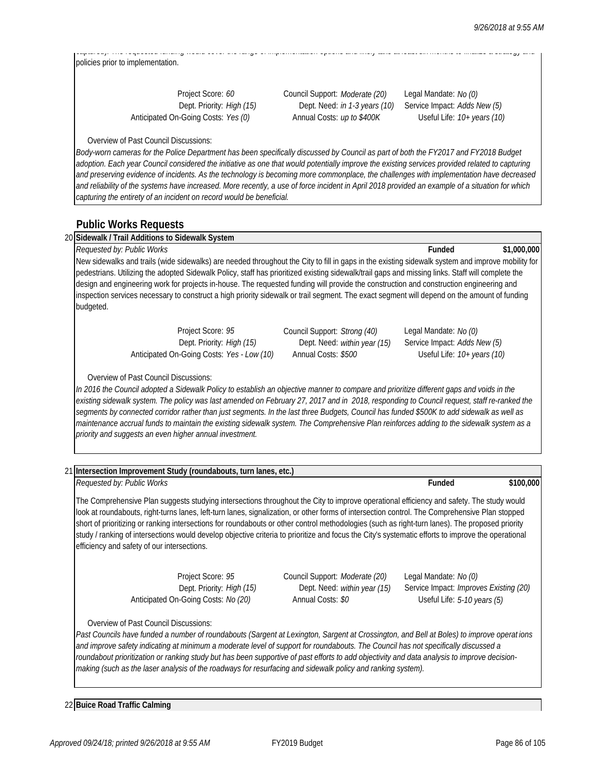captured). The requested funding would cover the range of implementation options and likely take at least six months to finalize a strategy and policies prior to implementation.

| Project Score: 60                   |  |
|-------------------------------------|--|
| Dept. Priority: High (15)           |  |
| Anticipated On-Going Costs: Yes (0) |  |

Project Score: *60* Council Support: *Moderate (20)* Legal Mandate: *No (0)* Dept. Need: *in 1-3 years (10)* Service Impact: *Adds New (5)* Annual Costs: *up to \$400K* Useful Life:  $10+$  years (10)

Overview of Past Council Discussions:

*Body-worn cameras for the Police Department has been specifically discussed by Council as part of both the FY2017 and FY2018 Budget*  adoption. Each year Council considered the initiative as one that would potentially improve the existing services provided related to capturing *and preserving evidence of incidents. As the technology is becoming more commonplace, the challenges with implementation have decreased and reliability of the systems have increased. More recently, a use of force incident in April 2018 provided an example of a situation for which capturing the entirety of an incident on record would be beneficial.* 

### **Public Works Requests**

| Requested by: Public Works                                                                                                                   |                           |                                                                                                                                                   | Funded                       | \$1,000,000 |
|----------------------------------------------------------------------------------------------------------------------------------------------|---------------------------|---------------------------------------------------------------------------------------------------------------------------------------------------|------------------------------|-------------|
|                                                                                                                                              |                           | New sidewalks and trails (wide sidewalks) are needed throughout the City to fill in gaps in the existing sidewalk system and improve mobility for |                              |             |
|                                                                                                                                              |                           | pedestrians. Utilizing the adopted Sidewalk Policy, staff has prioritized existing sidewalk/trail gaps and missing links. Staff will complete the |                              |             |
|                                                                                                                                              |                           | design and engineering work for projects in-house. The requested funding will provide the construction and construction engineering and           |                              |             |
|                                                                                                                                              |                           |                                                                                                                                                   |                              |             |
| Inspection services necessary to construct a high priority sidewalk or trail segment. The exact segment will depend on the amount of funding |                           |                                                                                                                                                   |                              |             |
| budgeted.                                                                                                                                    |                           |                                                                                                                                                   |                              |             |
|                                                                                                                                              |                           |                                                                                                                                                   |                              |             |
|                                                                                                                                              | Project Score: 95         | Council Support: Strong (40)                                                                                                                      | Legal Mandate: No (0)        |             |
|                                                                                                                                              | Dept. Priority: High (15) | Dept. Need: within year (15)                                                                                                                      | Service Impact: Adds New (5) |             |

*existing sidewalk system. The policy was last amended on February 27, 2017 and in 2018, responding to Council request, staff re-ranked the segments by connected corridor rather than just segments. In the last three Budgets, Council has funded \$500K to add sidewalk as well as maintenance accrual funds to maintain the existing sidewalk system. The Comprehensive Plan reinforces adding to the sidewalk system as a priority and suggests an even higher annual investment.* 

|                                             | 21 Intersection Improvement Study (roundabouts, turn lanes, etc.)                     |                                                                                                                                                                                                                                                                                                                                                                                                                                                                                                                                                                                                     |                                                                                                |           |
|---------------------------------------------|---------------------------------------------------------------------------------------|-----------------------------------------------------------------------------------------------------------------------------------------------------------------------------------------------------------------------------------------------------------------------------------------------------------------------------------------------------------------------------------------------------------------------------------------------------------------------------------------------------------------------------------------------------------------------------------------------------|------------------------------------------------------------------------------------------------|-----------|
| Requested by: Public Works                  |                                                                                       |                                                                                                                                                                                                                                                                                                                                                                                                                                                                                                                                                                                                     | <b>Funded</b>                                                                                  | \$100,000 |
| efficiency and safety of our intersections. |                                                                                       | The Comprehensive Plan suggests studying intersections throughout the City to improve operational efficiency and safety. The study would<br>look at roundabouts, right-turns lanes, left-turn lanes, signalization, or other forms of intersection control. The Comprehensive Plan stopped<br>short of prioritizing or ranking intersections for roundabouts or other control methodologies (such as right-turn lanes). The proposed priority<br>study / ranking of intersections would develop objective criteria to prioritize and focus the City's systematic efforts to improve the operational |                                                                                                |           |
|                                             | Project Score: 95<br>Dept. Priority: High (15)<br>Anticipated On-Going Costs: No (20) | Council Support: Moderate (20)<br>Dept. Need: within year (15)<br>Annual Costs: \$0                                                                                                                                                                                                                                                                                                                                                                                                                                                                                                                 | Legal Mandate: No (0)<br>Service Impact: Improves Existing (20)<br>Useful Life: 5-10 years (5) |           |
| Overview of Past Council Discussions:       |                                                                                       | Past Councils have funded a number of roundabouts (Sargent at Lexington, Sargent at Crossington, and Bell at Boles) to improve operat ions<br>and improve safety indicating at minimum a moderate level of support for roundabouts. The Council has not specifically discussed a<br>roundabout prioritization or ranking study but has been supportive of past efforts to add objectivity and data analysis to improve decision-<br>making (such as the laser analysis of the roadways for resurfacing and sidewalk policy and ranking system).                                                     |                                                                                                |           |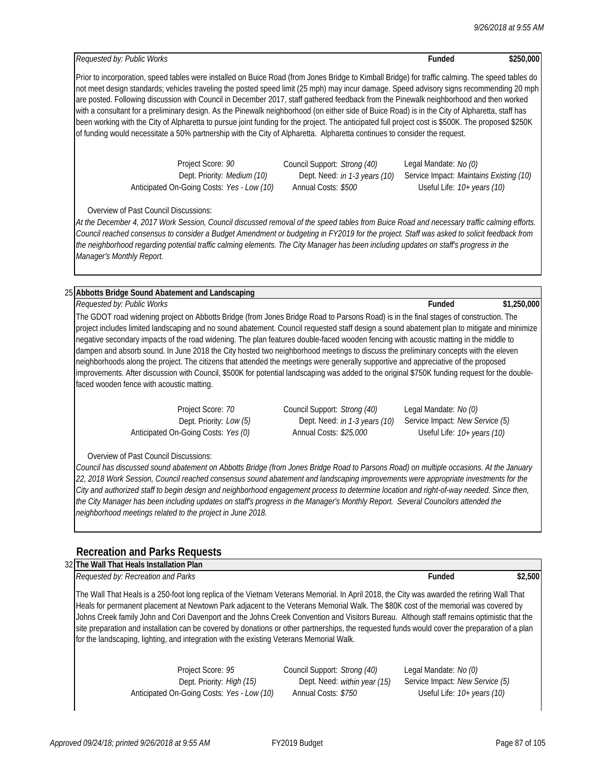### 25 **Abbotts Bridge Sound Abatement and Landscaping**

25 *Requested by: Public Works* **Funded \$1,250,000** The GDOT road widening project on Abbotts Bridge (from Jones Bridge Road to Parsons Road) is in the final stages of construction. The project includes limited landscaping and no sound abatement. Council requested staff design a sound abatement plan to mitigate and minimize negative secondary impacts of the road widening. The plan features double-faced wooden fencing with acoustic matting in the middle to dampen and absorb sound. In June 2018 the City hosted two neighborhood meetings to discuss the preliminary concepts with the eleven neighborhoods along the project. The citizens that attended the meetings were generally supportive and appreciative of the proposed improvements. After discussion with Council, \$500K for potential landscaping was added to the original \$750K funding request for the doublefaced wooden fence with acoustic matting.

Anticipated On-Going Costs: *Yes (0)* Annual Costs: *\$25,000* Useful Life: *10+ years (10)*

Project Score: *70* Council Support: *Strong (40)* Legal Mandate: *No (0)* Dept. Priority: *Low (5)* Dept. Need: *in 1-3 years (10)* Service Impact: *New Service (5)*

Overview of Past Council Discussions:

*Council has discussed sound abatement on Abbotts Bridge (from Jones Bridge Road to Parsons Road) on multiple occasions. At the January 22, 2018 Work Session, Council reached consensus sound abatement and landscaping improvements were appropriate investments for the City and authorized staff to begin design and neighborhood engagement process to determine location and right-of-way needed. Since then, the City Manager has been including updates on staff's progress in the Manager's Monthly Report. Several Councilors attended the neighborhood meetings related to the project in June 2018.* 

## **Recreation and Parks Requests**

| 32 The Wall That Heals Installation Plan                                                                                                                                                                                                                                                                                                                                                                                                                                                                                                                                                                                                                                      |               |         |
|-------------------------------------------------------------------------------------------------------------------------------------------------------------------------------------------------------------------------------------------------------------------------------------------------------------------------------------------------------------------------------------------------------------------------------------------------------------------------------------------------------------------------------------------------------------------------------------------------------------------------------------------------------------------------------|---------------|---------|
| Requested by: Recreation and Parks                                                                                                                                                                                                                                                                                                                                                                                                                                                                                                                                                                                                                                            | <b>Funded</b> | \$2.500 |
| The Wall That Heals is a 250-foot long replica of the Vietnam Veterans Memorial. In April 2018, the City was awarded the retiring Wall That<br>Heals for permanent placement at Newtown Park adjacent to the Veterans Memorial Walk. The \$80K cost of the memorial was covered by<br>Johns Creek family John and Cori Davenport and the Johns Creek Convention and Visitors Bureau. Although staff remains optimistic that the<br>site preparation and installation can be covered by donations or other partnerships, the requested funds would cover the preparation of a plan<br>for the landscaping, lighting, and integration with the existing Veterans Memorial Walk. |               |         |

Project Score: *95* Council Support: *Strong (40)* Legal Mandate: *No (0)* Dept. Priority: *High (15)* Dept. Need: *within year (15)* Service Impact: *New Service (5)* Anticipated On-Going Costs: *Yes - Low (10)* Annual Costs: *\$750* Useful Life: *10+ years (10)*

22 *Requested by: Public Works* **Funded \$250,000**

Prior to incorporation, speed tables were installed on Buice Road (from Jones Bridge to Kimball Bridge) for traffic calming. The speed tables do not meet design standards; vehicles traveling the posted speed limit (25 mph) may incur damage. Speed advisory signs recommending 20 mph are posted. Following discussion with Council in December 2017, staff gathered feedback from the Pinewalk neighborhood and then worked with a consultant for a preliminary design. As the Pinewalk neighborhood (on either side of Buice Road) is in the City of Alpharetta, staff has been working with the City of Alpharetta to pursue joint funding for the project. The anticipated full project cost is \$500K. The proposed \$250K of funding would necessitate a 50% partnership with the City of Alpharetta. Alpharetta continues to consider the request.

> Project Score: *90* Council Support: *Strong (40)* Legal Mandate: *No (0)* Dept. Priority: *Medium (10)* Dept. Need: *in 1-3 years (10)* Service Impact: *Maintains Existing (10)* Anticipated On-Going Costs: *Yes - Low (10)* Annual Costs: *\$500* Useful Life: *10+ years (10)*

Overview of Past Council Discussions:

*At the December 4, 2017 Work Session, Council discussed removal of the speed tables from Buice Road and necessary traffic calming efforts. Council reached consensus to consider a Budget Amendment or budgeting in FY2019 for the project. Staff was asked to solicit feedback from the neighborhood regarding potential traffic calming elements. The City Manager has been including updates on staff's progress in the Manager's Monthly Report.*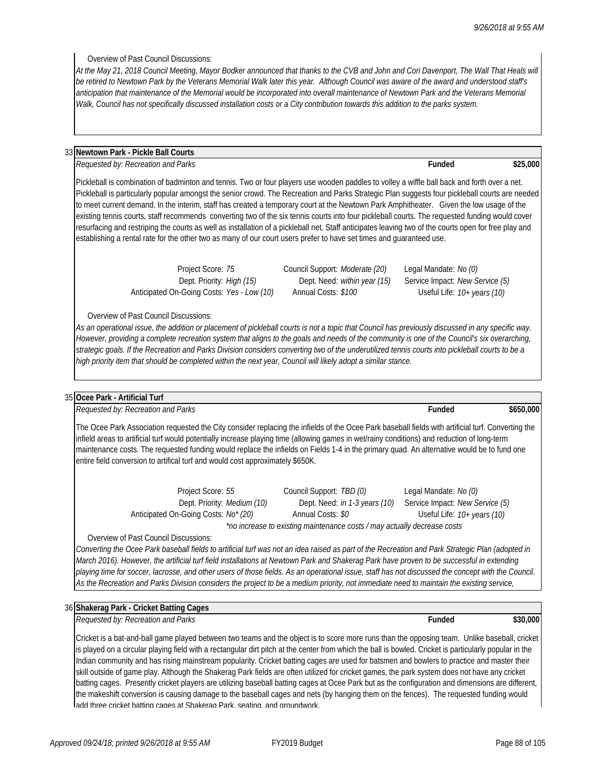Overview of Past Council Discussions:

*At the May 21, 2018 Council Meeting, Mayor Bodker announced that thanks to the CVB and John and Cori Davenport, The Wall That Heals will be retired to Newtown Park by the Veterans Memorial Walk later this year. Although Council was aware of the award and understood staff's anticipation that maintenance of the Memorial would be incorporated into overall maintenance of Newtown Park and the Veterans Memorial Walk, Council has not specifically discussed installation costs or a City contribution towards this addition to the parks system.* 

### 33 **Newtown Park - Pickle Ball Courts**

33 *Requested by: Recreation and Parks* **Funded \$25,000**

Pickleball is combination of badminton and tennis. Two or four players use wooden paddles to volley a wiffle ball back and forth over a net. Pickleball is particularly popular amongst the senior crowd. The Recreation and Parks Strategic Plan suggests four pickleball courts are needed to meet current demand. In the interim, staff has created a temporary court at the Newtown Park Amphitheater. Given the low usage of the existing tennis courts, staff recommends converting two of the six tennis courts into four pickleball courts. The requested funding would cover resurfacing and restriping the courts as well as installation of a pickleball net. Staff anticipates leaving two of the courts open for free play and establishing a rental rate for the other two as many of our court users prefer to have set times and guaranteed use.

Anticipated On-Going Costs: *Yes - Low (10)* Annual Costs: *\$100* Useful Life: *10+ years (10)*

Project Score: *75* Council Support: *Moderate (20)* Legal Mandate: *No (0)*

Dept. Priority: *High (15)* Dept. Need: *within year (15)* Service Impact: *New Service (5)*

Overview of Past Council Discussions:

*As an operational issue, the addition or placement of pickleball courts is not a topic that Council has previously discussed in any specific way. However, providing a complete recreation system that aligns to the goals and needs of the community is one of the Council's six overarching, strategic goals. If the Recreation and Parks Division considers converting two of the underutilized tennis courts into pickleball courts to be a high priority item that should be completed within the next year, Council will likely adopt a similar stance.* 

#### 35 **Ocee Park - Artificial Turf**

*Requested by: Recreation and Parks* **Funded \$650,000**

The Ocee Park Association requested the City consider replacing the infields of the Ocee Park baseball fields with artificial turf. Converting the infield areas to artificial turf would potentially increase playing time (allowing games in wet/rainy conditions) and reduction of long-term maintenance costs. The requested funding would replace the infields on Fields 1-4 in the primary quad. An alternative would be to fund one entire field conversion to artifical turf and would cost approximately \$650K.

> Project Score: *55* Council Support: *TBD (0)* Legal Mandate: *No (0)* Dept. Priority: *Medium (10)* Dept. Need: *in 1-3 years (10)* Service Impact: *New Service (5)* Anticipated On-Going Costs: *No\* (20)* Annual Costs: *\$0* Useful Life: *10+ years (10) \*no increase to existing maintenance costs / may actually decrease costs*

Overview of Past Council Discussions:

*Converting the Ocee Park baseball fields to artificial turf was not an idea raised as part of the Recreation and Park Strategic Plan (adopted in March 2016). However, the artificial turf field installations at Newtown Park and Shakerag Park have proven to be successful in extending playing time for soccer, lacrosse, and other users of those fields. As an operational issue, staff has not discussed the concept with the Council. As the Recreation and Parks Division considers the project to be a medium priority, not immediate need to maintain the existing service,* 

#### 36 **Shakerag Park - Cricket Batting Cages**

36 *Requested by: Recreation and Parks* **Funded \$30,000**

Cricket is a bat-and-ball game played between two teams and the object is to score more runs than the opposing team. Unlike baseball, cricket is played on a circular playing field with a rectangular dirt pitch at the center from which the ball is bowled. Cricket is particularly popular in the Indian community and has rising mainstream popularity. Cricket batting cages are used for batsmen and bowlers to practice and master their skill outside of game play. Although the Shakerag Park fields are often utilized for cricket games, the park system does not have any cricket batting cages. Presently cricket players are utilizing baseball batting cages at Ocee Park but as the configuration and dimensions are different, the makeshift conversion is causing damage to the baseball cages and nets (by hanging them on the fences). The requested funding would add three cricket batting cages at Shakerag Park, seating, and groundwork.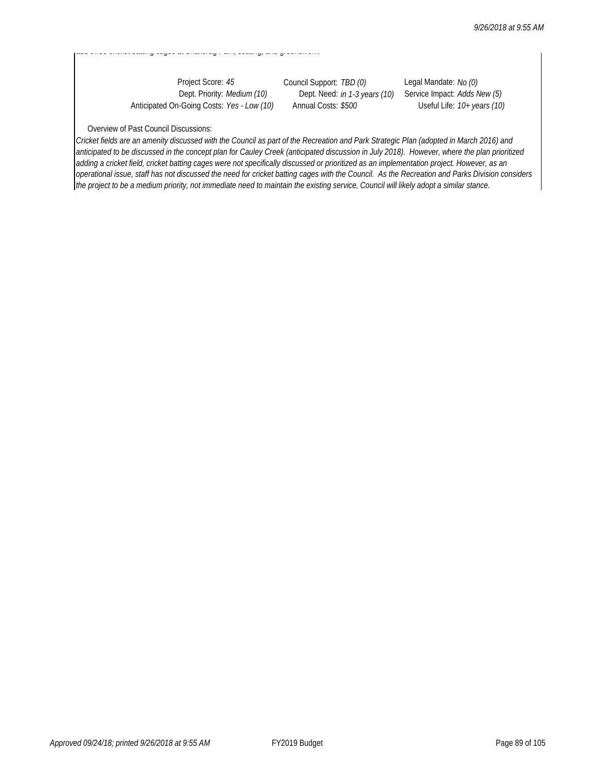Anticipated On-Going Costs: *Yes - Low (10)* Annual Costs: *\$500* Useful Life: *10+ years (10)*

add three cricket batting cages at Shakerag at Shakerag Park, seating three cases at Shakerage Park, seating,

Project Score: *45* Council Support: *TBD (0)* Legal Mandate: *No (0)*

Dept. Need: *in 1-3 years (10)* Service Impact: *Adds New (5)* 

### Overview of Past Council Discussions:

*Cricket fields are an amenity discussed with the Council as part of the Recreation and Park Strategic Plan (adopted in March 2016) and anticipated to be discussed in the concept plan for Cauley Creek (anticipated discussion in July 2018). However, where the plan prioritized adding a cricket field, cricket batting cages were not specifically discussed or prioritized as an implementation project. However, as an operational issue, staff has not discussed the need for cricket batting cages with the Council. As the Recreation and Parks Division considers the project to be a medium priority, not immediate need to maintain the existing service, Council will likely adopt a similar stance.*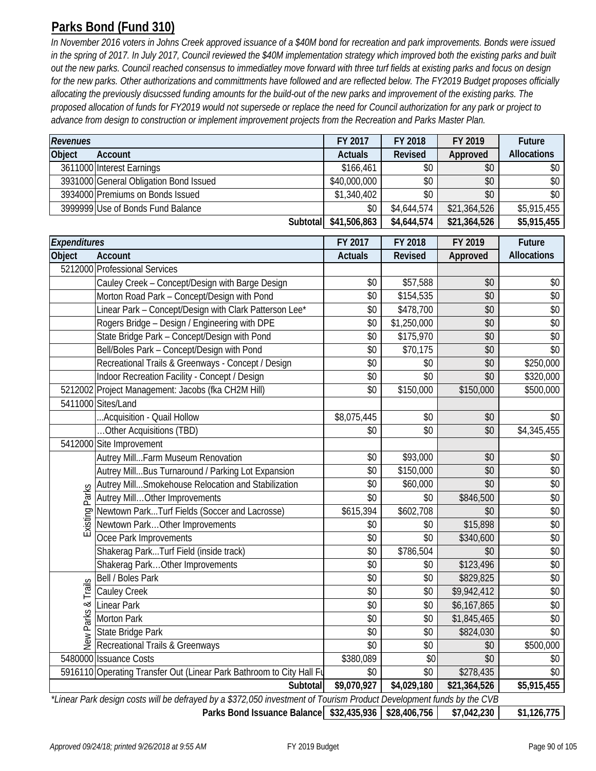# **Parks Bond (Fund 310)**

*In November 2016 voters in Johns Creek approved issuance of a \$40M bond for recreation and park improvements. Bonds were issued*  in the spring of 2017. In July 2017, Council reviewed the \$40M implementation strategy which improved both the existing parks and built *out the new parks. Council reached consensus to immediatley move forward with three turf fields at existing parks and focus on design for the new parks. Other authorizations and committments have followed and are reflected below. The FY2019 Budget proposes officially allocating the previously disucssed funding amounts for the build-out of the new parks and improvement of the existing parks. The proposed allocation of funds for FY2019 would not supersede or replace the need for Council authorization for any park or project to advance from design to construction or implement improvement projects from the Recreation and Parks Master Plan.* 

| Revenues           |                                                                                                                      | FY 2017        | FY 2018        | FY 2019      | Future             |
|--------------------|----------------------------------------------------------------------------------------------------------------------|----------------|----------------|--------------|--------------------|
| Object             | Account                                                                                                              | <b>Actuals</b> | <b>Revised</b> | Approved     | <b>Allocations</b> |
|                    | 3611000 Interest Earnings                                                                                            | \$166,461      | \$0            | \$0          | \$0                |
|                    | 3931000 General Obligation Bond Issued                                                                               | \$40,000,000   | \$0            | \$0          | \$0                |
|                    | 3934000 Premiums on Bonds Issued                                                                                     | \$1,340,402    | \$0            | \$0          | \$0                |
|                    | 3999999 Use of Bonds Fund Balance                                                                                    | \$0            | \$4,644,574    | \$21,364,526 | \$5,915,455        |
|                    | Subtotal                                                                                                             | \$41,506,863   | \$4,644,574    | \$21,364,526 | \$5,915,455        |
| Expenditures       |                                                                                                                      | FY 2017        | FY 2018        | FY 2019      | <b>Future</b>      |
| Object             | Account                                                                                                              | <b>Actuals</b> | <b>Revised</b> | Approved     | <b>Allocations</b> |
|                    | 5212000 Professional Services                                                                                        |                |                |              |                    |
|                    | Cauley Creek - Concept/Design with Barge Design                                                                      | \$0            | \$57,588       | \$0          | \$0                |
|                    | Morton Road Park - Concept/Design with Pond                                                                          | \$0            | \$154,535      | \$0          | \$0                |
|                    | Linear Park - Concept/Design with Clark Patterson Lee*                                                               | \$0            | \$478,700      | \$0          | \$0                |
|                    | Rogers Bridge - Design / Engineering with DPE                                                                        | \$0            | \$1,250,000    | \$0          | \$0                |
|                    | State Bridge Park - Concept/Design with Pond                                                                         | \$0            | \$175,970      | \$0          | \$0                |
|                    | Bell/Boles Park - Concept/Design with Pond                                                                           | \$0            | \$70,175       | \$0          | \$0                |
|                    | Recreational Trails & Greenways - Concept / Design                                                                   | \$0            | \$0            | \$0          | \$250,000          |
|                    | Indoor Recreation Facility - Concept / Design                                                                        | \$0            | \$0            | \$0          | \$320,000          |
|                    | 5212002 Project Management: Jacobs (fka CH2M Hill)                                                                   | \$0            | \$150,000      | \$150,000    | \$500,000          |
|                    | 5411000 Sites/Land                                                                                                   |                |                |              |                    |
|                    | Acquisition - Quail Hollow                                                                                           | \$8,075,445    | \$0            | \$0          | \$0                |
|                    | Other Acquisitions (TBD)                                                                                             | \$0            | \$0            | \$0          | \$4,345,455        |
|                    | 5412000 Site Improvement                                                                                             |                |                |              |                    |
|                    | Autrey MillFarm Museum Renovation                                                                                    | \$0            | \$93,000       | \$0          | \$0                |
|                    | Autrey MillBus Turnaround / Parking Lot Expansion                                                                    | \$0            | \$150,000      | \$0          | \$0                |
|                    | Autrey MillSmokehouse Relocation and Stabilization                                                                   | \$0            | \$60,000       | \$0          | \$0                |
| Parks              | Autrey MillOther Improvements                                                                                        | \$0            | \$0            | \$846,500    | \$0                |
| Existing <b>F</b>  | Newtown ParkTurf Fields (Soccer and Lacrosse)                                                                        | \$615,394      | \$602,708      | \$0          | \$0                |
|                    | Newtown ParkOther Improvements                                                                                       | \$0            | \$0            | \$15,898     | \$0                |
|                    | Ocee Park Improvements                                                                                               | \$0            | \$0            | \$340,600    | \$0                |
|                    | Shakerag ParkTurf Field (inside track)                                                                               | \$0            | \$786,504      | \$0          | \$0                |
|                    | Shakerag Park Other Improvements                                                                                     | \$0            | \$0            | \$123,496    | \$0                |
|                    | Bell / Boles Park                                                                                                    | \$0            | \$0            | \$829,825    | \$0                |
|                    | Cauley Creek                                                                                                         | \$0            | \$0            | \$9,942,412  | \$0                |
|                    | <b>Linear Park</b>                                                                                                   | \$0            | \$0            | \$6,167,865  | \$0                |
|                    | Morton Park                                                                                                          | \$0            | \$0            | \$1,845,465  | \$0                |
| New Parks & Trails | State Bridge Park                                                                                                    | \$0            | \$0            | \$824,030    | \$0                |
|                    | Recreational Trails & Greenways                                                                                      | \$0            | \$0            | \$0          | \$500,000          |
|                    | 5480000 Issuance Costs                                                                                               | \$380,089      | \$0            | \$0          | \$0                |
|                    | 5916110 Operating Transfer Out (Linear Park Bathroom to City Hall Fu                                                 | \$0            | \$0            | \$278,435    | \$0                |
|                    | Subtotal                                                                                                             | \$9,070,927    | \$4,029,180    | \$21,364,526 | \$5,915,455        |
|                    | *Linear Park design costs will be defrayed by a \$372,050 investment of Tourism Product Development funds by the CVB |                |                |              |                    |

**\$32,435,936 \$28,406,756 \$7,042,230 \$1,126,775 Parks Bond Issuance Balance**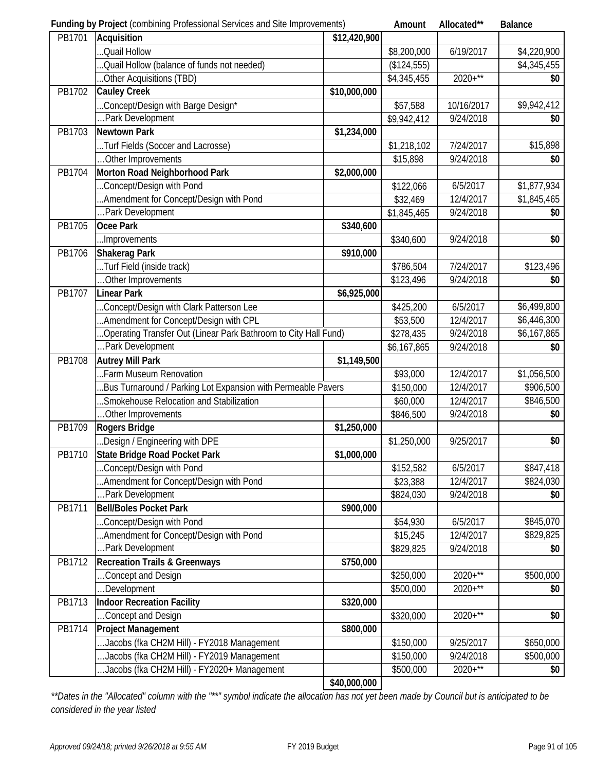|        | <b>Funding by Project (combining Professional Services and Site Improvements)</b>                       |              | Amount                | Allocated** | <b>Balance</b> |
|--------|---------------------------------------------------------------------------------------------------------|--------------|-----------------------|-------------|----------------|
| PB1701 | Acquisition                                                                                             | \$12,420,900 |                       |             |                |
|        | Quail Hollow                                                                                            |              | \$8,200,000           | 6/19/2017   | \$4,220,900    |
|        | .Quail Hollow (balance of funds not needed)                                                             |              | (\$124,555)           |             | \$4,345,455    |
|        | Other Acquisitions (TBD)                                                                                |              | \$4,345,455           | $2020+***$  | \$0            |
| PB1702 | <b>Cauley Creek</b>                                                                                     | \$10,000,000 |                       |             |                |
|        | Concept/Design with Barge Design*                                                                       |              | \$57,588              | 10/16/2017  | \$9,942,412    |
|        | Park Development                                                                                        |              | \$9,942,412           | 9/24/2018   | \$0            |
| PB1703 | <b>Newtown Park</b>                                                                                     | \$1,234,000  |                       |             |                |
|        | Turf Fields (Soccer and Lacrosse)                                                                       |              | \$1,218,102           | 7/24/2017   | \$15,898       |
|        | Other Improvements                                                                                      |              | \$15,898              | 9/24/2018   | \$0            |
| PB1704 | Morton Road Neighborhood Park                                                                           | \$2,000,000  |                       |             |                |
|        | Concept/Design with Pond                                                                                |              | \$122,066             | 6/5/2017    | \$1,877,934    |
|        | Amendment for Concept/Design with Pond                                                                  |              | \$32,469              | 12/4/2017   | \$1,845,465    |
|        | Park Development                                                                                        |              | \$1,845,465           | 9/24/2018   | \$0            |
| PB1705 | Ocee Park                                                                                               | \$340,600    |                       |             |                |
|        | Improvements                                                                                            |              | \$340,600             | 9/24/2018   | \$0            |
| PB1706 | <b>Shakerag Park</b>                                                                                    | \$910,000    |                       |             |                |
|        | Turf Field (inside track)                                                                               |              | \$786,504             | 7/24/2017   | \$123,496      |
|        | Other Improvements                                                                                      |              | \$123,496             | 9/24/2018   | \$0            |
| PB1707 | <b>Linear Park</b>                                                                                      | \$6,925,000  |                       |             |                |
|        | Concept/Design with Clark Patterson Lee                                                                 |              | \$425,200             | 6/5/2017    | \$6,499,800    |
|        | Amendment for Concept/Design with CPL                                                                   |              | \$53,500              | 12/4/2017   | \$6,446,300    |
|        | .Operating Transfer Out (Linear Park Bathroom to City Hall Fund).                                       |              | \$278,435             | 9/24/2018   | \$6,167,865    |
|        | Park Development                                                                                        |              | \$6,167,865           | 9/24/2018   | \$0            |
| PB1708 | <b>Autrey Mill Park</b>                                                                                 | \$1,149,500  |                       |             |                |
|        | Farm Museum Renovation                                                                                  |              | \$93,000              | 12/4/2017   | \$1,056,500    |
|        |                                                                                                         |              |                       | 12/4/2017   | \$906,500      |
|        | Bus Turnaround / Parking Lot Expansion with Permeable Pavers<br>Smokehouse Relocation and Stabilization |              | \$150,000             |             | \$846,500      |
|        |                                                                                                         |              | \$60,000<br>\$846,500 | 12/4/2017   |                |
|        | Other Improvements                                                                                      |              |                       | 9/24/2018   | \$0            |
| PB1709 | Rogers Bridge                                                                                           | \$1,250,000  |                       |             |                |
|        | Design / Engineering with DPE                                                                           |              | \$1,250,000           | 9/25/2017   | \$0            |
| PB1710 | <b>State Bridge Road Pocket Park</b>                                                                    | \$1,000,000  |                       |             |                |
|        | Concept/Design with Pond                                                                                |              | \$152,582             | 6/5/2017    | \$847,418      |
|        | .Amendment for Concept/Design with Pond                                                                 |              | \$23,388              | 12/4/2017   | \$824,030      |
|        | Park Development                                                                                        |              | \$824,030             | 9/24/2018   | \$0            |
| PB1711 | <b>Bell/Boles Pocket Park</b>                                                                           | \$900,000    |                       |             |                |
|        | Concept/Design with Pond                                                                                |              | \$54,930              | 6/5/2017    | \$845,070      |
|        | Amendment for Concept/Design with Pond                                                                  |              | \$15,245              | 12/4/2017   | \$829,825      |
|        | Park Development                                                                                        |              | \$829,825             | 9/24/2018   | \$0            |
| PB1712 | <b>Recreation Trails &amp; Greenways</b>                                                                | \$750,000    |                       |             |                |
|        | Concept and Design                                                                                      |              | \$250,000             | $2020+***$  | \$500,000      |
|        | Development                                                                                             |              | \$500,000             | $2020+***$  | \$0            |
| PB1713 | <b>Indoor Recreation Facility</b>                                                                       | \$320,000    |                       |             |                |
|        | Concept and Design                                                                                      |              | \$320,000             | $2020+***$  | \$0            |
| PB1714 | <b>Project Management</b>                                                                               | \$800,000    |                       |             |                |
|        | Jacobs (fka CH2M Hill) - FY2018 Management                                                              |              | \$150,000             | 9/25/2017   | \$650,000      |
|        | Jacobs (fka CH2M Hill) - FY2019 Management                                                              |              | \$150,000             | 9/24/2018   | \$500,000      |
|        | Jacobs (fka CH2M Hill) - FY2020+ Management                                                             |              | \$500,000             | $2020+***$  | \$0            |
|        |                                                                                                         | \$40,000,000 |                       |             |                |

*\*\*Dates in the "Allocated" column with the "\*\*" symbol indicate the allocation has not yet been made by Council but is anticipated to be considered in the year listed*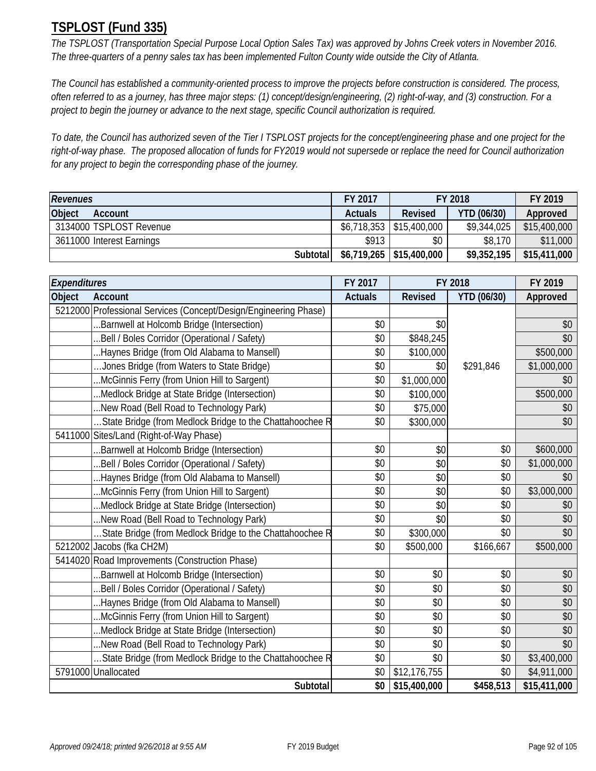# **TSPLOST (Fund 335)**

*The TSPLOST (Transportation Special Purpose Local Option Sales Tax) was approved by Johns Creek voters in November 2016. The three-quarters of a penny sales tax has been implemented Fulton County wide outside the City of Atlanta.* 

*The Council has established a community-oriented process to improve the projects before construction is considered. The process, often referred to as a journey, has three major steps: (1) concept/design/engineering, (2) right-of-way, and (3) construction. For a project to begin the journey or advance to the next stage, specific Council authorization is required.* 

*To date, the Council has authorized seven of the Tier I TSPLOST projects for the concept/engineering phase and one project for the right-of-way phase. The proposed allocation of funds for FY2019 would not supersede or replace the need for Council authorization for any project to begin the corresponding phase of the journey.* 

| <b>Revenues</b>           | FY 2017        | FY 2018                     | FY 2019            |              |
|---------------------------|----------------|-----------------------------|--------------------|--------------|
| Object<br>Account         | <b>Actuals</b> | Revised                     | <b>YTD (06/30)</b> | Approved     |
| 3134000 TSPLOST Revenue   |                | $$6,718,353$ $$15,400,000$  | \$9,344,025        | \$15,400,000 |
| 3611000 Interest Earnings | \$913          | \$0                         | \$8,170            | \$11,000     |
| Subtotal                  |                | $$6,719,265$   \$15,400,000 | \$9,352,195        | \$15,411,000 |

| Expenditures                                                     | FY 2017        |                | FY 2018            | FY 2019      |
|------------------------------------------------------------------|----------------|----------------|--------------------|--------------|
| Object<br><b>Account</b>                                         | <b>Actuals</b> | <b>Revised</b> | <b>YTD (06/30)</b> | Approved     |
| 5212000 Professional Services (Concept/Design/Engineering Phase) |                |                |                    |              |
| .Barnwell at Holcomb Bridge (Intersection)                       | \$0            | \$0            |                    | \$0          |
| .Bell / Boles Corridor (Operational / Safety)                    | \$0            | \$848,245      |                    | \$0          |
| Haynes Bridge (from Old Alabama to Mansell)                      | \$0            | \$100,000      |                    | \$500,000    |
| Jones Bridge (from Waters to State Bridge)                       | \$0            | \$0            | \$291,846          | \$1,000,000  |
| McGinnis Ferry (from Union Hill to Sargent)                      | \$0            | \$1,000,000    |                    | \$0          |
| Medlock Bridge at State Bridge (Intersection)                    | \$0            | \$100,000      |                    | \$500,000    |
| New Road (Bell Road to Technology Park)                          | \$0            | \$75,000       |                    | \$0          |
| State Bridge (from Medlock Bridge to the Chattahoochee R         | \$0            | \$300,000      |                    | \$0          |
| 5411000 Sites/Land (Right-of-Way Phase)                          |                |                |                    |              |
| Barnwell at Holcomb Bridge (Intersection)                        | \$0            | \$0            | \$0                | \$600,000    |
| .Bell / Boles Corridor (Operational / Safety)                    | \$0            | \$0            | \$0                | \$1,000,000  |
| .Haynes Bridge (from Old Alabama to Mansell)                     | \$0            | \$0            | \$0                | \$0          |
| McGinnis Ferry (from Union Hill to Sargent)                      | \$0            | \$0            | \$0                | \$3,000,000  |
| Medlock Bridge at State Bridge (Intersection)                    | \$0            | \$0            | \$0                | \$0          |
| New Road (Bell Road to Technology Park)                          | \$0            | \$0            | \$0                | \$0          |
| State Bridge (from Medlock Bridge to the Chattahoochee R         | \$0            | \$300,000      | \$0                | \$0          |
| 5212002 Jacobs (fka CH2M)                                        | \$0            | \$500,000      | \$166,667          | \$500,000    |
| 5414020 Road Improvements (Construction Phase)                   |                |                |                    |              |
| Barnwell at Holcomb Bridge (Intersection)                        | \$0            | \$0            | \$0                | \$0          |
| .Bell / Boles Corridor (Operational / Safety)                    | \$0            | \$0            | \$0                | \$0          |
| Haynes Bridge (from Old Alabama to Mansell)                      | \$0            | \$0            | \$0                | \$0          |
| McGinnis Ferry (from Union Hill to Sargent)                      | \$0            | \$0            | \$0                | \$0          |
| Medlock Bridge at State Bridge (Intersection)                    | \$0            | \$0            | \$0                | \$0          |
| New Road (Bell Road to Technology Park)                          | \$0            | \$0            | \$0                | \$0          |
| State Bridge (from Medlock Bridge to the Chattahoochee R         | \$0            | \$0            | \$0                | \$3,400,000  |
| 5791000 Unallocated                                              | \$0            | \$12,176,755   | \$0                | \$4,911,000  |
| Subtotal                                                         | \$0            | \$15,400,000   | \$458,513          | \$15,411,000 |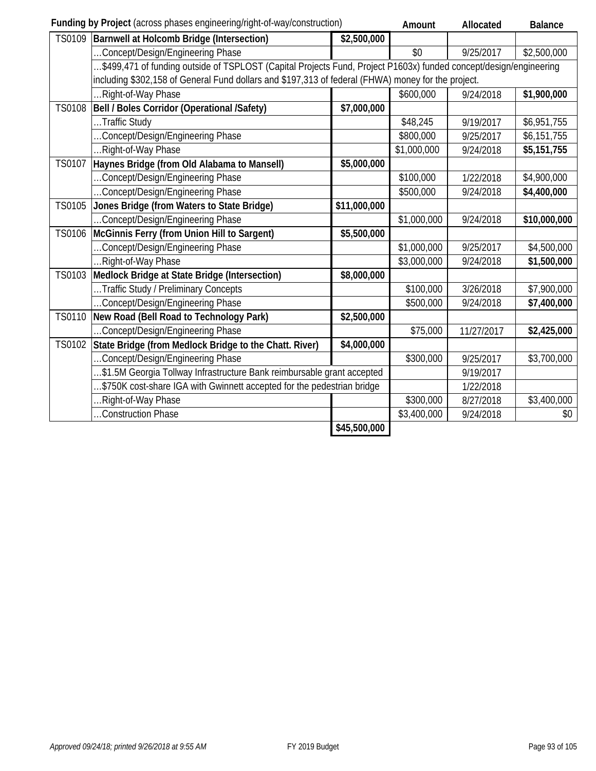|               | Funding by Project (across phases engineering/right-of-way/construction)                                          |                          | Amount      | Allocated  | <b>Balance</b> |
|---------------|-------------------------------------------------------------------------------------------------------------------|--------------------------|-------------|------------|----------------|
| TS0109        | Barnwell at Holcomb Bridge (Intersection)                                                                         | $\overline{$}2,500,000$  |             |            |                |
|               | Concept/Design/Engineering Phase                                                                                  |                          | \$0         | 9/25/2017  | \$2,500,000    |
|               | \$499,471 of funding outside of TSPLOST (Capital Projects Fund, Project P1603x) funded concept/design/engineering |                          |             |            |                |
|               | including \$302,158 of General Fund dollars and \$197,313 of federal (FHWA) money for the project.                |                          |             |            |                |
|               | Right-of-Way Phase                                                                                                |                          | \$600,000   | 9/24/2018  | \$1,900,000    |
| <b>TS0108</b> | Bell / Boles Corridor (Operational /Safety)                                                                       | \$7,000,000              |             |            |                |
|               | Traffic Study                                                                                                     |                          | \$48,245    | 9/19/2017  | \$6,951,755    |
|               | Concept/Design/Engineering Phase                                                                                  |                          | \$800,000   | 9/25/2017  | \$6,151,755    |
|               | Right-of-Way Phase                                                                                                |                          | \$1,000,000 | 9/24/2018  | \$5,151,755    |
| TS0107        | Haynes Bridge (from Old Alabama to Mansell)                                                                       | \$5,000,000              |             |            |                |
|               | .Concept/Design/Engineering Phase                                                                                 |                          | \$100,000   | 1/22/2018  | \$4,900,000    |
|               | Concept/Design/Engineering Phase                                                                                  |                          | \$500,000   | 9/24/2018  | \$4,400,000    |
| <b>TS0105</b> | Jones Bridge (from Waters to State Bridge)                                                                        | \$11,000,000             |             |            |                |
|               | Concept/Design/Engineering Phase                                                                                  |                          | \$1,000,000 | 9/24/2018  | \$10,000,000   |
| TS0106        | McGinnis Ferry (from Union Hill to Sargent)                                                                       | \$5,500,000              |             |            |                |
|               | Concept/Design/Engineering Phase                                                                                  |                          | \$1,000,000 | 9/25/2017  | \$4,500,000    |
|               | .Right-of-Way Phase                                                                                               |                          | \$3,000,000 | 9/24/2018  | \$1,500,000    |
| TS0103        | Medlock Bridge at State Bridge (Intersection)                                                                     | \$8,000,000              |             |            |                |
|               | Traffic Study / Preliminary Concepts                                                                              |                          | \$100,000   | 3/26/2018  | \$7,900,000    |
|               | .Concept/Design/Engineering Phase                                                                                 |                          | \$500,000   | 9/24/2018  | \$7,400,000    |
| TS0110        | New Road (Bell Road to Technology Park)                                                                           | \$2,500,000              |             |            |                |
|               | Concept/Design/Engineering Phase                                                                                  |                          | \$75,000    | 11/27/2017 | \$2,425,000    |
| TS0102        | State Bridge (from Medlock Bridge to the Chatt. River)                                                            | \$4,000,000              |             |            |                |
|               | Concept/Design/Engineering Phase                                                                                  |                          | \$300,000   | 9/25/2017  | \$3,700,000    |
|               | \$1.5M Georgia Tollway Infrastructure Bank reimbursable grant accepted                                            |                          |             | 9/19/2017  |                |
|               | .\$750K cost-share IGA with Gwinnett accepted for the pedestrian bridge                                           |                          |             | 1/22/2018  |                |
|               | Right-of-Way Phase                                                                                                |                          | \$300,000   | 8/27/2018  | \$3,400,000    |
|               | .Construction Phase                                                                                               |                          | \$3,400,000 | 9/24/2018  | \$0            |
|               |                                                                                                                   | $\overline{$45,500,000}$ |             |            |                |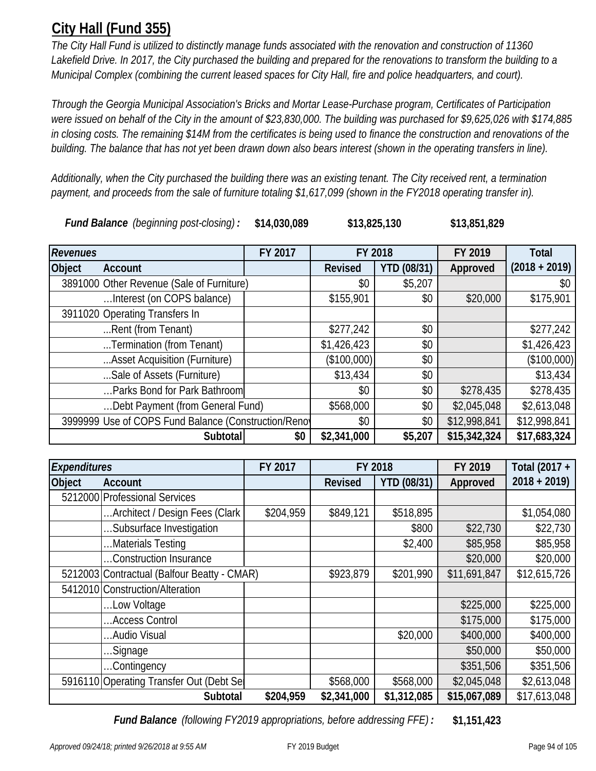# **City Hall (Fund 355)**

*The City Hall Fund is utilized to distinctly manage funds associated with the renovation and construction of 11360 Lakefield Drive. In 2017, the City purchased the building and prepared for the renovations to transform the building to a Municipal Complex (combining the current leased spaces for City Hall, fire and police headquarters, and court).* 

*Through the Georgia Municipal Association's Bricks and Mortar Lease-Purchase program, Certificates of Participation were issued on behalf of the City in the amount of \$23,830,000. The building was purchased for \$9,625,026 with \$174,885 in closing costs. The remaining \$14M from the certificates is being used to finance the construction and renovations of the building. The balance that has not yet been drawn down also bears interest (shown in the operating transfers in line).* 

**\$13,825,130**

*Additionally, when the City purchased the building there was an existing tenant. The City received rent, a termination*  payment, and proceeds from the sale of furniture totaling \$1,617,099 (shown in the FY2018 operating transfer in).

*Fund Balance (beginning post-closing) :* **\$14,030,089 \$13,851,829**

*Revenues* **FY 2017 FY 2019 Object Account Revised YTD (08/31) Approved**  $3891000$  Other Revenue (Sale of Furniture)  $$0 \mid $5,207 \mid$ …Interest (on COPS balance) | \$155,901 | \$155,901 \$0 | \$20,000 \$175,901 3911020 Operating Transfers In ...Rent (from Tenant) \$277,242 \$0 \$277,242 ...Termination (from Tenant) \$1,426,423 \$0 \$1,426,423 ...Asset Acquisition (Furniture) | (\$100,000) | \$0 | (\$100,000) ...Sale of Assets (Furniture) \$13,434 \$0 \$13,434 ...Parks Bond for Park Bathroom  $$0$   $$0$   $$278,435$   $$278,435$ …Debt Payment (from General Fund) \$568,000 \$0 \$2,045,048 \$2,613,048 3999999 Use of COPS Fund Balance (Construction/Renov  $\begin{array}{|l}\n\text{39999999} & \text{30} \\
\text{300} & \text{312,998,841} \\
\text{311} & \text{32,998,841}\n\end{array}$ **Subtotal \$0 \$2,341,000 \$5,207 \$15,342,324 \$17,683,324 Total (2018 + 2019) FY 2018**

| <b>Expenditures</b> |                                             | FY 2017   | FY 2018        |                    | FY 2019      | Total (2017 + |
|---------------------|---------------------------------------------|-----------|----------------|--------------------|--------------|---------------|
| <b>Object</b>       | Account                                     |           | <b>Revised</b> | <b>YTD (08/31)</b> | Approved     | $2018 + 2019$ |
|                     | 5212000 Professional Services               |           |                |                    |              |               |
|                     | Architect / Design Fees (Clark              | \$204,959 | \$849,121      | \$518,895          |              | \$1,054,080   |
|                     | Subsurface Investigation                    |           |                | \$800              | \$22,730     | \$22,730      |
|                     | Materials Testing                           |           |                | \$2,400            | \$85,958     | \$85,958      |
|                     | Construction Insurance                      |           |                |                    | \$20,000     | \$20,000      |
|                     | 5212003 Contractual (Balfour Beatty - CMAR) |           | \$923,879      | \$201,990          | \$11,691,847 | \$12,615,726  |
|                     | 5412010 Construction/Alteration             |           |                |                    |              |               |
|                     | Low Voltage                                 |           |                |                    | \$225,000    | \$225,000     |
|                     | Access Control                              |           |                |                    | \$175,000    | \$175,000     |
|                     | Audio Visual                                |           |                | \$20,000           | \$400,000    | \$400,000     |
|                     | Signage                                     |           |                |                    | \$50,000     | \$50,000      |
|                     | Contingency                                 |           |                |                    | \$351,506    | \$351,506     |
|                     | 5916110 Operating Transfer Out (Debt Sel    |           | \$568,000      | \$568,000          | \$2,045,048  | \$2,613,048   |
|                     | Subtotal                                    | \$204,959 | \$2,341,000    | \$1,312,085        | \$15,067,089 | \$17,613,048  |

*Fund Balance (following FY2019 appropriations, before addressing FFE) :* **\$1,151,423**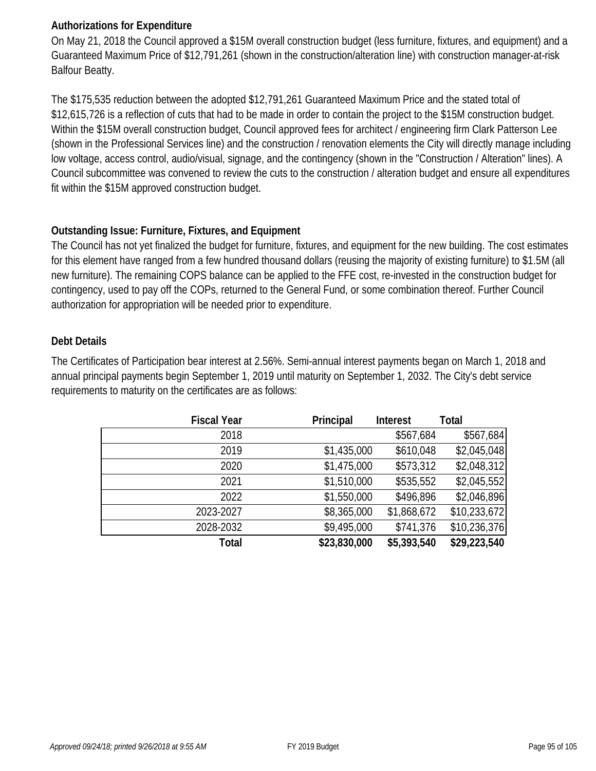## **Authorizations for Expenditure**

On May 21, 2018 the Council approved a \$15M overall construction budget (less furniture, fixtures, and equipment) and a Guaranteed Maximum Price of \$12,791,261 (shown in the construction/alteration line) with construction manager-at-risk Balfour Beatty.

The \$175,535 reduction between the adopted \$12,791,261 Guaranteed Maximum Price and the stated total of \$12,615,726 is a reflection of cuts that had to be made in order to contain the project to the \$15M construction budget. Within the \$15M overall construction budget, Council approved fees for architect / engineering firm Clark Patterson Lee (shown in the Professional Services line) and the construction / renovation elements the City will directly manage including low voltage, access control, audio/visual, signage, and the contingency (shown in the "Construction / Alteration" lines). A Council subcommittee was convened to review the cuts to the construction / alteration budget and ensure all expenditures fit within the \$15M approved construction budget.

## **Outstanding Issue: Furniture, Fixtures, and Equipment**

The Council has not yet finalized the budget for furniture, fixtures, and equipment for the new building. The cost estimates for this element have ranged from a few hundred thousand dollars (reusing the majority of existing furniture) to \$1.5M (all new furniture). The remaining COPS balance can be applied to the FFE cost, re-invested in the construction budget for contingency, used to pay off the COPs, returned to the General Fund, or some combination thereof. Further Council authorization for appropriation will be needed prior to expenditure.

## **Debt Details**

The Certificates of Participation bear interest at 2.56%. Semi-annual interest payments began on March 1, 2018 and annual principal payments begin September 1, 2019 until maturity on September 1, 2032. The City's debt service requirements to maturity on the certificates are as follows:

| <b>Fiscal Year</b> | Principal    | <b>Interest</b> | Total        |
|--------------------|--------------|-----------------|--------------|
| 2018               |              | \$567,684       | \$567,684    |
| 2019               | \$1,435,000  | \$610,048       | \$2,045,048  |
| 2020               | \$1,475,000  | \$573,312       | \$2,048,312  |
| 2021               | \$1,510,000  | \$535,552       | \$2,045,552  |
| 2022               | \$1,550,000  | \$496,896       | \$2,046,896  |
| 2023-2027          | \$8,365,000  | \$1,868,672     | \$10,233,672 |
| 2028-2032          | \$9,495,000  | \$741,376       | \$10,236,376 |
| Total              | \$23,830,000 | \$5,393,540     | \$29,223,540 |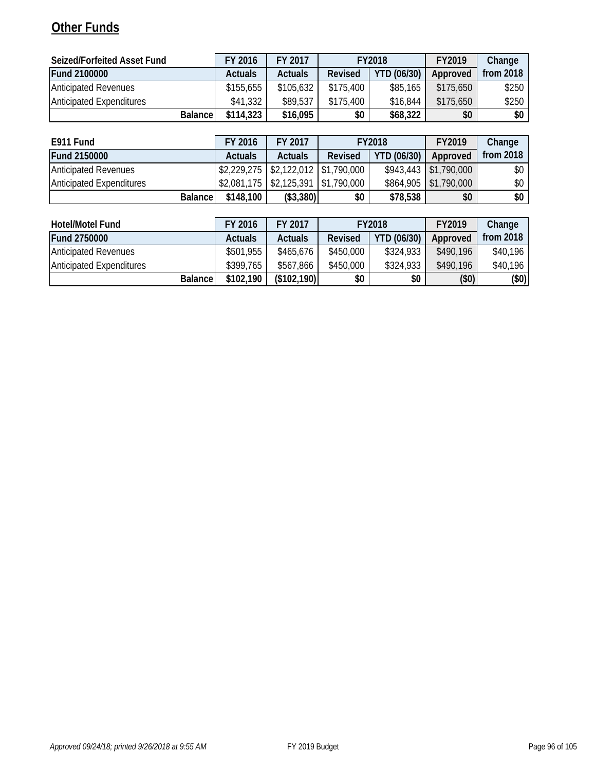# **Other Funds**

| Seized/Forfeited Asset Fund     | FY 2016                                                           | FY 2017   |           | <b>FY2018</b> | FY2019    | Change |
|---------------------------------|-------------------------------------------------------------------|-----------|-----------|---------------|-----------|--------|
| <b>Fund 2100000</b>             | <b>YTD (06/30)</b><br>Revised<br><b>Actuals</b><br><b>Actuals</b> |           | Approved  | from $2018$   |           |        |
| <b>Anticipated Revenues</b>     | \$155,655                                                         | \$105,632 | \$175,400 | \$85,165      | \$175,650 | \$250  |
| <b>Anticipated Expenditures</b> | \$41,332                                                          | \$89,537  | \$175.400 | \$16,844      | \$175,650 | \$250  |
| <b>Balance</b>                  | \$114,323                                                         | \$16,095  | \$0       | \$68,322      | \$0       | \$0    |

| E911 Fund                       | FY 2016                                                                     | FY 2017        |         | <b>FY2018</b>      | FY2019                  | Change      |
|---------------------------------|-----------------------------------------------------------------------------|----------------|---------|--------------------|-------------------------|-------------|
| <b>Fund 2150000</b>             | <b>Actuals</b>                                                              | <b>Actuals</b> | Revised | <b>YTD (06/30)</b> | Approved                | from $2018$ |
| <b>Anticipated Revenues</b>     | $\frac{1}{2}$ 2,229,275 $\frac{1}{2}$ \$2,122,012 $\frac{1}{2}$ \$1,790,000 |                |         |                    | $$943,443$ $$1,790,000$ | \$0 I       |
| <b>Anticipated Expenditures</b> | $$2,081,175$ $$2,125,391$ $$1,790,000$                                      |                |         |                    | \$864,905 \$1,790,000   | \$0 I       |
| <b>Balancel</b>                 | \$148,100                                                                   | (\$3,380)      | \$0     | \$78,538           | \$0                     | \$0         |

| <b>Hotel/Motel Fund</b>         | FY 2016        | FY 2017            |           | <b>FY2018</b> | FY2019    | Change      |
|---------------------------------|----------------|--------------------|-----------|---------------|-----------|-------------|
| <b>Fund 2750000</b>             | <b>Actuals</b> | <b>Actuals</b>     | Revised   | YTD (06/30)   | Approved  | from $2018$ |
| <b>Anticipated Revenues</b>     | \$501,955      | \$465,676          | \$450,000 | \$324,933     | \$490,196 | \$40,196    |
| <b>Anticipated Expenditures</b> | \$399.765      | \$567,866          | \$450,000 | \$324,933     | \$490.196 | \$40,196    |
| <b>Balance</b>                  | \$102,190      | (\$102,190)<br>\$0 |           | \$0           | (50)      | $(\$0)$     |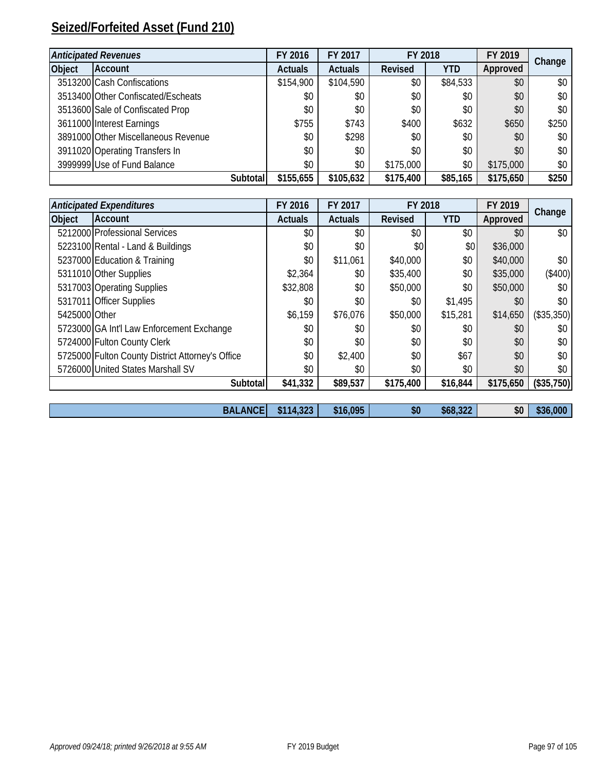# **Seized/Forfeited Asset (Fund 210)**

|        | <b>Anticipated Revenues</b>         |          | FY 2016        | FY 2017        | FY 2018        |            | FY 2019   | Change |
|--------|-------------------------------------|----------|----------------|----------------|----------------|------------|-----------|--------|
| Object | <b>Account</b>                      |          | <b>Actuals</b> | <b>Actuals</b> | <b>Revised</b> | <b>YTD</b> | Approved  |        |
|        | 3513200 Cash Confiscations          |          | \$154,900      | \$104,590      | \$0            | \$84,533   | \$0       | \$0    |
|        | 3513400 Other Confiscated/Escheats  |          | \$0            | \$0            | \$0            | \$0        | \$0       | \$0    |
|        | 3513600 Sale of Confiscated Prop    |          | \$0            | \$0            | \$0            | \$0        | \$0       | \$0    |
|        | 3611000 Interest Earnings           |          | \$755          | \$743          | \$400          | \$632      | \$650     | \$250  |
|        | 3891000 Other Miscellaneous Revenue |          | \$0            | \$298          | \$0            | \$0        | \$0       | \$0    |
|        | 3911020 Operating Transfers In      |          | \$0            | \$0            | \$0            | \$0        | \$0       | \$0    |
|        | 3999999 Use of Fund Balance         |          | \$0            | \$0            | \$175,000      | \$0        | \$175,000 | \$0    |
|        |                                     | Subtotal | \$155,655      | \$105,632      | \$175,400      | \$85,165   | \$175,650 | \$250  |

|               | <b>Anticipated Expenditures</b>                  | FY 2016        | FY 2017        | FY 2018   |            | FY 2019   | Change     |
|---------------|--------------------------------------------------|----------------|----------------|-----------|------------|-----------|------------|
| Object        | <b>Account</b>                                   | <b>Actuals</b> | <b>Actuals</b> | Revised   | <b>YTD</b> | Approved  |            |
|               | 5212000 Professional Services                    | \$0            | \$0            | \$0       | \$0        | \$0       | \$0        |
|               | 5223100 Rental - Land & Buildings                | \$0            | \$0            | \$0       | \$0        | \$36,000  |            |
|               | 5237000 Education & Training                     | \$0            | \$11,061       | \$40,000  | \$0        | \$40,000  | \$0\$      |
|               | 5311010 Other Supplies                           | \$2,364        | \$0            | \$35,400  | \$0        | \$35,000  | (\$400)    |
|               | 5317003 Operating Supplies                       | \$32,808       | \$0            | \$50,000  | \$0        | \$50,000  | \$0        |
|               | 5317011 Officer Supplies                         | \$0            | \$0            | \$0       | \$1,495    | \$0       | \$0        |
| 5425000 Other |                                                  | \$6,159        | \$76,076       | \$50,000  | \$15,281   | \$14,650  | (\$35,350) |
|               | 5723000 GA Int'l Law Enforcement Exchange        | \$0            | \$0            | \$0       | \$0        | \$0       | \$0        |
|               | 5724000 Fulton County Clerk                      | \$0            | \$0            | \$0       | \$0        | \$0       | \$0        |
|               | 5725000 Fulton County District Attorney's Office | \$0            | \$2,400        | \$0       | \$67       | \$0       | \$0        |
|               | 5726000 United States Marshall SV                | \$0            | \$0            | \$0       | \$0        | \$0       | \$0        |
|               | Subtotal                                         | \$41,332       | \$89,537       | \$175,400 | \$16,844   | \$175,650 | (\$35,750) |
|               |                                                  |                |                |           |            |           |            |
|               | <b>BALANCE</b>                                   | \$114,323      | \$16,095       | \$0       | \$68,322   | \$0       | \$36,000   |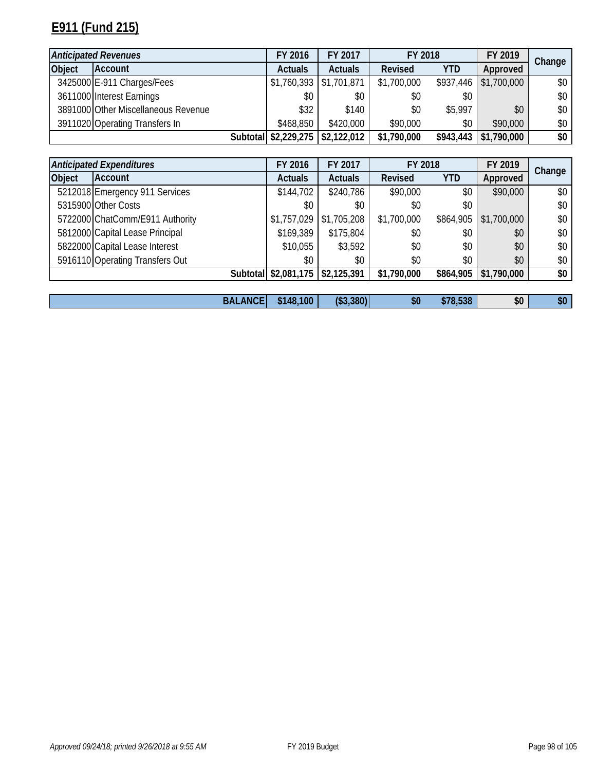# **E911 (Fund 215)**

| <b>Anticipated Revenues</b> |                                     | FY 2016                          | FY 2017        | FY 2018     |            | FY 2019     | Change |
|-----------------------------|-------------------------------------|----------------------------------|----------------|-------------|------------|-------------|--------|
| <b>Object</b>               | <b>Account</b>                      | <b>Actuals</b>                   | <b>Actuals</b> | Revised     | <b>YTD</b> | Approved    |        |
|                             | 3425000 E-911 Charges/Fees          | $$1,760,393$ $$1,701,871$        |                | \$1,700,000 | \$937,446  | \$1,700,000 | \$0\$  |
|                             | 3611000 Interest Earnings           | \$0                              | \$0            | \$0         | \$0        |             | \$0\$  |
|                             | 3891000 Other Miscellaneous Revenue | \$32                             | \$140          | \$0         | \$5,997    | \$0         | \$0\$  |
|                             | 3911020 Operating Transfers In      | \$468,850                        | \$420,000      | \$90,000    | \$0        | \$90,000    | \$0    |
|                             |                                     | Subtotal \$2,229,275 \$2,122,012 |                | \$1,790,000 | \$943,443  | \$1,790,000 | \$0    |

|               | <b>Anticipated Expenditures</b> |                | FY 2016              | FY 2017        | FY 2018     |            | FY 2019     | Change |
|---------------|---------------------------------|----------------|----------------------|----------------|-------------|------------|-------------|--------|
| <b>Object</b> | Account                         |                | <b>Actuals</b>       | <b>Actuals</b> | Revised     | <b>YTD</b> | Approved    |        |
|               | 5212018 Emergency 911 Services  |                | \$144,702            | \$240,786      | \$90,000    | \$0        | \$90,000    | \$0    |
|               | 5315900 Other Costs             |                | \$0                  | \$0            | \$0         | \$0        |             | \$0    |
|               | 5722000 ChatComm/E911 Authority |                | \$1,757,029          | \$1,705,208    | \$1,700,000 | \$864,905  | \$1,700,000 | \$0    |
|               | 5812000 Capital Lease Principal |                | \$169,389            | \$175,804      | \$0         | \$0        | \$0         | \$0    |
|               | 5822000 Capital Lease Interest  |                | \$10,055             | \$3,592        | \$0         | \$0        | \$0         | \$0    |
|               | 5916110 Operating Transfers Out |                | \$0                  | \$0            | \$0         | \$0        | \$0         | \$0    |
|               |                                 |                | Subtotal \$2,081,175 | \$2,125,391    | \$1,790,000 | \$864,905  | \$1,790,000 | \$0    |
|               |                                 |                |                      |                |             |            |             |        |
|               |                                 | <b>BALANCE</b> | \$148,100            | (\$3,380)      | \$0         | \$78,538   | \$0         | \$0    |

| <b>BALANCE</b> | 148,100<br>AA | 100<br>(\$3,380) | $\mathbf{d}$<br>ЖU | T20<br>\$78,538 | \$0 | \$0 |
|----------------|---------------|------------------|--------------------|-----------------|-----|-----|
|----------------|---------------|------------------|--------------------|-----------------|-----|-----|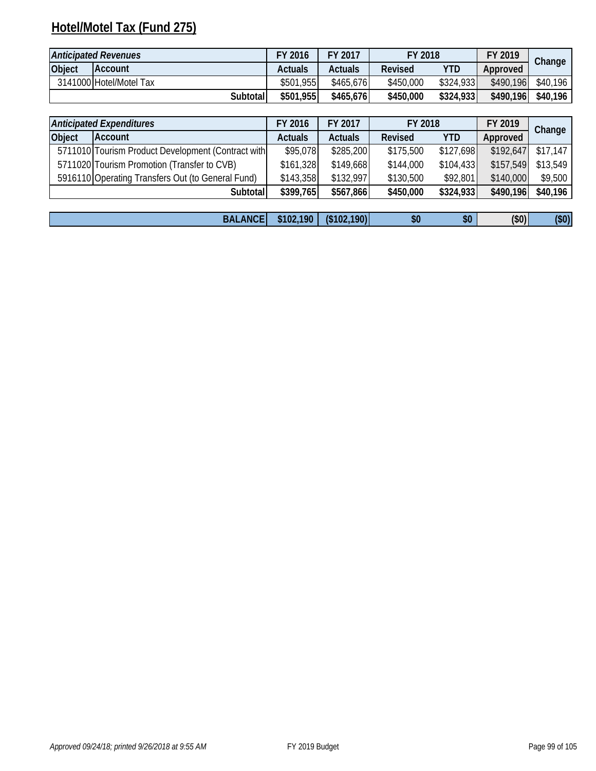# **Hotel/Motel Tax (Fund 275)**

| <b>Anticipated Revenues</b> |                         | FY 2016   | FY 2017   | FY 2018   |           | FY 2019   | Change   |
|-----------------------------|-------------------------|-----------|-----------|-----------|-----------|-----------|----------|
| Object                      | <b>IAccount</b>         | Actuals   | Actuals   | Revised   | YTD       | Approved  |          |
|                             | 3141000 Hotel/Motel Tax | \$501,955 | \$465,676 | \$450,000 | \$324,933 | \$490,196 | \$40,196 |
|                             | Subtotal                | \$501,955 | \$465,676 | \$450,000 | \$324,933 | \$490,196 | \$40,196 |

|        | <b>Anticipated Expenditures</b><br>FY 2017<br>FY 2016<br>FY 2018 |                | FY 2019        | Change    |            |           |          |
|--------|------------------------------------------------------------------|----------------|----------------|-----------|------------|-----------|----------|
| Object | Account                                                          | <b>Actuals</b> | <b>Actuals</b> | Revised   | <b>YTD</b> | Approved  |          |
|        | 5711010 Tourism Product Development (Contract with               | \$95,078       | \$285,200      | \$175,500 | \$127,698  | \$192,647 | \$17,147 |
|        | 5711020 Tourism Promotion (Transfer to CVB)                      | \$161,328      | \$149,668      | \$144,000 | \$104,433  | \$157,549 | \$13,549 |
|        | 5916110 Operating Transfers Out (to General Fund)                | \$143,358      | \$132,997      | \$130,500 | \$92,801   | \$140,000 | \$9,500  |
|        | Subtotal                                                         | \$399,765      | \$567,866      | \$450,000 | \$324,933  | \$490,196 | \$40,196 |
|        |                                                                  |                |                |           |            |           |          |

|  | ANC.<br>BAL/ | 190<br>510 | \$102<br>190) | \$0 | ۴ſ<br>JС | (50) | (\$0<br>$\sim$ |
|--|--------------|------------|---------------|-----|----------|------|----------------|
|--|--------------|------------|---------------|-----|----------|------|----------------|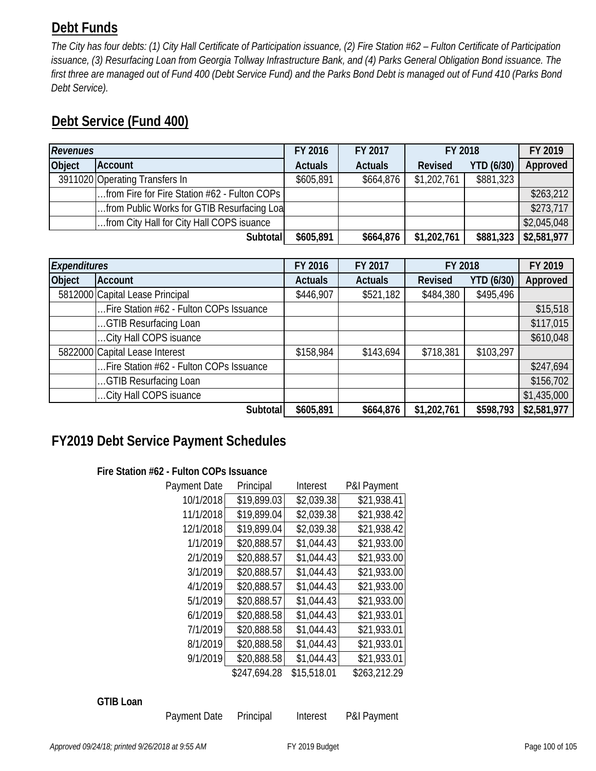# **Debt Funds**

*The City has four debts: (1) City Hall Certificate of Participation issuance, (2) Fire Station #62 – Fulton Certificate of Participation issuance, (3) Resurfacing Loan from Georgia Tollway Infrastructure Bank, and (4) Parks General Obligation Bond issuance. The first three are managed out of Fund 400 (Debt Service Fund) and the Parks Bond Debt is managed out of Fund 410 (Parks Bond Debt Service).* 

# **Debt Service (Fund 400)**

| <b>Revenues</b> |                                              | FY 2016        | FY 2017        | FY 2018        |                   | FY 2019     |
|-----------------|----------------------------------------------|----------------|----------------|----------------|-------------------|-------------|
| Object          | <b>Account</b>                               | <b>Actuals</b> | <b>Actuals</b> | <b>Revised</b> | <b>YTD (6/30)</b> | Approved    |
|                 | 3911020 Operating Transfers In               | \$605,891      | \$664,876      | \$1,202,761    | \$881,323         |             |
|                 | from Fire for Fire Station #62 - Fulton COPs |                |                |                |                   | \$263,212   |
|                 | from Public Works for GTIB Resurfacing Loa   |                |                |                |                   | \$273,717   |
|                 | from City Hall for City Hall COPS isuance    |                |                |                |                   | \$2,045,048 |
|                 | Subtotal                                     | \$605,891      | \$664,876      | \$1,202,761    | \$881,323         | \$2,581,977 |

|                                | Expenditures                            |                | FY 2017        | FY 2018        |                   | FY 2019     |
|--------------------------------|-----------------------------------------|----------------|----------------|----------------|-------------------|-------------|
| <b>Object</b>                  | <b>Account</b>                          | <b>Actuals</b> | <b>Actuals</b> | <b>Revised</b> | <b>YTD (6/30)</b> | Approved    |
|                                | 5812000 Capital Lease Principal         | \$446,907      | \$521,182      | \$484,380      | \$495,496         |             |
|                                | Fire Station #62 - Fulton COPs Issuance |                |                |                |                   | \$15,518    |
|                                | GTIB Resurfacing Loan                   |                |                |                |                   | \$117,015   |
|                                | City Hall COPS isuance                  |                |                |                |                   | \$610,048   |
| 5822000 Capital Lease Interest |                                         | \$158,984      | \$143,694      | \$718,381      | \$103,297         |             |
|                                | Fire Station #62 - Fulton COPs Issuance |                |                |                |                   | \$247,694   |
|                                | GTIB Resurfacing Loan                   |                |                |                |                   | \$156,702   |
|                                | City Hall COPS isuance                  |                |                |                |                   | \$1,435,000 |
|                                | Subtotal                                | \$605,891      | \$664,876      | \$1,202,761    | \$598,793         | \$2,581,977 |

# **FY2019 Debt Service Payment Schedules**

## **Fire Station #62 - Fulton COPs Issuance**

| Payment Date | Principal    | Interest    | P&I Payment  |
|--------------|--------------|-------------|--------------|
| 10/1/2018    | \$19,899.03  | \$2,039.38  | \$21,938.41  |
| 11/1/2018    | \$19,899.04  | \$2,039.38  | \$21,938.42  |
| 12/1/2018    | \$19,899.04  | \$2,039.38  | \$21,938.42  |
| 1/1/2019     | \$20,888.57  | \$1,044.43  | \$21,933.00  |
| 2/1/2019     | \$20,888.57  | \$1,044.43  | \$21,933.00  |
| 3/1/2019     | \$20,888.57  | \$1,044.43  | \$21,933.00  |
| 4/1/2019     | \$20,888.57  | \$1,044.43  | \$21,933.00  |
| 5/1/2019     | \$20,888.57  | \$1,044.43  | \$21,933.00  |
| 6/1/2019     | \$20,888.58  | \$1,044.43  | \$21,933.01  |
| 7/1/2019     | \$20,888.58  | \$1,044.43  | \$21,933.01  |
| 8/1/2019     | \$20,888.58  | \$1,044.43  | \$21,933.01  |
| 9/1/2019     | \$20,888.58  | \$1,044.43  | \$21,933.01  |
|              | \$247,694.28 | \$15,518.01 | \$263,212.29 |

### **GTIB Loan**

Payment Date Principal Interest P&I Payment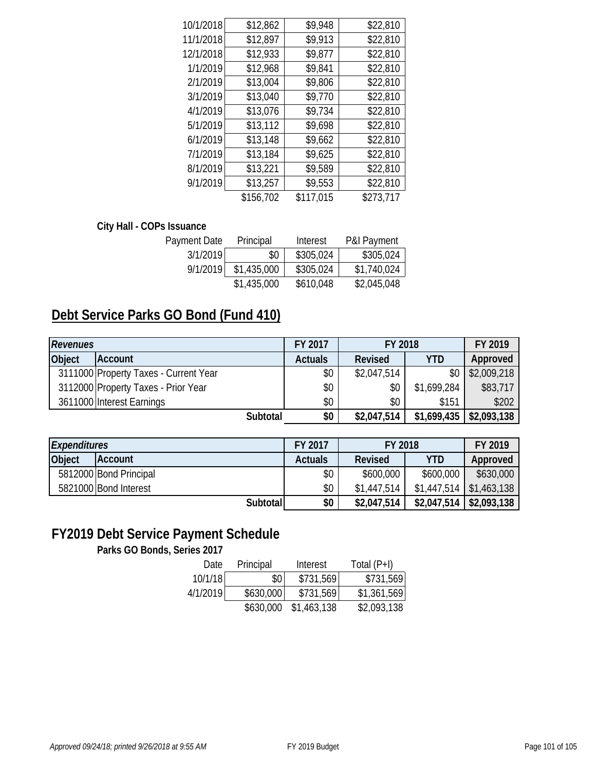| 10/1/2018 | \$12,862  | \$9,948   | \$22,810  |
|-----------|-----------|-----------|-----------|
| 11/1/2018 | \$12,897  | \$9,913   | \$22,810  |
| 12/1/2018 | \$12,933  | \$9,877   | \$22,810  |
| 1/1/2019  | \$12,968  | \$9,841   | \$22,810  |
| 2/1/2019  | \$13,004  | \$9,806   | \$22,810  |
| 3/1/2019  | \$13,040  | \$9,770   | \$22,810  |
| 4/1/2019  | \$13,076  | \$9,734   | \$22,810  |
| 5/1/2019  | \$13,112  | \$9,698   | \$22,810  |
| 6/1/2019  | \$13,148  | \$9,662   | \$22,810  |
| 7/1/2019  | \$13,184  | \$9,625   | \$22,810  |
| 8/1/2019  | \$13,221  | \$9,589   | \$22,810  |
| 9/1/2019  | \$13,257  | \$9,553   | \$22,810  |
|           | \$156,702 | \$117,015 | \$273,717 |
|           |           |           |           |

### **City Hall - COPs Issuance**

| Payment Date | Principal   | Interest  | <b>P&amp;I Payment</b> |
|--------------|-------------|-----------|------------------------|
| 3/1/2019     | \$0         | \$305,024 | \$305,024              |
| 9/1/2019     | \$1,435,000 | \$305,024 | \$1,740,024            |
|              | \$1,435,000 | \$610,048 | \$2,045,048            |

# **Debt Service Parks GO Bond (Fund 410)**

| <b>Revenues</b> | FY 2017                               |                | FY 2018     | FY 2019     |             |
|-----------------|---------------------------------------|----------------|-------------|-------------|-------------|
| <b>Object</b>   | Account                               | <b>Actuals</b> | Revised     | <b>YTD</b>  | Approved    |
|                 | 3111000 Property Taxes - Current Year | \$0            | \$2,047,514 | \$0         | \$2,009,218 |
|                 | 3112000 Property Taxes - Prior Year   | \$0            | \$0         | \$1,699,284 | \$83,717    |
|                 | 3611000 Interest Earnings             | \$0            | \$0         | \$151       | \$202       |
|                 | Subtotal                              | \$0            | \$2,047,514 | \$1,699,435 | \$2,093,138 |

| <b>Expenditures</b> |                        | FY 2017        | FY 2018        |                           | FY 2019                   |
|---------------------|------------------------|----------------|----------------|---------------------------|---------------------------|
| Object              | <b>Account</b>         | <b>Actuals</b> | <b>Revised</b> | <b>YTD</b>                | Approved                  |
|                     | 5812000 Bond Principal | \$0            | \$600,000      | \$600,000                 | \$630,000                 |
|                     | 5821000 Bond Interest  | \$0\$          | \$1,447.514    | $$1,447,514$ $$1,463,138$ |                           |
|                     | Subtotall              | \$0            | \$2,047,514    | \$2,047,514               | $\frac{1}{2}$ \$2,093,138 |

# **FY2019 Debt Service Payment Schedule**

**Parks GO Bonds, Series 2017**

| Date     | Principal | Interest    | Total $(P+I)$ |
|----------|-----------|-------------|---------------|
| 10/1/18  | \$0       | \$731,569   | \$731,569     |
| 4/1/2019 | \$630,000 | \$731,569   | \$1,361,569   |
|          | \$630,000 | \$1,463,138 | \$2,093,138   |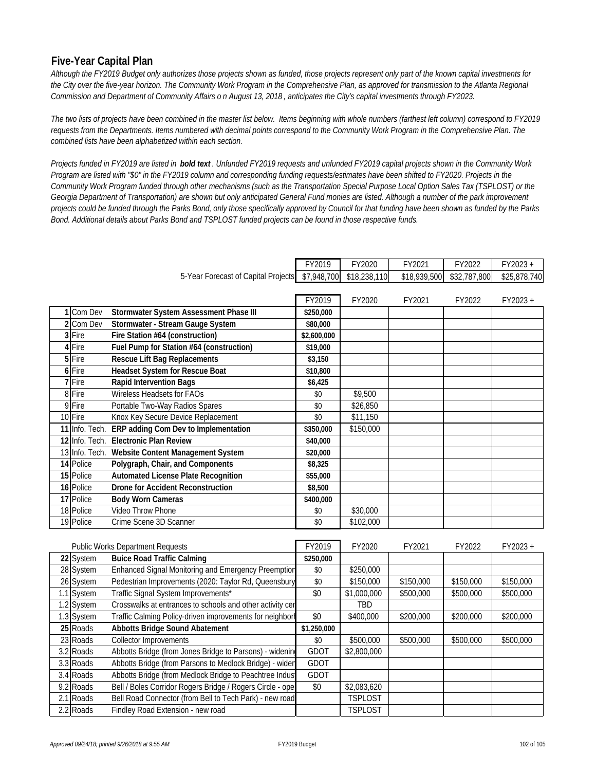### **Five-Year Capital Plan**

*Although the FY2019 Budget only authorizes those projects shown as funded, those projects represent only part of the known capital investments for the City over the five-year horizon. The Community Work Program in the Comprehensive Plan, as approved for transmission to the Atlanta Regional Commission and Department of Community Affairs o n August 13, 2018 , anticipates the City's capital investments through FY2023.* 

*The two lists of projects have been combined in the master list below. Items beginning with whole numbers (farthest left column) correspond to FY2019 requests from the Departments. Items numbered with decimal points correspond to the Community Work Program in the Comprehensive Plan. The combined lists have been alphabetized within each section.*

*Projects funded in FY2019 are listed in bold text . Unfunded FY2019 requests and unfunded FY2019 capital projects shown in the Community Work Program are listed with "\$0" in the FY2019 column and corresponding funding requests/estimates have been shifted to FY2020. Projects in the Community Work Program funded through other mechanisms (such as the Transportation Special Purpose Local Option Sales Tax (TSPLOST) or the Georgia Department of Transportation) are shown but only anticipated General Fund monies are listed. Although a number of the park improvement projects could be funded through the Parks Bond, only those specifically approved by Council for that funding have been shown as funded by the Parks Bond. Additional details about Parks Bond and TSPLOST funded projects can be found in those respective funds.* 

|                                         |                |                                                           | FY2019      | FY2020       | FY2021       | FY2022       | FY2023+      |
|-----------------------------------------|----------------|-----------------------------------------------------------|-------------|--------------|--------------|--------------|--------------|
|                                         |                | 5-Year Forecast of Capital Projects                       | \$7,948,700 | \$18,238,110 | \$18,939,500 | \$32,787,800 | \$25,878,740 |
|                                         |                |                                                           |             |              |              |              |              |
|                                         |                |                                                           | FY2019      | FY2020       | FY2021       | FY2022       | FY2023+      |
|                                         | 1 Com Dev      | Stormwater System Assessment Phase III                    | \$250,000   |              |              |              |              |
|                                         | 2 Com Dev      | Stormwater - Stream Gauge System                          | \$80,000    |              |              |              |              |
|                                         | 3 Fire         | Fire Station #64 (construction)                           | \$2,600,000 |              |              |              |              |
|                                         | 4 Fire         | Fuel Pump for Station #64 (construction)                  | \$19,000    |              |              |              |              |
|                                         | 5 Fire         | <b>Rescue Lift Bag Replacements</b>                       | \$3,150     |              |              |              |              |
|                                         | 6 Fire         | <b>Headset System for Rescue Boat</b>                     | \$10,800    |              |              |              |              |
|                                         | 7 Fire         | Rapid Intervention Bags                                   | \$6,425     |              |              |              |              |
|                                         | 8 Fire         | Wireless Headsets for FAOs                                | \$0         | \$9,500      |              |              |              |
|                                         | 9 Fire         | Portable Two-Way Radios Spares                            | \$0         | \$26,850     |              |              |              |
|                                         | 10 Fire        | Knox Key Secure Device Replacement                        | \$0         | \$11,150     |              |              |              |
|                                         | 11 Info. Tech. | ERP adding Com Dev to Implementation                      | \$350,000   | \$150,000    |              |              |              |
|                                         |                | 12 Info. Tech. Electronic Plan Review                     | \$40,000    |              |              |              |              |
|                                         | 13 Info. Tech. | Website Content Management System                         | \$20,000    |              |              |              |              |
|                                         | 14 Police      | Polygraph, Chair, and Components                          | \$8,325     |              |              |              |              |
|                                         | 15 Police      | <b>Automated License Plate Recognition</b>                | \$55,000    |              |              |              |              |
|                                         | 16 Police      | <b>Drone for Accident Reconstruction</b>                  | \$8,500     |              |              |              |              |
|                                         | 17 Police      | <b>Body Worn Cameras</b>                                  | \$400,000   |              |              |              |              |
|                                         | 18 Police      | Video Throw Phone                                         | \$0         | \$30,000     |              |              |              |
|                                         | 19 Police      | Crime Scene 3D Scanner                                    | \$0         | \$102,000    |              |              |              |
|                                         |                |                                                           |             |              |              |              |              |
| <b>Public Works Department Requests</b> |                | FY2019                                                    | FY2020      | FY2021       | FY2022       | FY2023+      |              |
|                                         | 22 System      | <b>Buice Road Traffic Calming</b>                         | \$250,000   |              |              |              |              |
|                                         | 28 System      | Enhanced Signal Monitoring and Emergency Preemption       | $\$0$       | \$250,000    |              |              |              |
|                                         | 26 System      | Pedestrian Improvements (2020: Taylor Rd, Queensbury      | \$0         | \$150,000    | \$150,000    | \$150,000    | \$150,000    |
|                                         | 1.1 System     | Traffic Signal System Improvements*                       | \$0         | \$1,000,000  | \$500,000    | \$500,000    | \$500,000    |
|                                         | 1.2 System     | Crosswalks at entrances to schools and other activity cer |             | TBD          |              |              |              |
|                                         | 1.3 System     | Traffic Calming Policy-driven improvements for neighborl  | \$0         | \$400,000    | \$200,000    | \$200,000    | \$200,000    |
|                                         | 25 Roads       | <b>Abbotts Bridge Sound Abatement</b>                     | \$1,250,000 |              |              |              |              |
|                                         | 23 Roads       | Collector Improvements                                    | \$0         | \$500,000    | \$500,000    | \$500,000    | \$500,000    |
|                                         | 3.2 Roads      | Abbotts Bridge (from Jones Bridge to Parsons) - widening  | GDOT        | \$2,800,000  |              |              |              |

3.3 Roads Abbotts Bridge (from Parsons to Medlock Bridge) - widen GDOT 3.4 Roads Abbotts Bridge (from Medlock Bridge to Peachtree Indust GDOT

9.2 Roads Bell / Boles Corridor Rogers Bridge / Rogers Circle - oper \$0 \$2,083,620 2.1 Roads Bell Road Connector (from Bell to Tech Park) - new road TSPLOST 2.2 Roads Findley Road Extension - new road TSPLOST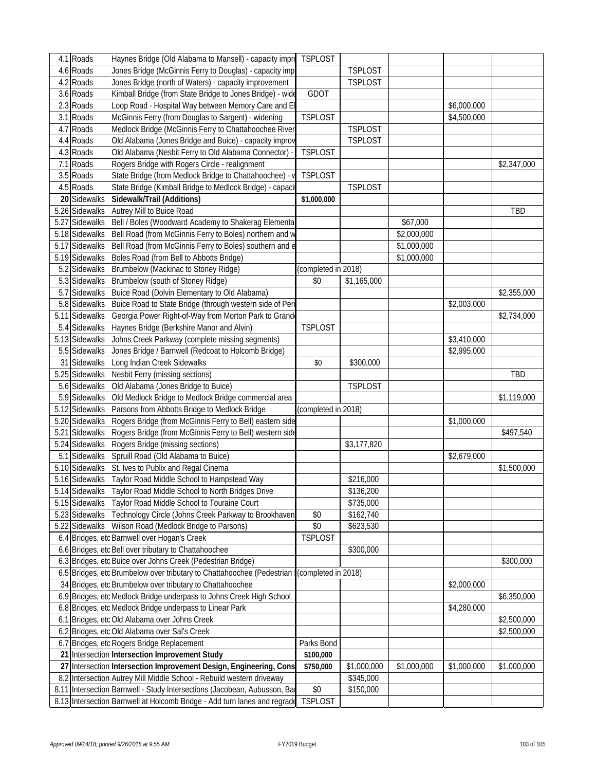|    | 4.1 Roads      | Haynes Bridge (Old Alabama to Mansell) - capacity impro                   | <b>TSPLOST</b>      |                |             |             |             |
|----|----------------|---------------------------------------------------------------------------|---------------------|----------------|-------------|-------------|-------------|
|    | 4.6 Roads      | Jones Bridge (McGinnis Ferry to Douglas) - capacity imp                   |                     | <b>TSPLOST</b> |             |             |             |
|    | 4.2 Roads      | Jones Bridge (north of Waters) - capacity improvement                     |                     | <b>TSPLOST</b> |             |             |             |
|    | 3.6 Roads      | Kimball Bridge (from State Bridge to Jones Bridge) - wide                 | GDOT                |                |             |             |             |
|    | 2.3 Roads      | Loop Road - Hospital Way between Memory Care and El                       |                     |                |             | \$6,000,000 |             |
|    | 3.1 Roads      | McGinnis Ferry (from Douglas to Sargent) - widening                       | <b>TSPLOST</b>      |                |             | \$4,500,000 |             |
|    | 4.7 Roads      | Medlock Bridge (McGinnis Ferry to Chattahoochee River                     |                     | <b>TSPLOST</b> |             |             |             |
|    | 4.4 Roads      | Old Alabama (Jones Bridge and Buice) - capacity improv                    |                     | <b>TSPLOST</b> |             |             |             |
|    | 4.3 Roads      | Old Alabama (Nesbit Ferry to Old Alabama Connector)                       | <b>TSPLOST</b>      |                |             |             |             |
|    | 7.1 Roads      | Rogers Bridge with Rogers Circle - realignment                            |                     |                |             |             | \$2,347,000 |
|    | 3.5 Roads      | State Bridge (from Medlock Bridge to Chattahoochee) - v                   | <b>TSPLOST</b>      |                |             |             |             |
|    | 4.5 Roads      | State Bridge (Kimball Bridge to Medlock Bridge) - capacit                 |                     | <b>TSPLOST</b> |             |             |             |
|    | 20 Sidewalks   | Sidewalk/Trail (Additions)                                                |                     |                |             |             |             |
|    |                |                                                                           | \$1,000,000         |                |             |             |             |
|    | 5.26 Sidewalks | Autrey Mill to Buice Road                                                 |                     |                |             |             | TBD         |
|    | 5.27 Sidewalks | Bell / Boles (Woodward Academy to Shakerag Elementa                       |                     |                | \$67,000    |             |             |
|    | 5.18 Sidewalks | Bell Road (from McGinnis Ferry to Boles) northern and w                   |                     |                | \$2,000,000 |             |             |
|    | 5.17 Sidewalks | Bell Road (from McGinnis Ferry to Boles) southern and e                   |                     |                | \$1,000,000 |             |             |
|    | 5.19 Sidewalks | Boles Road (from Bell to Abbotts Bridge)                                  |                     |                | \$1,000,000 |             |             |
|    | 5.2 Sidewalks  | Brumbelow (Mackinac to Stoney Ridge)                                      | (completed in 2018) |                |             |             |             |
|    | 5.3 Sidewalks  | Brumbelow (south of Stoney Ridge)                                         | \$0                 | \$1,165,000    |             |             |             |
|    | 5.7 Sidewalks  | Buice Road (Dolvin Elementary to Old Alabama)                             |                     |                |             |             | \$2,355,000 |
|    | 5.8 Sidewalks  | Buice Road to State Bridge (through western side of Peri                  |                     |                |             | \$2,003,000 |             |
|    | 5.11 Sidewalks | Georgia Power Right-of-Way from Morton Park to Grand                      |                     |                |             |             | \$2,734,000 |
|    |                | 5.4 Sidewalks Haynes Bridge (Berkshire Manor and Alvin)                   | <b>TSPLOST</b>      |                |             |             |             |
|    |                | 5.13 Sidewalks Johns Creek Parkway (complete missing segments)            |                     |                |             | \$3,410,000 |             |
|    | 5.5 Sidewalks  | Jones Bridge / Barnwell (Redcoat to Holcomb Bridge)                       |                     |                |             | \$2,995,000 |             |
|    | 31 Sidewalks   | Long Indian Creek Sidewalks                                               | \$0                 | \$300,000      |             |             |             |
|    | 5.25 Sidewalks | Nesbit Ferry (missing sections)                                           |                     |                |             |             | TBD         |
|    | 5.6 Sidewalks  | Old Alabama (Jones Bridge to Buice)                                       |                     | <b>TSPLOST</b> |             |             |             |
|    | 5.9 Sidewalks  | Old Medlock Bridge to Medlock Bridge commercial area                      |                     |                |             |             | \$1,119,000 |
|    |                | 5.12 Sidewalks Parsons from Abbotts Bridge to Medlock Bridge              | (completed in 2018) |                |             |             |             |
|    | 5.20 Sidewalks | Rogers Bridge (from McGinnis Ferry to Bell) eastern side                  |                     |                |             | \$1,000,000 |             |
|    | 5.21 Sidewalks | Rogers Bridge (from McGinnis Ferry to Bell) western side                  |                     |                |             |             | \$497,540   |
|    | 5.24 Sidewalks | Rogers Bridge (missing sections)                                          |                     | \$3,177,820    |             |             |             |
|    | 5.1 Sidewalks  | Spruill Road (Old Alabama to Buice)                                       |                     |                |             | \$2,679,000 |             |
|    |                | 5.10 Sidewalks St. Ives to Publix and Regal Cinema                        |                     |                |             |             | \$1,500,000 |
|    |                | 5.16 Sidewalks Taylor Road Middle School to Hampstead Way                 |                     | \$216,000      |             |             |             |
|    |                | 5.14 Sidewalks Taylor Road Middle School to North Bridges Drive           |                     | \$136,200      |             |             |             |
|    |                | 5.15 Sidewalks Taylor Road Middle School to Touraine Court                |                     | \$735,000      |             |             |             |
|    |                | 5.23 Sidewalks Technology Circle (Johns Creek Parkway to Brookhaven       | \$0                 | \$162,740      |             |             |             |
|    |                | 5.22 Sidewalks Wilson Road (Medlock Bridge to Parsons)                    | \$0                 | \$623,530      |             |             |             |
|    |                | 6.4 Bridges, etc Barnwell over Hogan's Creek                              | <b>TSPLOST</b>      |                |             |             |             |
|    |                | 6.6 Bridges, etc Bell over tributary to Chattahoochee                     |                     |                |             |             |             |
|    |                |                                                                           |                     | \$300,000      |             |             |             |
|    |                | 6.3 Bridges, etc Buice over Johns Creek (Pedestrian Bridge)               |                     |                |             |             | \$300,000   |
|    |                | 6.5 Bridges, etc Brumbelow over tributary to Chattahoochee (Pedestrian    | (completed in 2018) |                |             |             |             |
|    |                | 34 Bridges, etc Brumbelow over tributary to Chattahoochee                 |                     |                |             | \$2,000,000 |             |
|    |                | 6.9 Bridges, etc Medlock Bridge underpass to Johns Creek High School      |                     |                |             |             | \$6,350,000 |
|    |                | 6.8   Bridges, etc Medlock Bridge underpass to Linear Park                |                     |                |             | \$4,280,000 |             |
|    |                | 6.1 Bridges, etc Old Alabama over Johns Creek                             |                     |                |             |             | \$2,500,000 |
|    |                | 6.2 Bridges, etc Old Alabama over Sal's Creek                             |                     |                |             |             | \$2,500,000 |
|    |                | 6.7 Bridges, etc Rogers Bridge Replacement                                | Parks Bond          |                |             |             |             |
|    |                | 21 Intersection Intersection Improvement Study                            | \$100,000           |                |             |             |             |
| 27 |                | Intersection Intersection Improvement Design, Engineering, Cons           | \$750,000           | \$1,000,000    | \$1,000,000 | \$1,000,000 | \$1,000,000 |
|    |                | 8.2 Intersection Autrey Mill Middle School - Rebuild western driveway     |                     | \$345,000      |             |             |             |
|    |                | 8.11 Intersection Barnwell - Study Intersections (Jacobean, Aubusson, Bar | \$0                 | \$150,000      |             |             |             |
|    |                | 8.13 Intersection Barnwell at Holcomb Bridge - Add turn lanes and regrade | <b>TSPLOST</b>      |                |             |             |             |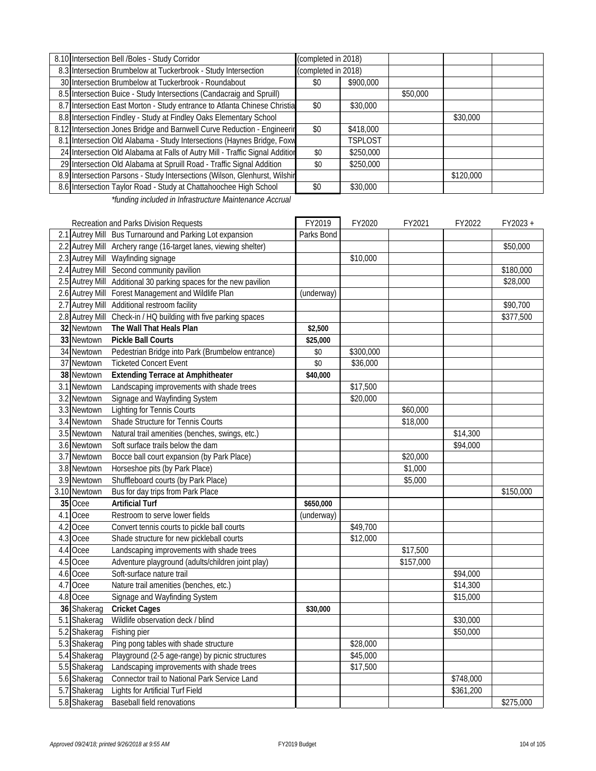| 8.10 Intersection Bell /Boles - Study Corridor                               | (completed in 2018) |                |          |           |  |  |
|------------------------------------------------------------------------------|---------------------|----------------|----------|-----------|--|--|
| 8.3 Intersection Brumbelow at Tuckerbrook - Study Intersection               | (completed in 2018) |                |          |           |  |  |
| 30 Intersection Brumbelow at Tuckerbrook - Roundabout                        | \$0                 | \$900,000      |          |           |  |  |
| 8.5 Intersection Buice - Study Intersections (Candacraig and Spruill)        |                     |                | \$50,000 |           |  |  |
| 8.7 Intersection East Morton - Study entrance to Atlanta Chinese Christia    | \$0                 | \$30,000       |          |           |  |  |
| 8.8 Intersection Findley - Study at Findley Oaks Elementary School           |                     |                |          | \$30,000  |  |  |
| 8.12 Intersection Jones Bridge and Barnwell Curve Reduction - Engineerin     | \$0                 | \$418,000      |          |           |  |  |
| 8.1 Intersection Old Alabama - Study Intersections (Haynes Bridge, Foxw      |                     | <b>TSPLOST</b> |          |           |  |  |
| 24 Intersection Old Alabama at Falls of Autry Mill - Traffic Signal Addition | \$0                 | \$250,000      |          |           |  |  |
| 29 Intersection Old Alabama at Spruill Road - Traffic Signal Addition        | \$0                 | \$250,000      |          |           |  |  |
| 8.9 Intersection Parsons - Study Intersections (Wilson, Glenhurst, Wilshir   |                     |                |          | \$120,000 |  |  |
| 8.6 Intersection Taylor Road - Study at Chattahoochee High School            | \$0                 | \$30,000       |          |           |  |  |
|                                                                              |                     |                |          |           |  |  |

*\*funding included in Infrastructure Maintenance Accrual*

|     |              | Recreation and Parks Division Requests                            | FY2019     | FY2020    | FY2021    | FY2022    | FY2023+              |
|-----|--------------|-------------------------------------------------------------------|------------|-----------|-----------|-----------|----------------------|
|     |              | 2.1 Autrey Mill Bus Turnaround and Parking Lot expansion          | Parks Bond |           |           |           |                      |
|     |              | 2.2 Autrey Mill Archery range (16-target lanes, viewing shelter)  |            |           |           |           | \$50,000             |
|     |              | 2.3 Autrey Mill Wayfinding signage                                |            | \$10,000  |           |           |                      |
|     |              | 2.4 Autrey Mill Second community pavilion                         |            |           |           |           | \$180,000            |
|     |              | 2.5 Autrey Mill Additional 30 parking spaces for the new pavilion |            |           |           |           | \$28,000             |
|     |              | 2.6 Autrey Mill Forest Management and Wildlife Plan               | (underway) |           |           |           |                      |
|     |              | 2.7 Autrey Mill Additional restroom facility                      |            |           |           |           | $\overline{$}90,700$ |
|     |              | 2.8 Autrey Mill Check-in / HQ building with five parking spaces   |            |           |           |           | \$377,500            |
|     | 32 Newtown   | The Wall That Heals Plan                                          | \$2,500    |           |           |           |                      |
|     | 33 Newtown   | <b>Pickle Ball Courts</b>                                         | \$25,000   |           |           |           |                      |
|     | 34 Newtown   | Pedestrian Bridge into Park (Brumbelow entrance)                  | \$0        | \$300,000 |           |           |                      |
|     | 37 Newtown   | <b>Ticketed Concert Event</b>                                     | \$0        | \$36,000  |           |           |                      |
|     | 38 Newtown   | <b>Extending Terrace at Amphitheater</b>                          | \$40,000   |           |           |           |                      |
|     | 3.1 Newtown  | Landscaping improvements with shade trees                         |            | \$17,500  |           |           |                      |
|     | 3.2 Newtown  | Signage and Wayfinding System                                     |            | \$20,000  |           |           |                      |
|     | 3.3 Newtown  | Lighting for Tennis Courts                                        |            |           | \$60,000  |           |                      |
|     | 3.4 Newtown  | Shade Structure for Tennis Courts                                 |            |           | \$18,000  |           |                      |
|     | 3.5 Newtown  | Natural trail amenities (benches, swings, etc.)                   |            |           |           | \$14,300  |                      |
|     | 3.6 Newtown  | Soft surface trails below the dam                                 |            |           |           | \$94,000  |                      |
|     | 3.7 Newtown  | Bocce ball court expansion (by Park Place)                        |            |           | \$20,000  |           |                      |
|     | 3.8 Newtown  | Horseshoe pits (by Park Place)                                    |            |           | \$1,000   |           |                      |
|     | 3.9 Newtown  | Shuffleboard courts (by Park Place)                               |            |           | \$5,000   |           |                      |
|     | 3.10 Newtown | Bus for day trips from Park Place                                 |            |           |           |           | \$150,000            |
|     | 35 Ocee      | <b>Artificial Turf</b>                                            | \$650,000  |           |           |           |                      |
|     | 4.1 Ocee     | Restroom to serve lower fields                                    | (underway) |           |           |           |                      |
| 4.2 | Ocee         | Convert tennis courts to pickle ball courts                       |            | \$49,700  |           |           |                      |
|     | 4.3 Ocee     | Shade structure for new pickleball courts                         |            | \$12,000  |           |           |                      |
| 4.4 | Ocee         | Landscaping improvements with shade trees                         |            |           | \$17,500  |           |                      |
|     | 4.5 Ocee     | Adventure playground (adults/children joint play)                 |            |           | \$157,000 |           |                      |
|     | 4.6 Ocee     | Soft-surface nature trail                                         |            |           |           | \$94,000  |                      |
|     | 4.7 Ocee     | Nature trail amenities (benches, etc.)                            |            |           |           | \$14,300  |                      |
|     | 4.8 Ocee     | Signage and Wayfinding System                                     |            |           |           | \$15,000  |                      |
|     | 36 Shakerag  | <b>Cricket Cages</b>                                              | \$30,000   |           |           |           |                      |
|     | 5.1 Shakerag | Wildlife observation deck / blind                                 |            |           |           | \$30,000  |                      |
|     | 5.2 Shakerag | Fishing pier                                                      |            |           |           | \$50,000  |                      |
|     | 5.3 Shakerag | Ping pong tables with shade structure                             |            | \$28,000  |           |           |                      |
|     | 5.4 Shakerag | Playground (2-5 age-range) by picnic structures                   |            | \$45,000  |           |           |                      |
|     | 5.5 Shakerag | Landscaping improvements with shade trees                         |            | \$17,500  |           |           |                      |
|     | 5.6 Shakerag | Connector trail to National Park Service Land                     |            |           |           | \$748,000 |                      |
|     | 5.7 Shakerag | <b>Lights for Artificial Turf Field</b>                           |            |           |           | \$361,200 |                      |
|     | 5.8 Shakerag | <b>Baseball field renovations</b>                                 |            |           |           |           | \$275,000            |